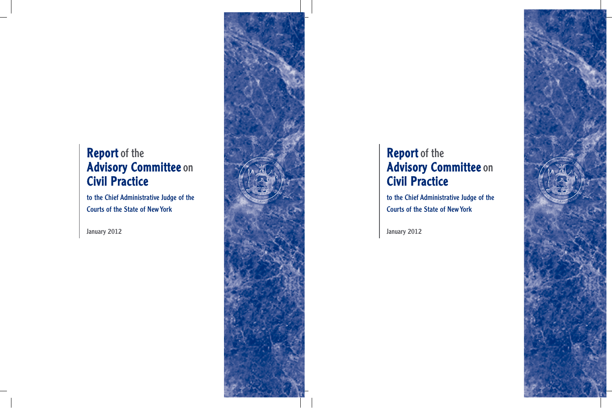# Report of the Advisory Committee on Civil Practice

to the Chief Administrative Judge of the Courts of the State of NewYork

January 2012

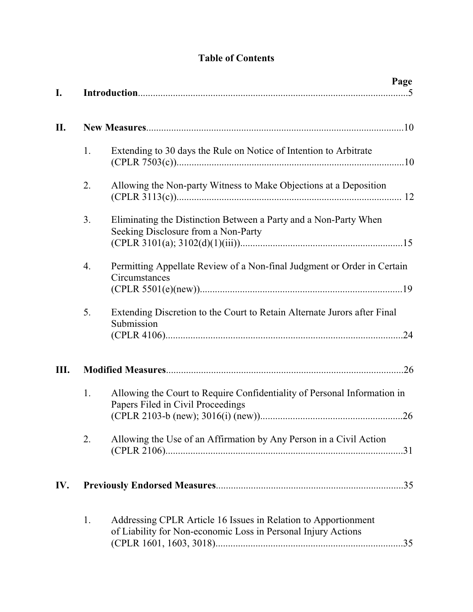## **Table of Contents**

| I.  |    | Page                                                                                                                            |  |
|-----|----|---------------------------------------------------------------------------------------------------------------------------------|--|
| II. |    |                                                                                                                                 |  |
|     | 1. | Extending to 30 days the Rule on Notice of Intention to Arbitrate                                                               |  |
|     | 2. | Allowing the Non-party Witness to Make Objections at a Deposition                                                               |  |
|     | 3. | Eliminating the Distinction Between a Party and a Non-Party When<br>Seeking Disclosure from a Non-Party                         |  |
|     | 4. | Permitting Appellate Review of a Non-final Judgment or Order in Certain<br>Circumstances                                        |  |
|     | 5. | Extending Discretion to the Court to Retain Alternate Jurors after Final<br>Submission                                          |  |
| Ш.  |    |                                                                                                                                 |  |
|     | 1. | Allowing the Court to Require Confidentiality of Personal Information in<br>Papers Filed in Civil Proceedings                   |  |
|     | 2. | Allowing the Use of an Affirmation by Any Person in a Civil Action<br>.31                                                       |  |
| IV. |    |                                                                                                                                 |  |
|     | 1. | Addressing CPLR Article 16 Issues in Relation to Apportionment<br>of Liability for Non-economic Loss in Personal Injury Actions |  |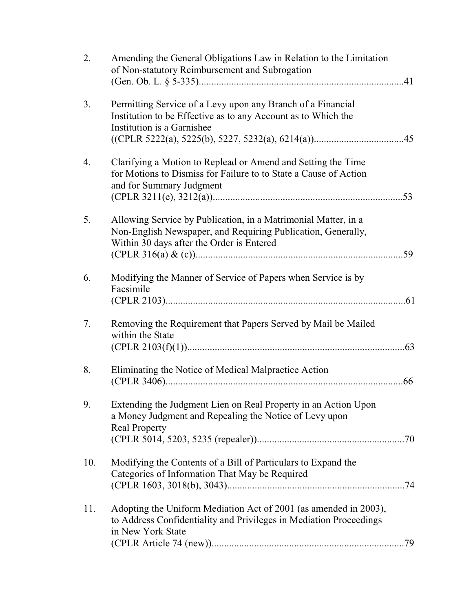| 2.  | Amending the General Obligations Law in Relation to the Limitation<br>of Non-statutory Reimbursement and Subrogation                                                        |  |
|-----|-----------------------------------------------------------------------------------------------------------------------------------------------------------------------------|--|
| 3.  | Permitting Service of a Levy upon any Branch of a Financial<br>Institution to be Effective as to any Account as to Which the<br>Institution is a Garnishee                  |  |
| 4.  | Clarifying a Motion to Replead or Amend and Setting the Time<br>for Motions to Dismiss for Failure to to State a Cause of Action<br>and for Summary Judgment                |  |
| 5.  | Allowing Service by Publication, in a Matrimonial Matter, in a<br>Non-English Newspaper, and Requiring Publication, Generally,<br>Within 30 days after the Order is Entered |  |
| 6.  | Modifying the Manner of Service of Papers when Service is by<br>Facsimile                                                                                                   |  |
| 7.  | Removing the Requirement that Papers Served by Mail be Mailed<br>within the State                                                                                           |  |
| 8.  | Eliminating the Notice of Medical Malpractice Action                                                                                                                        |  |
| 9.  | Extending the Judgment Lien on Real Property in an Action Upon<br>a Money Judgment and Repealing the Notice of Levy upon<br><b>Real Property</b>                            |  |
| 10. | Modifying the Contents of a Bill of Particulars to Expand the<br>Categories of Information That May be Required                                                             |  |
| 11. | Adopting the Uniform Mediation Act of 2001 (as amended in 2003),<br>to Address Confidentiality and Privileges in Mediation Proceedings<br>in New York State                 |  |
|     |                                                                                                                                                                             |  |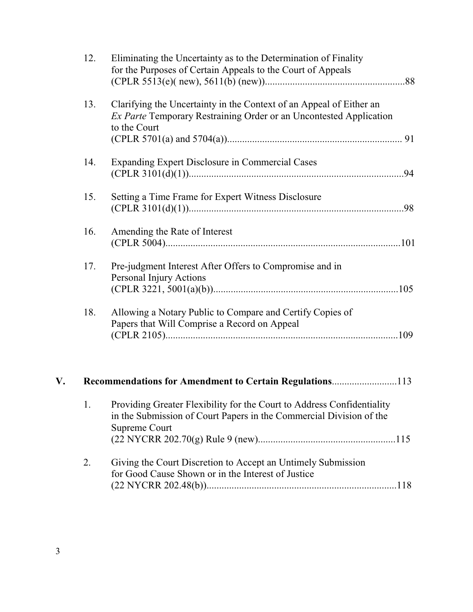|    | 12. | Eliminating the Uncertainty as to the Determination of Finality<br>for the Purposes of Certain Appeals to the Court of Appeals                                 |
|----|-----|----------------------------------------------------------------------------------------------------------------------------------------------------------------|
|    | 13. | Clarifying the Uncertainty in the Context of an Appeal of Either an<br>Ex Parte Temporary Restraining Order or an Uncontested Application<br>to the Court      |
|    | 14. | <b>Expanding Expert Disclosure in Commercial Cases</b>                                                                                                         |
|    | 15. | Setting a Time Frame for Expert Witness Disclosure                                                                                                             |
|    | 16. | Amending the Rate of Interest                                                                                                                                  |
|    | 17. | Pre-judgment Interest After Offers to Compromise and in<br>Personal Injury Actions                                                                             |
|    | 18. | Allowing a Notary Public to Compare and Certify Copies of<br>Papers that Will Comprise a Record on Appeal                                                      |
| V. |     | Recommendations for Amendment to Certain Regulations113                                                                                                        |
|    | 1.  | Providing Greater Flexibility for the Court to Address Confidentiality<br>in the Submission of Court Papers in the Commercial Division of the<br>Supreme Court |
|    | 2.  | Giving the Court Discretion to Accept an Untimely Submission<br>for Good Cause Shown or in the Interest of Justice                                             |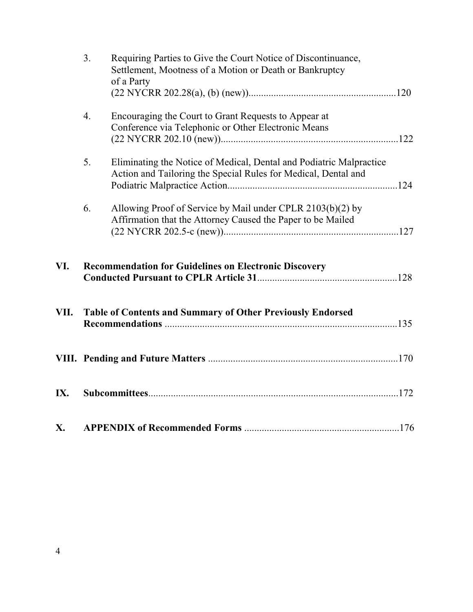|      | 3.                                                         | Requiring Parties to Give the Court Notice of Discontinuance,<br>Settlement, Mootness of a Motion or Death or Bankruptcy<br>of a Party |
|------|------------------------------------------------------------|----------------------------------------------------------------------------------------------------------------------------------------|
|      |                                                            |                                                                                                                                        |
|      | 4.                                                         | Encouraging the Court to Grant Requests to Appear at<br>Conference via Telephonic or Other Electronic Means                            |
|      | 5.                                                         | Eliminating the Notice of Medical, Dental and Podiatric Malpractice<br>Action and Tailoring the Special Rules for Medical, Dental and  |
|      | 6.                                                         | Allowing Proof of Service by Mail under CPLR 2103(b)(2) by<br>Affirmation that the Attorney Caused the Paper to be Mailed              |
| VI.  |                                                            | <b>Recommendation for Guidelines on Electronic Discovery</b>                                                                           |
| VII. | Table of Contents and Summary of Other Previously Endorsed |                                                                                                                                        |
|      |                                                            |                                                                                                                                        |
| IX.  |                                                            |                                                                                                                                        |
| X.   |                                                            |                                                                                                                                        |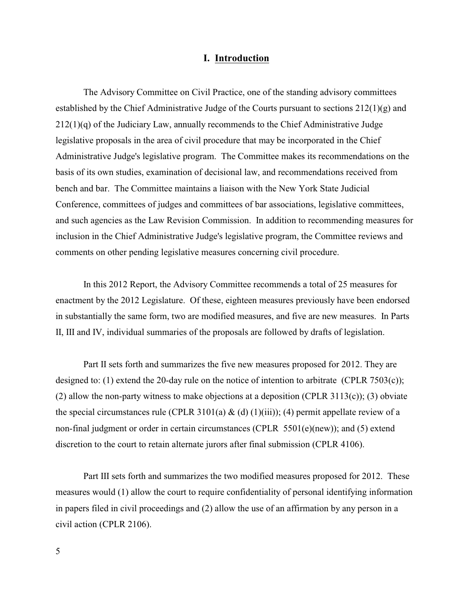## **I. Introduction**

The Advisory Committee on Civil Practice, one of the standing advisory committees established by the Chief Administrative Judge of the Courts pursuant to sections 212(1)(g) and 212(1)(q) of the Judiciary Law, annually recommends to the Chief Administrative Judge legislative proposals in the area of civil procedure that may be incorporated in the Chief Administrative Judge's legislative program. The Committee makes its recommendations on the basis of its own studies, examination of decisional law, and recommendations received from bench and bar. The Committee maintains a liaison with the New York State Judicial Conference, committees of judges and committees of bar associations, legislative committees, and such agencies as the Law Revision Commission. In addition to recommending measures for inclusion in the Chief Administrative Judge's legislative program, the Committee reviews and comments on other pending legislative measures concerning civil procedure.

In this 2012 Report, the Advisory Committee recommends a total of 25 measures for enactment by the 2012 Legislature. Of these, eighteen measures previously have been endorsed in substantially the same form, two are modified measures, and five are new measures. In Parts II, III and IV, individual summaries of the proposals are followed by drafts of legislation.

Part II sets forth and summarizes the five new measures proposed for 2012. They are designed to: (1) extend the 20-day rule on the notice of intention to arbitrate (CPLR 7503 $(c)$ ); (2) allow the non-party witness to make objections at a deposition (CPLR 3113(c)); (3) obviate the special circumstances rule (CPLR 3101(a)  $\&$  (d) (1)(iii)); (4) permit appellate review of a non-final judgment or order in certain circumstances (CPLR  $5501(e)$ (new)); and (5) extend discretion to the court to retain alternate jurors after final submission (CPLR 4106).

Part III sets forth and summarizes the two modified measures proposed for 2012. These measures would (1) allow the court to require confidentiality of personal identifying information in papers filed in civil proceedings and (2) allow the use of an affirmation by any person in a civil action (CPLR 2106).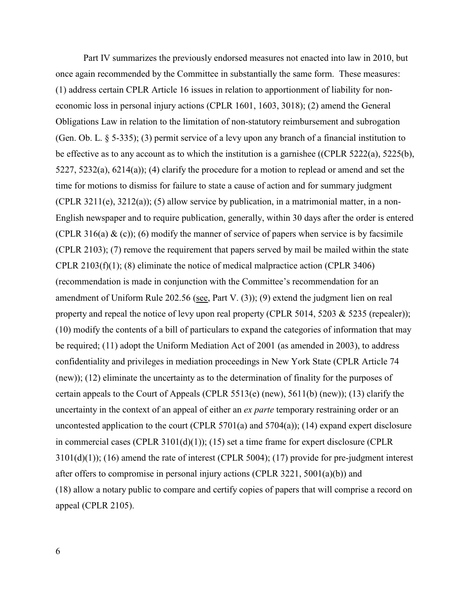Part IV summarizes the previously endorsed measures not enacted into law in 2010, but once again recommended by the Committee in substantially the same form. These measures: (1) address certain CPLR Article 16 issues in relation to apportionment of liability for noneconomic loss in personal injury actions (CPLR 1601, 1603, 3018); (2) amend the General Obligations Law in relation to the limitation of non-statutory reimbursement and subrogation (Gen. Ob. L. § 5-335); (3) permit service of a levy upon any branch of a financial institution to be effective as to any account as to which the institution is a garnishee ((CPLR 5222(a), 5225(b), 5227, 5232(a), 6214(a)); (4) clarify the procedure for a motion to replead or amend and set the time for motions to dismiss for failure to state a cause of action and for summary judgment (CPLR 3211(e), 3212(a)); (5) allow service by publication, in a matrimonial matter, in a non-English newspaper and to require publication, generally, within 30 days after the order is entered (CPLR 316(a)  $\&$  (c)); (6) modify the manner of service of papers when service is by facsimile (CPLR 2103); (7) remove the requirement that papers served by mail be mailed within the state CPLR 2103(f)(1); (8) eliminate the notice of medical malpractice action (CPLR 3406) (recommendation is made in conjunction with the Committee's recommendation for an amendment of Uniform Rule 202.56 (see, Part V. (3)); (9) extend the judgment lien on real property and repeal the notice of levy upon real property (CPLR 5014, 5203  $\&$  5235 (repealer)); (10) modify the contents of a bill of particulars to expand the categories of information that may be required; (11) adopt the Uniform Mediation Act of 2001 (as amended in 2003), to address confidentiality and privileges in mediation proceedings in New York State (CPLR Article 74 (new)); (12) eliminate the uncertainty as to the determination of finality for the purposes of certain appeals to the Court of Appeals (CPLR 5513(e) (new), 5611(b) (new)); (13) clarify the uncertainty in the context of an appeal of either an *ex parte* temporary restraining order or an uncontested application to the court (CPLR 5701(a) and 5704(a)); (14) expand expert disclosure in commercial cases (CPLR  $3101(d)(1)$ ); (15) set a time frame for expert disclosure (CPLR 3101(d)(1)); (16) amend the rate of interest (CPLR 5004); (17) provide for pre-judgment interest after offers to compromise in personal injury actions (CPLR 3221, 5001(a)(b)) and (18) allow a notary public to compare and certify copies of papers that will comprise a record on appeal (CPLR 2105).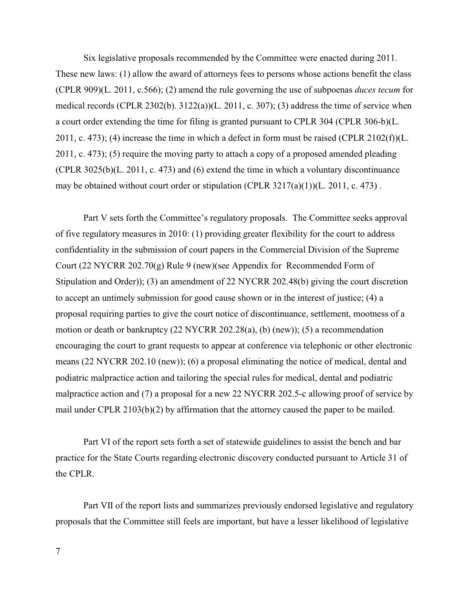Six legislative proposals recommended by the Committee were enacted during 2011. These new laws: (1) allow the award of attorneys fees to persons whose actions benefit the class (CPLR 909)(L. 2011, c.566); (2) amend the rule governing the use of subpoenas *duces tecum* for medical records (CPLR 2302(b).  $3122(a)$ )(L. 2011, c. 307); (3) address the time of service when a court order extending the time for filing is granted pursuant to CPLR 304 (CPLR 306-b)(L. 2011, c. 473); (4) increase the time in which a defect in form must be raised (CPLR 2102(f))(L. 2011, c. 473); (5) require the moving party to attach a copy of a proposed amended pleading (CPLR 3025(b)(L. 2011, c. 473) and (6) extend the time in which a voluntary discontinuance may be obtained without court order or stipulation (CPLR 3217(a)(1))(L. 2011, c. 473) .

Part V sets forth the Committee's regulatory proposals. The Committee seeks approval of five regulatory measures in 2010: (1) providing greater flexibility for the court to address confidentiality in the submission of court papers in the Commercial Division of the Supreme Court (22 NYCRR 202.70(g) Rule 9 (new)(see Appendix for Recommended Form of Stipulation and Order)); (3) an amendment of 22 NYCRR 202.48(b) giving the court discretion to accept an untimely submission for good cause shown or in the interest of justice; (4) a proposal requiring parties to give the court notice of discontinuance, settlement, mootness of a motion or death or bankruptcy (22 NYCRR 202.28(a), (b) (new)); (5) a recommendation encouraging the court to grant requests to appear at conference via telephonic or other electronic means (22 NYCRR 202.10 (new)); (6) a proposal eliminating the notice of medical, dental and podiatric malpractice action and tailoring the special rules for medical, dental and podiatric malpractice action and (7) a proposal for a new 22 NYCRR 202.5-c allowing proof of service by mail under CPLR 2103(b)(2) by affirmation that the attorney caused the paper to be mailed.

Part VI of the report sets forth a set of statewide guidelines to assist the bench and bar practice for the State Courts regarding electronic discovery conducted pursuant to Article 31 of the CPLR.

Part VII of the report lists and summarizes previously endorsed legislative and regulatory proposals that the Committee still feels are important, but have a lesser likelihood of legislative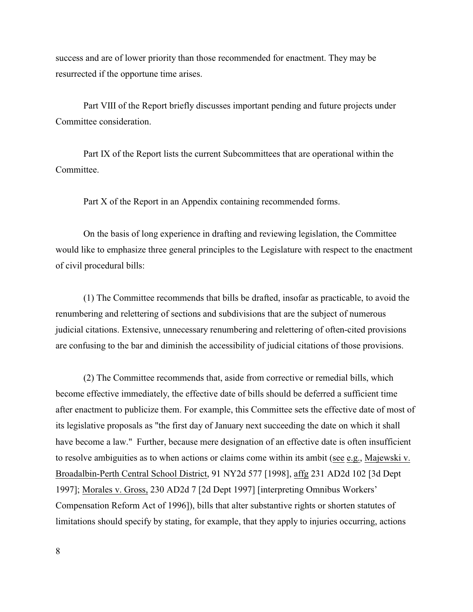success and are of lower priority than those recommended for enactment. They may be resurrected if the opportune time arises.

Part VIII of the Report briefly discusses important pending and future projects under Committee consideration.

Part IX of the Report lists the current Subcommittees that are operational within the Committee.

Part X of the Report in an Appendix containing recommended forms.

On the basis of long experience in drafting and reviewing legislation, the Committee would like to emphasize three general principles to the Legislature with respect to the enactment of civil procedural bills:

(1) The Committee recommends that bills be drafted, insofar as practicable, to avoid the renumbering and relettering of sections and subdivisions that are the subject of numerous judicial citations. Extensive, unnecessary renumbering and relettering of often-cited provisions are confusing to the bar and diminish the accessibility of judicial citations of those provisions.

(2) The Committee recommends that, aside from corrective or remedial bills, which become effective immediately, the effective date of bills should be deferred a sufficient time after enactment to publicize them. For example, this Committee sets the effective date of most of its legislative proposals as "the first day of January next succeeding the date on which it shall have become a law." Further, because mere designation of an effective date is often insufficient to resolve ambiguities as to when actions or claims come within its ambit (see e.g., Majewski v. Broadalbin-Perth Central School District, 91 NY2d 577 [1998], affg 231 AD2d 102 [3d Dept 1997]; Morales v. Gross, 230 AD2d 7 [2d Dept 1997] [interpreting Omnibus Workers' Compensation Reform Act of 1996]), bills that alter substantive rights or shorten statutes of limitations should specify by stating, for example, that they apply to injuries occurring, actions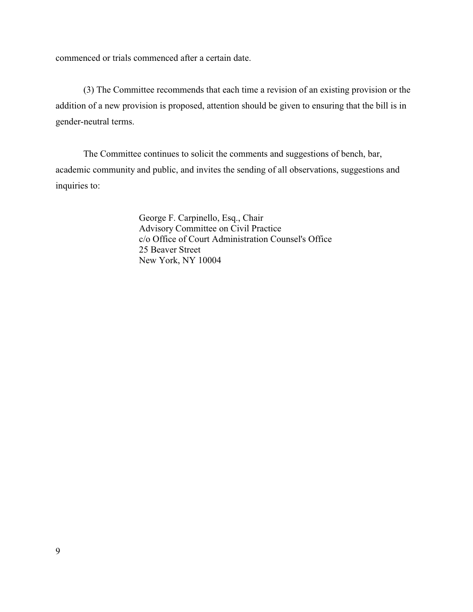commenced or trials commenced after a certain date.

(3) The Committee recommends that each time a revision of an existing provision or the addition of a new provision is proposed, attention should be given to ensuring that the bill is in gender-neutral terms.

The Committee continues to solicit the comments and suggestions of bench, bar, academic community and public, and invites the sending of all observations, suggestions and inquiries to:

> George F. Carpinello, Esq., Chair Advisory Committee on Civil Practice c/o Office of Court Administration Counsel's Office 25 Beaver Street New York, NY 10004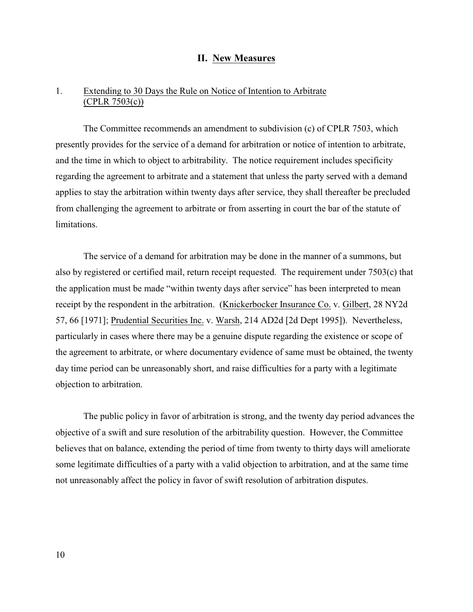#### **II. New Measures**

## 1. Extending to 30 Days the Rule on Notice of Intention to Arbitrate (CPLR 7503(c))

The Committee recommends an amendment to subdivision (c) of CPLR 7503, which presently provides for the service of a demand for arbitration or notice of intention to arbitrate, and the time in which to object to arbitrability. The notice requirement includes specificity regarding the agreement to arbitrate and a statement that unless the party served with a demand applies to stay the arbitration within twenty days after service, they shall thereafter be precluded from challenging the agreement to arbitrate or from asserting in court the bar of the statute of limitations.

The service of a demand for arbitration may be done in the manner of a summons, but also by registered or certified mail, return receipt requested. The requirement under 7503(c) that the application must be made "within twenty days after service" has been interpreted to mean receipt by the respondent in the arbitration. (Knickerbocker Insurance Co. v. Gilbert, 28 NY2d 57, 66 [1971]; Prudential Securities Inc. v. Warsh, 214 AD2d [2d Dept 1995]). Nevertheless, particularly in cases where there may be a genuine dispute regarding the existence or scope of the agreement to arbitrate, or where documentary evidence of same must be obtained, the twenty day time period can be unreasonably short, and raise difficulties for a party with a legitimate objection to arbitration.

The public policy in favor of arbitration is strong, and the twenty day period advances the objective of a swift and sure resolution of the arbitrability question. However, the Committee believes that on balance, extending the period of time from twenty to thirty days will ameliorate some legitimate difficulties of a party with a valid objection to arbitration, and at the same time not unreasonably affect the policy in favor of swift resolution of arbitration disputes.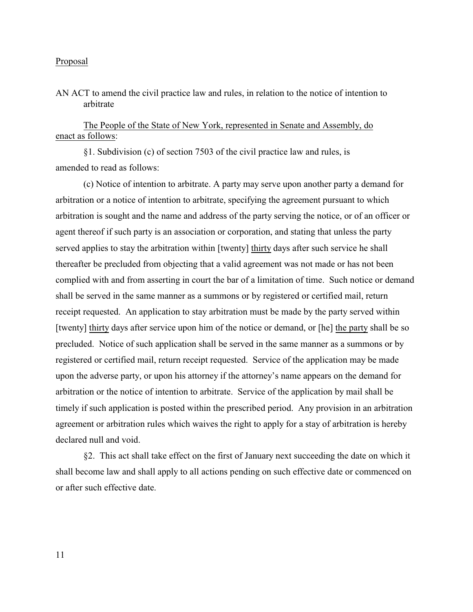AN ACT to amend the civil practice law and rules, in relation to the notice of intention to arbitrate

The People of the State of New York, represented in Senate and Assembly, do enact as follows:

§1. Subdivision (c) of section 7503 of the civil practice law and rules, is amended to read as follows:

(c) Notice of intention to arbitrate. A party may serve upon another party a demand for arbitration or a notice of intention to arbitrate, specifying the agreement pursuant to which arbitration is sought and the name and address of the party serving the notice, or of an officer or agent thereof if such party is an association or corporation, and stating that unless the party served applies to stay the arbitration within [twenty] thirty days after such service he shall thereafter be precluded from objecting that a valid agreement was not made or has not been complied with and from asserting in court the bar of a limitation of time. Such notice or demand shall be served in the same manner as a summons or by registered or certified mail, return receipt requested. An application to stay arbitration must be made by the party served within [twenty] thirty days after service upon him of the notice or demand, or [he] the party shall be so precluded. Notice of such application shall be served in the same manner as a summons or by registered or certified mail, return receipt requested. Service of the application may be made upon the adverse party, or upon his attorney if the attorney's name appears on the demand for arbitration or the notice of intention to arbitrate. Service of the application by mail shall be timely if such application is posted within the prescribed period. Any provision in an arbitration agreement or arbitration rules which waives the right to apply for a stay of arbitration is hereby declared null and void.

§2. This act shall take effect on the first of January next succeeding the date on which it shall become law and shall apply to all actions pending on such effective date or commenced on or after such effective date.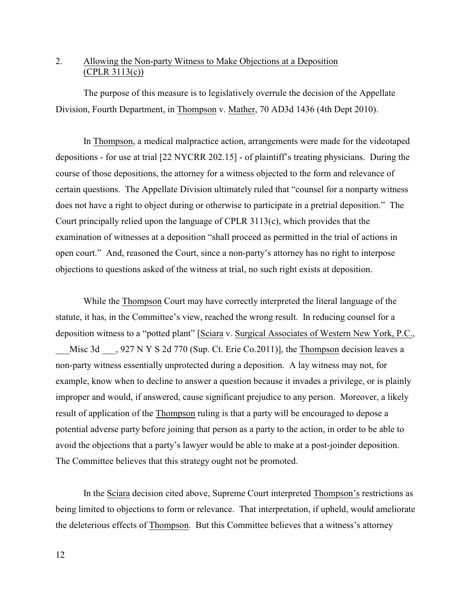## 2. Allowing the Non-party Witness to Make Objections at a Deposition (CPLR 3113(c))

The purpose of this measure is to legislatively overrule the decision of the Appellate Division, Fourth Department, in Thompson v. Mather, 70 AD3d 1436 (4th Dept 2010).

In Thompson, a medical malpractice action, arrangements were made for the videotaped depositions - for use at trial [22 NYCRR 202.15] - of plaintiff's treating physicians. During the course of those depositions, the attorney for a witness objected to the form and relevance of certain questions. The Appellate Division ultimately ruled that "counsel for a nonparty witness does not have a right to object during or otherwise to participate in a pretrial deposition." The Court principally relied upon the language of CPLR 3113(c), which provides that the examination of witnesses at a deposition "shall proceed as permitted in the trial of actions in open court." And, reasoned the Court, since a non-party's attorney has no right to interpose objections to questions asked of the witness at trial, no such right exists at deposition.

While the Thompson Court may have correctly interpreted the literal language of the statute, it has, in the Committee's view, reached the wrong result. In reducing counsel for a deposition witness to a "potted plant" [Sciara v. Surgical Associates of Western New York, P.C., Misc 3d  $\ldots$ , 927 N Y S 2d 770 (Sup. Ct. Erie Co.2011)], the Thompson decision leaves a non-party witness essentially unprotected during a deposition. A lay witness may not, for example, know when to decline to answer a question because it invades a privilege, or is plainly improper and would, if answered, cause significant prejudice to any person. Moreover, a likely result of application of the Thompson ruling is that a party will be encouraged to depose a potential adverse party before joining that person as a party to the action, in order to be able to avoid the objections that a party's lawyer would be able to make at a post-joinder deposition. The Committee believes that this strategy ought not be promoted.

In the Sciara decision cited above, Supreme Court interpreted Thompson's restrictions as being limited to objections to form or relevance. That interpretation, if upheld, would ameliorate the deleterious effects of Thompson. But this Committee believes that a witness's attorney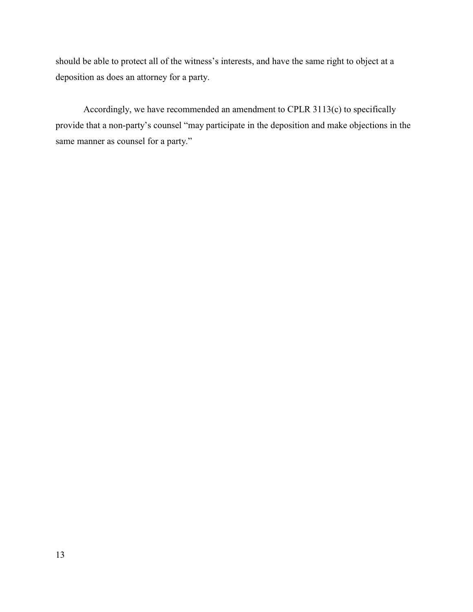should be able to protect all of the witness's interests, and have the same right to object at a deposition as does an attorney for a party.

Accordingly, we have recommended an amendment to CPLR 3113(c) to specifically provide that a non-party's counsel "may participate in the deposition and make objections in the same manner as counsel for a party."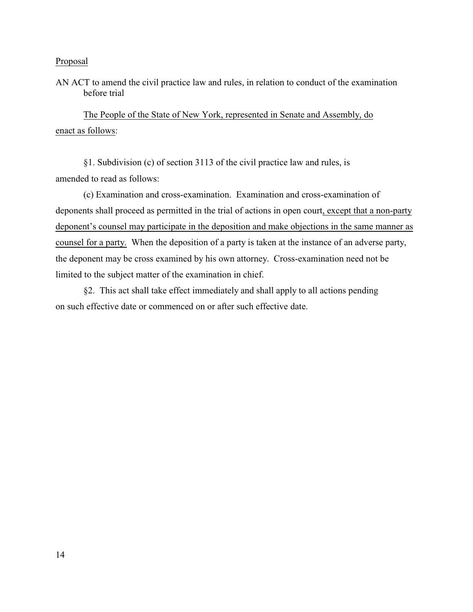AN ACT to amend the civil practice law and rules, in relation to conduct of the examination before trial

The People of the State of New York, represented in Senate and Assembly, do enact as follows:

§1. Subdivision (c) of section 3113 of the civil practice law and rules, is amended to read as follows:

(c) Examination and cross-examination. Examination and cross-examination of deponents shall proceed as permitted in the trial of actions in open court, except that a non-party deponent's counsel may participate in the deposition and make objections in the same manner as counsel for a party. When the deposition of a party is taken at the instance of an adverse party, the deponent may be cross examined by his own attorney. Cross-examination need not be limited to the subject matter of the examination in chief.

§2. This act shall take effect immediately and shall apply to all actions pending on such effective date or commenced on or after such effective date.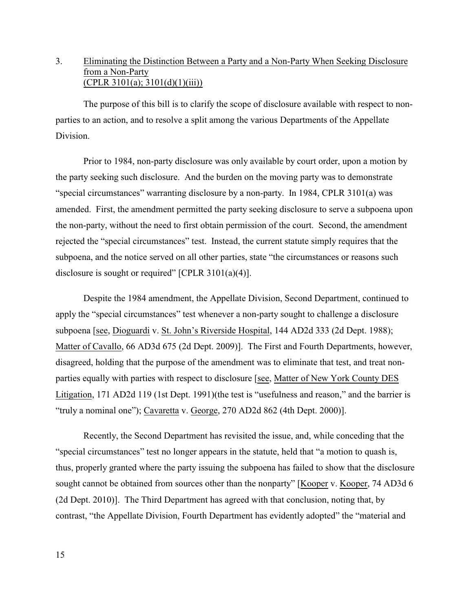## 3. Eliminating the Distinction Between a Party and a Non-Party When Seeking Disclosure from a Non-Party  $(CPLR 3101(a); 3101(d)(1)(iii))$

The purpose of this bill is to clarify the scope of disclosure available with respect to nonparties to an action, and to resolve a split among the various Departments of the Appellate Division.

Prior to 1984, non-party disclosure was only available by court order, upon a motion by the party seeking such disclosure. And the burden on the moving party was to demonstrate "special circumstances" warranting disclosure by a non-party. In 1984, CPLR 3101(a) was amended. First, the amendment permitted the party seeking disclosure to serve a subpoena upon the non-party, without the need to first obtain permission of the court. Second, the amendment rejected the "special circumstances" test. Instead, the current statute simply requires that the subpoena, and the notice served on all other parties, state "the circumstances or reasons such disclosure is sought or required" [CPLR 3101(a)(4)].

Despite the 1984 amendment, the Appellate Division, Second Department, continued to apply the "special circumstances" test whenever a non-party sought to challenge a disclosure subpoena [see, Dioguardi v. St. John's Riverside Hospital, 144 AD2d 333 (2d Dept. 1988); Matter of Cavallo, 66 AD3d 675 (2d Dept. 2009)]. The First and Fourth Departments, however, disagreed, holding that the purpose of the amendment was to eliminate that test, and treat nonparties equally with parties with respect to disclosure [see, Matter of New York County DES Litigation, 171 AD2d 119 (1st Dept. 1991)(the test is "usefulness and reason," and the barrier is "truly a nominal one"); Cavaretta v. George, 270 AD2d 862 (4th Dept. 2000)].

Recently, the Second Department has revisited the issue, and, while conceding that the "special circumstances" test no longer appears in the statute, held that "a motion to quash is, thus, properly granted where the party issuing the subpoena has failed to show that the disclosure sought cannot be obtained from sources other than the nonparty" [Kooper v. Kooper, 74 AD3d 6 (2d Dept. 2010)]. The Third Department has agreed with that conclusion, noting that, by contrast, "the Appellate Division, Fourth Department has evidently adopted" the "material and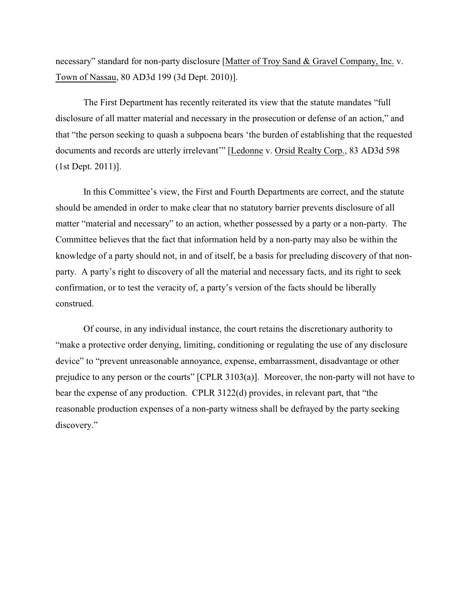necessary" standard for non-party disclosure [Matter of Troy Sand & Gravel Company, Inc. v. Town of Nassau, 80 AD3d 199 (3d Dept. 2010)].

The First Department has recently reiterated its view that the statute mandates "full disclosure of all matter material and necessary in the prosecution or defense of an action," and that "the person seeking to quash a subpoena bears 'the burden of establishing that the requested documents and records are utterly irrelevant'" [Ledonne v. Orsid Realty Corp., 83 AD3d 598 (1st Dept. 2011)].

In this Committee's view, the First and Fourth Departments are correct, and the statute should be amended in order to make clear that no statutory barrier prevents disclosure of all matter "material and necessary" to an action, whether possessed by a party or a non-party. The Committee believes that the fact that information held by a non-party may also be within the knowledge of a party should not, in and of itself, be a basis for precluding discovery of that nonparty. A party's right to discovery of all the material and necessary facts, and its right to seek confirmation, or to test the veracity of, a party's version of the facts should be liberally construed.

Of course, in any individual instance, the court retains the discretionary authority to "make a protective order denying, limiting, conditioning or regulating the use of any disclosure device" to "prevent unreasonable annoyance, expense, embarrassment, disadvantage or other prejudice to any person or the courts" [CPLR 3103(a)]. Moreover, the non-party will not have to bear the expense of any production. CPLR 3122(d) provides, in relevant part, that "the reasonable production expenses of a non-party witness shall be defrayed by the party seeking discovery."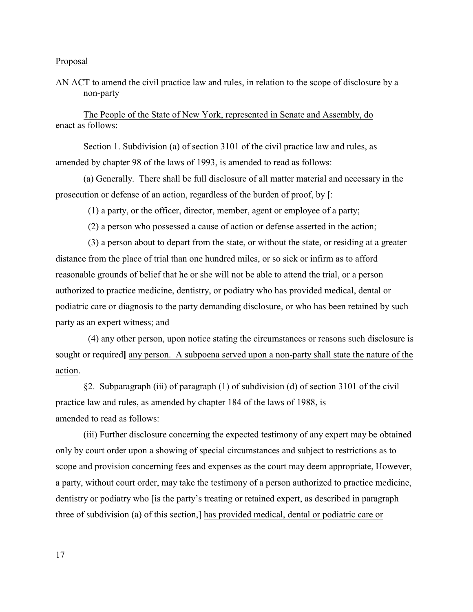AN ACT to amend the civil practice law and rules, in relation to the scope of disclosure by a non-party

The People of the State of New York, represented in Senate and Assembly, do enact as follows:

Section 1. Subdivision (a) of section 3101 of the civil practice law and rules, as amended by chapter 98 of the laws of 1993, is amended to read as follows:

(a) Generally. There shall be full disclosure of all matter material and necessary in the prosecution or defense of an action, regardless of the burden of proof, by **[**:

(1) a party, or the officer, director, member, agent or employee of a party;

(2) a person who possessed a cause of action or defense asserted in the action;

 (3) a person about to depart from the state, or without the state, or residing at a greater distance from the place of trial than one hundred miles, or so sick or infirm as to afford reasonable grounds of belief that he or she will not be able to attend the trial, or a person authorized to practice medicine, dentistry, or podiatry who has provided medical, dental or podiatric care or diagnosis to the party demanding disclosure, or who has been retained by such party as an expert witness; and

 (4) any other person, upon notice stating the circumstances or reasons such disclosure is sought or required**]** any person. A subpoena served upon a non-party shall state the nature of the action.

§2. Subparagraph (iii) of paragraph (1) of subdivision (d) of section 3101 of the civil practice law and rules, as amended by chapter 184 of the laws of 1988, is amended to read as follows:

(iii) Further disclosure concerning the expected testimony of any expert may be obtained only by court order upon a showing of special circumstances and subject to restrictions as to scope and provision concerning fees and expenses as the court may deem appropriate, However, a party, without court order, may take the testimony of a person authorized to practice medicine, dentistry or podiatry who [is the party's treating or retained expert, as described in paragraph three of subdivision (a) of this section,] has provided medical, dental or podiatric care or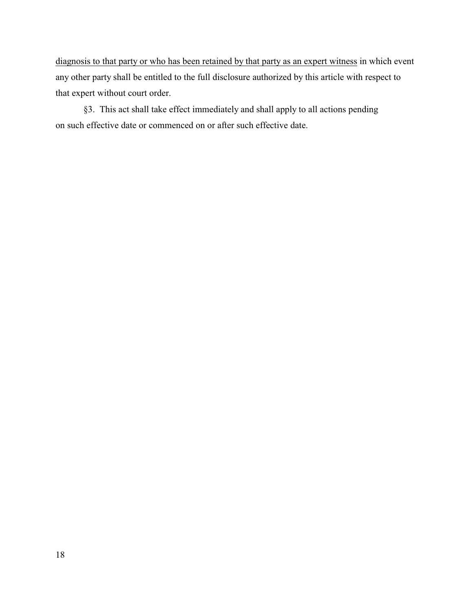diagnosis to that party or who has been retained by that party as an expert witness in which event any other party shall be entitled to the full disclosure authorized by this article with respect to that expert without court order.

§3. This act shall take effect immediately and shall apply to all actions pending on such effective date or commenced on or after such effective date.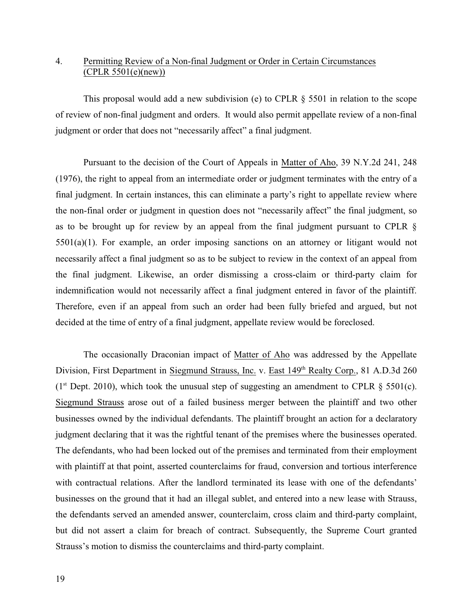## 4. Permitting Review of a Non-final Judgment or Order in Certain Circumstances (CPLR 5501(e)(new))

This proposal would add a new subdivision (e) to CPLR  $\S$  5501 in relation to the scope of review of non-final judgment and orders. It would also permit appellate review of a non-final judgment or order that does not "necessarily affect" a final judgment.

Pursuant to the decision of the Court of Appeals in Matter of Aho, 39 N.Y.2d 241, 248 (1976), the right to appeal from an intermediate order or judgment terminates with the entry of a final judgment. In certain instances, this can eliminate a party's right to appellate review where the non-final order or judgment in question does not "necessarily affect" the final judgment, so as to be brought up for review by an appeal from the final judgment pursuant to CPLR § 5501(a)(1). For example, an order imposing sanctions on an attorney or litigant would not necessarily affect a final judgment so as to be subject to review in the context of an appeal from the final judgment. Likewise, an order dismissing a cross-claim or third-party claim for indemnification would not necessarily affect a final judgment entered in favor of the plaintiff. Therefore, even if an appeal from such an order had been fully briefed and argued, but not decided at the time of entry of a final judgment, appellate review would be foreclosed.

The occasionally Draconian impact of Matter of Aho was addressed by the Appellate Division, First Department in Siegmund Strauss, Inc. v. East 149<sup>th</sup> Realty Corp., 81 A.D.3d 260  $(1<sup>st</sup>$  Dept. 2010), which took the unusual step of suggesting an amendment to CPLR § 5501(c). Siegmund Strauss arose out of a failed business merger between the plaintiff and two other businesses owned by the individual defendants. The plaintiff brought an action for a declaratory judgment declaring that it was the rightful tenant of the premises where the businesses operated. The defendants, who had been locked out of the premises and terminated from their employment with plaintiff at that point, asserted counterclaims for fraud, conversion and tortious interference with contractual relations. After the landlord terminated its lease with one of the defendants' businesses on the ground that it had an illegal sublet, and entered into a new lease with Strauss, the defendants served an amended answer, counterclaim, cross claim and third-party complaint, but did not assert a claim for breach of contract. Subsequently, the Supreme Court granted Strauss's motion to dismiss the counterclaims and third-party complaint.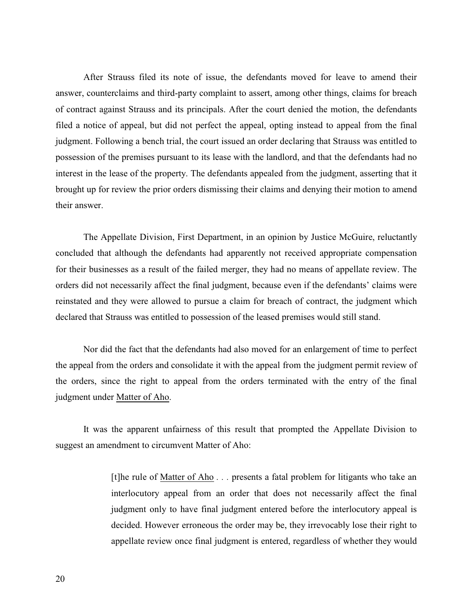After Strauss filed its note of issue, the defendants moved for leave to amend their answer, counterclaims and third-party complaint to assert, among other things, claims for breach of contract against Strauss and its principals. After the court denied the motion, the defendants filed a notice of appeal, but did not perfect the appeal, opting instead to appeal from the final judgment. Following a bench trial, the court issued an order declaring that Strauss was entitled to possession of the premises pursuant to its lease with the landlord, and that the defendants had no interest in the lease of the property. The defendants appealed from the judgment, asserting that it brought up for review the prior orders dismissing their claims and denying their motion to amend their answer.

The Appellate Division, First Department, in an opinion by Justice McGuire, reluctantly concluded that although the defendants had apparently not received appropriate compensation for their businesses as a result of the failed merger, they had no means of appellate review. The orders did not necessarily affect the final judgment, because even if the defendants' claims were reinstated and they were allowed to pursue a claim for breach of contract, the judgment which declared that Strauss was entitled to possession of the leased premises would still stand.

Nor did the fact that the defendants had also moved for an enlargement of time to perfect the appeal from the orders and consolidate it with the appeal from the judgment permit review of the orders, since the right to appeal from the orders terminated with the entry of the final judgment under Matter of Aho.

It was the apparent unfairness of this result that prompted the Appellate Division to suggest an amendment to circumvent Matter of Aho:

> [t]he rule of Matter of Aho *. . .* presents a fatal problem for litigants who take an interlocutory appeal from an order that does not necessarily affect the final judgment only to have final judgment entered before the interlocutory appeal is decided. However erroneous the order may be, they irrevocably lose their right to appellate review once final judgment is entered, regardless of whether they would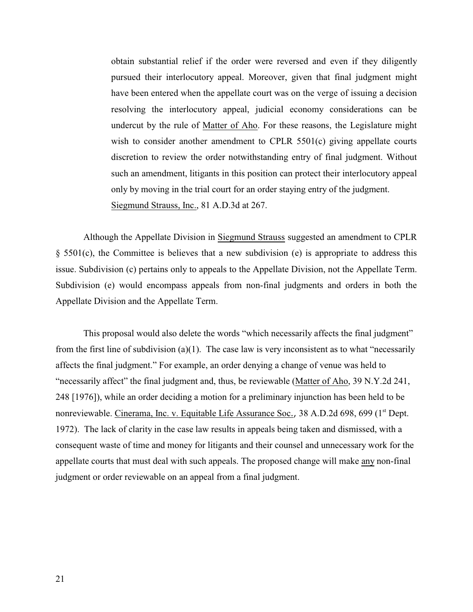obtain substantial relief if the order were reversed and even if they diligently pursued their interlocutory appeal. Moreover, given that final judgment might have been entered when the appellate court was on the verge of issuing a decision resolving the interlocutory appeal, judicial economy considerations can be undercut by the rule of Matter of Aho. For these reasons, the Legislature might wish to consider another amendment to CPLR 5501(c) giving appellate courts discretion to review the order notwithstanding entry of final judgment. Without such an amendment, litigants in this position can protect their interlocutory appeal only by moving in the trial court for an order staying entry of the judgment. Siegmund Strauss, Inc., 81 A.D.3d at 267.

Although the Appellate Division in Siegmund Strauss suggested an amendment to CPLR  $\S$  5501(c), the Committee is believes that a new subdivision (e) is appropriate to address this issue. Subdivision (c) pertains only to appeals to the Appellate Division, not the Appellate Term. Subdivision (e) would encompass appeals from non-final judgments and orders in both the Appellate Division and the Appellate Term.

This proposal would also delete the words "which necessarily affects the final judgment" from the first line of subdivision  $(a)(1)$ . The case law is very inconsistent as to what "necessarily" affects the final judgment." For example, an order denying a change of venue was held to "necessarily affect" the final judgment and, thus, be reviewable (Matter of Aho, 39 N.Y.2d 241, 248 [1976]), while an order deciding a motion for a preliminary injunction has been held to be nonreviewable. Cinerama, Inc. v. Equitable Life Assurance Soc., 38 A.D.2d 698, 699 (1<sup>st</sup> Dept.) 1972). The lack of clarity in the case law results in appeals being taken and dismissed, with a consequent waste of time and money for litigants and their counsel and unnecessary work for the appellate courts that must deal with such appeals. The proposed change will make any non-final judgment or order reviewable on an appeal from a final judgment.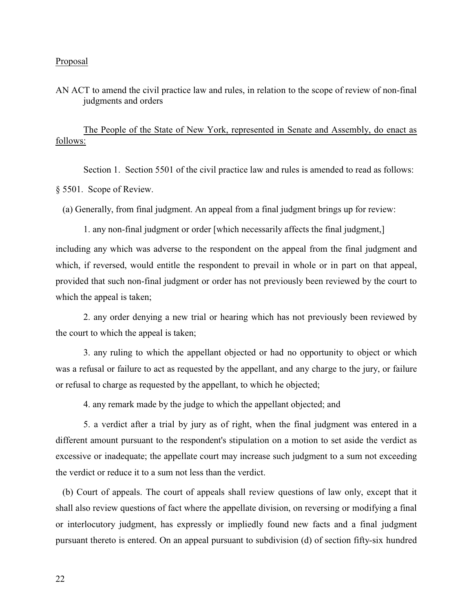AN ACT to amend the civil practice law and rules, in relation to the scope of review of non-final judgments and orders

The People of the State of New York, represented in Senate and Assembly, do enact as follows:

Section 1. Section 5501 of the civil practice law and rules is amended to read as follows:

§ 5501. Scope of Review.

(a) Generally, from final judgment. An appeal from a final judgment brings up for review:

1. any non-final judgment or order [which necessarily affects the final judgment,] including any which was adverse to the respondent on the appeal from the final judgment and which, if reversed, would entitle the respondent to prevail in whole or in part on that appeal, provided that such non-final judgment or order has not previously been reviewed by the court to which the appeal is taken;

2. any order denying a new trial or hearing which has not previously been reviewed by the court to which the appeal is taken;

3. any ruling to which the appellant objected or had no opportunity to object or which was a refusal or failure to act as requested by the appellant, and any charge to the jury, or failure or refusal to charge as requested by the appellant, to which he objected;

4. any remark made by the judge to which the appellant objected; and

5. a verdict after a trial by jury as of right, when the final judgment was entered in a different amount pursuant to the respondent's stipulation on a motion to set aside the verdict as excessive or inadequate; the appellate court may increase such judgment to a sum not exceeding the verdict or reduce it to a sum not less than the verdict.

(b) Court of appeals. The court of appeals shall review questions of law only, except that it shall also review questions of fact where the appellate division, on reversing or modifying a final or interlocutory judgment, has expressly or impliedly found new facts and a final judgment pursuant thereto is entered. On an appeal pursuant to subdivision (d) of section fifty-six hundred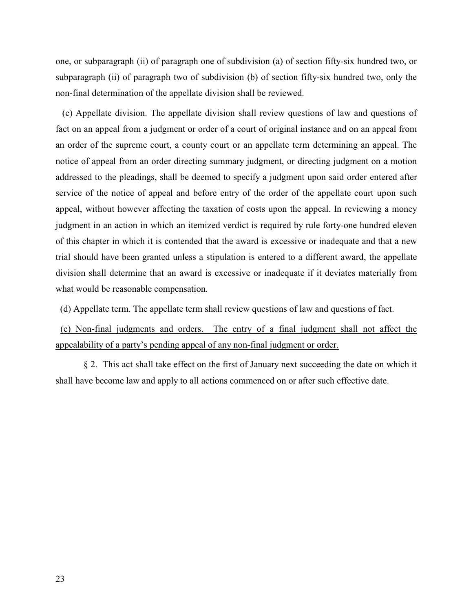one, or subparagraph (ii) of paragraph one of subdivision (a) of section fifty-six hundred two, or subparagraph (ii) of paragraph two of subdivision (b) of section fifty-six hundred two, only the non-final determination of the appellate division shall be reviewed.

(c) Appellate division. The appellate division shall review questions of law and questions of fact on an appeal from a judgment or order of a court of original instance and on an appeal from an order of the supreme court, a county court or an appellate term determining an appeal. The notice of appeal from an order directing summary judgment, or directing judgment on a motion addressed to the pleadings, shall be deemed to specify a judgment upon said order entered after service of the notice of appeal and before entry of the order of the appellate court upon such appeal, without however affecting the taxation of costs upon the appeal. In reviewing a money judgment in an action in which an itemized verdict is required by rule forty-one hundred eleven of this chapter in which it is contended that the award is excessive or inadequate and that a new trial should have been granted unless a stipulation is entered to a different award, the appellate division shall determine that an award is excessive or inadequate if it deviates materially from what would be reasonable compensation.

(d) Appellate term. The appellate term shall review questions of law and questions of fact.

(e) Non-final judgments and orders. The entry of a final judgment shall not affect the appealability of a party's pending appeal of any non-final judgment or order.

§ 2. This act shall take effect on the first of January next succeeding the date on which it shall have become law and apply to all actions commenced on or after such effective date.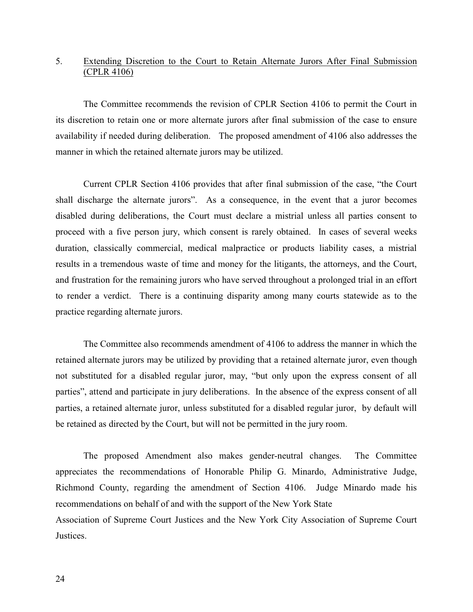## 5. Extending Discretion to the Court to Retain Alternate Jurors After Final Submission (CPLR 4106)

The Committee recommends the revision of CPLR Section 4106 to permit the Court in its discretion to retain one or more alternate jurors after final submission of the case to ensure availability if needed during deliberation. The proposed amendment of 4106 also addresses the manner in which the retained alternate jurors may be utilized.

Current CPLR Section 4106 provides that after final submission of the case, "the Court shall discharge the alternate jurors". As a consequence, in the event that a juror becomes disabled during deliberations, the Court must declare a mistrial unless all parties consent to proceed with a five person jury, which consent is rarely obtained. In cases of several weeks duration, classically commercial, medical malpractice or products liability cases, a mistrial results in a tremendous waste of time and money for the litigants, the attorneys, and the Court, and frustration for the remaining jurors who have served throughout a prolonged trial in an effort to render a verdict. There is a continuing disparity among many courts statewide as to the practice regarding alternate jurors.

The Committee also recommends amendment of 4106 to address the manner in which the retained alternate jurors may be utilized by providing that a retained alternate juror, even though not substituted for a disabled regular juror, may, "but only upon the express consent of all parties", attend and participate in jury deliberations. In the absence of the express consent of all parties, a retained alternate juror, unless substituted for a disabled regular juror, by default will be retained as directed by the Court, but will not be permitted in the jury room.

The proposed Amendment also makes gender-neutral changes. The Committee appreciates the recommendations of Honorable Philip G. Minardo, Administrative Judge, Richmond County, regarding the amendment of Section 4106. Judge Minardo made his recommendations on behalf of and with the support of the New York State

Association of Supreme Court Justices and the New York City Association of Supreme Court Justices.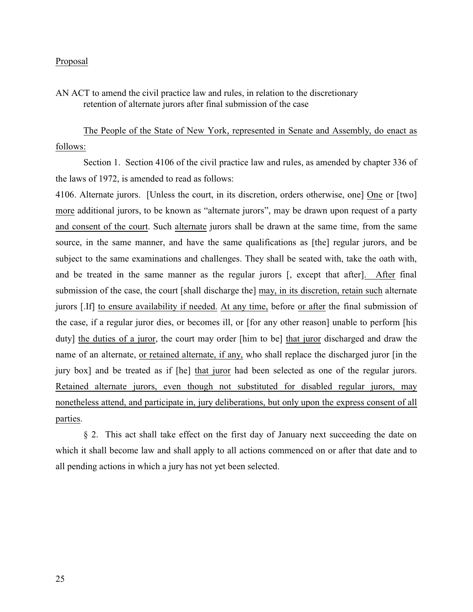AN ACT to amend the civil practice law and rules, in relation to the discretionary retention of alternate jurors after final submission of the case

The People of the State of New York, represented in Senate and Assembly, do enact as follows:

Section 1. Section 4106 of the civil practice law and rules, as amended by chapter 336 of the laws of 1972, is amended to read as follows:

4106. Alternate jurors. [Unless the court, in its discretion, orders otherwise, one] One or [two] more additional jurors, to be known as "alternate jurors", may be drawn upon request of a party and consent of the court. Such alternate jurors shall be drawn at the same time, from the same source, in the same manner, and have the same qualifications as [the] regular jurors, and be subject to the same examinations and challenges. They shall be seated with, take the oath with, and be treated in the same manner as the regular jurors [, except that after]. After final submission of the case, the court [shall discharge the] may, in its discretion, retain such alternate jurors [.If] to ensure availability if needed. At any time, before or after the final submission of the case, if a regular juror dies, or becomes ill, or [for any other reason] unable to perform [his duty] the duties of a juror, the court may order [him to be] that juror discharged and draw the name of an alternate, or retained alternate, if any, who shall replace the discharged juror [in the jury box] and be treated as if [he] that juror had been selected as one of the regular jurors. Retained alternate jurors, even though not substituted for disabled regular jurors, may nonetheless attend, and participate in, jury deliberations, but only upon the express consent of all parties.

§ 2. This act shall take effect on the first day of January next succeeding the date on which it shall become law and shall apply to all actions commenced on or after that date and to all pending actions in which a jury has not yet been selected.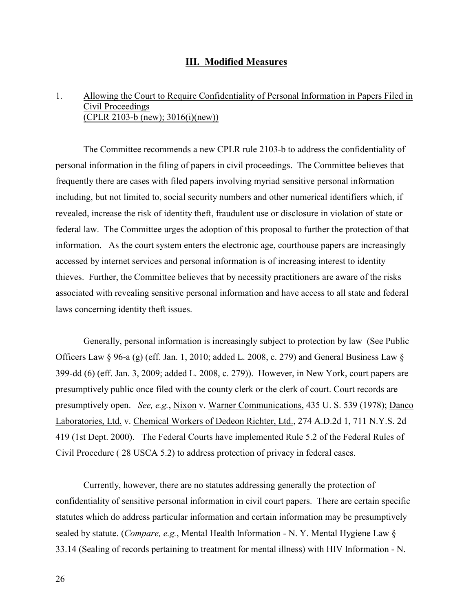## **III. Modified Measures**

## 1. Allowing the Court to Require Confidentiality of Personal Information in Papers Filed in Civil Proceedings (CPLR 2103-b (new); 3016(i)(new))

The Committee recommends a new CPLR rule 2103-b to address the confidentiality of personal information in the filing of papers in civil proceedings. The Committee believes that frequently there are cases with filed papers involving myriad sensitive personal information including, but not limited to, social security numbers and other numerical identifiers which, if revealed, increase the risk of identity theft, fraudulent use or disclosure in violation of state or federal law. The Committee urges the adoption of this proposal to further the protection of that information. As the court system enters the electronic age, courthouse papers are increasingly accessed by internet services and personal information is of increasing interest to identity thieves. Further, the Committee believes that by necessity practitioners are aware of the risks associated with revealing sensitive personal information and have access to all state and federal laws concerning identity theft issues.

Generally, personal information is increasingly subject to protection by law (See Public Officers Law § 96-a (g) (eff. Jan. 1, 2010; added L. 2008, c. 279) and General Business Law § 399-dd (6) (eff. Jan. 3, 2009; added L. 2008, c. 279)). However, in New York, court papers are presumptively public once filed with the county clerk or the clerk of court. Court records are presumptively open. *See, e.g.*, Nixon v. Warner Communications, 435 U. S. 539 (1978); Danco Laboratories, Ltd. v. Chemical Workers of Dedeon Richter, Ltd., 274 A.D.2d 1, 711 N.Y.S. 2d 419 (1st Dept. 2000). The Federal Courts have implemented Rule 5.2 of the Federal Rules of Civil Procedure ( 28 USCA 5.2) to address protection of privacy in federal cases.

Currently, however, there are no statutes addressing generally the protection of confidentiality of sensitive personal information in civil court papers. There are certain specific statutes which do address particular information and certain information may be presumptively sealed by statute. (*Compare, e.g.*, Mental Health Information - N. Y. Mental Hygiene Law § 33.14 (Sealing of records pertaining to treatment for mental illness) with HIV Information - N.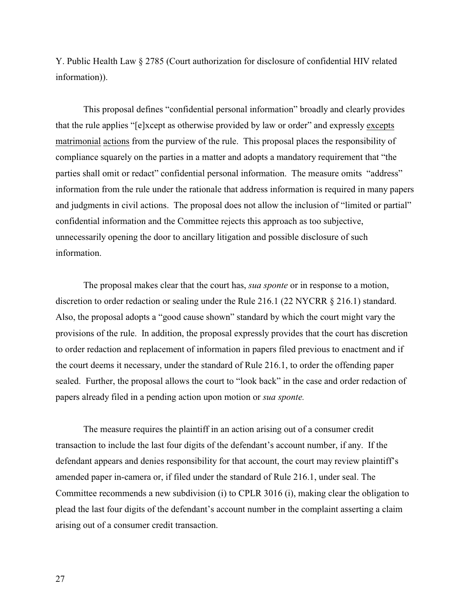Y. Public Health Law § 2785 (Court authorization for disclosure of confidential HIV related information)).

This proposal defines "confidential personal information" broadly and clearly provides that the rule applies "[e]xcept as otherwise provided by law or order" and expressly excepts matrimonial actions from the purview of the rule. This proposal places the responsibility of compliance squarely on the parties in a matter and adopts a mandatory requirement that "the parties shall omit or redact" confidential personal information. The measure omits "address" information from the rule under the rationale that address information is required in many papers and judgments in civil actions. The proposal does not allow the inclusion of "limited or partial" confidential information and the Committee rejects this approach as too subjective, unnecessarily opening the door to ancillary litigation and possible disclosure of such information.

The proposal makes clear that the court has, *sua sponte* or in response to a motion, discretion to order redaction or sealing under the Rule 216.1 (22 NYCRR § 216.1) standard. Also, the proposal adopts a "good cause shown" standard by which the court might vary the provisions of the rule. In addition, the proposal expressly provides that the court has discretion to order redaction and replacement of information in papers filed previous to enactment and if the court deems it necessary, under the standard of Rule 216.1, to order the offending paper sealed. Further, the proposal allows the court to "look back" in the case and order redaction of papers already filed in a pending action upon motion or *sua sponte.*

The measure requires the plaintiff in an action arising out of a consumer credit transaction to include the last four digits of the defendant's account number, if any. If the defendant appears and denies responsibility for that account, the court may review plaintiff's amended paper in-camera or, if filed under the standard of Rule 216.1, under seal. The Committee recommends a new subdivision (i) to CPLR 3016 (i), making clear the obligation to plead the last four digits of the defendant's account number in the complaint asserting a claim arising out of a consumer credit transaction.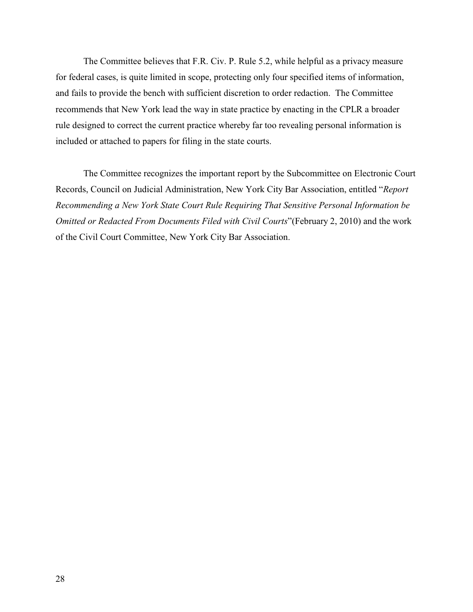The Committee believes that F.R. Civ. P. Rule 5.2, while helpful as a privacy measure for federal cases, is quite limited in scope, protecting only four specified items of information, and fails to provide the bench with sufficient discretion to order redaction. The Committee recommends that New York lead the way in state practice by enacting in the CPLR a broader rule designed to correct the current practice whereby far too revealing personal information is included or attached to papers for filing in the state courts.

The Committee recognizes the important report by the Subcommittee on Electronic Court Records, Council on Judicial Administration, New York City Bar Association, entitled "*Report Recommending a New York State Court Rule Requiring That Sensitive Personal Information be Omitted or Redacted From Documents Filed with Civil Courts*"(February 2, 2010) and the work of the Civil Court Committee, New York City Bar Association.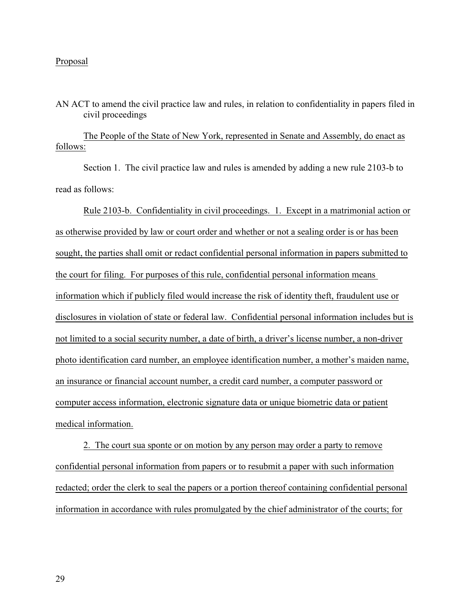AN ACT to amend the civil practice law and rules, in relation to confidentiality in papers filed in civil proceedings

The People of the State of New York, represented in Senate and Assembly, do enact as follows:

Section 1. The civil practice law and rules is amended by adding a new rule 2103-b to read as follows:

Rule 2103-b. Confidentiality in civil proceedings. 1. Except in a matrimonial action or as otherwise provided by law or court order and whether or not a sealing order is or has been sought, the parties shall omit or redact confidential personal information in papers submitted to the court for filing. For purposes of this rule, confidential personal information means information which if publicly filed would increase the risk of identity theft, fraudulent use or disclosures in violation of state or federal law. Confidential personal information includes but is not limited to a social security number, a date of birth, a driver's license number, a non-driver photo identification card number, an employee identification number, a mother's maiden name, an insurance or financial account number, a credit card number, a computer password or computer access information, electronic signature data or unique biometric data or patient medical information.

2. The court sua sponte or on motion by any person may order a party to remove confidential personal information from papers or to resubmit a paper with such information redacted; order the clerk to seal the papers or a portion thereof containing confidential personal information in accordance with rules promulgated by the chief administrator of the courts; for

29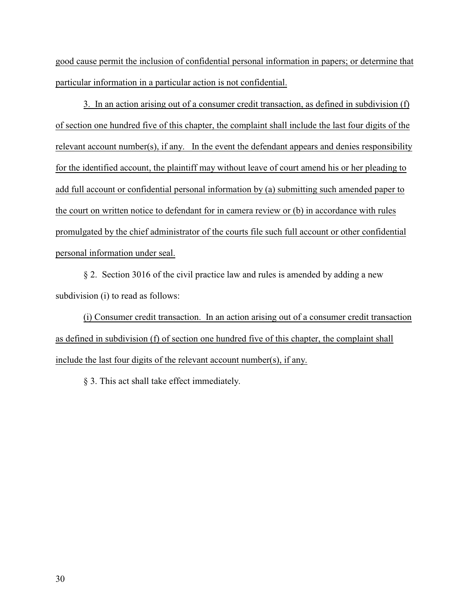good cause permit the inclusion of confidential personal information in papers; or determine that particular information in a particular action is not confidential.

3. In an action arising out of a consumer credit transaction, as defined in subdivision (f) of section one hundred five of this chapter, the complaint shall include the last four digits of the relevant account number(s), if any. In the event the defendant appears and denies responsibility for the identified account, the plaintiff may without leave of court amend his or her pleading to add full account or confidential personal information by (a) submitting such amended paper to the court on written notice to defendant for in camera review or (b) in accordance with rules promulgated by the chief administrator of the courts file such full account or other confidential personal information under seal.

§ 2. Section 3016 of the civil practice law and rules is amended by adding a new subdivision (i) to read as follows:

(i) Consumer credit transaction. In an action arising out of a consumer credit transaction as defined in subdivision (f) of section one hundred five of this chapter, the complaint shall include the last four digits of the relevant account number(s), if any.

§ 3. This act shall take effect immediately.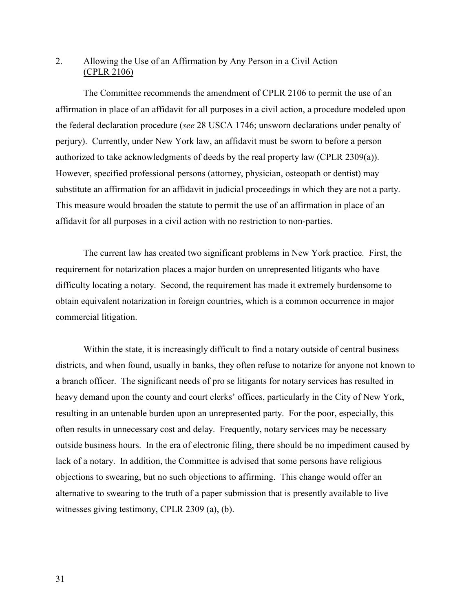## 2. Allowing the Use of an Affirmation by Any Person in a Civil Action (CPLR 2106)

The Committee recommends the amendment of CPLR 2106 to permit the use of an affirmation in place of an affidavit for all purposes in a civil action, a procedure modeled upon the federal declaration procedure (*see* 28 USCA 1746; unsworn declarations under penalty of perjury). Currently, under New York law, an affidavit must be sworn to before a person authorized to take acknowledgments of deeds by the real property law (CPLR 2309(a)). However, specified professional persons (attorney, physician, osteopath or dentist) may substitute an affirmation for an affidavit in judicial proceedings in which they are not a party. This measure would broaden the statute to permit the use of an affirmation in place of an affidavit for all purposes in a civil action with no restriction to non-parties.

The current law has created two significant problems in New York practice. First, the requirement for notarization places a major burden on unrepresented litigants who have difficulty locating a notary. Second, the requirement has made it extremely burdensome to obtain equivalent notarization in foreign countries, which is a common occurrence in major commercial litigation.

Within the state, it is increasingly difficult to find a notary outside of central business districts, and when found, usually in banks, they often refuse to notarize for anyone not known to a branch officer. The significant needs of pro se litigants for notary services has resulted in heavy demand upon the county and court clerks' offices, particularly in the City of New York, resulting in an untenable burden upon an unrepresented party. For the poor, especially, this often results in unnecessary cost and delay. Frequently, notary services may be necessary outside business hours. In the era of electronic filing, there should be no impediment caused by lack of a notary. In addition, the Committee is advised that some persons have religious objections to swearing, but no such objections to affirming. This change would offer an alternative to swearing to the truth of a paper submission that is presently available to live witnesses giving testimony, CPLR 2309 (a), (b).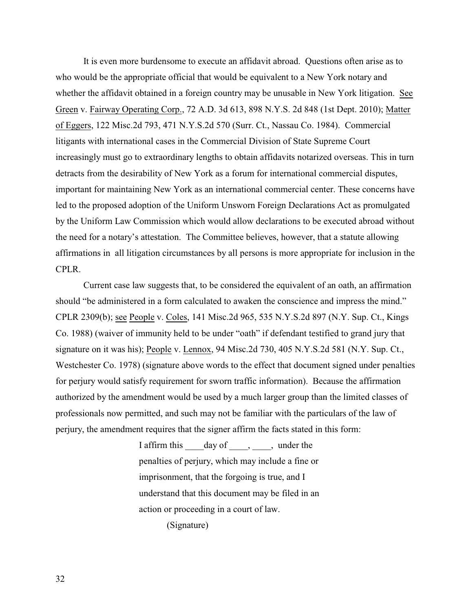It is even more burdensome to execute an affidavit abroad. Questions often arise as to who would be the appropriate official that would be equivalent to a New York notary and whether the affidavit obtained in a foreign country may be unusable in New York litigation. See Green v. Fairway Operating Corp., 72 A.D. 3d 613, 898 N.Y.S. 2d 848 (1st Dept. 2010); Matter of Eggers, 122 Misc.2d 793, 471 N.Y.S.2d 570 (Surr. Ct., Nassau Co. 1984). Commercial litigants with international cases in the Commercial Division of State Supreme Court increasingly must go to extraordinary lengths to obtain affidavits notarized overseas. This in turn detracts from the desirability of New York as a forum for international commercial disputes, important for maintaining New York as an international commercial center. These concerns have led to the proposed adoption of the Uniform Unsworn Foreign Declarations Act as promulgated by the Uniform Law Commission which would allow declarations to be executed abroad without the need for a notary's attestation. The Committee believes, however, that a statute allowing affirmations in all litigation circumstances by all persons is more appropriate for inclusion in the CPLR.

Current case law suggests that, to be considered the equivalent of an oath, an affirmation should "be administered in a form calculated to awaken the conscience and impress the mind." CPLR 2309(b); see People v. Coles, 141 Misc.2d 965, 535 N.Y.S.2d 897 (N.Y. Sup. Ct., Kings Co. 1988) (waiver of immunity held to be under "oath" if defendant testified to grand jury that signature on it was his); People v. Lennox, 94 Misc.2d 730, 405 N.Y.S.2d 581 (N.Y. Sup. Ct., Westchester Co. 1978) (signature above words to the effect that document signed under penalties for perjury would satisfy requirement for sworn traffic information). Because the affirmation authorized by the amendment would be used by a much larger group than the limited classes of professionals now permitted, and such may not be familiar with the particulars of the law of perjury, the amendment requires that the signer affirm the facts stated in this form:

> I affirm this \_\_\_\_day of \_\_\_\_, \_\_\_\_, under the penalties of perjury, which may include a fine or imprisonment, that the forgoing is true, and I understand that this document may be filed in an action or proceeding in a court of law. (Signature)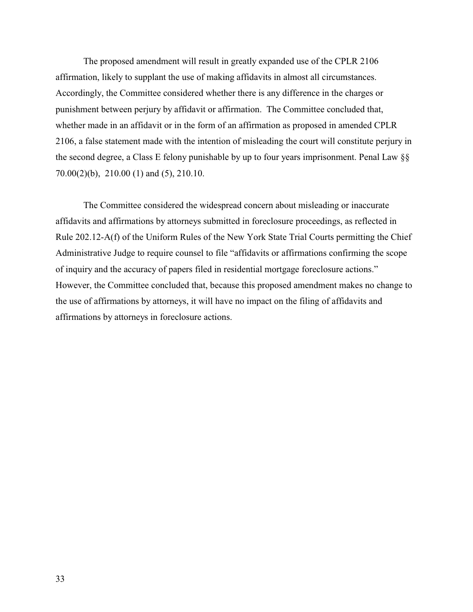The proposed amendment will result in greatly expanded use of the CPLR 2106 affirmation, likely to supplant the use of making affidavits in almost all circumstances. Accordingly, the Committee considered whether there is any difference in the charges or punishment between perjury by affidavit or affirmation. The Committee concluded that, whether made in an affidavit or in the form of an affirmation as proposed in amended CPLR 2106, a false statement made with the intention of misleading the court will constitute perjury in the second degree, a Class E felony punishable by up to four years imprisonment. Penal Law §§ 70.00(2)(b), 210.00 (1) and (5), 210.10.

The Committee considered the widespread concern about misleading or inaccurate affidavits and affirmations by attorneys submitted in foreclosure proceedings, as reflected in Rule 202.12-A(f) of the Uniform Rules of the New York State Trial Courts permitting the Chief Administrative Judge to require counsel to file "affidavits or affirmations confirming the scope of inquiry and the accuracy of papers filed in residential mortgage foreclosure actions." However, the Committee concluded that, because this proposed amendment makes no change to the use of affirmations by attorneys, it will have no impact on the filing of affidavits and affirmations by attorneys in foreclosure actions.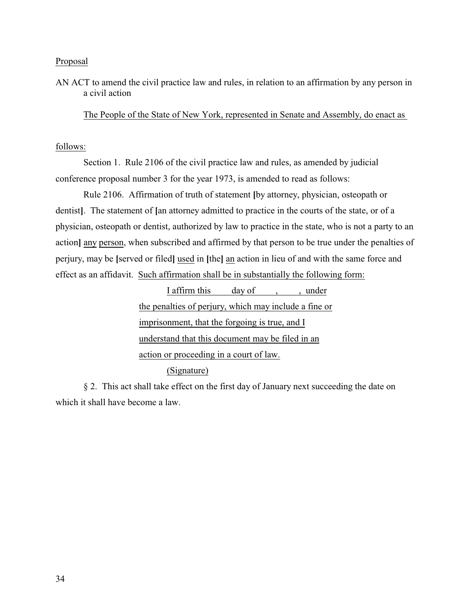AN ACT to amend the civil practice law and rules, in relation to an affirmation by any person in a civil action

The People of the State of New York, represented in Senate and Assembly, do enact as

## follows:

Section 1. Rule 2106 of the civil practice law and rules, as amended by judicial conference proposal number 3 for the year 1973, is amended to read as follows:

Rule 2106. Affirmation of truth of statement **[**by attorney, physician, osteopath or dentist**]**. The statement of **[**an attorney admitted to practice in the courts of the state, or of a physician, osteopath or dentist, authorized by law to practice in the state, who is not a party to an action**]** any person, when subscribed and affirmed by that person to be true under the penalties of perjury, may be **[**served or filed**]** used in **[**the**]** an action in lieu of and with the same force and effect as an affidavit. Such affirmation shall be in substantially the following form:

> I affirm this day of , under the penalties of perjury, which may include a fine or imprisonment, that the forgoing is true, and I understand that this document may be filed in an action or proceeding in a court of law. (Signature)

§ 2. This act shall take effect on the first day of January next succeeding the date on which it shall have become a law.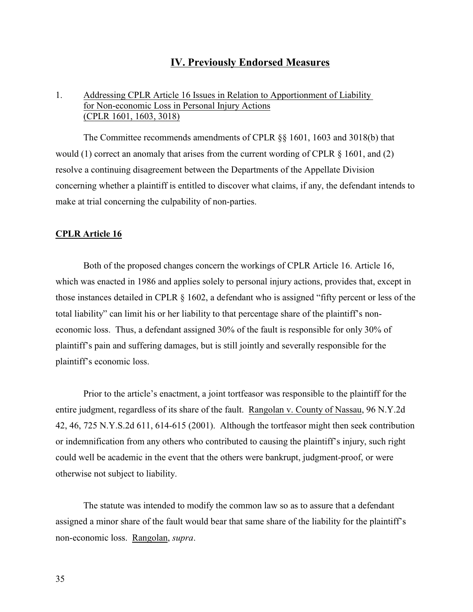## **IV. Previously Endorsed Measures**

## 1. Addressing CPLR Article 16 Issues in Relation to Apportionment of Liability for Non-economic Loss in Personal Injury Actions (CPLR 1601, 1603, 3018)

The Committee recommends amendments of CPLR §§ 1601, 1603 and 3018(b) that would (1) correct an anomaly that arises from the current wording of CPLR § 1601, and (2) resolve a continuing disagreement between the Departments of the Appellate Division concerning whether a plaintiff is entitled to discover what claims, if any, the defendant intends to make at trial concerning the culpability of non-parties.

#### **CPLR Article 16**

Both of the proposed changes concern the workings of CPLR Article 16. Article 16, which was enacted in 1986 and applies solely to personal injury actions, provides that, except in those instances detailed in CPLR § 1602, a defendant who is assigned "fifty percent or less of the total liability" can limit his or her liability to that percentage share of the plaintiff's noneconomic loss. Thus, a defendant assigned 30% of the fault is responsible for only 30% of plaintiff's pain and suffering damages, but is still jointly and severally responsible for the plaintiff's economic loss.

Prior to the article's enactment, a joint tortfeasor was responsible to the plaintiff for the entire judgment, regardless of its share of the fault. Rangolan v. County of Nassau, 96 N.Y.2d 42, 46, 725 N.Y.S.2d 611, 614-615 (2001). Although the tortfeasor might then seek contribution or indemnification from any others who contributed to causing the plaintiff's injury, such right could well be academic in the event that the others were bankrupt, judgment-proof, or were otherwise not subject to liability.

The statute was intended to modify the common law so as to assure that a defendant assigned a minor share of the fault would bear that same share of the liability for the plaintiff's non-economic loss. Rangolan, *supra*.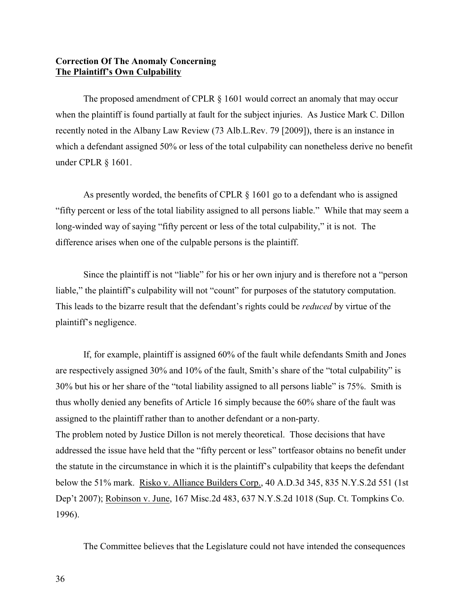### **Correction Of The Anomaly Concerning The Plaintiff's Own Culpability**

The proposed amendment of CPLR  $\S$  1601 would correct an anomaly that may occur when the plaintiff is found partially at fault for the subject injuries. As Justice Mark C. Dillon recently noted in the Albany Law Review (73 Alb.L.Rev. 79 [2009]), there is an instance in which a defendant assigned 50% or less of the total culpability can nonetheless derive no benefit under CPLR § 1601.

As presently worded, the benefits of CPLR § 1601 go to a defendant who is assigned "fifty percent or less of the total liability assigned to all persons liable." While that may seem a long-winded way of saying "fifty percent or less of the total culpability," it is not. The difference arises when one of the culpable persons is the plaintiff.

Since the plaintiff is not "liable" for his or her own injury and is therefore not a "person liable," the plaintiff's culpability will not "count" for purposes of the statutory computation. This leads to the bizarre result that the defendant's rights could be *reduced* by virtue of the plaintiff's negligence.

If, for example, plaintiff is assigned 60% of the fault while defendants Smith and Jones are respectively assigned 30% and 10% of the fault, Smith's share of the "total culpability" is 30% but his or her share of the "total liability assigned to all persons liable" is 75%. Smith is thus wholly denied any benefits of Article 16 simply because the 60% share of the fault was assigned to the plaintiff rather than to another defendant or a non-party. The problem noted by Justice Dillon is not merely theoretical. Those decisions that have addressed the issue have held that the "fifty percent or less" tortfeasor obtains no benefit under the statute in the circumstance in which it is the plaintiff's culpability that keeps the defendant below the 51% mark. Risko v. Alliance Builders Corp., 40 A.D.3d 345, 835 N.Y.S.2d 551 (1st Dep't 2007); Robinson v. June, 167 Misc.2d 483, 637 N.Y.S.2d 1018 (Sup. Ct. Tompkins Co. 1996).

The Committee believes that the Legislature could not have intended the consequences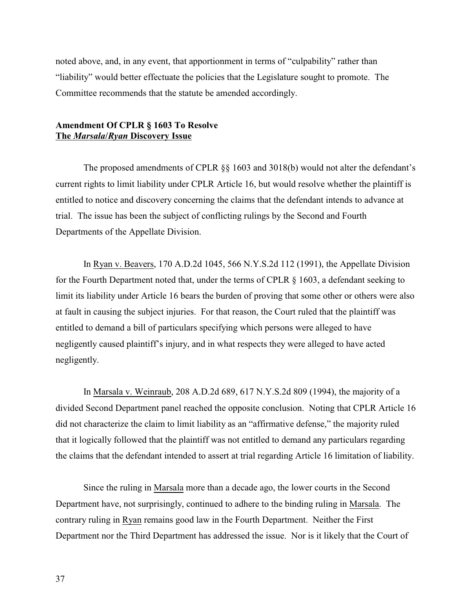noted above, and, in any event, that apportionment in terms of "culpability" rather than "liability" would better effectuate the policies that the Legislature sought to promote. The Committee recommends that the statute be amended accordingly.

### **Amendment Of CPLR § 1603 To Resolve The** *Marsala***/***Ryan* **Discovery Issue**

The proposed amendments of CPLR §§ 1603 and 3018(b) would not alter the defendant's current rights to limit liability under CPLR Article 16, but would resolve whether the plaintiff is entitled to notice and discovery concerning the claims that the defendant intends to advance at trial. The issue has been the subject of conflicting rulings by the Second and Fourth Departments of the Appellate Division.

In Ryan v. Beavers, 170 A.D.2d 1045, 566 N.Y.S.2d 112 (1991), the Appellate Division for the Fourth Department noted that, under the terms of CPLR § 1603, a defendant seeking to limit its liability under Article 16 bears the burden of proving that some other or others were also at fault in causing the subject injuries. For that reason, the Court ruled that the plaintiff was entitled to demand a bill of particulars specifying which persons were alleged to have negligently caused plaintiff's injury, and in what respects they were alleged to have acted negligently.

In Marsala v. Weinraub, 208 A.D.2d 689, 617 N.Y.S.2d 809 (1994), the majority of a divided Second Department panel reached the opposite conclusion. Noting that CPLR Article 16 did not characterize the claim to limit liability as an "affirmative defense," the majority ruled that it logically followed that the plaintiff was not entitled to demand any particulars regarding the claims that the defendant intended to assert at trial regarding Article 16 limitation of liability.

Since the ruling in Marsala more than a decade ago, the lower courts in the Second Department have, not surprisingly, continued to adhere to the binding ruling in Marsala. The contrary ruling in Ryan remains good law in the Fourth Department. Neither the First Department nor the Third Department has addressed the issue. Nor is it likely that the Court of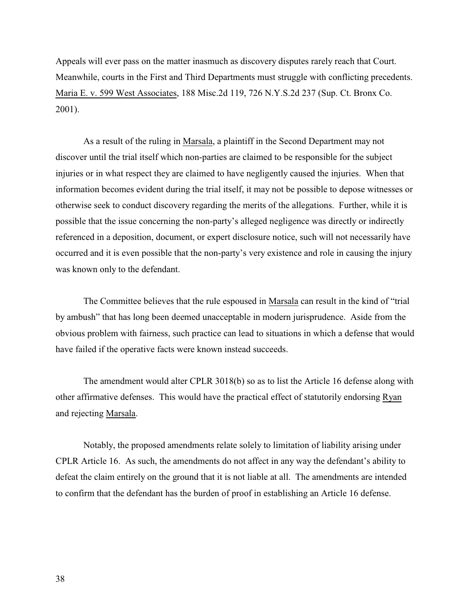Appeals will ever pass on the matter inasmuch as discovery disputes rarely reach that Court. Meanwhile, courts in the First and Third Departments must struggle with conflicting precedents. Maria E. v. 599 West Associates, 188 Misc.2d 119, 726 N.Y.S.2d 237 (Sup. Ct. Bronx Co. 2001).

As a result of the ruling in Marsala, a plaintiff in the Second Department may not discover until the trial itself which non-parties are claimed to be responsible for the subject injuries or in what respect they are claimed to have negligently caused the injuries. When that information becomes evident during the trial itself, it may not be possible to depose witnesses or otherwise seek to conduct discovery regarding the merits of the allegations. Further, while it is possible that the issue concerning the non-party's alleged negligence was directly or indirectly referenced in a deposition, document, or expert disclosure notice, such will not necessarily have occurred and it is even possible that the non-party's very existence and role in causing the injury was known only to the defendant.

The Committee believes that the rule espoused in Marsala can result in the kind of "trial by ambush" that has long been deemed unacceptable in modern jurisprudence. Aside from the obvious problem with fairness, such practice can lead to situations in which a defense that would have failed if the operative facts were known instead succeeds.

The amendment would alter CPLR 3018(b) so as to list the Article 16 defense along with other affirmative defenses. This would have the practical effect of statutorily endorsing Ryan and rejecting Marsala.

Notably, the proposed amendments relate solely to limitation of liability arising under CPLR Article 16. As such, the amendments do not affect in any way the defendant's ability to defeat the claim entirely on the ground that it is not liable at all. The amendments are intended to confirm that the defendant has the burden of proof in establishing an Article 16 defense.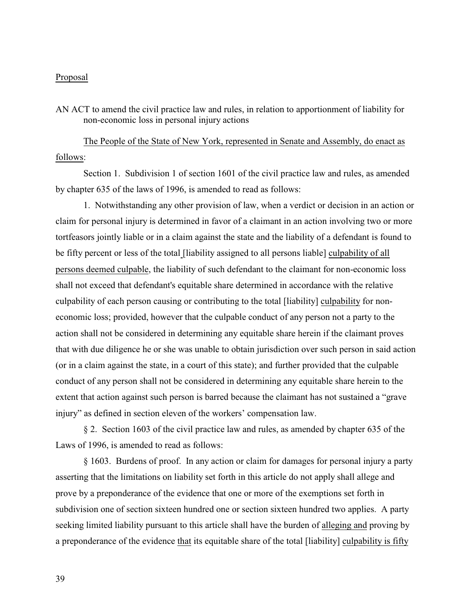AN ACT to amend the civil practice law and rules, in relation to apportionment of liability for non-economic loss in personal injury actions

The People of the State of New York, represented in Senate and Assembly, do enact as follows:

Section 1. Subdivision 1 of section 1601 of the civil practice law and rules, as amended by chapter 635 of the laws of 1996, is amended to read as follows:

1. Notwithstanding any other provision of law, when a verdict or decision in an action or claim for personal injury is determined in favor of a claimant in an action involving two or more tortfeasors jointly liable or in a claim against the state and the liability of a defendant is found to be fifty percent or less of the total [liability assigned to all persons liable] culpability of all persons deemed culpable, the liability of such defendant to the claimant for non-economic loss shall not exceed that defendant's equitable share determined in accordance with the relative culpability of each person causing or contributing to the total [liability] culpability for noneconomic loss; provided, however that the culpable conduct of any person not a party to the action shall not be considered in determining any equitable share herein if the claimant proves that with due diligence he or she was unable to obtain jurisdiction over such person in said action (or in a claim against the state, in a court of this state); and further provided that the culpable conduct of any person shall not be considered in determining any equitable share herein to the extent that action against such person is barred because the claimant has not sustained a "grave injury" as defined in section eleven of the workers' compensation law.

§ 2. Section 1603 of the civil practice law and rules, as amended by chapter 635 of the Laws of 1996, is amended to read as follows:

§ 1603. Burdens of proof. In any action or claim for damages for personal injury a party asserting that the limitations on liability set forth in this article do not apply shall allege and prove by a preponderance of the evidence that one or more of the exemptions set forth in subdivision one of section sixteen hundred one or section sixteen hundred two applies. A party seeking limited liability pursuant to this article shall have the burden of alleging and proving by a preponderance of the evidence that its equitable share of the total [liability] culpability is fifty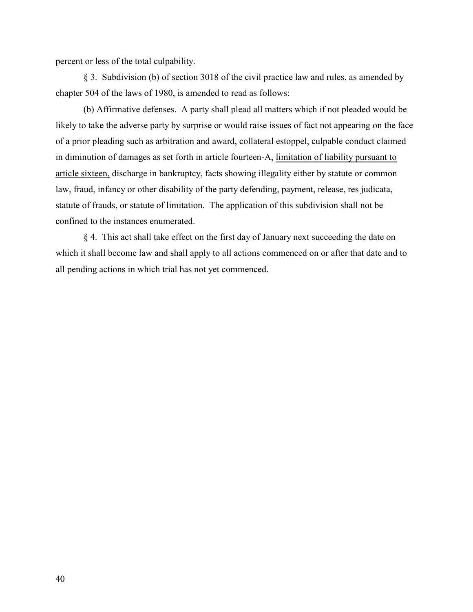#### percent or less of the total culpability.

§ 3. Subdivision (b) of section 3018 of the civil practice law and rules, as amended by chapter 504 of the laws of 1980, is amended to read as follows:

(b) Affirmative defenses. A party shall plead all matters which if not pleaded would be likely to take the adverse party by surprise or would raise issues of fact not appearing on the face of a prior pleading such as arbitration and award, collateral estoppel, culpable conduct claimed in diminution of damages as set forth in article fourteen-A, limitation of liability pursuant to article sixteen, discharge in bankruptcy, facts showing illegality either by statute or common law, fraud, infancy or other disability of the party defending, payment, release, res judicata, statute of frauds, or statute of limitation. The application of this subdivision shall not be confined to the instances enumerated.

§ 4. This act shall take effect on the first day of January next succeeding the date on which it shall become law and shall apply to all actions commenced on or after that date and to all pending actions in which trial has not yet commenced.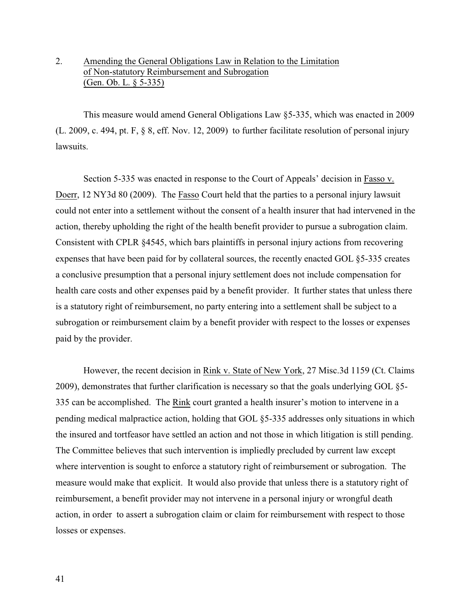# 2. Amending the General Obligations Law in Relation to the Limitation of Non-statutory Reimbursement and Subrogation (Gen. Ob. L. § 5-335)

This measure would amend General Obligations Law §5-335, which was enacted in 2009 (L. 2009, c. 494, pt. F, § 8, eff. Nov. 12, 2009) to further facilitate resolution of personal injury lawsuits.

Section 5-335 was enacted in response to the Court of Appeals' decision in Fasso v. Doerr, 12 NY3d 80 (2009). The Fasso Court held that the parties to a personal injury lawsuit could not enter into a settlement without the consent of a health insurer that had intervened in the action, thereby upholding the right of the health benefit provider to pursue a subrogation claim. Consistent with CPLR §4545, which bars plaintiffs in personal injury actions from recovering expenses that have been paid for by collateral sources, the recently enacted GOL §5-335 creates a conclusive presumption that a personal injury settlement does not include compensation for health care costs and other expenses paid by a benefit provider. It further states that unless there is a statutory right of reimbursement, no party entering into a settlement shall be subject to a subrogation or reimbursement claim by a benefit provider with respect to the losses or expenses paid by the provider.

However, the recent decision in Rink v. State of New York, 27 Misc.3d 1159 (Ct. Claims 2009), demonstrates that further clarification is necessary so that the goals underlying GOL §5- 335 can be accomplished. The Rink court granted a health insurer's motion to intervene in a pending medical malpractice action, holding that GOL §5-335 addresses only situations in which the insured and tortfeasor have settled an action and not those in which litigation is still pending. The Committee believes that such intervention is impliedly precluded by current law except where intervention is sought to enforce a statutory right of reimbursement or subrogation. The measure would make that explicit. It would also provide that unless there is a statutory right of reimbursement, a benefit provider may not intervene in a personal injury or wrongful death action, in order to assert a subrogation claim or claim for reimbursement with respect to those losses or expenses.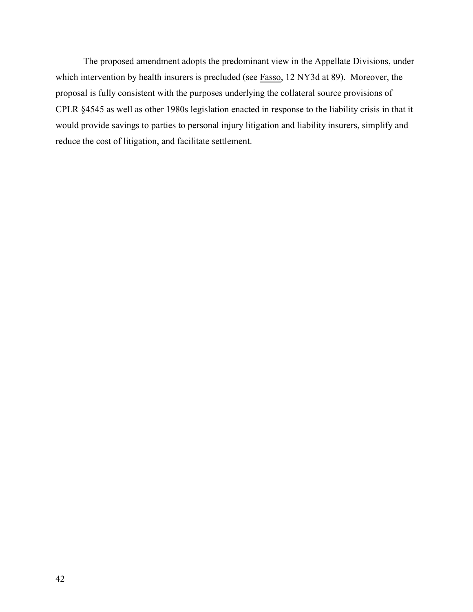The proposed amendment adopts the predominant view in the Appellate Divisions, under which intervention by health insurers is precluded (see Fasso, 12 NY3d at 89). Moreover, the proposal is fully consistent with the purposes underlying the collateral source provisions of CPLR §4545 as well as other 1980s legislation enacted in response to the liability crisis in that it would provide savings to parties to personal injury litigation and liability insurers, simplify and reduce the cost of litigation, and facilitate settlement.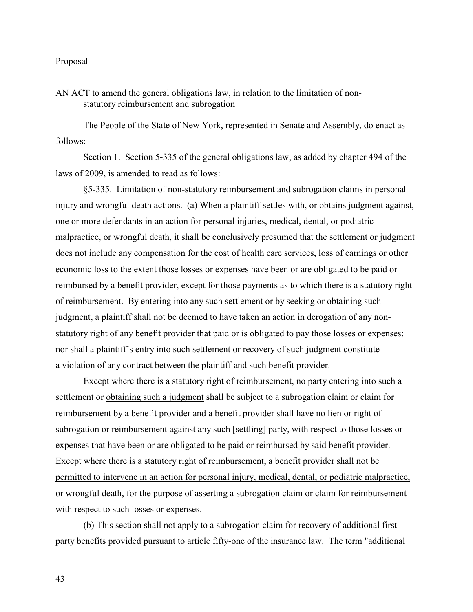AN ACT to amend the general obligations law, in relation to the limitation of nonstatutory reimbursement and subrogation

The People of the State of New York, represented in Senate and Assembly, do enact as follows:

Section 1. Section 5-335 of the general obligations law, as added by chapter 494 of the laws of 2009, is amended to read as follows:

§5-335. Limitation of non-statutory reimbursement and subrogation claims in personal injury and wrongful death actions. (a) When a plaintiff settles with, or obtains judgment against, one or more defendants in an action for personal injuries, medical, dental, or podiatric malpractice, or wrongful death, it shall be conclusively presumed that the settlement or judgment does not include any compensation for the cost of health care services, loss of earnings or other economic loss to the extent those losses or expenses have been or are obligated to be paid or reimbursed by a benefit provider, except for those payments as to which there is a statutory right of reimbursement. By entering into any such settlement or by seeking or obtaining such judgment, a plaintiff shall not be deemed to have taken an action in derogation of any nonstatutory right of any benefit provider that paid or is obligated to pay those losses or expenses; nor shall a plaintiff's entry into such settlement or recovery of such judgment constitute a violation of any contract between the plaintiff and such benefit provider.

Except where there is a statutory right of reimbursement, no party entering into such a settlement or obtaining such a judgment shall be subject to a subrogation claim or claim for reimbursement by a benefit provider and a benefit provider shall have no lien or right of subrogation or reimbursement against any such [settling] party, with respect to those losses or expenses that have been or are obligated to be paid or reimbursed by said benefit provider. Except where there is a statutory right of reimbursement, a benefit provider shall not be permitted to intervene in an action for personal injury, medical, dental, or podiatric malpractice, or wrongful death, for the purpose of asserting a subrogation claim or claim for reimbursement with respect to such losses or expenses.

(b) This section shall not apply to a subrogation claim for recovery of additional firstparty benefits provided pursuant to article fifty-one of the insurance law. The term "additional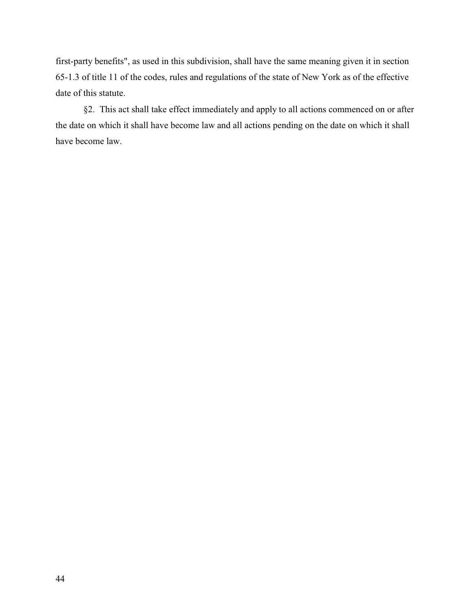first-party benefits", as used in this subdivision, shall have the same meaning given it in section 65-1.3 of title 11 of the codes, rules and regulations of the state of New York as of the effective date of this statute.

§2. This act shall take effect immediately and apply to all actions commenced on or after the date on which it shall have become law and all actions pending on the date on which it shall have become law.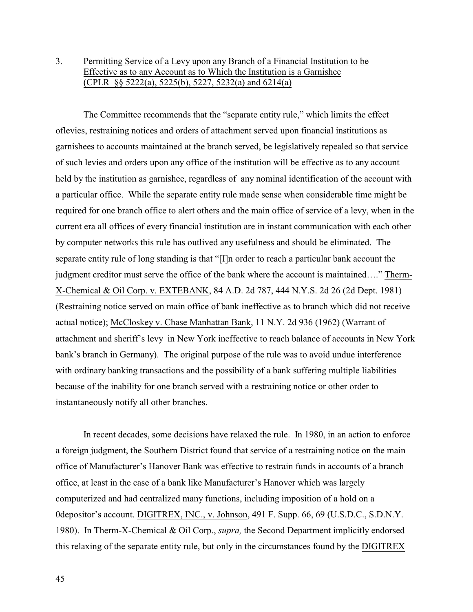### 3. Permitting Service of a Levy upon any Branch of a Financial Institution to be Effective as to any Account as to Which the Institution is a Garnishee (CPLR §§ 5222(a), 5225(b), 5227, 5232(a) and 6214(a)

The Committee recommends that the "separate entity rule," which limits the effect oflevies, restraining notices and orders of attachment served upon financial institutions as garnishees to accounts maintained at the branch served, be legislatively repealed so that service of such levies and orders upon any office of the institution will be effective as to any account held by the institution as garnishee, regardless of any nominal identification of the account with a particular office. While the separate entity rule made sense when considerable time might be required for one branch office to alert others and the main office of service of a levy, when in the current era all offices of every financial institution are in instant communication with each other by computer networks this rule has outlived any usefulness and should be eliminated. The separate entity rule of long standing is that "[I]n order to reach a particular bank account the judgment creditor must serve the office of the bank where the account is maintained…." Therm-X-Chemical & Oil Corp. v. EXTEBANK, 84 A.D. 2d 787, 444 N.Y.S. 2d 26 (2d Dept. 1981) (Restraining notice served on main office of bank ineffective as to branch which did not receive actual notice); McCloskey v. Chase Manhattan Bank, 11 N.Y. 2d 936 (1962) (Warrant of attachment and sheriff's levy in New York ineffective to reach balance of accounts in New York bank's branch in Germany). The original purpose of the rule was to avoid undue interference with ordinary banking transactions and the possibility of a bank suffering multiple liabilities because of the inability for one branch served with a restraining notice or other order to instantaneously notify all other branches.

In recent decades, some decisions have relaxed the rule. In 1980, in an action to enforce a foreign judgment, the Southern District found that service of a restraining notice on the main office of Manufacturer's Hanover Bank was effective to restrain funds in accounts of a branch office, at least in the case of a bank like Manufacturer's Hanover which was largely computerized and had centralized many functions, including imposition of a hold on a 0depositor's account. DIGITREX, INC., v. Johnson, 491 F. Supp. 66, 69 (U.S.D.C., S.D.N.Y. 1980). In Therm-X-Chemical & Oil Corp., *supra,* the Second Department implicitly endorsed this relaxing of the separate entity rule, but only in the circumstances found by the DIGITREX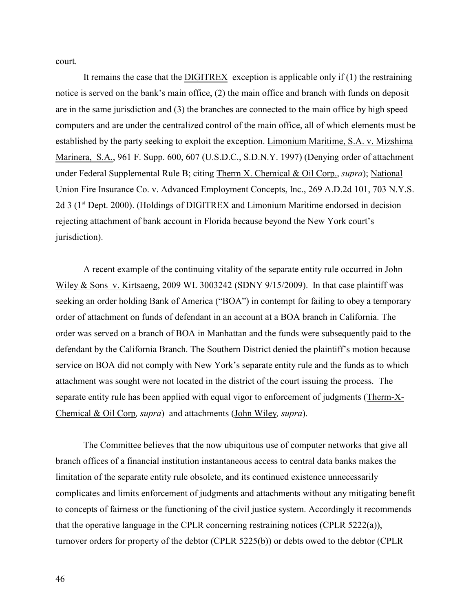court.

It remains the case that the DIGITREX exception is applicable only if (1) the restraining notice is served on the bank's main office, (2) the main office and branch with funds on deposit are in the same jurisdiction and (3) the branches are connected to the main office by high speed computers and are under the centralized control of the main office, all of which elements must be established by the party seeking to exploit the exception. Limonium Maritime, S.A. v. Mizshima Marinera, S.A., 961 F. Supp. 600, 607 (U.S.D.C., S.D.N.Y. 1997) (Denying order of attachment under Federal Supplemental Rule B; citing Therm X. Chemical & Oil Corp., *supra*); National Union Fire Insurance Co. v. Advanced Employment Concepts, Inc., 269 A.D.2d 101, 703 N.Y.S. 2d 3 ( $1<sup>st</sup>$  Dept. 2000). (Holdings of DIGITREX and Limonium Maritime endorsed in decision rejecting attachment of bank account in Florida because beyond the New York court's jurisdiction).

A recent example of the continuing vitality of the separate entity rule occurred in John Wiley & Sons v. Kirtsaeng, 2009 WL 3003242 (SDNY  $9/15/2009$ ). In that case plaintiff was seeking an order holding Bank of America ("BOA") in contempt for failing to obey a temporary order of attachment on funds of defendant in an account at a BOA branch in California. The order was served on a branch of BOA in Manhattan and the funds were subsequently paid to the defendant by the California Branch. The Southern District denied the plaintiff's motion because service on BOA did not comply with New York's separate entity rule and the funds as to which attachment was sought were not located in the district of the court issuing the process. The separate entity rule has been applied with equal vigor to enforcement of judgments (Therm-X-Chemical & Oil Corp*, supra*) and attachments (John Wiley*, supra*).

The Committee believes that the now ubiquitous use of computer networks that give all branch offices of a financial institution instantaneous access to central data banks makes the limitation of the separate entity rule obsolete, and its continued existence unnecessarily complicates and limits enforcement of judgments and attachments without any mitigating benefit to concepts of fairness or the functioning of the civil justice system. Accordingly it recommends that the operative language in the CPLR concerning restraining notices (CPLR 5222(a)), turnover orders for property of the debtor (CPLR 5225(b)) or debts owed to the debtor (CPLR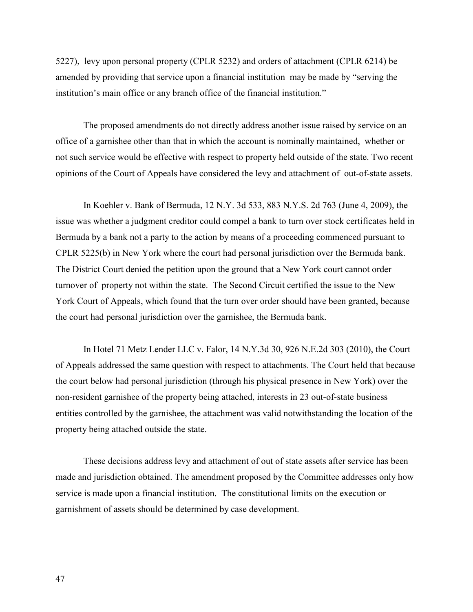5227), levy upon personal property (CPLR 5232) and orders of attachment (CPLR 6214) be amended by providing that service upon a financial institution may be made by "serving the institution's main office or any branch office of the financial institution."

The proposed amendments do not directly address another issue raised by service on an office of a garnishee other than that in which the account is nominally maintained, whether or not such service would be effective with respect to property held outside of the state. Two recent opinions of the Court of Appeals have considered the levy and attachment of out-of-state assets.

In Koehler v. Bank of Bermuda, 12 N.Y. 3d 533, 883 N.Y.S. 2d 763 (June 4, 2009), the issue was whether a judgment creditor could compel a bank to turn over stock certificates held in Bermuda by a bank not a party to the action by means of a proceeding commenced pursuant to CPLR 5225(b) in New York where the court had personal jurisdiction over the Bermuda bank. The District Court denied the petition upon the ground that a New York court cannot order turnover of property not within the state. The Second Circuit certified the issue to the New York Court of Appeals, which found that the turn over order should have been granted, because the court had personal jurisdiction over the garnishee, the Bermuda bank.

In Hotel 71 Metz Lender LLC v. Falor, 14 N.Y.3d 30, 926 N.E.2d 303 (2010), the Court of Appeals addressed the same question with respect to attachments. The Court held that because the court below had personal jurisdiction (through his physical presence in New York) over the non-resident garnishee of the property being attached, interests in 23 out-of-state business entities controlled by the garnishee, the attachment was valid notwithstanding the location of the property being attached outside the state.

These decisions address levy and attachment of out of state assets after service has been made and jurisdiction obtained. The amendment proposed by the Committee addresses only how service is made upon a financial institution. The constitutional limits on the execution or garnishment of assets should be determined by case development.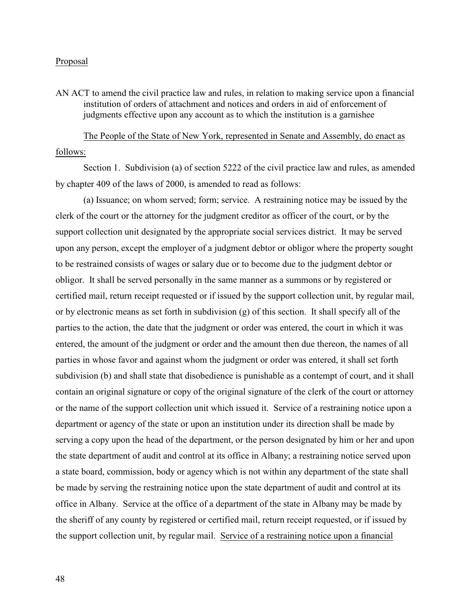AN ACT to amend the civil practice law and rules, in relation to making service upon a financial institution of orders of attachment and notices and orders in aid of enforcement of judgments effective upon any account as to which the institution is a garnishee

The People of the State of New York, represented in Senate and Assembly, do enact as follows:

Section 1. Subdivision (a) of section 5222 of the civil practice law and rules, as amended by chapter 409 of the laws of 2000, is amended to read as follows:

(a) Issuance; on whom served; form; service. A restraining notice may be issued by the clerk of the court or the attorney for the judgment creditor as officer of the court, or by the support collection unit designated by the appropriate social services district. It may be served upon any person, except the employer of a judgment debtor or obligor where the property sought to be restrained consists of wages or salary due or to become due to the judgment debtor or obligor. It shall be served personally in the same manner as a summons or by registered or certified mail, return receipt requested or if issued by the support collection unit, by regular mail, or by electronic means as set forth in subdivision (g) of this section. It shall specify all of the parties to the action, the date that the judgment or order was entered, the court in which it was entered, the amount of the judgment or order and the amount then due thereon, the names of all parties in whose favor and against whom the judgment or order was entered, it shall set forth subdivision (b) and shall state that disobedience is punishable as a contempt of court, and it shall contain an original signature or copy of the original signature of the clerk of the court or attorney or the name of the support collection unit which issued it. Service of a restraining notice upon a department or agency of the state or upon an institution under its direction shall be made by serving a copy upon the head of the department, or the person designated by him or her and upon the state department of audit and control at its office in Albany; a restraining notice served upon a state board, commission, body or agency which is not within any department of the state shall be made by serving the restraining notice upon the state department of audit and control at its office in Albany. Service at the office of a department of the state in Albany may be made by the sheriff of any county by registered or certified mail, return receipt requested, or if issued by the support collection unit, by regular mail. Service of a restraining notice upon a financial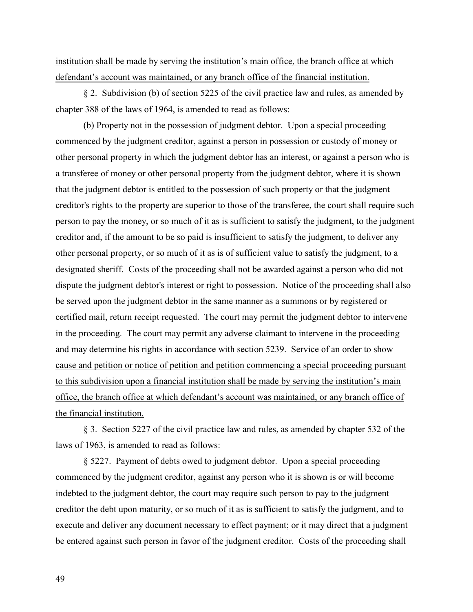institution shall be made by serving the institution's main office, the branch office at which defendant's account was maintained, or any branch office of the financial institution.

§ 2. Subdivision (b) of section 5225 of the civil practice law and rules, as amended by chapter 388 of the laws of 1964, is amended to read as follows:

(b) Property not in the possession of judgment debtor. Upon a special proceeding commenced by the judgment creditor, against a person in possession or custody of money or other personal property in which the judgment debtor has an interest, or against a person who is a transferee of money or other personal property from the judgment debtor, where it is shown that the judgment debtor is entitled to the possession of such property or that the judgment creditor's rights to the property are superior to those of the transferee, the court shall require such person to pay the money, or so much of it as is sufficient to satisfy the judgment, to the judgment creditor and, if the amount to be so paid is insufficient to satisfy the judgment, to deliver any other personal property, or so much of it as is of sufficient value to satisfy the judgment, to a designated sheriff. Costs of the proceeding shall not be awarded against a person who did not dispute the judgment debtor's interest or right to possession. Notice of the proceeding shall also be served upon the judgment debtor in the same manner as a summons or by registered or certified mail, return receipt requested. The court may permit the judgment debtor to intervene in the proceeding. The court may permit any adverse claimant to intervene in the proceeding and may determine his rights in accordance with section 5239. Service of an order to show cause and petition or notice of petition and petition commencing a special proceeding pursuant to this subdivision upon a financial institution shall be made by serving the institution's main office, the branch office at which defendant's account was maintained, or any branch office of the financial institution.

§ 3. Section 5227 of the civil practice law and rules, as amended by chapter 532 of the laws of 1963, is amended to read as follows:

§ 5227. Payment of debts owed to judgment debtor. Upon a special proceeding commenced by the judgment creditor, against any person who it is shown is or will become indebted to the judgment debtor, the court may require such person to pay to the judgment creditor the debt upon maturity, or so much of it as is sufficient to satisfy the judgment, and to execute and deliver any document necessary to effect payment; or it may direct that a judgment be entered against such person in favor of the judgment creditor. Costs of the proceeding shall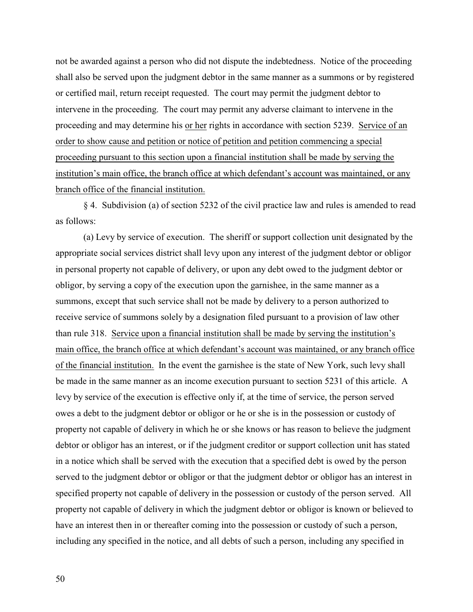not be awarded against a person who did not dispute the indebtedness. Notice of the proceeding shall also be served upon the judgment debtor in the same manner as a summons or by registered or certified mail, return receipt requested. The court may permit the judgment debtor to intervene in the proceeding. The court may permit any adverse claimant to intervene in the proceeding and may determine his or her rights in accordance with section 5239. Service of an order to show cause and petition or notice of petition and petition commencing a special proceeding pursuant to this section upon a financial institution shall be made by serving the institution's main office, the branch office at which defendant's account was maintained, or any branch office of the financial institution.

§ 4. Subdivision (a) of section 5232 of the civil practice law and rules is amended to read as follows:

(a) Levy by service of execution. The sheriff or support collection unit designated by the appropriate social services district shall levy upon any interest of the judgment debtor or obligor in personal property not capable of delivery, or upon any debt owed to the judgment debtor or obligor, by serving a copy of the execution upon the garnishee, in the same manner as a summons, except that such service shall not be made by delivery to a person authorized to receive service of summons solely by a designation filed pursuant to a provision of law other than rule 318. Service upon a financial institution shall be made by serving the institution's main office, the branch office at which defendant's account was maintained, or any branch office of the financial institution. In the event the garnishee is the state of New York, such levy shall be made in the same manner as an income execution pursuant to section 5231 of this article. A levy by service of the execution is effective only if, at the time of service, the person served owes a debt to the judgment debtor or obligor or he or she is in the possession or custody of property not capable of delivery in which he or she knows or has reason to believe the judgment debtor or obligor has an interest, or if the judgment creditor or support collection unit has stated in a notice which shall be served with the execution that a specified debt is owed by the person served to the judgment debtor or obligor or that the judgment debtor or obligor has an interest in specified property not capable of delivery in the possession or custody of the person served. All property not capable of delivery in which the judgment debtor or obligor is known or believed to have an interest then in or thereafter coming into the possession or custody of such a person, including any specified in the notice, and all debts of such a person, including any specified in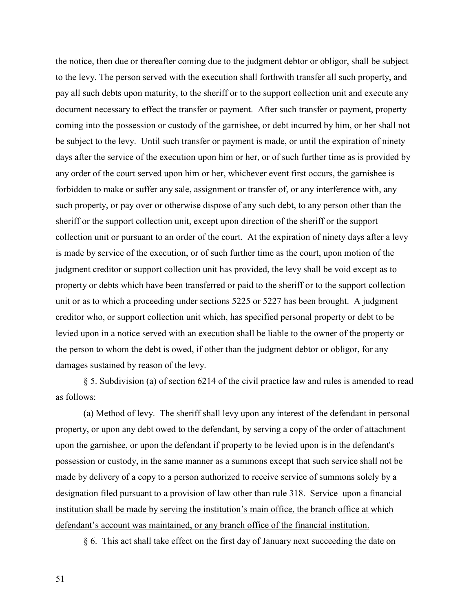the notice, then due or thereafter coming due to the judgment debtor or obligor, shall be subject to the levy. The person served with the execution shall forthwith transfer all such property, and pay all such debts upon maturity, to the sheriff or to the support collection unit and execute any document necessary to effect the transfer or payment. After such transfer or payment, property coming into the possession or custody of the garnishee, or debt incurred by him, or her shall not be subject to the levy. Until such transfer or payment is made, or until the expiration of ninety days after the service of the execution upon him or her, or of such further time as is provided by any order of the court served upon him or her, whichever event first occurs, the garnishee is forbidden to make or suffer any sale, assignment or transfer of, or any interference with, any such property, or pay over or otherwise dispose of any such debt, to any person other than the sheriff or the support collection unit, except upon direction of the sheriff or the support collection unit or pursuant to an order of the court. At the expiration of ninety days after a levy is made by service of the execution, or of such further time as the court, upon motion of the judgment creditor or support collection unit has provided, the levy shall be void except as to property or debts which have been transferred or paid to the sheriff or to the support collection unit or as to which a proceeding under sections 5225 or 5227 has been brought. A judgment creditor who, or support collection unit which, has specified personal property or debt to be levied upon in a notice served with an execution shall be liable to the owner of the property or the person to whom the debt is owed, if other than the judgment debtor or obligor, for any damages sustained by reason of the levy.

§ 5. Subdivision (a) of section 6214 of the civil practice law and rules is amended to read as follows:

(a) Method of levy. The sheriff shall levy upon any interest of the defendant in personal property, or upon any debt owed to the defendant, by serving a copy of the order of attachment upon the garnishee, or upon the defendant if property to be levied upon is in the defendant's possession or custody, in the same manner as a summons except that such service shall not be made by delivery of a copy to a person authorized to receive service of summons solely by a designation filed pursuant to a provision of law other than rule 318. Service upon a financial institution shall be made by serving the institution's main office, the branch office at which defendant's account was maintained, or any branch office of the financial institution.

§ 6. This act shall take effect on the first day of January next succeeding the date on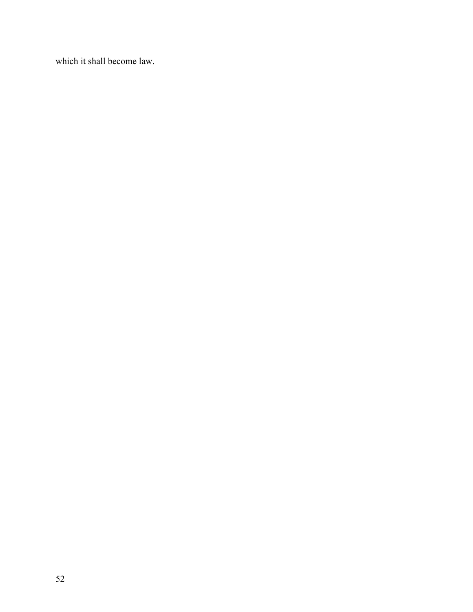which it shall become law.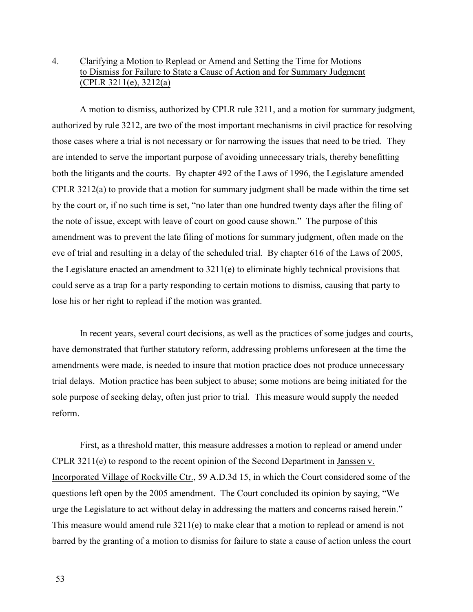# 4. Clarifying a Motion to Replead or Amend and Setting the Time for Motions to Dismiss for Failure to State a Cause of Action and for Summary Judgment (CPLR 3211(e), 3212(a)

A motion to dismiss, authorized by CPLR rule 3211, and a motion for summary judgment, authorized by rule 3212, are two of the most important mechanisms in civil practice for resolving those cases where a trial is not necessary or for narrowing the issues that need to be tried. They are intended to serve the important purpose of avoiding unnecessary trials, thereby benefitting both the litigants and the courts. By chapter 492 of the Laws of 1996, the Legislature amended CPLR 3212(a) to provide that a motion for summary judgment shall be made within the time set by the court or, if no such time is set, "no later than one hundred twenty days after the filing of the note of issue, except with leave of court on good cause shown." The purpose of this amendment was to prevent the late filing of motions for summary judgment, often made on the eve of trial and resulting in a delay of the scheduled trial. By chapter 616 of the Laws of 2005, the Legislature enacted an amendment to 3211(e) to eliminate highly technical provisions that could serve as a trap for a party responding to certain motions to dismiss, causing that party to lose his or her right to replead if the motion was granted.

In recent years, several court decisions, as well as the practices of some judges and courts, have demonstrated that further statutory reform, addressing problems unforeseen at the time the amendments were made, is needed to insure that motion practice does not produce unnecessary trial delays. Motion practice has been subject to abuse; some motions are being initiated for the sole purpose of seeking delay, often just prior to trial. This measure would supply the needed reform.

First, as a threshold matter, this measure addresses a motion to replead or amend under CPLR 3211(e) to respond to the recent opinion of the Second Department in Janssen v. Incorporated Village of Rockville Ctr., 59 A.D.3d 15, in which the Court considered some of the questions left open by the 2005 amendment. The Court concluded its opinion by saying, "We urge the Legislature to act without delay in addressing the matters and concerns raised herein." This measure would amend rule 3211(e) to make clear that a motion to replead or amend is not barred by the granting of a motion to dismiss for failure to state a cause of action unless the court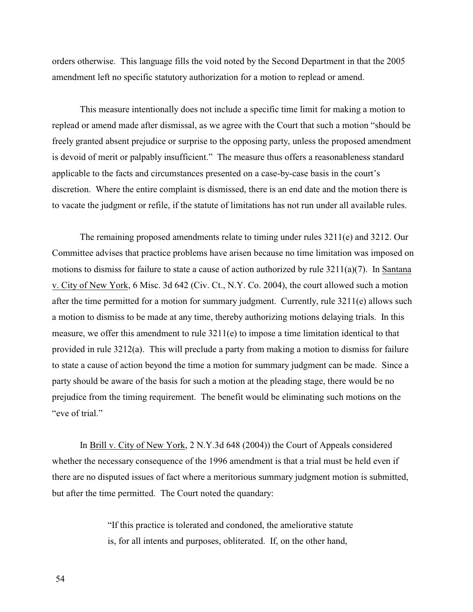orders otherwise. This language fills the void noted by the Second Department in that the 2005 amendment left no specific statutory authorization for a motion to replead or amend.

This measure intentionally does not include a specific time limit for making a motion to replead or amend made after dismissal, as we agree with the Court that such a motion "should be freely granted absent prejudice or surprise to the opposing party, unless the proposed amendment is devoid of merit or palpably insufficient." The measure thus offers a reasonableness standard applicable to the facts and circumstances presented on a case-by-case basis in the court's discretion. Where the entire complaint is dismissed, there is an end date and the motion there is to vacate the judgment or refile, if the statute of limitations has not run under all available rules.

The remaining proposed amendments relate to timing under rules 3211(e) and 3212. Our Committee advises that practice problems have arisen because no time limitation was imposed on motions to dismiss for failure to state a cause of action authorized by rule  $3211(a)(7)$ . In Santana v. City of New York, 6 Misc. 3d 642 (Civ. Ct., N.Y. Co. 2004), the court allowed such a motion after the time permitted for a motion for summary judgment. Currently, rule 3211(e) allows such a motion to dismiss to be made at any time, thereby authorizing motions delaying trials. In this measure, we offer this amendment to rule 3211(e) to impose a time limitation identical to that provided in rule 3212(a). This will preclude a party from making a motion to dismiss for failure to state a cause of action beyond the time a motion for summary judgment can be made. Since a party should be aware of the basis for such a motion at the pleading stage, there would be no prejudice from the timing requirement. The benefit would be eliminating such motions on the "eve of trial."

In Brill v. City of New York, 2 N.Y.3d 648 (2004)) the Court of Appeals considered whether the necessary consequence of the 1996 amendment is that a trial must be held even if there are no disputed issues of fact where a meritorious summary judgment motion is submitted, but after the time permitted. The Court noted the quandary:

> "If this practice is tolerated and condoned, the ameliorative statute is, for all intents and purposes, obliterated. If, on the other hand,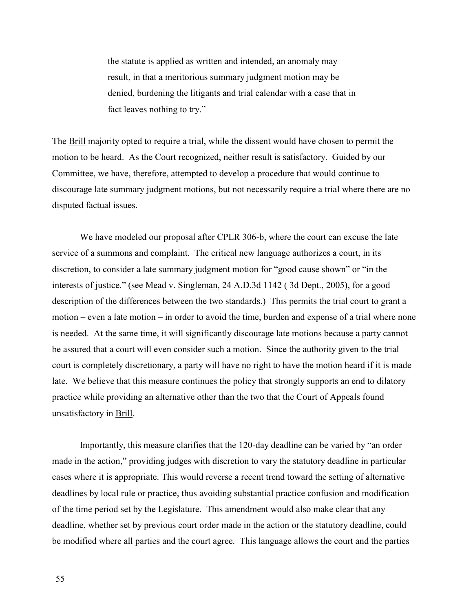the statute is applied as written and intended, an anomaly may result, in that a meritorious summary judgment motion may be denied, burdening the litigants and trial calendar with a case that in fact leaves nothing to try."

The Brill majority opted to require a trial, while the dissent would have chosen to permit the motion to be heard. As the Court recognized, neither result is satisfactory. Guided by our Committee, we have, therefore, attempted to develop a procedure that would continue to discourage late summary judgment motions, but not necessarily require a trial where there are no disputed factual issues.

We have modeled our proposal after CPLR 306-b, where the court can excuse the late service of a summons and complaint. The critical new language authorizes a court, in its discretion, to consider a late summary judgment motion for "good cause shown" or "in the interests of justice." (see Mead v. Singleman, 24 A.D.3d 1142 ( 3d Dept., 2005), for a good description of the differences between the two standards.) This permits the trial court to grant a motion – even a late motion – in order to avoid the time, burden and expense of a trial where none is needed. At the same time, it will significantly discourage late motions because a party cannot be assured that a court will even consider such a motion. Since the authority given to the trial court is completely discretionary, a party will have no right to have the motion heard if it is made late. We believe that this measure continues the policy that strongly supports an end to dilatory practice while providing an alternative other than the two that the Court of Appeals found unsatisfactory in Brill.

Importantly, this measure clarifies that the 120-day deadline can be varied by "an order made in the action," providing judges with discretion to vary the statutory deadline in particular cases where it is appropriate. This would reverse a recent trend toward the setting of alternative deadlines by local rule or practice, thus avoiding substantial practice confusion and modification of the time period set by the Legislature. This amendment would also make clear that any deadline, whether set by previous court order made in the action or the statutory deadline, could be modified where all parties and the court agree. This language allows the court and the parties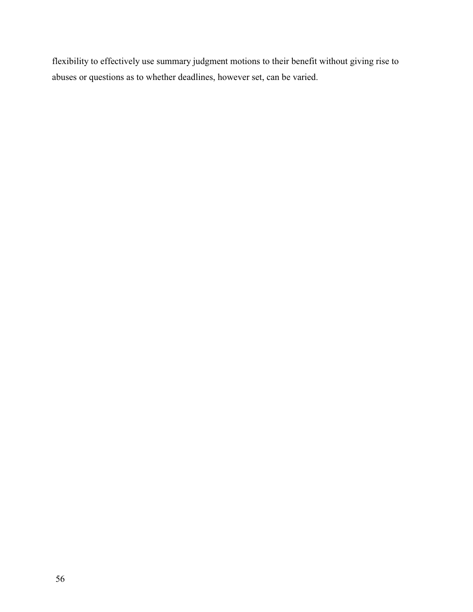flexibility to effectively use summary judgment motions to their benefit without giving rise to abuses or questions as to whether deadlines, however set, can be varied.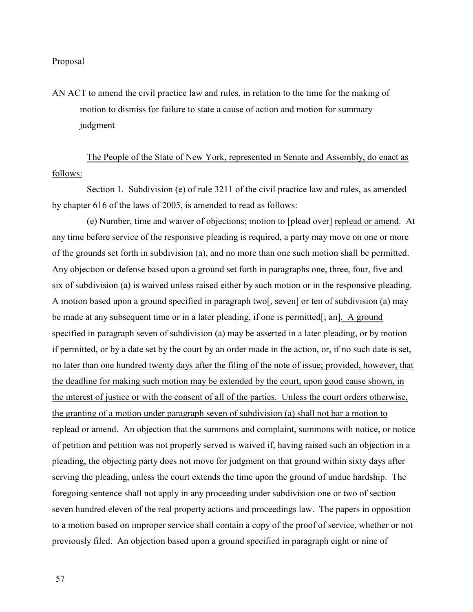AN ACT to amend the civil practice law and rules, in relation to the time for the making of motion to dismiss for failure to state a cause of action and motion for summary judgment

 The People of the State of New York, represented in Senate and Assembly, do enact as follows:

 Section 1. Subdivision (e) of rule 3211 of the civil practice law and rules, as amended by chapter 616 of the laws of 2005, is amended to read as follows:

 (e) Number, time and waiver of objections; motion to [plead over] replead or amend. At any time before service of the responsive pleading is required, a party may move on one or more of the grounds set forth in subdivision (a), and no more than one such motion shall be permitted. Any objection or defense based upon a ground set forth in paragraphs one, three, four, five and six of subdivision (a) is waived unless raised either by such motion or in the responsive pleading. A motion based upon a ground specified in paragraph two[, seven] or ten of subdivision (a) may be made at any subsequent time or in a later pleading, if one is permitted[; an]. A ground specified in paragraph seven of subdivision (a) may be asserted in a later pleading, or by motion if permitted, or by a date set by the court by an order made in the action, or, if no such date is set, no later than one hundred twenty days after the filing of the note of issue; provided, however, that the deadline for making such motion may be extended by the court, upon good cause shown, in the interest of justice or with the consent of all of the parties. Unless the court orders otherwise, the granting of a motion under paragraph seven of subdivision (a) shall not bar a motion to replead or amend. An objection that the summons and complaint, summons with notice, or notice of petition and petition was not properly served is waived if, having raised such an objection in a pleading, the objecting party does not move for judgment on that ground within sixty days after serving the pleading, unless the court extends the time upon the ground of undue hardship. The foregoing sentence shall not apply in any proceeding under subdivision one or two of section seven hundred eleven of the real property actions and proceedings law. The papers in opposition to a motion based on improper service shall contain a copy of the proof of service, whether or not previously filed. An objection based upon a ground specified in paragraph eight or nine of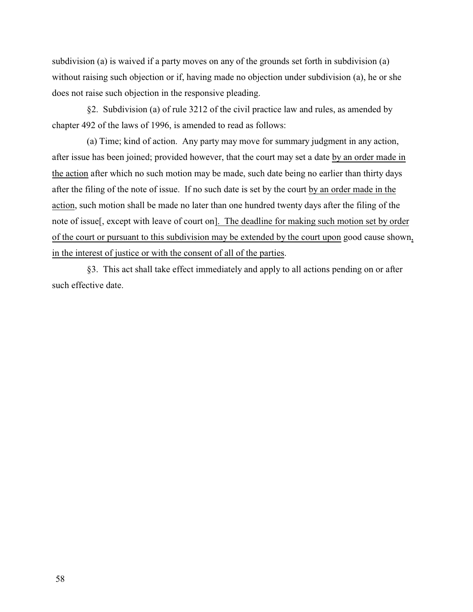subdivision (a) is waived if a party moves on any of the grounds set forth in subdivision (a) without raising such objection or if, having made no objection under subdivision (a), he or she does not raise such objection in the responsive pleading.

 §2. Subdivision (a) of rule 3212 of the civil practice law and rules, as amended by chapter 492 of the laws of 1996, is amended to read as follows:

 (a) Time; kind of action. Any party may move for summary judgment in any action, after issue has been joined; provided however, that the court may set a date by an order made in the action after which no such motion may be made, such date being no earlier than thirty days after the filing of the note of issue. If no such date is set by the court by an order made in the action, such motion shall be made no later than one hundred twenty days after the filing of the note of issue[, except with leave of court on]. The deadline for making such motion set by order of the court or pursuant to this subdivision may be extended by the court upon good cause shown, in the interest of justice or with the consent of all of the parties.

 §3. This act shall take effect immediately and apply to all actions pending on or after such effective date.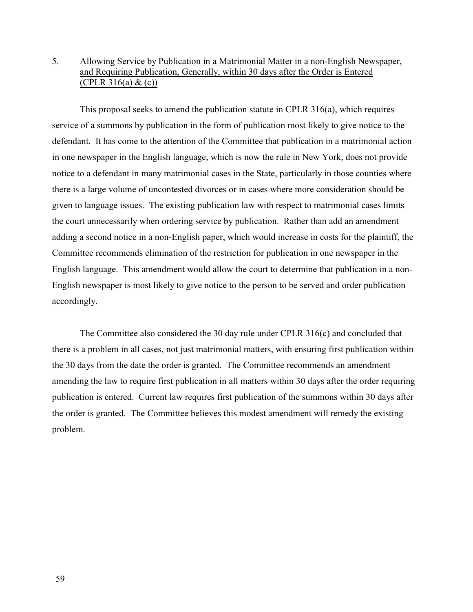# 5. Allowing Service by Publication in a Matrimonial Matter in a non-English Newspaper, and Requiring Publication, Generally, within 30 days after the Order is Entered (CPLR 316(a) & (c))

This proposal seeks to amend the publication statute in CPLR 316(a), which requires service of a summons by publication in the form of publication most likely to give notice to the defendant. It has come to the attention of the Committee that publication in a matrimonial action in one newspaper in the English language, which is now the rule in New York, does not provide notice to a defendant in many matrimonial cases in the State, particularly in those counties where there is a large volume of uncontested divorces or in cases where more consideration should be given to language issues. The existing publication law with respect to matrimonial cases limits the court unnecessarily when ordering service by publication. Rather than add an amendment adding a second notice in a non-English paper, which would increase in costs for the plaintiff, the Committee recommends elimination of the restriction for publication in one newspaper in the English language. This amendment would allow the court to determine that publication in a non-English newspaper is most likely to give notice to the person to be served and order publication accordingly.

The Committee also considered the 30 day rule under CPLR 316(c) and concluded that there is a problem in all cases, not just matrimonial matters, with ensuring first publication within the 30 days from the date the order is granted. The Committee recommends an amendment amending the law to require first publication in all matters within 30 days after the order requiring publication is entered. Current law requires first publication of the summons within 30 days after the order is granted. The Committee believes this modest amendment will remedy the existing problem.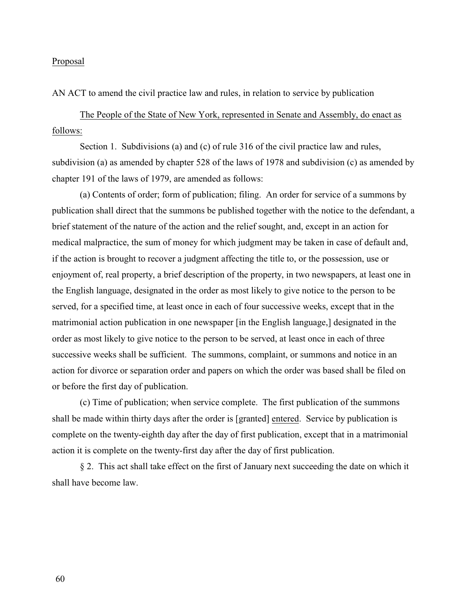AN ACT to amend the civil practice law and rules, in relation to service by publication

The People of the State of New York, represented in Senate and Assembly, do enact as follows:

Section 1. Subdivisions (a) and (c) of rule 316 of the civil practice law and rules, subdivision (a) as amended by chapter 528 of the laws of 1978 and subdivision (c) as amended by chapter 191 of the laws of 1979, are amended as follows:

(a) Contents of order; form of publication; filing. An order for service of a summons by publication shall direct that the summons be published together with the notice to the defendant, a brief statement of the nature of the action and the relief sought, and, except in an action for medical malpractice, the sum of money for which judgment may be taken in case of default and, if the action is brought to recover a judgment affecting the title to, or the possession, use or enjoyment of, real property, a brief description of the property, in two newspapers, at least one in the English language, designated in the order as most likely to give notice to the person to be served, for a specified time, at least once in each of four successive weeks, except that in the matrimonial action publication in one newspaper [in the English language,] designated in the order as most likely to give notice to the person to be served, at least once in each of three successive weeks shall be sufficient. The summons, complaint, or summons and notice in an action for divorce or separation order and papers on which the order was based shall be filed on or before the first day of publication.

(c) Time of publication; when service complete. The first publication of the summons shall be made within thirty days after the order is [granted] entered. Service by publication is complete on the twenty-eighth day after the day of first publication, except that in a matrimonial action it is complete on the twenty-first day after the day of first publication.

§ 2. This act shall take effect on the first of January next succeeding the date on which it shall have become law.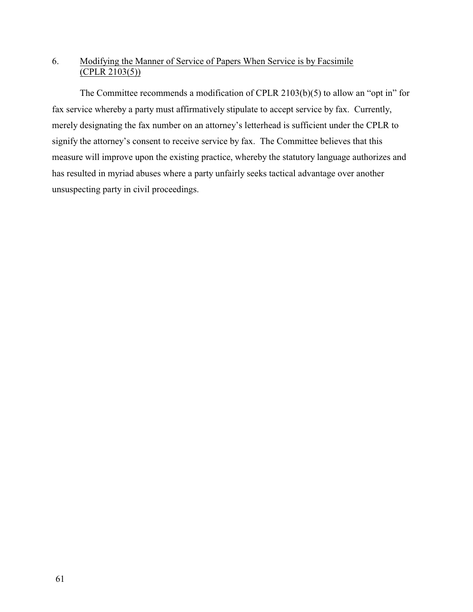# 6. Modifying the Manner of Service of Papers When Service is by Facsimile  $\overline{(CPLR 2103(5))}$

The Committee recommends a modification of CPLR 2103(b)(5) to allow an "opt in" for fax service whereby a party must affirmatively stipulate to accept service by fax. Currently, merely designating the fax number on an attorney's letterhead is sufficient under the CPLR to signify the attorney's consent to receive service by fax. The Committee believes that this measure will improve upon the existing practice, whereby the statutory language authorizes and has resulted in myriad abuses where a party unfairly seeks tactical advantage over another unsuspecting party in civil proceedings.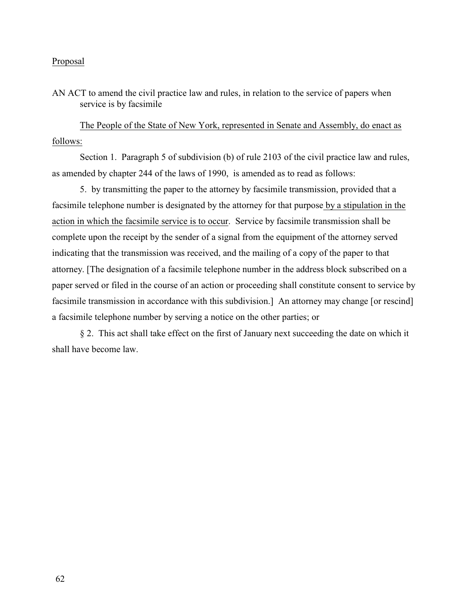### AN ACT to amend the civil practice law and rules, in relation to the service of papers when service is by facsimile

The People of the State of New York, represented in Senate and Assembly, do enact as follows:

Section 1. Paragraph 5 of subdivision (b) of rule 2103 of the civil practice law and rules, as amended by chapter 244 of the laws of 1990, is amended as to read as follows:

5. by transmitting the paper to the attorney by facsimile transmission, provided that a facsimile telephone number is designated by the attorney for that purpose by a stipulation in the action in which the facsimile service is to occur. Service by facsimile transmission shall be complete upon the receipt by the sender of a signal from the equipment of the attorney served indicating that the transmission was received, and the mailing of a copy of the paper to that attorney. [The designation of a facsimile telephone number in the address block subscribed on a paper served or filed in the course of an action or proceeding shall constitute consent to service by facsimile transmission in accordance with this subdivision.] An attorney may change [or rescind] a facsimile telephone number by serving a notice on the other parties; or

§ 2. This act shall take effect on the first of January next succeeding the date on which it shall have become law.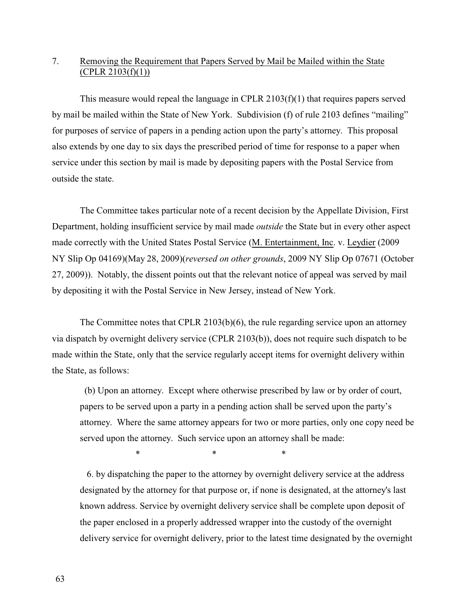# 7. Removing the Requirement that Papers Served by Mail be Mailed within the State  $(CPLR 2103(f)(1))$

This measure would repeal the language in CPLR 2103(f)(1) that requires papers served by mail be mailed within the State of New York. Subdivision (f) of rule 2103 defines "mailing" for purposes of service of papers in a pending action upon the party's attorney. This proposal also extends by one day to six days the prescribed period of time for response to a paper when service under this section by mail is made by depositing papers with the Postal Service from outside the state.

The Committee takes particular note of a recent decision by the Appellate Division, First Department, holding insufficient service by mail made *outside* the State but in every other aspect made correctly with the United States Postal Service (M. Entertainment, Inc. v. Leydier (2009 NY Slip Op 04169)(May 28, 2009)(*reversed on other grounds*, 2009 NY Slip Op 07671 (October 27, 2009)). Notably, the dissent points out that the relevant notice of appeal was served by mail by depositing it with the Postal Service in New Jersey, instead of New York.

The Committee notes that CPLR 2103(b)(6), the rule regarding service upon an attorney via dispatch by overnight delivery service (CPLR 2103(b)), does not require such dispatch to be made within the State, only that the service regularly accept items for overnight delivery within the State, as follows:

 (b) Upon an attorney. Except where otherwise prescribed by law or by order of court, papers to be served upon a party in a pending action shall be served upon the party's attorney. Where the same attorney appears for two or more parties, only one copy need be served upon the attorney. Such service upon an attorney shall be made:

\* \* \*

 6. by dispatching the paper to the attorney by overnight delivery service at the address designated by the attorney for that purpose or, if none is designated, at the attorney's last known address. Service by overnight delivery service shall be complete upon deposit of the paper enclosed in a properly addressed wrapper into the custody of the overnight delivery service for overnight delivery, prior to the latest time designated by the overnight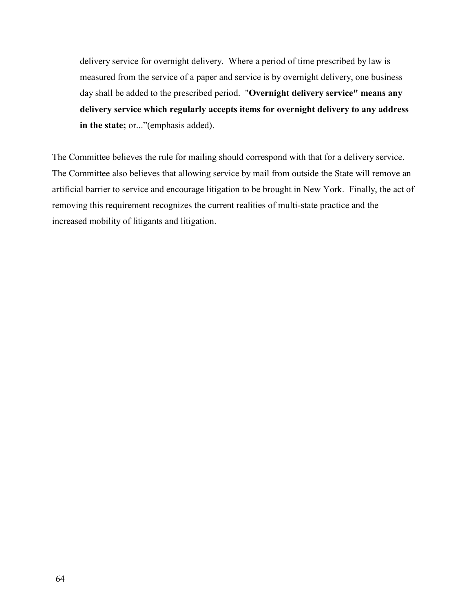delivery service for overnight delivery. Where a period of time prescribed by law is measured from the service of a paper and service is by overnight delivery, one business day shall be added to the prescribed period. "**Overnight delivery service" means any delivery service which regularly accepts items for overnight delivery to any address in the state;** or..."(emphasis added).

The Committee believes the rule for mailing should correspond with that for a delivery service. The Committee also believes that allowing service by mail from outside the State will remove an artificial barrier to service and encourage litigation to be brought in New York. Finally, the act of removing this requirement recognizes the current realities of multi-state practice and the increased mobility of litigants and litigation.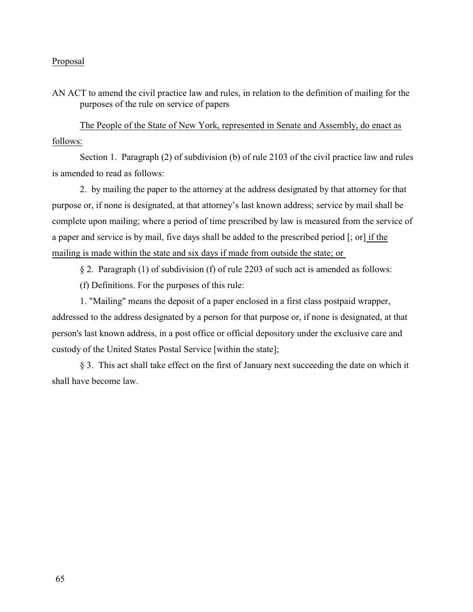AN ACT to amend the civil practice law and rules, in relation to the definition of mailing for the purposes of the rule on service of papers

The People of the State of New York, represented in Senate and Assembly, do enact as follows:

Section 1. Paragraph (2) of subdivision (b) of rule 2103 of the civil practice law and rules is amended to read as follows:

2. by mailing the paper to the attorney at the address designated by that attorney for that purpose or, if none is designated, at that attorney's last known address; service by mail shall be complete upon mailing; where a period of time prescribed by law is measured from the service of a paper and service is by mail, five days shall be added to the prescribed period [; or] if the mailing is made within the state and six days if made from outside the state; or

§ 2. Paragraph (1) of subdivision (f) of rule 2203 of such act is amended as follows:

(f) Definitions. For the purposes of this rule:

1. "Mailing" means the deposit of a paper enclosed in a first class postpaid wrapper, addressed to the address designated by a person for that purpose or, if none is designated, at that person's last known address, in a post office or official depository under the exclusive care and custody of the United States Postal Service [within the state];

§ 3. This act shall take effect on the first of January next succeeding the date on which it shall have become law.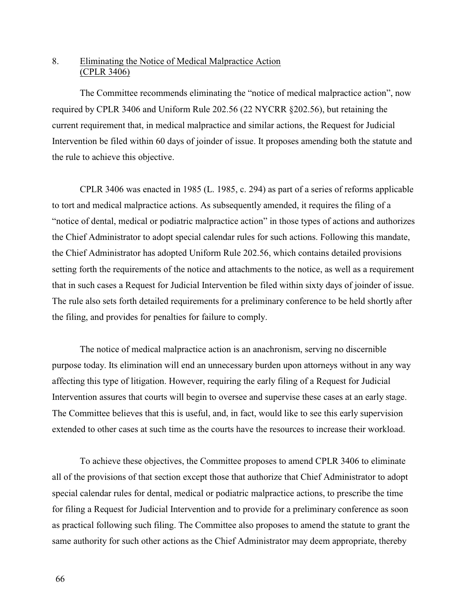# 8. Eliminating the Notice of Medical Malpractice Action (CPLR 3406)

The Committee recommends eliminating the "notice of medical malpractice action", now required by CPLR 3406 and Uniform Rule 202.56 (22 NYCRR §202.56), but retaining the current requirement that, in medical malpractice and similar actions, the Request for Judicial Intervention be filed within 60 days of joinder of issue. It proposes amending both the statute and the rule to achieve this objective.

CPLR 3406 was enacted in 1985 (L. 1985, c. 294) as part of a series of reforms applicable to tort and medical malpractice actions. As subsequently amended, it requires the filing of a "notice of dental, medical or podiatric malpractice action" in those types of actions and authorizes the Chief Administrator to adopt special calendar rules for such actions. Following this mandate, the Chief Administrator has adopted Uniform Rule 202.56, which contains detailed provisions setting forth the requirements of the notice and attachments to the notice, as well as a requirement that in such cases a Request for Judicial Intervention be filed within sixty days of joinder of issue. The rule also sets forth detailed requirements for a preliminary conference to be held shortly after the filing, and provides for penalties for failure to comply.

The notice of medical malpractice action is an anachronism, serving no discernible purpose today. Its elimination will end an unnecessary burden upon attorneys without in any way affecting this type of litigation. However, requiring the early filing of a Request for Judicial Intervention assures that courts will begin to oversee and supervise these cases at an early stage. The Committee believes that this is useful, and, in fact, would like to see this early supervision extended to other cases at such time as the courts have the resources to increase their workload.

To achieve these objectives, the Committee proposes to amend CPLR 3406 to eliminate all of the provisions of that section except those that authorize that Chief Administrator to adopt special calendar rules for dental, medical or podiatric malpractice actions, to prescribe the time for filing a Request for Judicial Intervention and to provide for a preliminary conference as soon as practical following such filing. The Committee also proposes to amend the statute to grant the same authority for such other actions as the Chief Administrator may deem appropriate, thereby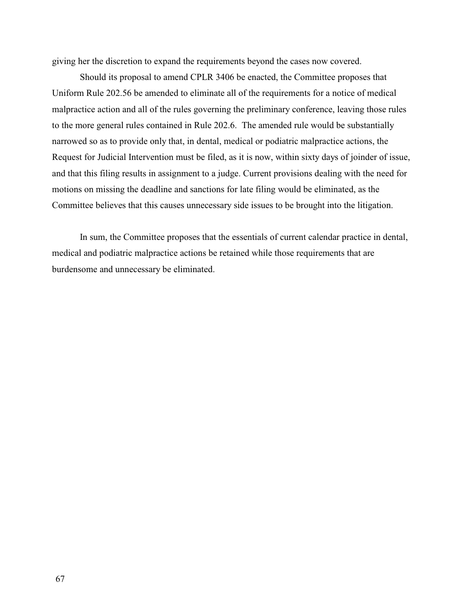giving her the discretion to expand the requirements beyond the cases now covered.

Should its proposal to amend CPLR 3406 be enacted, the Committee proposes that Uniform Rule 202.56 be amended to eliminate all of the requirements for a notice of medical malpractice action and all of the rules governing the preliminary conference, leaving those rules to the more general rules contained in Rule 202.6. The amended rule would be substantially narrowed so as to provide only that, in dental, medical or podiatric malpractice actions, the Request for Judicial Intervention must be filed, as it is now, within sixty days of joinder of issue, and that this filing results in assignment to a judge. Current provisions dealing with the need for motions on missing the deadline and sanctions for late filing would be eliminated, as the Committee believes that this causes unnecessary side issues to be brought into the litigation.

In sum, the Committee proposes that the essentials of current calendar practice in dental, medical and podiatric malpractice actions be retained while those requirements that are burdensome and unnecessary be eliminated.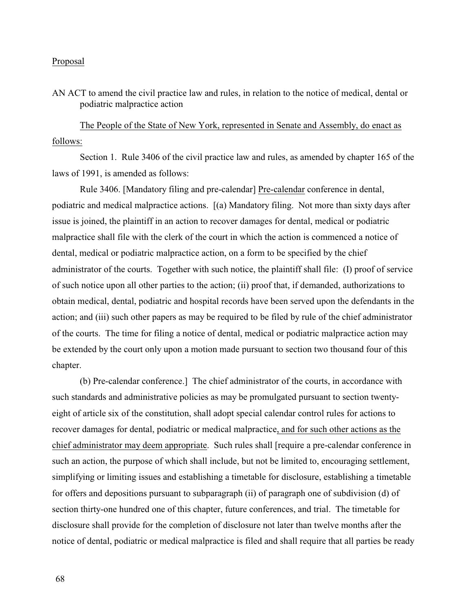AN ACT to amend the civil practice law and rules, in relation to the notice of medical, dental or podiatric malpractice action

The People of the State of New York, represented in Senate and Assembly, do enact as follows:

Section 1. Rule 3406 of the civil practice law and rules, as amended by chapter 165 of the laws of 1991, is amended as follows:

Rule 3406. [Mandatory filing and pre-calendar] Pre-calendar conference in dental, podiatric and medical malpractice actions. [(a) Mandatory filing. Not more than sixty days after issue is joined, the plaintiff in an action to recover damages for dental, medical or podiatric malpractice shall file with the clerk of the court in which the action is commenced a notice of dental, medical or podiatric malpractice action, on a form to be specified by the chief administrator of the courts. Together with such notice, the plaintiff shall file: (I) proof of service of such notice upon all other parties to the action; (ii) proof that, if demanded, authorizations to obtain medical, dental, podiatric and hospital records have been served upon the defendants in the action; and (iii) such other papers as may be required to be filed by rule of the chief administrator of the courts. The time for filing a notice of dental, medical or podiatric malpractice action may be extended by the court only upon a motion made pursuant to section two thousand four of this chapter.

 (b) Pre-calendar conference.] The chief administrator of the courts, in accordance with such standards and administrative policies as may be promulgated pursuant to section twentyeight of article six of the constitution, shall adopt special calendar control rules for actions to recover damages for dental, podiatric or medical malpractice, and for such other actions as the chief administrator may deem appropriate. Such rules shall [require a pre-calendar conference in such an action, the purpose of which shall include, but not be limited to, encouraging settlement, simplifying or limiting issues and establishing a timetable for disclosure, establishing a timetable for offers and depositions pursuant to subparagraph (ii) of paragraph one of subdivision (d) of section thirty-one hundred one of this chapter, future conferences, and trial. The timetable for disclosure shall provide for the completion of disclosure not later than twelve months after the notice of dental, podiatric or medical malpractice is filed and shall require that all parties be ready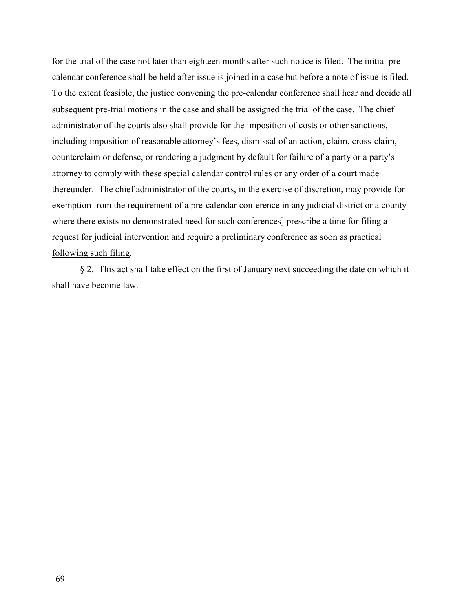for the trial of the case not later than eighteen months after such notice is filed. The initial precalendar conference shall be held after issue is joined in a case but before a note of issue is filed. To the extent feasible, the justice convening the pre-calendar conference shall hear and decide all subsequent pre-trial motions in the case and shall be assigned the trial of the case. The chief administrator of the courts also shall provide for the imposition of costs or other sanctions, including imposition of reasonable attorney's fees, dismissal of an action, claim, cross-claim, counterclaim or defense, or rendering a judgment by default for failure of a party or a party's attorney to comply with these special calendar control rules or any order of a court made thereunder. The chief administrator of the courts, in the exercise of discretion, may provide for exemption from the requirement of a pre-calendar conference in any judicial district or a county where there exists no demonstrated need for such conferences] prescribe a time for filing a request for judicial intervention and require a preliminary conference as soon as practical following such filing.

§ 2. This act shall take effect on the first of January next succeeding the date on which it shall have become law.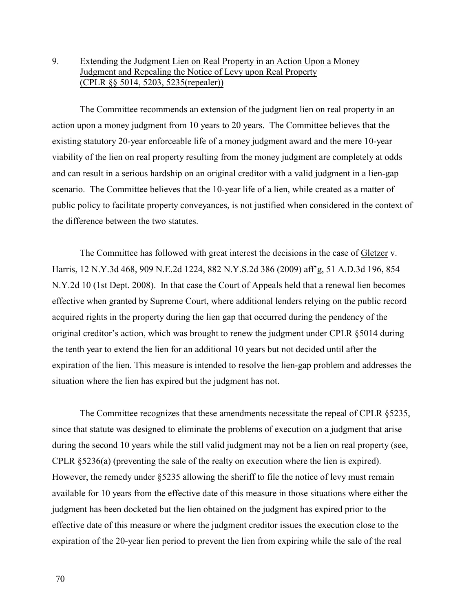# 9. Extending the Judgment Lien on Real Property in an Action Upon a Money Judgment and Repealing the Notice of Levy upon Real Property (CPLR §§ 5014, 5203, 5235(repealer))

The Committee recommends an extension of the judgment lien on real property in an action upon a money judgment from 10 years to 20 years. The Committee believes that the existing statutory 20-year enforceable life of a money judgment award and the mere 10-year viability of the lien on real property resulting from the money judgment are completely at odds and can result in a serious hardship on an original creditor with a valid judgment in a lien-gap scenario. The Committee believes that the 10-year life of a lien, while created as a matter of public policy to facilitate property conveyances, is not justified when considered in the context of the difference between the two statutes.

The Committee has followed with great interest the decisions in the case of Gletzer v. Harris, 12 N.Y.3d 468, 909 N.E.2d 1224, 882 N.Y.S.2d 386 (2009) aff'g, 51 A.D.3d 196, 854 N.Y.2d 10 (1st Dept. 2008). In that case the Court of Appeals held that a renewal lien becomes effective when granted by Supreme Court, where additional lenders relying on the public record acquired rights in the property during the lien gap that occurred during the pendency of the original creditor's action, which was brought to renew the judgment under CPLR §5014 during the tenth year to extend the lien for an additional 10 years but not decided until after the expiration of the lien. This measure is intended to resolve the lien-gap problem and addresses the situation where the lien has expired but the judgment has not.

The Committee recognizes that these amendments necessitate the repeal of CPLR §5235, since that statute was designed to eliminate the problems of execution on a judgment that arise during the second 10 years while the still valid judgment may not be a lien on real property (see, CPLR §5236(a) (preventing the sale of the realty on execution where the lien is expired). However, the remedy under §5235 allowing the sheriff to file the notice of levy must remain available for 10 years from the effective date of this measure in those situations where either the judgment has been docketed but the lien obtained on the judgment has expired prior to the effective date of this measure or where the judgment creditor issues the execution close to the expiration of the 20-year lien period to prevent the lien from expiring while the sale of the real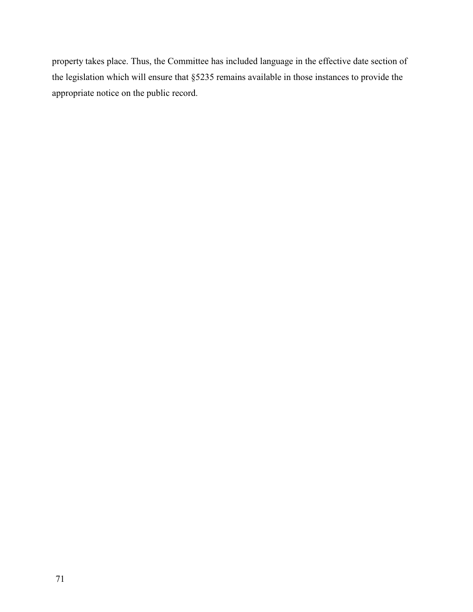property takes place. Thus, the Committee has included language in the effective date section of the legislation which will ensure that §5235 remains available in those instances to provide the appropriate notice on the public record.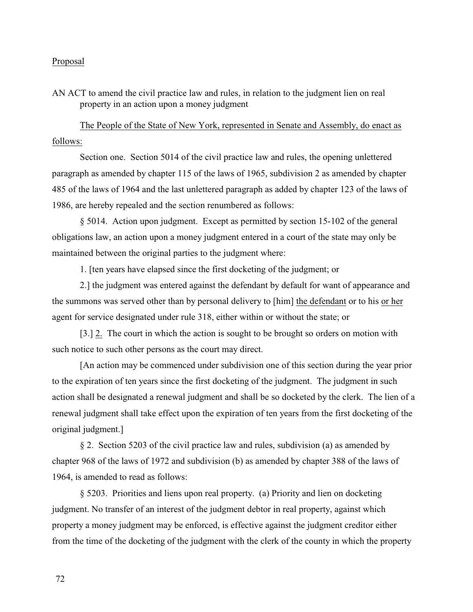AN ACT to amend the civil practice law and rules, in relation to the judgment lien on real property in an action upon a money judgment

The People of the State of New York, represented in Senate and Assembly, do enact as follows:

Section one. Section 5014 of the civil practice law and rules, the opening unlettered paragraph as amended by chapter 115 of the laws of 1965, subdivision 2 as amended by chapter 485 of the laws of 1964 and the last unlettered paragraph as added by chapter 123 of the laws of 1986, are hereby repealed and the section renumbered as follows:

§ 5014. Action upon judgment. Except as permitted by section 15-102 of the general obligations law, an action upon a money judgment entered in a court of the state may only be maintained between the original parties to the judgment where:

1. [ten years have elapsed since the first docketing of the judgment; or

2.] the judgment was entered against the defendant by default for want of appearance and the summons was served other than by personal delivery to [him] the defendant or to his or her agent for service designated under rule 318, either within or without the state; or

[3.] 2. The court in which the action is sought to be brought so orders on motion with such notice to such other persons as the court may direct.

[An action may be commenced under subdivision one of this section during the year prior to the expiration of ten years since the first docketing of the judgment. The judgment in such action shall be designated a renewal judgment and shall be so docketed by the clerk. The lien of a renewal judgment shall take effect upon the expiration of ten years from the first docketing of the original judgment.]

§ 2. Section 5203 of the civil practice law and rules, subdivision (a) as amended by chapter 968 of the laws of 1972 and subdivision (b) as amended by chapter 388 of the laws of 1964, is amended to read as follows:

§ 5203. Priorities and liens upon real property. (a) Priority and lien on docketing judgment. No transfer of an interest of the judgment debtor in real property, against which property a money judgment may be enforced, is effective against the judgment creditor either from the time of the docketing of the judgment with the clerk of the county in which the property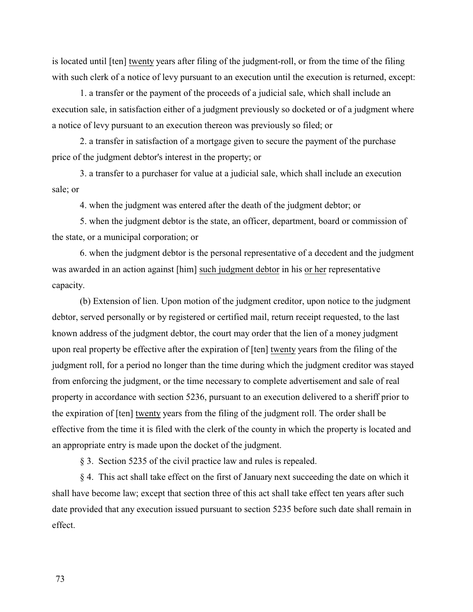is located until [ten] twenty years after filing of the judgment-roll, or from the time of the filing with such clerk of a notice of levy pursuant to an execution until the execution is returned, except:

1. a transfer or the payment of the proceeds of a judicial sale, which shall include an execution sale, in satisfaction either of a judgment previously so docketed or of a judgment where a notice of levy pursuant to an execution thereon was previously so filed; or

2. a transfer in satisfaction of a mortgage given to secure the payment of the purchase price of the judgment debtor's interest in the property; or

3. a transfer to a purchaser for value at a judicial sale, which shall include an execution sale; or

4. when the judgment was entered after the death of the judgment debtor; or

5. when the judgment debtor is the state, an officer, department, board or commission of the state, or a municipal corporation; or

6. when the judgment debtor is the personal representative of a decedent and the judgment was awarded in an action against [him] such judgment debtor in his or her representative capacity.

(b) Extension of lien. Upon motion of the judgment creditor, upon notice to the judgment debtor, served personally or by registered or certified mail, return receipt requested, to the last known address of the judgment debtor, the court may order that the lien of a money judgment upon real property be effective after the expiration of [ten] twenty years from the filing of the judgment roll, for a period no longer than the time during which the judgment creditor was stayed from enforcing the judgment, or the time necessary to complete advertisement and sale of real property in accordance with section 5236, pursuant to an execution delivered to a sheriff prior to the expiration of [ten] twenty years from the filing of the judgment roll. The order shall be effective from the time it is filed with the clerk of the county in which the property is located and an appropriate entry is made upon the docket of the judgment.

§ 3. Section 5235 of the civil practice law and rules is repealed.

§ 4. This act shall take effect on the first of January next succeeding the date on which it shall have become law; except that section three of this act shall take effect ten years after such date provided that any execution issued pursuant to section 5235 before such date shall remain in effect.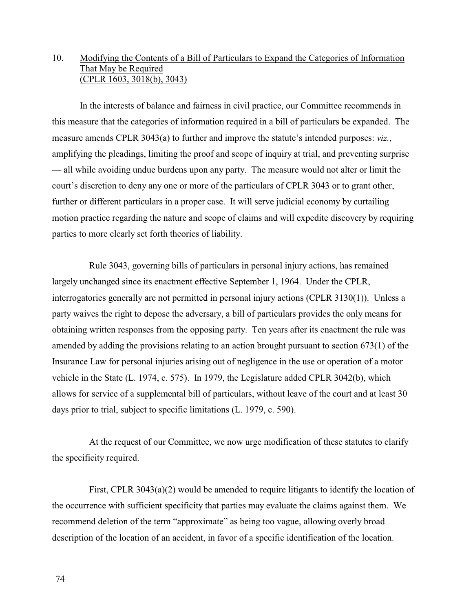## 10. Modifying the Contents of a Bill of Particulars to Expand the Categories of Information That May be Required (CPLR 1603, 3018(b), 3043)

In the interests of balance and fairness in civil practice, our Committee recommends in this measure that the categories of information required in a bill of particulars be expanded. The measure amends CPLR 3043(a) to further and improve the statute's intended purposes: *viz.*, amplifying the pleadings, limiting the proof and scope of inquiry at trial, and preventing surprise — all while avoiding undue burdens upon any party. The measure would not alter or limit the court's discretion to deny any one or more of the particulars of CPLR 3043 or to grant other, further or different particulars in a proper case. It will serve judicial economy by curtailing motion practice regarding the nature and scope of claims and will expedite discovery by requiring parties to more clearly set forth theories of liability.

 Rule 3043, governing bills of particulars in personal injury actions, has remained largely unchanged since its enactment effective September 1, 1964. Under the CPLR, interrogatories generally are not permitted in personal injury actions (CPLR 3130(1)). Unless a party waives the right to depose the adversary, a bill of particulars provides the only means for obtaining written responses from the opposing party. Ten years after its enactment the rule was amended by adding the provisions relating to an action brought pursuant to section 673(1) of the Insurance Law for personal injuries arising out of negligence in the use or operation of a motor vehicle in the State (L. 1974, c. 575). In 1979, the Legislature added CPLR 3042(b), which allows for service of a supplemental bill of particulars, without leave of the court and at least 30 days prior to trial, subject to specific limitations (L. 1979, c. 590).

 At the request of our Committee, we now urge modification of these statutes to clarify the specificity required.

 First, CPLR 3043(a)(2) would be amended to require litigants to identify the location of the occurrence with sufficient specificity that parties may evaluate the claims against them. We recommend deletion of the term "approximate" as being too vague, allowing overly broad description of the location of an accident, in favor of a specific identification of the location.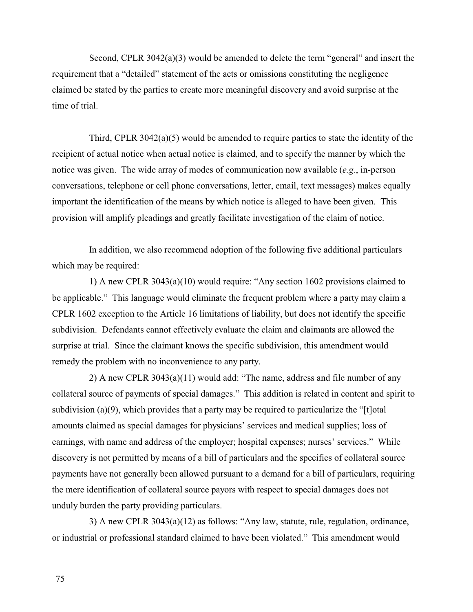Second, CPLR 3042(a)(3) would be amended to delete the term "general" and insert the requirement that a "detailed" statement of the acts or omissions constituting the negligence claimed be stated by the parties to create more meaningful discovery and avoid surprise at the time of trial.

 Third, CPLR 3042(a)(5) would be amended to require parties to state the identity of the recipient of actual notice when actual notice is claimed, and to specify the manner by which the notice was given. The wide array of modes of communication now available (*e.g.*, in-person conversations, telephone or cell phone conversations, letter, email, text messages) makes equally important the identification of the means by which notice is alleged to have been given. This provision will amplify pleadings and greatly facilitate investigation of the claim of notice.

 In addition, we also recommend adoption of the following five additional particulars which may be required:

 1) A new CPLR 3043(a)(10) would require: "Any section 1602 provisions claimed to be applicable." This language would eliminate the frequent problem where a party may claim a CPLR 1602 exception to the Article 16 limitations of liability, but does not identify the specific subdivision. Defendants cannot effectively evaluate the claim and claimants are allowed the surprise at trial. Since the claimant knows the specific subdivision, this amendment would remedy the problem with no inconvenience to any party.

 2) A new CPLR 3043(a)(11) would add: "The name, address and file number of any collateral source of payments of special damages." This addition is related in content and spirit to subdivision (a)(9), which provides that a party may be required to particularize the " $[t]$ otal amounts claimed as special damages for physicians' services and medical supplies; loss of earnings, with name and address of the employer; hospital expenses; nurses' services." While discovery is not permitted by means of a bill of particulars and the specifics of collateral source payments have not generally been allowed pursuant to a demand for a bill of particulars, requiring the mere identification of collateral source payors with respect to special damages does not unduly burden the party providing particulars.

 3) A new CPLR 3043(a)(12) as follows: "Any law, statute, rule, regulation, ordinance, or industrial or professional standard claimed to have been violated." This amendment would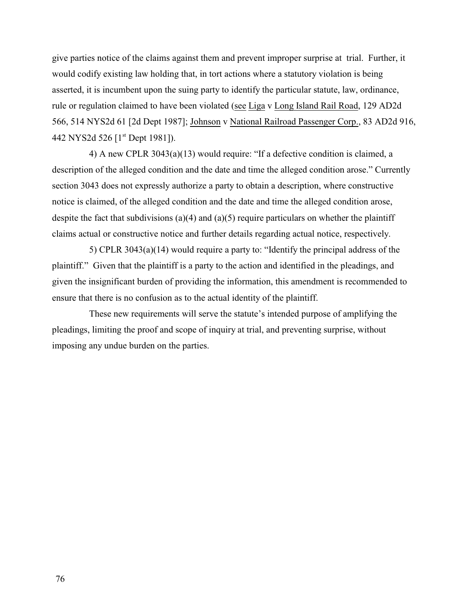give parties notice of the claims against them and prevent improper surprise at trial. Further, it would codify existing law holding that, in tort actions where a statutory violation is being asserted, it is incumbent upon the suing party to identify the particular statute, law, ordinance, rule or regulation claimed to have been violated (see Liga v Long Island Rail Road, 129 AD2d 566, 514 NYS2d 61 [2d Dept 1987]; Johnson v National Railroad Passenger Corp., 83 AD2d 916, 442 NYS2d 526 [1<sup>st</sup> Dept 1981]).

 4) A new CPLR 3043(a)(13) would require: "If a defective condition is claimed, a description of the alleged condition and the date and time the alleged condition arose." Currently section 3043 does not expressly authorize a party to obtain a description, where constructive notice is claimed, of the alleged condition and the date and time the alleged condition arose, despite the fact that subdivisions (a)(4) and (a)(5) require particulars on whether the plaintiff claims actual or constructive notice and further details regarding actual notice, respectively.

 5) CPLR 3043(a)(14) would require a party to: "Identify the principal address of the plaintiff." Given that the plaintiff is a party to the action and identified in the pleadings, and given the insignificant burden of providing the information, this amendment is recommended to ensure that there is no confusion as to the actual identity of the plaintiff.

 These new requirements will serve the statute's intended purpose of amplifying the pleadings, limiting the proof and scope of inquiry at trial, and preventing surprise, without imposing any undue burden on the parties.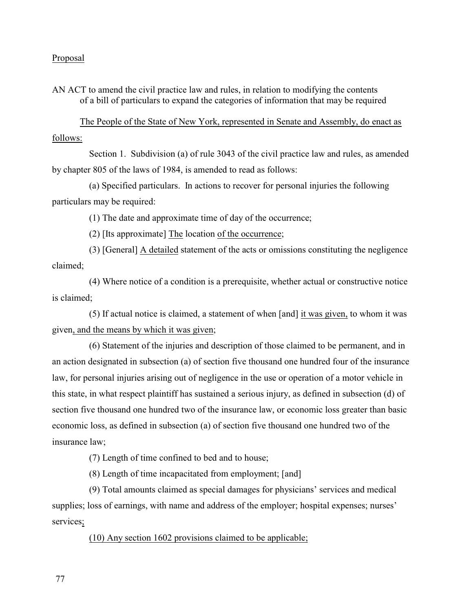AN ACT to amend the civil practice law and rules, in relation to modifying the contents of a bill of particulars to expand the categories of information that may be required

The People of the State of New York, represented in Senate and Assembly, do enact as follows:

 Section 1. Subdivision (a) of rule 3043 of the civil practice law and rules, as amended by chapter 805 of the laws of 1984, is amended to read as follows:

 (a) Specified particulars. In actions to recover for personal injuries the following particulars may be required:

(1) The date and approximate time of day of the occurrence;

(2) [Its approximate] The location of the occurrence;

 (3) [General] A detailed statement of the acts or omissions constituting the negligence claimed;

 (4) Where notice of a condition is a prerequisite, whether actual or constructive notice is claimed;

 (5) If actual notice is claimed, a statement of when [and] it was given, to whom it was given, and the means by which it was given;

 (6) Statement of the injuries and description of those claimed to be permanent, and in an action designated in subsection (a) of section five thousand one hundred four of the insurance law, for personal injuries arising out of negligence in the use or operation of a motor vehicle in this state, in what respect plaintiff has sustained a serious injury, as defined in subsection (d) of section five thousand one hundred two of the insurance law, or economic loss greater than basic economic loss, as defined in subsection (a) of section five thousand one hundred two of the insurance law;

(7) Length of time confined to bed and to house;

(8) Length of time incapacitated from employment; [and]

 (9) Total amounts claimed as special damages for physicians' services and medical supplies; loss of earnings, with name and address of the employer; hospital expenses; nurses' services;

(10) Any section 1602 provisions claimed to be applicable;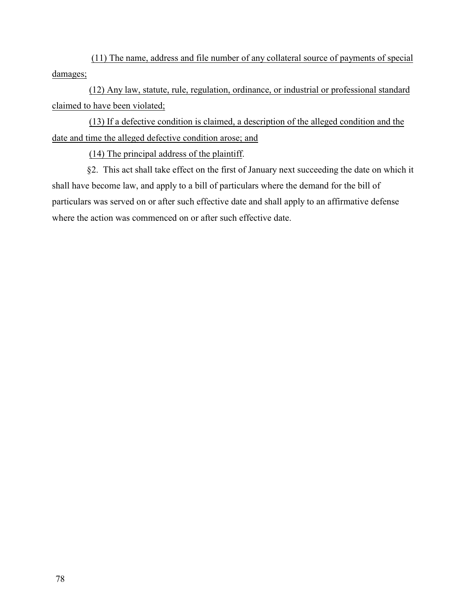(11) The name, address and file number of any collateral source of payments of special damages;

 (12) Any law, statute, rule, regulation, ordinance, or industrial or professional standard claimed to have been violated;

 (13) If a defective condition is claimed, a description of the alleged condition and the date and time the alleged defective condition arose; and

(14) The principal address of the plaintiff.

 §2. This act shall take effect on the first of January next succeeding the date on which it shall have become law, and apply to a bill of particulars where the demand for the bill of particulars was served on or after such effective date and shall apply to an affirmative defense where the action was commenced on or after such effective date.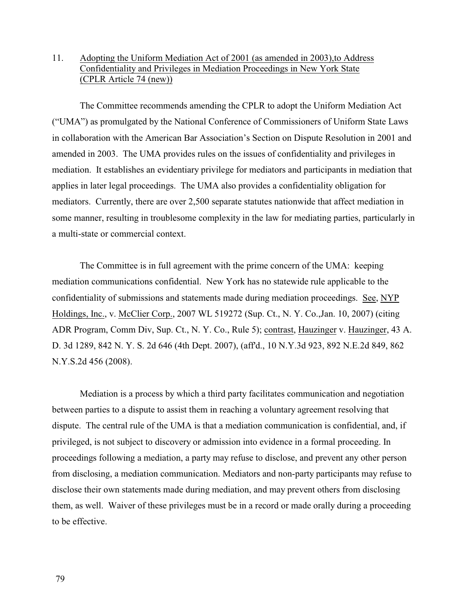# 11. Adopting the Uniform Mediation Act of 2001 (as amended in 2003),to Address Confidentiality and Privileges in Mediation Proceedings in New York State (CPLR Article 74 (new))

The Committee recommends amending the CPLR to adopt the Uniform Mediation Act ("UMA") as promulgated by the National Conference of Commissioners of Uniform State Laws in collaboration with the American Bar Association's Section on Dispute Resolution in 2001 and amended in 2003. The UMA provides rules on the issues of confidentiality and privileges in mediation. It establishes an evidentiary privilege for mediators and participants in mediation that applies in later legal proceedings. The UMA also provides a confidentiality obligation for mediators. Currently, there are over 2,500 separate statutes nationwide that affect mediation in some manner, resulting in troublesome complexity in the law for mediating parties, particularly in a multi-state or commercial context.

The Committee is in full agreement with the prime concern of the UMA: keeping mediation communications confidential. New York has no statewide rule applicable to the confidentiality of submissions and statements made during mediation proceedings. See, NYP Holdings, Inc., v. McClier Corp., 2007 WL 519272 (Sup. Ct., N. Y. Co.,Jan. 10, 2007) (citing ADR Program, Comm Div, Sup. Ct., N. Y. Co., Rule 5); contrast, Hauzinger v. Hauzinger, 43 A. D. 3d 1289, 842 N. Y. S. 2d 646 (4th Dept. 2007), (aff'd., 10 N.Y.3d 923, 892 N.E.2d 849, 862 N.Y.S.2d 456 (2008).

Mediation is a process by which a third party facilitates communication and negotiation between parties to a dispute to assist them in reaching a voluntary agreement resolving that dispute. The central rule of the UMA is that a mediation communication is confidential, and, if privileged, is not subject to discovery or admission into evidence in a formal proceeding. In proceedings following a mediation, a party may refuse to disclose, and prevent any other person from disclosing, a mediation communication. Mediators and non-party participants may refuse to disclose their own statements made during mediation, and may prevent others from disclosing them, as well. Waiver of these privileges must be in a record or made orally during a proceeding to be effective.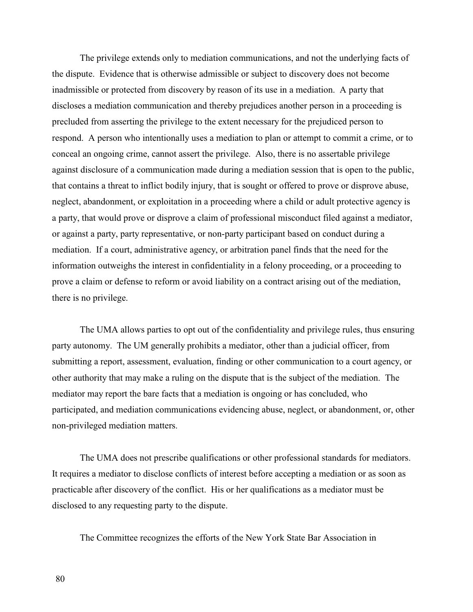The privilege extends only to mediation communications, and not the underlying facts of the dispute. Evidence that is otherwise admissible or subject to discovery does not become inadmissible or protected from discovery by reason of its use in a mediation. A party that discloses a mediation communication and thereby prejudices another person in a proceeding is precluded from asserting the privilege to the extent necessary for the prejudiced person to respond. A person who intentionally uses a mediation to plan or attempt to commit a crime, or to conceal an ongoing crime, cannot assert the privilege. Also, there is no assertable privilege against disclosure of a communication made during a mediation session that is open to the public, that contains a threat to inflict bodily injury, that is sought or offered to prove or disprove abuse, neglect, abandonment, or exploitation in a proceeding where a child or adult protective agency is a party, that would prove or disprove a claim of professional misconduct filed against a mediator, or against a party, party representative, or non-party participant based on conduct during a mediation. If a court, administrative agency, or arbitration panel finds that the need for the information outweighs the interest in confidentiality in a felony proceeding, or a proceeding to prove a claim or defense to reform or avoid liability on a contract arising out of the mediation, there is no privilege.

The UMA allows parties to opt out of the confidentiality and privilege rules, thus ensuring party autonomy. The UM generally prohibits a mediator, other than a judicial officer, from submitting a report, assessment, evaluation, finding or other communication to a court agency, or other authority that may make a ruling on the dispute that is the subject of the mediation. The mediator may report the bare facts that a mediation is ongoing or has concluded, who participated, and mediation communications evidencing abuse, neglect, or abandonment, or, other non-privileged mediation matters.

The UMA does not prescribe qualifications or other professional standards for mediators. It requires a mediator to disclose conflicts of interest before accepting a mediation or as soon as practicable after discovery of the conflict. His or her qualifications as a mediator must be disclosed to any requesting party to the dispute.

The Committee recognizes the efforts of the New York State Bar Association in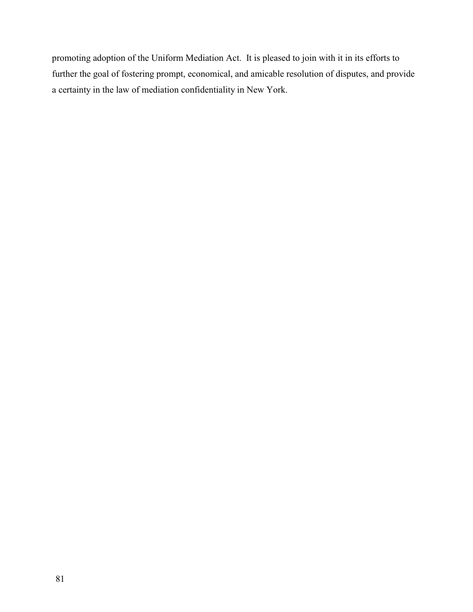promoting adoption of the Uniform Mediation Act. It is pleased to join with it in its efforts to further the goal of fostering prompt, economical, and amicable resolution of disputes, and provide a certainty in the law of mediation confidentiality in New York.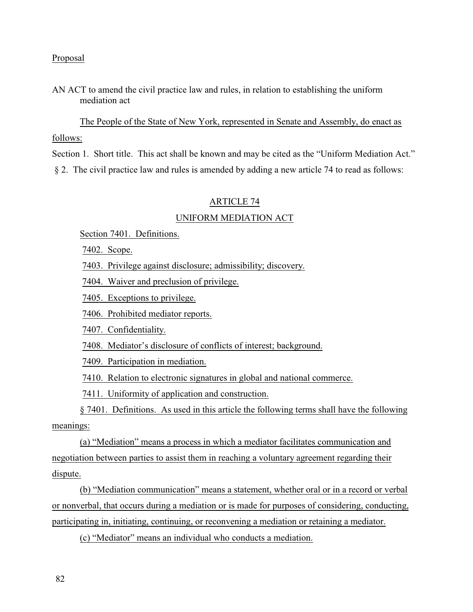AN ACT to amend the civil practice law and rules, in relation to establishing the uniform mediation act

The People of the State of New York, represented in Senate and Assembly, do enact as follows:

Section 1. Short title. This act shall be known and may be cited as the "Uniform Mediation Act."

§ 2. The civil practice law and rules is amended by adding a new article 74 to read as follows:

## ARTICLE 74

#### UNIFORM MEDIATION ACT

Section 7401. Definitions.

7402. Scope.

7403. Privilege against disclosure; admissibility; discovery.

7404. Waiver and preclusion of privilege.

7405. Exceptions to privilege.

7406. Prohibited mediator reports.

7407. Confidentiality.

7408. Mediator's disclosure of conflicts of interest; background.

7409. Participation in mediation.

7410. Relation to electronic signatures in global and national commerce.

7411. Uniformity of application and construction.

§ 7401. Definitions. As used in this article the following terms shall have the following meanings:

(a) "Mediation" means a process in which a mediator facilitates communication and negotiation between parties to assist them in reaching a voluntary agreement regarding their dispute.

(b) "Mediation communication" means a statement, whether oral or in a record or verbal or nonverbal, that occurs during a mediation or is made for purposes of considering, conducting, participating in, initiating, continuing, or reconvening a mediation or retaining a mediator.

(c) "Mediator" means an individual who conducts a mediation.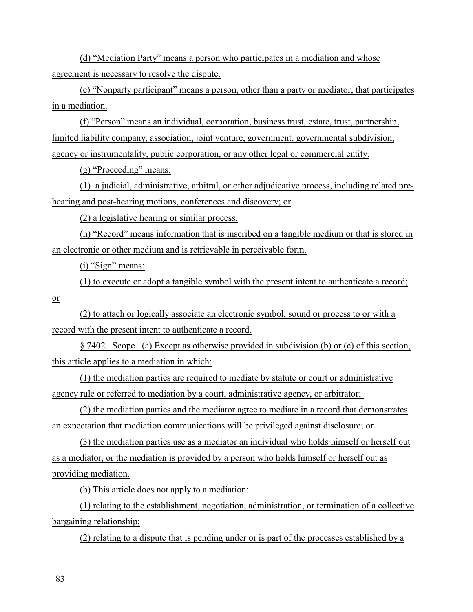(d) "Mediation Party" means a person who participates in a mediation and whose agreement is necessary to resolve the dispute.

(e) "Nonparty participant" means a person, other than a party or mediator, that participates in a mediation.

(f) "Person" means an individual, corporation, business trust, estate, trust, partnership, limited liability company, association, joint venture, government, governmental subdivision, agency or instrumentality, public corporation, or any other legal or commercial entity.

(g) "Proceeding" means:

(1) a judicial, administrative, arbitral, or other adjudicative process, including related prehearing and post-hearing motions, conferences and discovery; or

(2) a legislative hearing or similar process.

(h) "Record" means information that is inscribed on a tangible medium or that is stored in an electronic or other medium and is retrievable in perceivable form.

(i) "Sign" means:

(1) to execute or adopt a tangible symbol with the present intent to authenticate a record;

or

(2) to attach or logically associate an electronic symbol, sound or process to or with a record with the present intent to authenticate a record.

§ 7402. Scope. (a) Except as otherwise provided in subdivision (b) or (c) of this section, this article applies to a mediation in which:

(1) the mediation parties are required to mediate by statute or court or administrative agency rule or referred to mediation by a court, administrative agency, or arbitrator;

(2) the mediation parties and the mediator agree to mediate in a record that demonstrates an expectation that mediation communications will be privileged against disclosure; or

(3) the mediation parties use as a mediator an individual who holds himself or herself out as a mediator, or the mediation is provided by a person who holds himself or herself out as providing mediation.

(b) This article does not apply to a mediation:

(1) relating to the establishment, negotiation, administration, or termination of a collective bargaining relationship;

(2) relating to a dispute that is pending under or is part of the processes established by a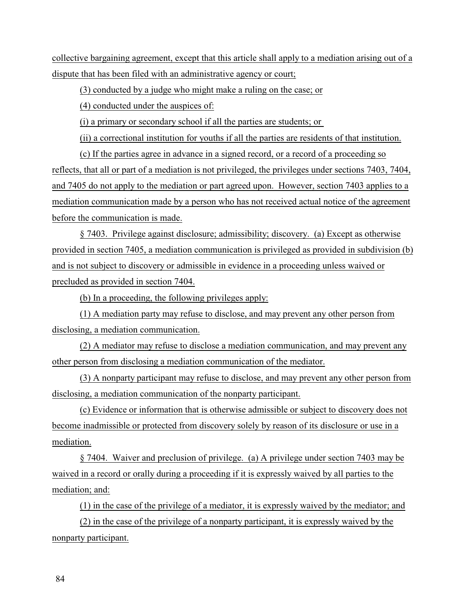collective bargaining agreement, except that this article shall apply to a mediation arising out of a dispute that has been filed with an administrative agency or court;

(3) conducted by a judge who might make a ruling on the case; or

(4) conducted under the auspices of:

(i) a primary or secondary school if all the parties are students; or

(ii) a correctional institution for youths if all the parties are residents of that institution.

(c) If the parties agree in advance in a signed record, or a record of a proceeding so reflects, that all or part of a mediation is not privileged, the privileges under sections 7403, 7404, and 7405 do not apply to the mediation or part agreed upon. However, section 7403 applies to a mediation communication made by a person who has not received actual notice of the agreement before the communication is made.

§ 7403. Privilege against disclosure; admissibility; discovery. (a) Except as otherwise provided in section 7405, a mediation communication is privileged as provided in subdivision (b) and is not subject to discovery or admissible in evidence in a proceeding unless waived or precluded as provided in section 7404.

(b) In a proceeding, the following privileges apply:

(1) A mediation party may refuse to disclose, and may prevent any other person from disclosing, a mediation communication.

(2) A mediator may refuse to disclose a mediation communication, and may prevent any other person from disclosing a mediation communication of the mediator.

(3) A nonparty participant may refuse to disclose, and may prevent any other person from disclosing, a mediation communication of the nonparty participant.

(c) Evidence or information that is otherwise admissible or subject to discovery does not become inadmissible or protected from discovery solely by reason of its disclosure or use in a mediation.

§ 7404. Waiver and preclusion of privilege. (a) A privilege under section 7403 may be waived in a record or orally during a proceeding if it is expressly waived by all parties to the mediation; and:

(1) in the case of the privilege of a mediator, it is expressly waived by the mediator; and

(2) in the case of the privilege of a nonparty participant, it is expressly waived by the nonparty participant.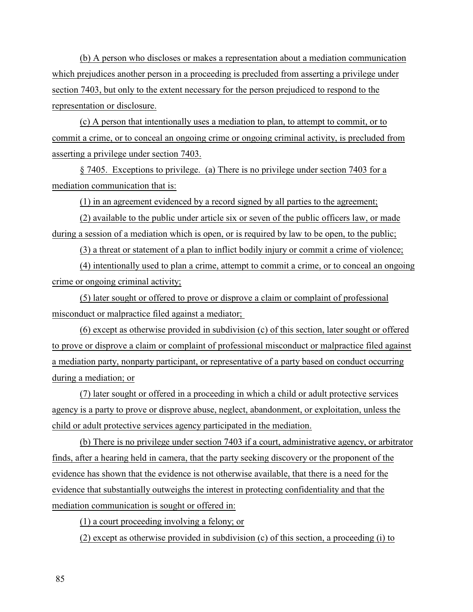(b) A person who discloses or makes a representation about a mediation communication which prejudices another person in a proceeding is precluded from asserting a privilege under section 7403, but only to the extent necessary for the person prejudiced to respond to the representation or disclosure.

(c) A person that intentionally uses a mediation to plan, to attempt to commit, or to commit a crime, or to conceal an ongoing crime or ongoing criminal activity, is precluded from asserting a privilege under section 7403.

§ 7405. Exceptions to privilege. (a) There is no privilege under section 7403 for a mediation communication that is:

(1) in an agreement evidenced by a record signed by all parties to the agreement;

(2) available to the public under article six or seven of the public officers law, or made during a session of a mediation which is open, or is required by law to be open, to the public;

(3) a threat or statement of a plan to inflict bodily injury or commit a crime of violence;

(4) intentionally used to plan a crime, attempt to commit a crime, or to conceal an ongoing crime or ongoing criminal activity;

(5) later sought or offered to prove or disprove a claim or complaint of professional misconduct or malpractice filed against a mediator;

(6) except as otherwise provided in subdivision (c) of this section, later sought or offered to prove or disprove a claim or complaint of professional misconduct or malpractice filed against a mediation party, nonparty participant, or representative of a party based on conduct occurring during a mediation; or

(7) later sought or offered in a proceeding in which a child or adult protective services agency is a party to prove or disprove abuse, neglect, abandonment, or exploitation, unless the child or adult protective services agency participated in the mediation.

(b) There is no privilege under section 7403 if a court, administrative agency, or arbitrator finds, after a hearing held in camera, that the party seeking discovery or the proponent of the evidence has shown that the evidence is not otherwise available, that there is a need for the evidence that substantially outweighs the interest in protecting confidentiality and that the mediation communication is sought or offered in:

(1) a court proceeding involving a felony; or

(2) except as otherwise provided in subdivision (c) of this section, a proceeding (i) to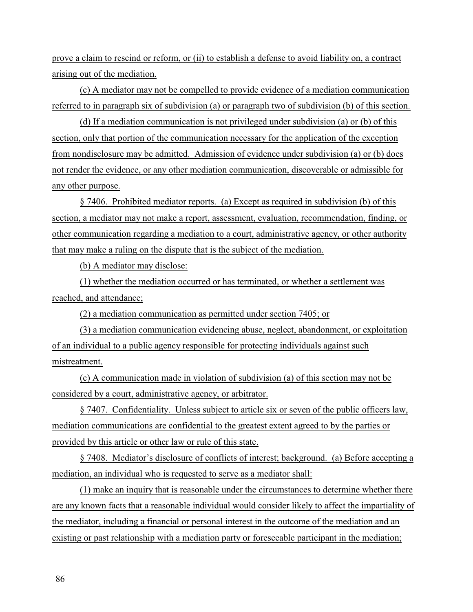prove a claim to rescind or reform, or (ii) to establish a defense to avoid liability on, a contract arising out of the mediation.

(c) A mediator may not be compelled to provide evidence of a mediation communication referred to in paragraph six of subdivision (a) or paragraph two of subdivision (b) of this section.

(d) If a mediation communication is not privileged under subdivision (a) or (b) of this section, only that portion of the communication necessary for the application of the exception from nondisclosure may be admitted. Admission of evidence under subdivision (a) or (b) does not render the evidence, or any other mediation communication, discoverable or admissible for any other purpose.

§ 7406. Prohibited mediator reports. (a) Except as required in subdivision (b) of this section, a mediator may not make a report, assessment, evaluation, recommendation, finding, or other communication regarding a mediation to a court, administrative agency, or other authority that may make a ruling on the dispute that is the subject of the mediation.

(b) A mediator may disclose:

(1) whether the mediation occurred or has terminated, or whether a settlement was reached, and attendance;

(2) a mediation communication as permitted under section 7405; or

(3) a mediation communication evidencing abuse, neglect, abandonment, or exploitation of an individual to a public agency responsible for protecting individuals against such mistreatment.

(c) A communication made in violation of subdivision (a) of this section may not be considered by a court, administrative agency, or arbitrator.

§ 7407. Confidentiality. Unless subject to article six or seven of the public officers law, mediation communications are confidential to the greatest extent agreed to by the parties or provided by this article or other law or rule of this state.

§ 7408. Mediator's disclosure of conflicts of interest; background. (a) Before accepting a mediation, an individual who is requested to serve as a mediator shall:

(1) make an inquiry that is reasonable under the circumstances to determine whether there are any known facts that a reasonable individual would consider likely to affect the impartiality of the mediator, including a financial or personal interest in the outcome of the mediation and an existing or past relationship with a mediation party or foreseeable participant in the mediation;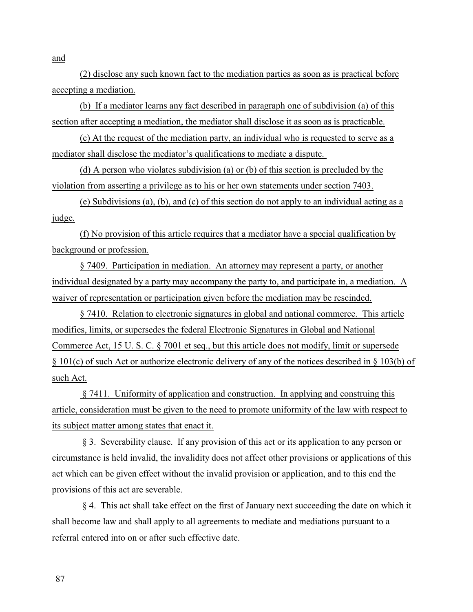(2) disclose any such known fact to the mediation parties as soon as is practical before accepting a mediation.

(b) If a mediator learns any fact described in paragraph one of subdivision (a) of this section after accepting a mediation, the mediator shall disclose it as soon as is practicable.

(c) At the request of the mediation party, an individual who is requested to serve as a mediator shall disclose the mediator's qualifications to mediate a dispute.

(d) A person who violates subdivision (a) or (b) of this section is precluded by the violation from asserting a privilege as to his or her own statements under section 7403.

(e) Subdivisions (a), (b), and (c) of this section do not apply to an individual acting as a judge.

(f) No provision of this article requires that a mediator have a special qualification by background or profession.

§ 7409. Participation in mediation. An attorney may represent a party, or another individual designated by a party may accompany the party to, and participate in, a mediation. A waiver of representation or participation given before the mediation may be rescinded.

§ 7410. Relation to electronic signatures in global and national commerce. This article modifies, limits, or supersedes the federal Electronic Signatures in Global and National Commerce Act, 15 U. S. C. § 7001 et seq., but this article does not modify, limit or supersede § 101(c) of such Act or authorize electronic delivery of any of the notices described in § 103(b) of such Act.

 § 7411. Uniformity of application and construction. In applying and construing this article, consideration must be given to the need to promote uniformity of the law with respect to its subject matter among states that enact it.

 § 3. Severability clause. If any provision of this act or its application to any person or circumstance is held invalid, the invalidity does not affect other provisions or applications of this act which can be given effect without the invalid provision or application, and to this end the provisions of this act are severable.

 § 4. This act shall take effect on the first of January next succeeding the date on which it shall become law and shall apply to all agreements to mediate and mediations pursuant to a referral entered into on or after such effective date.

and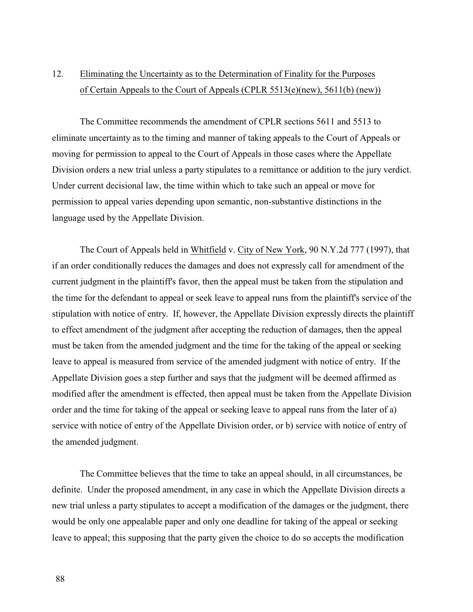# 12. Eliminating the Uncertainty as to the Determination of Finality for the Purposes of Certain Appeals to the Court of Appeals (CPLR 5513(e)(new), 5611(b) (new))

The Committee recommends the amendment of CPLR sections 5611 and 5513 to eliminate uncertainty as to the timing and manner of taking appeals to the Court of Appeals or moving for permission to appeal to the Court of Appeals in those cases where the Appellate Division orders a new trial unless a party stipulates to a remittance or addition to the jury verdict. Under current decisional law, the time within which to take such an appeal or move for permission to appeal varies depending upon semantic, non-substantive distinctions in the language used by the Appellate Division.

The Court of Appeals held in Whitfield v. City of New York, 90 N.Y.2d 777 (1997), that if an order conditionally reduces the damages and does not expressly call for amendment of the current judgment in the plaintiff's favor, then the appeal must be taken from the stipulation and the time for the defendant to appeal or seek leave to appeal runs from the plaintiff's service of the stipulation with notice of entry. If, however, the Appellate Division expressly directs the plaintiff to effect amendment of the judgment after accepting the reduction of damages, then the appeal must be taken from the amended judgment and the time for the taking of the appeal or seeking leave to appeal is measured from service of the amended judgment with notice of entry. If the Appellate Division goes a step further and says that the judgment will be deemed affirmed as modified after the amendment is effected, then appeal must be taken from the Appellate Division order and the time for taking of the appeal or seeking leave to appeal runs from the later of a) service with notice of entry of the Appellate Division order, or b) service with notice of entry of the amended judgment.

The Committee believes that the time to take an appeal should, in all circumstances, be definite. Under the proposed amendment, in any case in which the Appellate Division directs a new trial unless a party stipulates to accept a modification of the damages or the judgment, there would be only one appealable paper and only one deadline for taking of the appeal or seeking leave to appeal; this supposing that the party given the choice to do so accepts the modification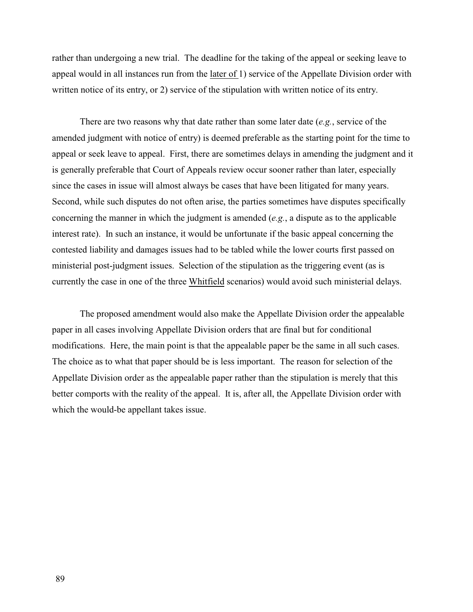rather than undergoing a new trial. The deadline for the taking of the appeal or seeking leave to appeal would in all instances run from the later of 1) service of the Appellate Division order with written notice of its entry, or 2) service of the stipulation with written notice of its entry.

There are two reasons why that date rather than some later date (*e.g.*, service of the amended judgment with notice of entry) is deemed preferable as the starting point for the time to appeal or seek leave to appeal. First, there are sometimes delays in amending the judgment and it is generally preferable that Court of Appeals review occur sooner rather than later, especially since the cases in issue will almost always be cases that have been litigated for many years. Second, while such disputes do not often arise, the parties sometimes have disputes specifically concerning the manner in which the judgment is amended (*e.g.*, a dispute as to the applicable interest rate). In such an instance, it would be unfortunate if the basic appeal concerning the contested liability and damages issues had to be tabled while the lower courts first passed on ministerial post-judgment issues. Selection of the stipulation as the triggering event (as is currently the case in one of the three Whitfield scenarios) would avoid such ministerial delays.

The proposed amendment would also make the Appellate Division order the appealable paper in all cases involving Appellate Division orders that are final but for conditional modifications. Here, the main point is that the appealable paper be the same in all such cases. The choice as to what that paper should be is less important. The reason for selection of the Appellate Division order as the appealable paper rather than the stipulation is merely that this better comports with the reality of the appeal. It is, after all, the Appellate Division order with which the would-be appellant takes issue.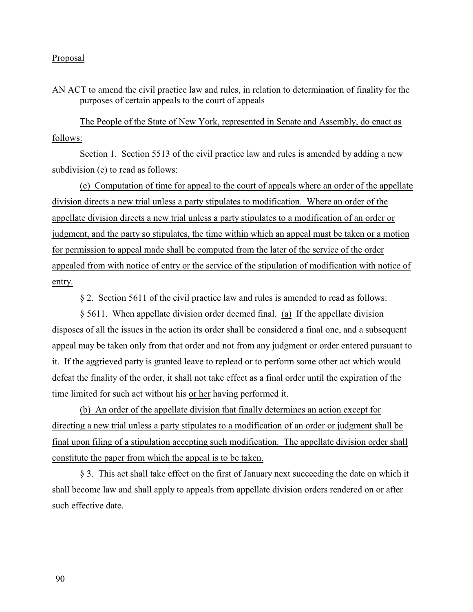AN ACT to amend the civil practice law and rules, in relation to determination of finality for the purposes of certain appeals to the court of appeals

The People of the State of New York, represented in Senate and Assembly, do enact as follows:

Section 1. Section 5513 of the civil practice law and rules is amended by adding a new subdivision (e) to read as follows:

(e) Computation of time for appeal to the court of appeals where an order of the appellate division directs a new trial unless a party stipulates to modification. Where an order of the appellate division directs a new trial unless a party stipulates to a modification of an order or judgment, and the party so stipulates, the time within which an appeal must be taken or a motion for permission to appeal made shall be computed from the later of the service of the order appealed from with notice of entry or the service of the stipulation of modification with notice of entry.

§ 2. Section 5611 of the civil practice law and rules is amended to read as follows:

§ 5611. When appellate division order deemed final. (a) If the appellate division disposes of all the issues in the action its order shall be considered a final one, and a subsequent appeal may be taken only from that order and not from any judgment or order entered pursuant to it. If the aggrieved party is granted leave to replead or to perform some other act which would defeat the finality of the order, it shall not take effect as a final order until the expiration of the time limited for such act without his or her having performed it.

(b) An order of the appellate division that finally determines an action except for directing a new trial unless a party stipulates to a modification of an order or judgment shall be final upon filing of a stipulation accepting such modification. The appellate division order shall constitute the paper from which the appeal is to be taken.

§ 3. This act shall take effect on the first of January next succeeding the date on which it shall become law and shall apply to appeals from appellate division orders rendered on or after such effective date.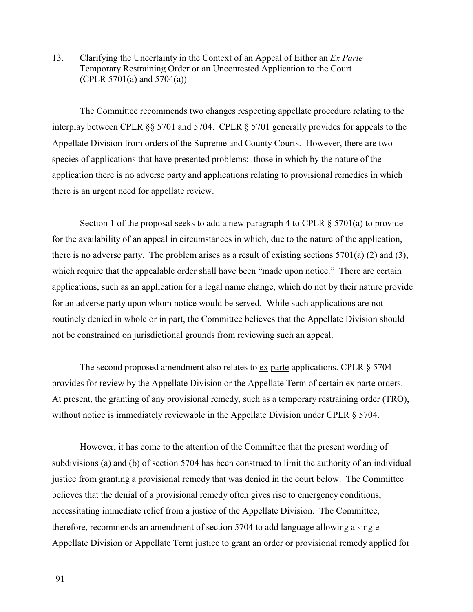# 13. Clarifying the Uncertainty in the Context of an Appeal of Either an *Ex Parte* Temporary Restraining Order or an Uncontested Application to the Court (CPLR 5701(a) and 5704(a))

The Committee recommends two changes respecting appellate procedure relating to the interplay between CPLR §§ 5701 and 5704. CPLR § 5701 generally provides for appeals to the Appellate Division from orders of the Supreme and County Courts. However, there are two species of applications that have presented problems: those in which by the nature of the application there is no adverse party and applications relating to provisional remedies in which there is an urgent need for appellate review.

Section 1 of the proposal seeks to add a new paragraph 4 to CPLR  $\S$  5701(a) to provide for the availability of an appeal in circumstances in which, due to the nature of the application, there is no adverse party. The problem arises as a result of existing sections 5701(a) (2) and (3), which require that the appealable order shall have been "made upon notice." There are certain applications, such as an application for a legal name change, which do not by their nature provide for an adverse party upon whom notice would be served. While such applications are not routinely denied in whole or in part, the Committee believes that the Appellate Division should not be constrained on jurisdictional grounds from reviewing such an appeal.

The second proposed amendment also relates to ex parte applications. CPLR § 5704 provides for review by the Appellate Division or the Appellate Term of certain ex parte orders. At present, the granting of any provisional remedy, such as a temporary restraining order (TRO), without notice is immediately reviewable in the Appellate Division under CPLR § 5704.

However, it has come to the attention of the Committee that the present wording of subdivisions (a) and (b) of section 5704 has been construed to limit the authority of an individual justice from granting a provisional remedy that was denied in the court below. The Committee believes that the denial of a provisional remedy often gives rise to emergency conditions, necessitating immediate relief from a justice of the Appellate Division. The Committee, therefore, recommends an amendment of section 5704 to add language allowing a single Appellate Division or Appellate Term justice to grant an order or provisional remedy applied for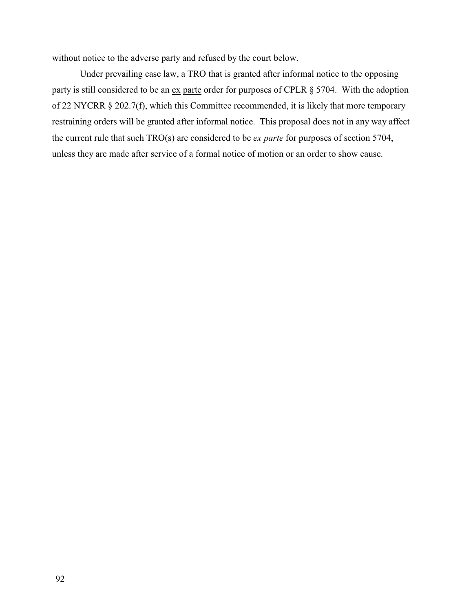without notice to the adverse party and refused by the court below.

Under prevailing case law, a TRO that is granted after informal notice to the opposing party is still considered to be an ex parte order for purposes of CPLR § 5704. With the adoption of 22 NYCRR § 202.7(f), which this Committee recommended, it is likely that more temporary restraining orders will be granted after informal notice. This proposal does not in any way affect the current rule that such TRO(s) are considered to be *ex parte* for purposes of section 5704, unless they are made after service of a formal notice of motion or an order to show cause.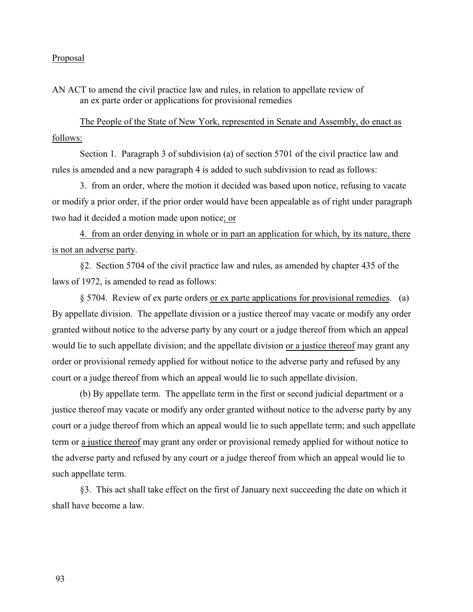AN ACT to amend the civil practice law and rules, in relation to appellate review of an ex parte order or applications for provisional remedies

The People of the State of New York, represented in Senate and Assembly, do enact as follows:

Section 1. Paragraph 3 of subdivision (a) of section 5701 of the civil practice law and rules is amended and a new paragraph 4 is added to such subdivision to read as follows:

3. from an order, where the motion it decided was based upon notice, refusing to vacate or modify a prior order, if the prior order would have been appealable as of right under paragraph two had it decided a motion made upon notice; or

4. from an order denying in whole or in part an application for which, by its nature, there is not an adverse party.

§2. Section 5704 of the civil practice law and rules, as amended by chapter 435 of the laws of 1972, is amended to read as follows:

§ 5704. Review of ex parte orders or ex parte applications for provisional remedies. (a) By appellate division. The appellate division or a justice thereof may vacate or modify any order granted without notice to the adverse party by any court or a judge thereof from which an appeal would lie to such appellate division; and the appellate division or a justice thereof may grant any order or provisional remedy applied for without notice to the adverse party and refused by any court or a judge thereof from which an appeal would lie to such appellate division.

(b) By appellate term. The appellate term in the first or second judicial department or a justice thereof may vacate or modify any order granted without notice to the adverse party by any court or a judge thereof from which an appeal would lie to such appellate term; and such appellate term or a justice thereof may grant any order or provisional remedy applied for without notice to the adverse party and refused by any court or a judge thereof from which an appeal would lie to such appellate term.

§3. This act shall take effect on the first of January next succeeding the date on which it shall have become a law.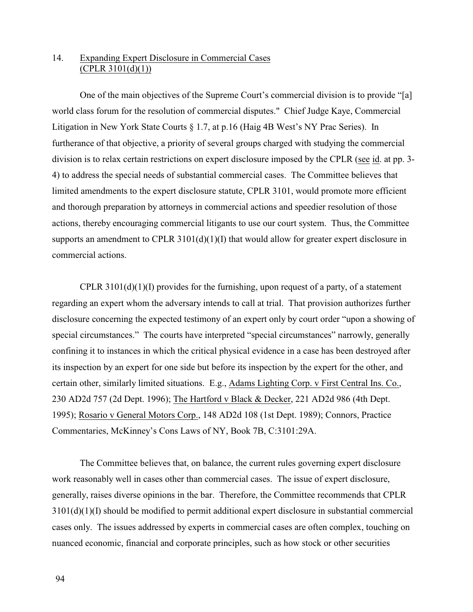## 14. Expanding Expert Disclosure in Commercial Cases  $(CPLR 3101(d)(1))$

One of the main objectives of the Supreme Court's commercial division is to provide "[a] world class forum for the resolution of commercial disputes." Chief Judge Kaye, Commercial Litigation in New York State Courts § 1.7, at p.16 (Haig 4B West's NY Prac Series). In furtherance of that objective, a priority of several groups charged with studying the commercial division is to relax certain restrictions on expert disclosure imposed by the CPLR (see id. at pp. 3- 4) to address the special needs of substantial commercial cases. The Committee believes that limited amendments to the expert disclosure statute, CPLR 3101, would promote more efficient and thorough preparation by attorneys in commercial actions and speedier resolution of those actions, thereby encouraging commercial litigants to use our court system. Thus, the Committee supports an amendment to CPLR  $3101(d)(1)(I)$  that would allow for greater expert disclosure in commercial actions.

CPLR  $3101(d)(1)(I)$  provides for the furnishing, upon request of a party, of a statement regarding an expert whom the adversary intends to call at trial. That provision authorizes further disclosure concerning the expected testimony of an expert only by court order "upon a showing of special circumstances." The courts have interpreted "special circumstances" narrowly, generally confining it to instances in which the critical physical evidence in a case has been destroyed after its inspection by an expert for one side but before its inspection by the expert for the other, and certain other, similarly limited situations. E.g., Adams Lighting Corp. v First Central Ins. Co., 230 AD2d 757 (2d Dept. 1996); The Hartford v Black & Decker, 221 AD2d 986 (4th Dept. 1995); Rosario v General Motors Corp., 148 AD2d 108 (1st Dept. 1989); Connors, Practice Commentaries, McKinney's Cons Laws of NY, Book 7B, C:3101:29A.

The Committee believes that, on balance, the current rules governing expert disclosure work reasonably well in cases other than commercial cases. The issue of expert disclosure, generally, raises diverse opinions in the bar.Therefore, the Committee recommends that CPLR  $3101(d)(1)(I)$  should be modified to permit additional expert disclosure in substantial commercial cases only. The issues addressed by experts in commercial cases are often complex, touching on nuanced economic, financial and corporate principles, such as how stock or other securities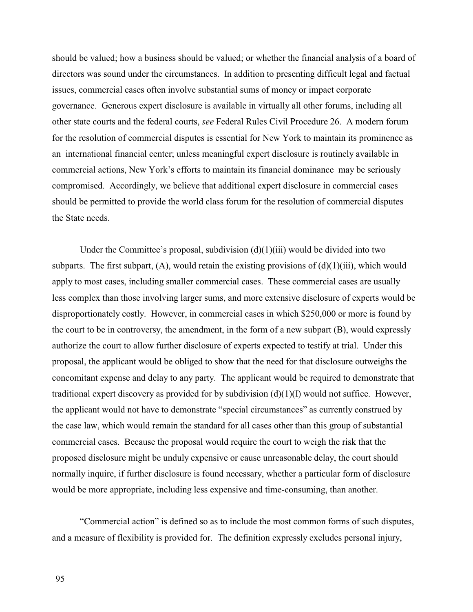should be valued; how a business should be valued; or whether the financial analysis of a board of directors was sound under the circumstances. In addition to presenting difficult legal and factual issues, commercial cases often involve substantial sums of money or impact corporate governance. Generous expert disclosure is available in virtually all other forums, including all other state courts and the federal courts, *see* Federal Rules Civil Procedure 26. A modern forum for the resolution of commercial disputes is essential for New York to maintain its prominence as an international financial center; unless meaningful expert disclosure is routinely available in commercial actions, New York's efforts to maintain its financial dominance may be seriously compromised. Accordingly, we believe that additional expert disclosure in commercial cases should be permitted to provide the world class forum for the resolution of commercial disputes the State needs.

Under the Committee's proposal, subdivision  $(d)(1)(iii)$  would be divided into two subparts. The first subpart,  $(A)$ , would retain the existing provisions of  $(d)(1)(iii)$ , which would apply to most cases, including smaller commercial cases. These commercial cases are usually less complex than those involving larger sums, and more extensive disclosure of experts would be disproportionately costly. However, in commercial cases in which \$250,000 or more is found by the court to be in controversy, the amendment, in the form of a new subpart (B), would expressly authorize the court to allow further disclosure of experts expected to testify at trial. Under this proposal, the applicant would be obliged to show that the need for that disclosure outweighs the concomitant expense and delay to any party. The applicant would be required to demonstrate that traditional expert discovery as provided for by subdivision (d)(1)(I) would not suffice. However, the applicant would not have to demonstrate "special circumstances" as currently construed by the case law, which would remain the standard for all cases other than this group of substantial commercial cases. Because the proposal would require the court to weigh the risk that the proposed disclosure might be unduly expensive or cause unreasonable delay, the court should normally inquire, if further disclosure is found necessary, whether a particular form of disclosure would be more appropriate, including less expensive and time-consuming, than another.

"Commercial action" is defined so as to include the most common forms of such disputes, and a measure of flexibility is provided for. The definition expressly excludes personal injury,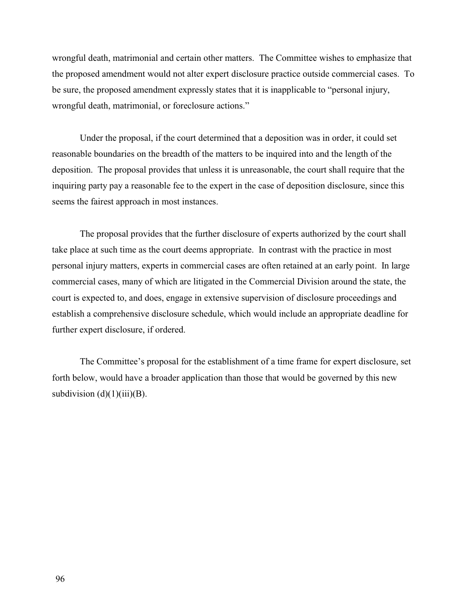wrongful death, matrimonial and certain other matters. The Committee wishes to emphasize that the proposed amendment would not alter expert disclosure practice outside commercial cases. To be sure, the proposed amendment expressly states that it is inapplicable to "personal injury, wrongful death, matrimonial, or foreclosure actions."

Under the proposal, if the court determined that a deposition was in order, it could set reasonable boundaries on the breadth of the matters to be inquired into and the length of the deposition. The proposal provides that unless it is unreasonable, the court shall require that the inquiring party pay a reasonable fee to the expert in the case of deposition disclosure, since this seems the fairest approach in most instances.

The proposal provides that the further disclosure of experts authorized by the court shall take place at such time as the court deems appropriate. In contrast with the practice in most personal injury matters, experts in commercial cases are often retained at an early point. In large commercial cases, many of which are litigated in the Commercial Division around the state, the court is expected to, and does, engage in extensive supervision of disclosure proceedings and establish a comprehensive disclosure schedule, which would include an appropriate deadline for further expert disclosure, if ordered.

The Committee's proposal for the establishment of a time frame for expert disclosure, set forth below, would have a broader application than those that would be governed by this new subdivision  $(d)(1)(iii)(B)$ .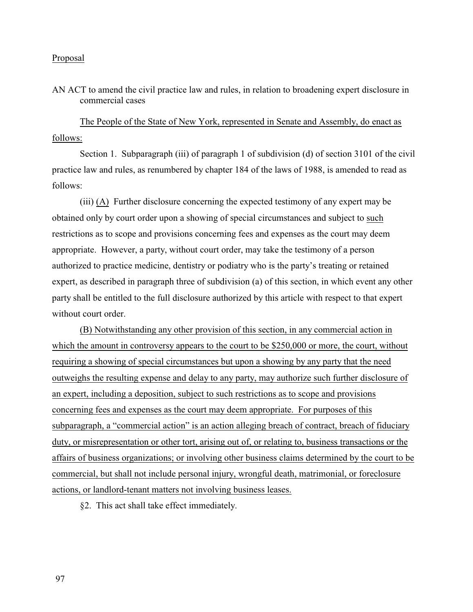AN ACT to amend the civil practice law and rules, in relation to broadening expert disclosure in commercial cases

The People of the State of New York, represented in Senate and Assembly, do enact as follows:

Section 1. Subparagraph (iii) of paragraph 1 of subdivision (d) of section 3101 of the civil practice law and rules, as renumbered by chapter 184 of the laws of 1988, is amended to read as follows:

(iii) (A) Further disclosure concerning the expected testimony of any expert may be obtained only by court order upon a showing of special circumstances and subject to such restrictions as to scope and provisions concerning fees and expenses as the court may deem appropriate. However, a party, without court order, may take the testimony of a person authorized to practice medicine, dentistry or podiatry who is the party's treating or retained expert, as described in paragraph three of subdivision (a) of this section, in which event any other party shall be entitled to the full disclosure authorized by this article with respect to that expert without court order.

(B) Notwithstanding any other provision of this section, in any commercial action in which the amount in controversy appears to the court to be \$250,000 or more, the court, without requiring a showing of special circumstances but upon a showing by any party that the need outweighs the resulting expense and delay to any party, may authorize such further disclosure of an expert, including a deposition, subject to such restrictions as to scope and provisions concerning fees and expenses as the court may deem appropriate. For purposes of this subparagraph, a "commercial action" is an action alleging breach of contract, breach of fiduciary duty, or misrepresentation or other tort, arising out of, or relating to, business transactions or the affairs of business organizations; or involving other business claims determined by the court to be commercial, but shall not include personal injury, wrongful death, matrimonial, or foreclosure actions, or landlord-tenant matters not involving business leases.

§2. This act shall take effect immediately.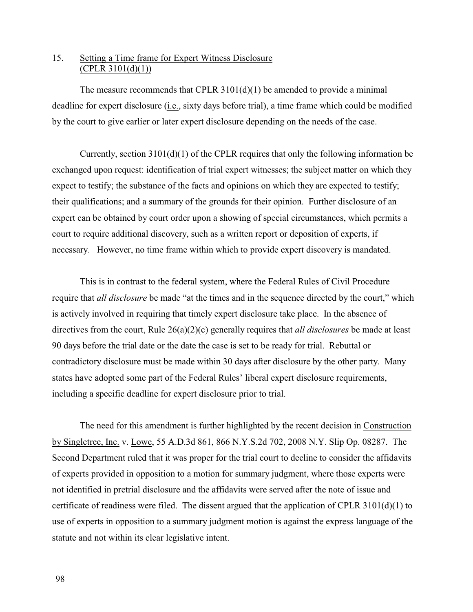## 15. Setting a Time frame for Expert Witness Disclosure  $(CPLR 3101(d)(1))$

The measure recommends that CPLR  $3101(d)(1)$  be amended to provide a minimal deadline for expert disclosure (i.e., sixty days before trial), a time frame which could be modified by the court to give earlier or later expert disclosure depending on the needs of the case.

Currently, section 3101(d)(1) of the CPLR requires that only the following information be exchanged upon request: identification of trial expert witnesses; the subject matter on which they expect to testify; the substance of the facts and opinions on which they are expected to testify; their qualifications; and a summary of the grounds for their opinion. Further disclosure of an expert can be obtained by court order upon a showing of special circumstances, which permits a court to require additional discovery, such as a written report or deposition of experts, if necessary. However, no time frame within which to provide expert discovery is mandated.

This is in contrast to the federal system, where the Federal Rules of Civil Procedure require that *all disclosure* be made "at the times and in the sequence directed by the court," which is actively involved in requiring that timely expert disclosure take place. In the absence of directives from the court, Rule 26(a)(2)(c) generally requires that *all disclosures* be made at least 90 days before the trial date or the date the case is set to be ready for trial. Rebuttal or contradictory disclosure must be made within 30 days after disclosure by the other party. Many states have adopted some part of the Federal Rules' liberal expert disclosure requirements, including a specific deadline for expert disclosure prior to trial.

The need for this amendment is further highlighted by the recent decision in Construction by Singletree, Inc. v. Lowe, 55 A.D.3d 861, 866 N.Y.S.2d 702, 2008 N.Y. Slip Op. 08287. The Second Department ruled that it was proper for the trial court to decline to consider the affidavits of experts provided in opposition to a motion for summary judgment, where those experts were not identified in pretrial disclosure and the affidavits were served after the note of issue and certificate of readiness were filed. The dissent argued that the application of CPLR 3101(d)(1) to use of experts in opposition to a summary judgment motion is against the express language of the statute and not within its clear legislative intent.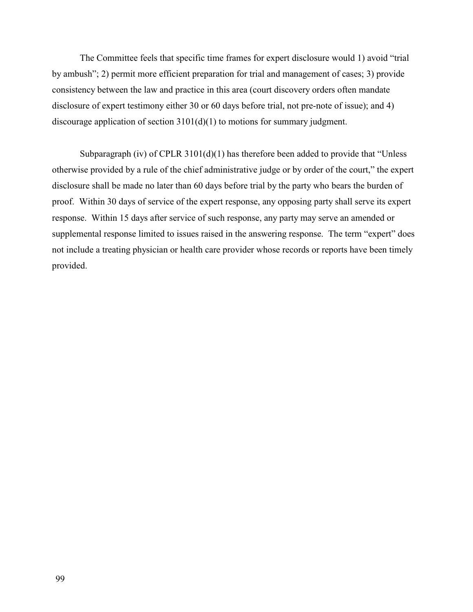The Committee feels that specific time frames for expert disclosure would 1) avoid "trial by ambush"; 2) permit more efficient preparation for trial and management of cases; 3) provide consistency between the law and practice in this area (court discovery orders often mandate disclosure of expert testimony either 30 or 60 days before trial, not pre-note of issue); and 4) discourage application of section 3101(d)(1) to motions for summary judgment.

Subparagraph (iv) of CPLR 3101(d)(1) has therefore been added to provide that "Unless otherwise provided by a rule of the chief administrative judge or by order of the court," the expert disclosure shall be made no later than 60 days before trial by the party who bears the burden of proof. Within 30 days of service of the expert response, any opposing party shall serve its expert response. Within 15 days after service of such response, any party may serve an amended or supplemental response limited to issues raised in the answering response. The term "expert" does not include a treating physician or health care provider whose records or reports have been timely provided.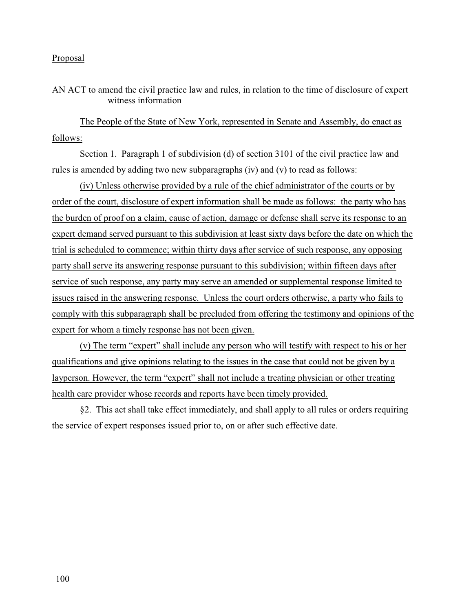AN ACT to amend the civil practice law and rules, in relation to the time of disclosure of expert witness information

The People of the State of New York, represented in Senate and Assembly, do enact as follows:

Section 1. Paragraph 1 of subdivision (d) of section 3101 of the civil practice law and rules is amended by adding two new subparagraphs (iv) and (v) to read as follows:

(iv) Unless otherwise provided by a rule of the chief administrator of the courts or by order of the court, disclosure of expert information shall be made as follows: the party who has the burden of proof on a claim, cause of action, damage or defense shall serve its response to an expert demand served pursuant to this subdivision at least sixty days before the date on which the trial is scheduled to commence; within thirty days after service of such response, any opposing party shall serve its answering response pursuant to this subdivision; within fifteen days after service of such response, any party may serve an amended or supplemental response limited to issues raised in the answering response. Unless the court orders otherwise, a party who fails to comply with this subparagraph shall be precluded from offering the testimony and opinions of the expert for whom a timely response has not been given.

(v) The term "expert" shall include any person who will testify with respect to his or her qualifications and give opinions relating to the issues in the case that could not be given by a layperson. However, the term "expert" shall not include a treating physician or other treating health care provider whose records and reports have been timely provided.

§2. This act shall take effect immediately, and shall apply to all rules or orders requiring the service of expert responses issued prior to, on or after such effective date.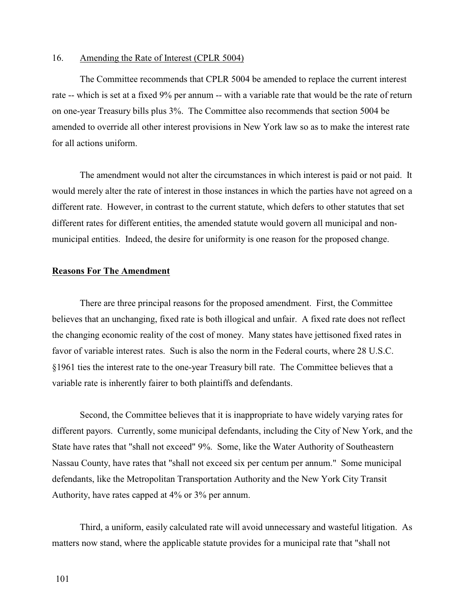#### 16. Amending the Rate of Interest (CPLR 5004)

The Committee recommends that CPLR 5004 be amended to replace the current interest rate -- which is set at a fixed 9% per annum -- with a variable rate that would be the rate of return on one-year Treasury bills plus 3%. The Committee also recommends that section 5004 be amended to override all other interest provisions in New York law so as to make the interest rate for all actions uniform.

The amendment would not alter the circumstances in which interest is paid or not paid. It would merely alter the rate of interest in those instances in which the parties have not agreed on a different rate. However, in contrast to the current statute, which defers to other statutes that set different rates for different entities, the amended statute would govern all municipal and nonmunicipal entities. Indeed, the desire for uniformity is one reason for the proposed change.

#### **Reasons For The Amendment**

There are three principal reasons for the proposed amendment. First, the Committee believes that an unchanging, fixed rate is both illogical and unfair. A fixed rate does not reflect the changing economic reality of the cost of money. Many states have jettisoned fixed rates in favor of variable interest rates. Such is also the norm in the Federal courts, where 28 U.S.C. §1961 ties the interest rate to the one-year Treasury bill rate. The Committee believes that a variable rate is inherently fairer to both plaintiffs and defendants.

Second, the Committee believes that it is inappropriate to have widely varying rates for different payors. Currently, some municipal defendants, including the City of New York, and the State have rates that "shall not exceed" 9%. Some, like the Water Authority of Southeastern Nassau County, have rates that "shall not exceed six per centum per annum." Some municipal defendants, like the Metropolitan Transportation Authority and the New York City Transit Authority, have rates capped at 4% or 3% per annum.

Third, a uniform, easily calculated rate will avoid unnecessary and wasteful litigation. As matters now stand, where the applicable statute provides for a municipal rate that "shall not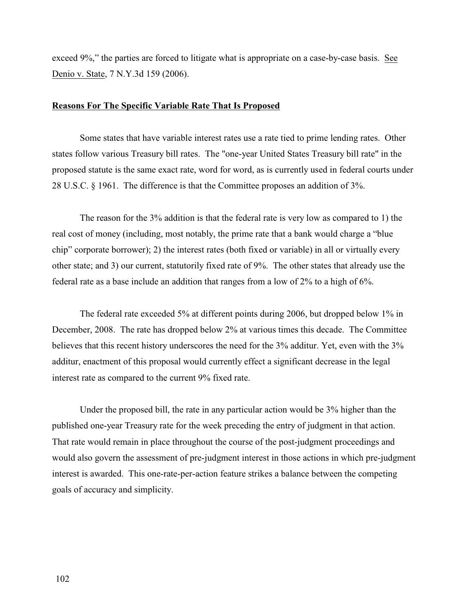exceed 9%," the parties are forced to litigate what is appropriate on a case-by-case basis. See Denio v. State, 7 N.Y.3d 159 (2006).

#### **Reasons For The Specific Variable Rate That Is Proposed**

Some states that have variable interest rates use a rate tied to prime lending rates. Other states follow various Treasury bill rates. The "one-year United States Treasury bill rate" in the proposed statute is the same exact rate, word for word, as is currently used in federal courts under 28 U.S.C. § 1961. The difference is that the Committee proposes an addition of 3%.

The reason for the 3% addition is that the federal rate is very low as compared to 1) the real cost of money (including, most notably, the prime rate that a bank would charge a "blue chip" corporate borrower); 2) the interest rates (both fixed or variable) in all or virtually every other state; and 3) our current, statutorily fixed rate of 9%. The other states that already use the federal rate as a base include an addition that ranges from a low of 2% to a high of 6%.

The federal rate exceeded 5% at different points during 2006, but dropped below 1% in December, 2008. The rate has dropped below 2% at various times this decade. The Committee believes that this recent history underscores the need for the 3% additur. Yet, even with the 3% additur, enactment of this proposal would currently effect a significant decrease in the legal interest rate as compared to the current 9% fixed rate.

Under the proposed bill, the rate in any particular action would be 3% higher than the published one-year Treasury rate for the week preceding the entry of judgment in that action. That rate would remain in place throughout the course of the post-judgment proceedings and would also govern the assessment of pre-judgment interest in those actions in which pre-judgment interest is awarded. This one-rate-per-action feature strikes a balance between the competing goals of accuracy and simplicity.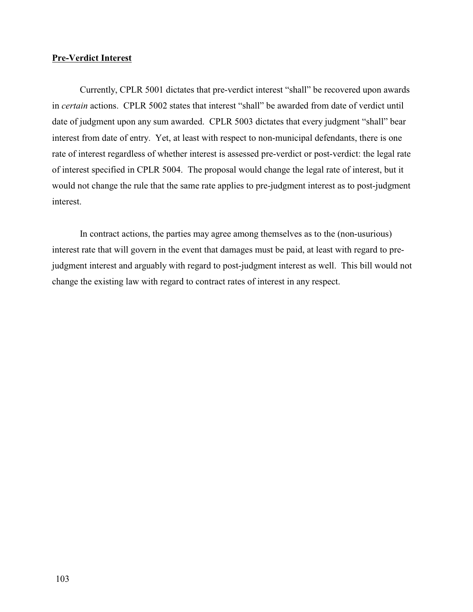#### **Pre-Verdict Interest**

Currently, CPLR 5001 dictates that pre-verdict interest "shall" be recovered upon awards in *certain* actions. CPLR 5002 states that interest "shall" be awarded from date of verdict until date of judgment upon any sum awarded. CPLR 5003 dictates that every judgment "shall" bear interest from date of entry. Yet, at least with respect to non-municipal defendants, there is one rate of interest regardless of whether interest is assessed pre-verdict or post-verdict: the legal rate of interest specified in CPLR 5004. The proposal would change the legal rate of interest, but it would not change the rule that the same rate applies to pre-judgment interest as to post-judgment interest.

In contract actions, the parties may agree among themselves as to the (non-usurious) interest rate that will govern in the event that damages must be paid, at least with regard to prejudgment interest and arguably with regard to post-judgment interest as well. This bill would not change the existing law with regard to contract rates of interest in any respect.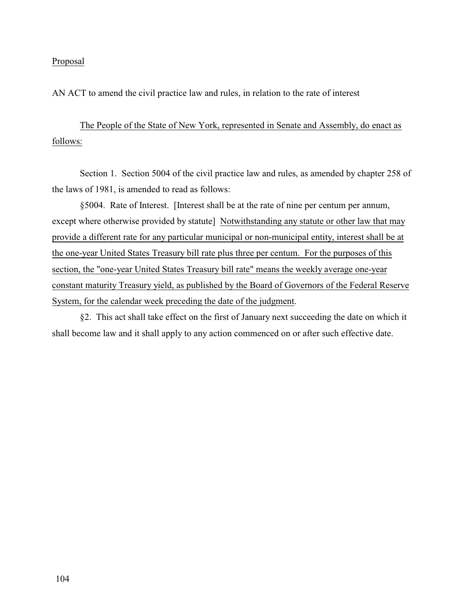AN ACT to amend the civil practice law and rules, in relation to the rate of interest

The People of the State of New York, represented in Senate and Assembly, do enact as follows:

Section 1. Section 5004 of the civil practice law and rules, as amended by chapter 258 of the laws of 1981, is amended to read as follows:

§5004. Rate of Interest. [Interest shall be at the rate of nine per centum per annum, except where otherwise provided by statute] Notwithstanding any statute or other law that may provide a different rate for any particular municipal or non-municipal entity, interest shall be at the one-year United States Treasury bill rate plus three per centum. For the purposes of this section, the "one-year United States Treasury bill rate" means the weekly average one-year constant maturity Treasury yield, as published by the Board of Governors of the Federal Reserve System, for the calendar week preceding the date of the judgment.

§2. This act shall take effect on the first of January next succeeding the date on which it shall become law and it shall apply to any action commenced on or after such effective date.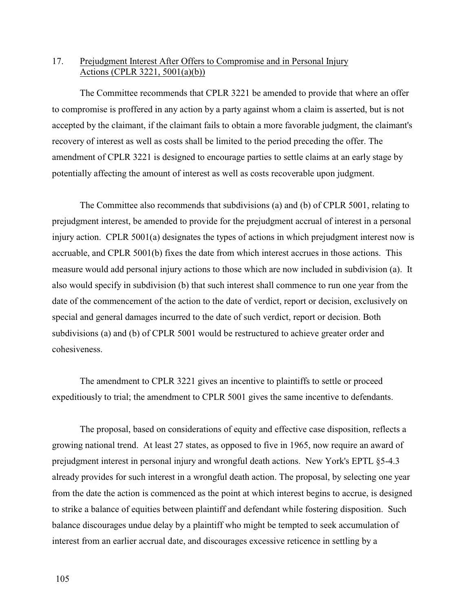## 17. Prejudgment Interest After Offers to Compromise and in Personal Injury Actions (CPLR 3221, 5001(a)(b))

The Committee recommends that CPLR 3221 be amended to provide that where an offer to compromise is proffered in any action by a party against whom a claim is asserted, but is not accepted by the claimant, if the claimant fails to obtain a more favorable judgment, the claimant's recovery of interest as well as costs shall be limited to the period preceding the offer. The amendment of CPLR 3221 is designed to encourage parties to settle claims at an early stage by potentially affecting the amount of interest as well as costs recoverable upon judgment.

The Committee also recommends that subdivisions (a) and (b) of CPLR 5001, relating to prejudgment interest, be amended to provide for the prejudgment accrual of interest in a personal injury action. CPLR 5001(a) designates the types of actions in which prejudgment interest now is accruable, and CPLR 5001(b) fixes the date from which interest accrues in those actions. This measure would add personal injury actions to those which are now included in subdivision (a). It also would specify in subdivision (b) that such interest shall commence to run one year from the date of the commencement of the action to the date of verdict, report or decision, exclusively on special and general damages incurred to the date of such verdict, report or decision. Both subdivisions (a) and (b) of CPLR 5001 would be restructured to achieve greater order and cohesiveness.

The amendment to CPLR 3221 gives an incentive to plaintiffs to settle or proceed expeditiously to trial; the amendment to CPLR 5001 gives the same incentive to defendants.

The proposal, based on considerations of equity and effective case disposition, reflects a growing national trend. At least 27 states, as opposed to five in 1965, now require an award of prejudgment interest in personal injury and wrongful death actions. New York's EPTL §5-4.3 already provides for such interest in a wrongful death action. The proposal, by selecting one year from the date the action is commenced as the point at which interest begins to accrue, is designed to strike a balance of equities between plaintiff and defendant while fostering disposition. Such balance discourages undue delay by a plaintiff who might be tempted to seek accumulation of interest from an earlier accrual date, and discourages excessive reticence in settling by a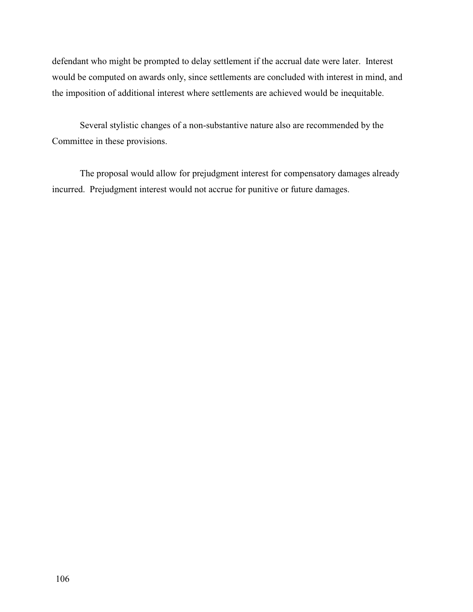defendant who might be prompted to delay settlement if the accrual date were later. Interest would be computed on awards only, since settlements are concluded with interest in mind, and the imposition of additional interest where settlements are achieved would be inequitable.

Several stylistic changes of a non-substantive nature also are recommended by the Committee in these provisions.

The proposal would allow for prejudgment interest for compensatory damages already incurred. Prejudgment interest would not accrue for punitive or future damages.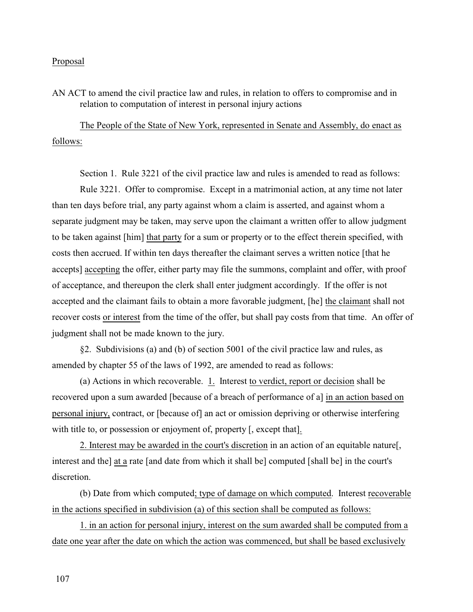AN ACT to amend the civil practice law and rules, in relation to offers to compromise and in relation to computation of interest in personal injury actions

The People of the State of New York, represented in Senate and Assembly, do enact as follows:

Section 1. Rule 3221 of the civil practice law and rules is amended to read as follows:

Rule 3221. Offer to compromise. Except in a matrimonial action, at any time not later than ten days before trial, any party against whom a claim is asserted, and against whom a separate judgment may be taken, may serve upon the claimant a written offer to allow judgment to be taken against [him] that party for a sum or property or to the effect therein specified, with costs then accrued. If within ten days thereafter the claimant serves a written notice [that he accepts] accepting the offer, either party may file the summons, complaint and offer, with proof of acceptance, and thereupon the clerk shall enter judgment accordingly. If the offer is not accepted and the claimant fails to obtain a more favorable judgment, [he] the claimant shall not recover costs or interest from the time of the offer, but shall pay costs from that time. An offer of judgment shall not be made known to the jury.

§2. Subdivisions (a) and (b) of section 5001 of the civil practice law and rules, as amended by chapter 55 of the laws of 1992, are amended to read as follows:

(a) Actions in which recoverable. 1. Interest to verdict, report or decision shall be recovered upon a sum awarded [because of a breach of performance of a] in an action based on personal injury, contract, or [because of] an act or omission depriving or otherwise interfering with title to, or possession or enjoyment of, property [, except that].

2. Interest may be awarded in the court's discretion in an action of an equitable nature[, interest and the] at a rate [and date from which it shall be] computed [shall be] in the court's discretion.

(b) Date from which computed; type of damage on which computed. Interest recoverable in the actions specified in subdivision (a) of this section shall be computed as follows:

1. in an action for personal injury, interest on the sum awarded shall be computed from a date one year after the date on which the action was commenced, but shall be based exclusively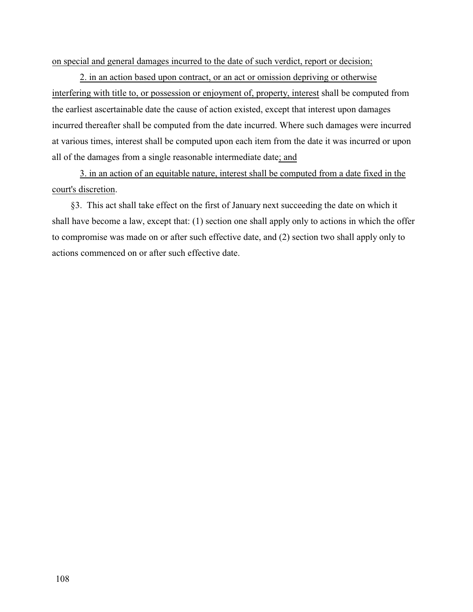on special and general damages incurred to the date of such verdict, report or decision;

2. in an action based upon contract, or an act or omission depriving or otherwise interfering with title to, or possession or enjoyment of, property, interest shall be computed from the earliest ascertainable date the cause of action existed, except that interest upon damages incurred thereafter shall be computed from the date incurred. Where such damages were incurred at various times, interest shall be computed upon each item from the date it was incurred or upon all of the damages from a single reasonable intermediate date; and

3. in an action of an equitable nature, interest shall be computed from a date fixed in the court's discretion.

 §3. This act shall take effect on the first of January next succeeding the date on which it shall have become a law, except that: (1) section one shall apply only to actions in which the offer to compromise was made on or after such effective date, and (2) section two shall apply only to actions commenced on or after such effective date.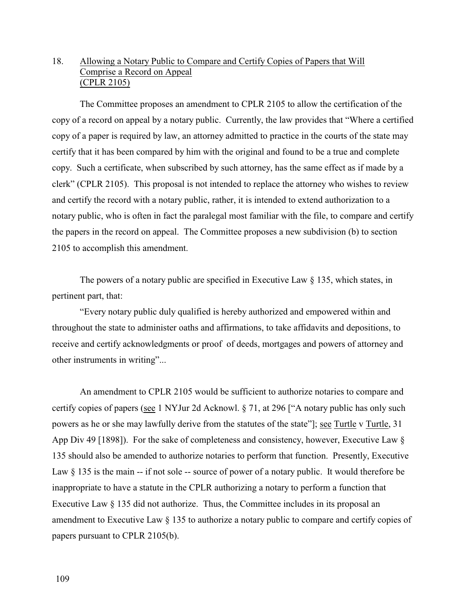## 18. Allowing a Notary Public to Compare and Certify Copies of Papers that Will Comprise a Record on Appeal (CPLR 2105)

The Committee proposes an amendment to CPLR 2105 to allow the certification of the copy of a record on appeal by a notary public. Currently, the law provides that "Where a certified copy of a paper is required by law, an attorney admitted to practice in the courts of the state may certify that it has been compared by him with the original and found to be a true and complete copy. Such a certificate, when subscribed by such attorney, has the same effect as if made by a clerk" (CPLR 2105). This proposal is not intended to replace the attorney who wishes to review and certify the record with a notary public, rather, it is intended to extend authorization to a notary public, who is often in fact the paralegal most familiar with the file, to compare and certify the papers in the record on appeal. The Committee proposes a new subdivision (b) to section 2105 to accomplish this amendment.

The powers of a notary public are specified in Executive Law § 135, which states, in pertinent part, that:

"Every notary public duly qualified is hereby authorized and empowered within and throughout the state to administer oaths and affirmations, to take affidavits and depositions, to receive and certify acknowledgments or proof of deeds, mortgages and powers of attorney and other instruments in writing"...

An amendment to CPLR 2105 would be sufficient to authorize notaries to compare and certify copies of papers (see 1 NYJur 2d Acknowl. § 71, at 296 ["A notary public has only such powers as he or she may lawfully derive from the statutes of the state"]; see Turtle v Turtle, 31 App Div 49 [1898]). For the sake of completeness and consistency, however, Executive Law § 135 should also be amended to authorize notaries to perform that function. Presently, Executive Law § 135 is the main -- if not sole -- source of power of a notary public. It would therefore be inappropriate to have a statute in the CPLR authorizing a notary to perform a function that Executive Law § 135 did not authorize. Thus, the Committee includes in its proposal an amendment to Executive Law § 135 to authorize a notary public to compare and certify copies of papers pursuant to CPLR 2105(b).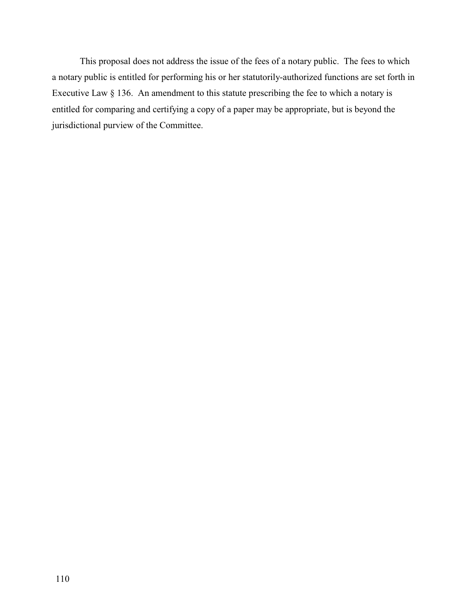This proposal does not address the issue of the fees of a notary public. The fees to which a notary public is entitled for performing his or her statutorily-authorized functions are set forth in Executive Law § 136. An amendment to this statute prescribing the fee to which a notary is entitled for comparing and certifying a copy of a paper may be appropriate, but is beyond the jurisdictional purview of the Committee.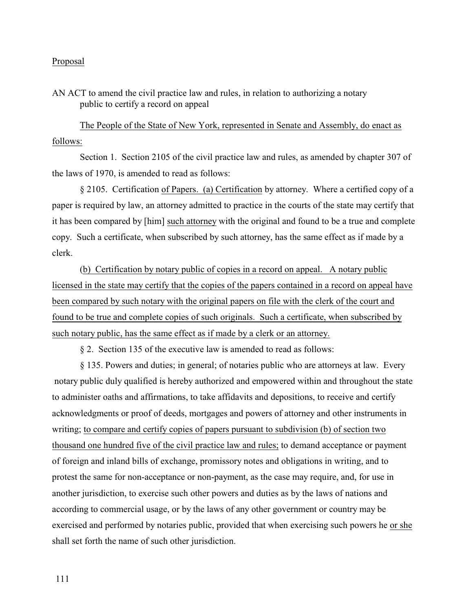#### AN ACT to amend the civil practice law and rules, in relation to authorizing a notary public to certify a record on appeal

The People of the State of New York, represented in Senate and Assembly, do enact as follows:

Section 1. Section 2105 of the civil practice law and rules, as amended by chapter 307 of the laws of 1970, is amended to read as follows:

§ 2105. Certification of Papers. (a) Certification by attorney. Where a certified copy of a paper is required by law, an attorney admitted to practice in the courts of the state may certify that it has been compared by [him] such attorney with the original and found to be a true and complete copy. Such a certificate, when subscribed by such attorney, has the same effect as if made by a clerk.

(b) Certification by notary public of copies in a record on appeal. A notary public licensed in the state may certify that the copies of the papers contained in a record on appeal have been compared by such notary with the original papers on file with the clerk of the court and found to be true and complete copies of such originals. Such a certificate, when subscribed by such notary public, has the same effect as if made by a clerk or an attorney.

§ 2. Section 135 of the executive law is amended to read as follows:

§ 135. Powers and duties; in general; of notaries public who are attorneys at law. Every notary public duly qualified is hereby authorized and empowered within and throughout the state to administer oaths and affirmations, to take affidavits and depositions, to receive and certify acknowledgments or proof of deeds, mortgages and powers of attorney and other instruments in writing; to compare and certify copies of papers pursuant to subdivision (b) of section two thousand one hundred five of the civil practice law and rules; to demand acceptance or payment of foreign and inland bills of exchange, promissory notes and obligations in writing, and to protest the same for non-acceptance or non-payment, as the case may require, and, for use in another jurisdiction, to exercise such other powers and duties as by the laws of nations and according to commercial usage, or by the laws of any other government or country may be exercised and performed by notaries public, provided that when exercising such powers he or she shall set forth the name of such other jurisdiction.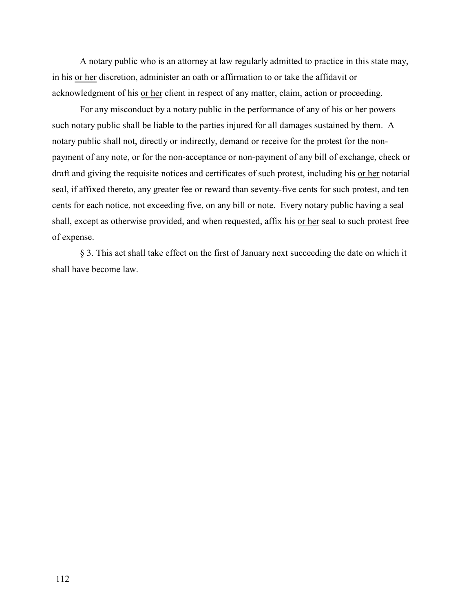A notary public who is an attorney at law regularly admitted to practice in this state may, in his or her discretion, administer an oath or affirmation to or take the affidavit or acknowledgment of his or her client in respect of any matter, claim, action or proceeding.

For any misconduct by a notary public in the performance of any of his or her powers such notary public shall be liable to the parties injured for all damages sustained by them. A notary public shall not, directly or indirectly, demand or receive for the protest for the nonpayment of any note, or for the non-acceptance or non-payment of any bill of exchange, check or draft and giving the requisite notices and certificates of such protest, including his or her notarial seal, if affixed thereto, any greater fee or reward than seventy-five cents for such protest, and ten cents for each notice, not exceeding five, on any bill or note. Every notary public having a seal shall, except as otherwise provided, and when requested, affix his or her seal to such protest free of expense.

§ 3. This act shall take effect on the first of January next succeeding the date on which it shall have become law.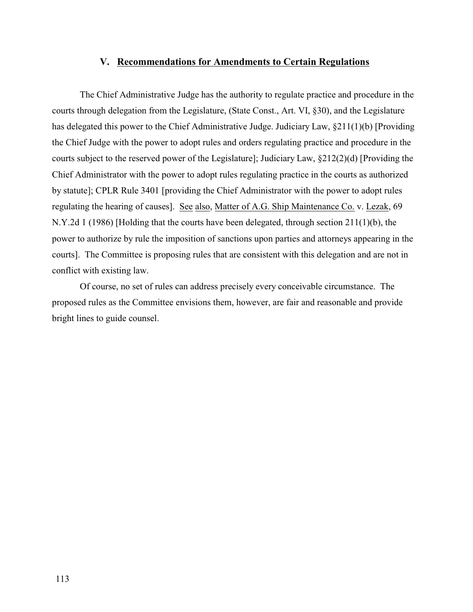## **V. Recommendations for Amendments to Certain Regulations**

The Chief Administrative Judge has the authority to regulate practice and procedure in the courts through delegation from the Legislature, (State Const., Art. VI, §30), and the Legislature has delegated this power to the Chief Administrative Judge. Judiciary Law, §211(1)(b) [Providing the Chief Judge with the power to adopt rules and orders regulating practice and procedure in the courts subject to the reserved power of the Legislature]; Judiciary Law, §212(2)(d) [Providing the Chief Administrator with the power to adopt rules regulating practice in the courts as authorized by statute]; CPLR Rule 3401 [providing the Chief Administrator with the power to adopt rules regulating the hearing of causes]. See also, Matter of A.G. Ship Maintenance Co. v. Lezak, 69 N.Y.2d 1 (1986) [Holding that the courts have been delegated, through section 211(1)(b), the power to authorize by rule the imposition of sanctions upon parties and attorneys appearing in the courts]. The Committee is proposing rules that are consistent with this delegation and are not in conflict with existing law.

Of course, no set of rules can address precisely every conceivable circumstance. The proposed rules as the Committee envisions them, however, are fair and reasonable and provide bright lines to guide counsel.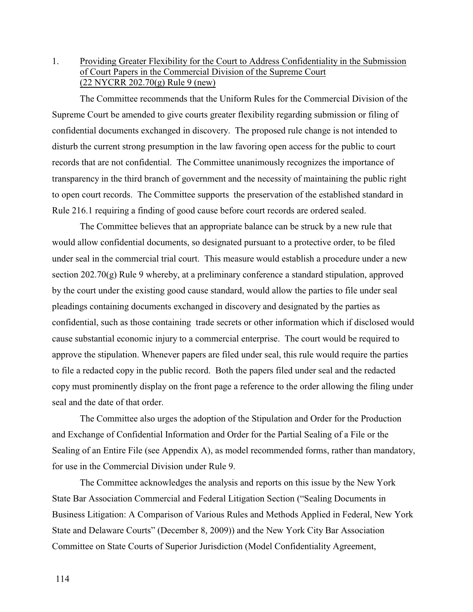## 1. Providing Greater Flexibility for the Court to Address Confidentiality in the Submission of Court Papers in the Commercial Division of the Supreme Court (22 NYCRR 202.70(g) Rule 9 (new)

The Committee recommends that the Uniform Rules for the Commercial Division of the Supreme Court be amended to give courts greater flexibility regarding submission or filing of confidential documents exchanged in discovery. The proposed rule change is not intended to disturb the current strong presumption in the law favoring open access for the public to court records that are not confidential. The Committee unanimously recognizes the importance of transparency in the third branch of government and the necessity of maintaining the public right to open court records. The Committee supports the preservation of the established standard in Rule 216.1 requiring a finding of good cause before court records are ordered sealed.

The Committee believes that an appropriate balance can be struck by a new rule that would allow confidential documents, so designated pursuant to a protective order, to be filed under seal in the commercial trial court. This measure would establish a procedure under a new section 202.70(g) Rule 9 whereby, at a preliminary conference a standard stipulation, approved by the court under the existing good cause standard, would allow the parties to file under seal pleadings containing documents exchanged in discovery and designated by the parties as confidential, such as those containing trade secrets or other information which if disclosed would cause substantial economic injury to a commercial enterprise. The court would be required to approve the stipulation. Whenever papers are filed under seal, this rule would require the parties to file a redacted copy in the public record. Both the papers filed under seal and the redacted copy must prominently display on the front page a reference to the order allowing the filing under seal and the date of that order.

The Committee also urges the adoption of the Stipulation and Order for the Production and Exchange of Confidential Information and Order for the Partial Sealing of a File or the Sealing of an Entire File (see Appendix A), as model recommended forms, rather than mandatory, for use in the Commercial Division under Rule 9.

The Committee acknowledges the analysis and reports on this issue by the New York State Bar Association Commercial and Federal Litigation Section ("Sealing Documents in Business Litigation: A Comparison of Various Rules and Methods Applied in Federal, New York State and Delaware Courts" (December 8, 2009)) and the New York City Bar Association Committee on State Courts of Superior Jurisdiction (Model Confidentiality Agreement,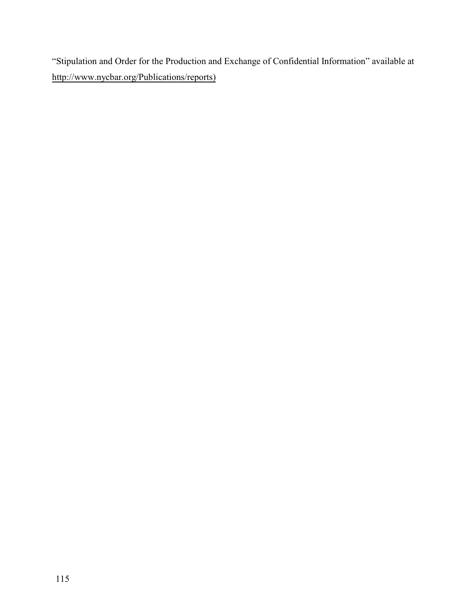"Stipulation and Order for the Production and Exchange of Confidential Information" available at [http://www.nycbar.org/Publications/reports\)](http://www.nycbar.org/Publications/reports))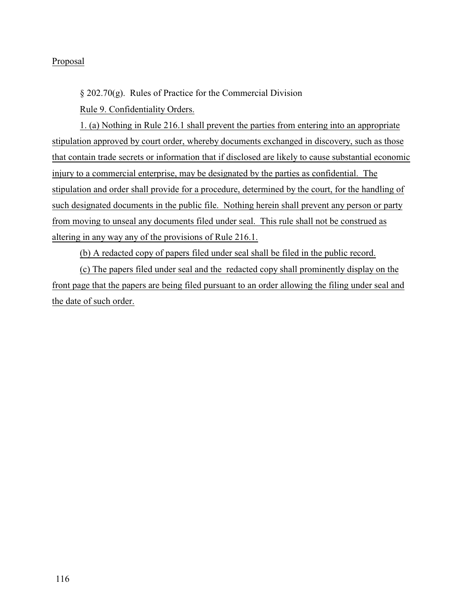§ 202.70(g). Rules of Practice for the Commercial Division Rule 9. Confidentiality Orders.

1. (a) Nothing in Rule 216.1 shall prevent the parties from entering into an appropriate stipulation approved by court order, whereby documents exchanged in discovery, such as those that contain trade secrets or information that if disclosed are likely to cause substantial economic injury to a commercial enterprise, may be designated by the parties as confidential. The stipulation and order shall provide for a procedure, determined by the court, for the handling of such designated documents in the public file. Nothing herein shall prevent any person or party from moving to unseal any documents filed under seal. This rule shall not be construed as altering in any way any of the provisions of Rule 216.1.

(b) A redacted copy of papers filed under seal shall be filed in the public record.

(c) The papers filed under seal and the redacted copy shall prominently display on the front page that the papers are being filed pursuant to an order allowing the filing under seal and the date of such order.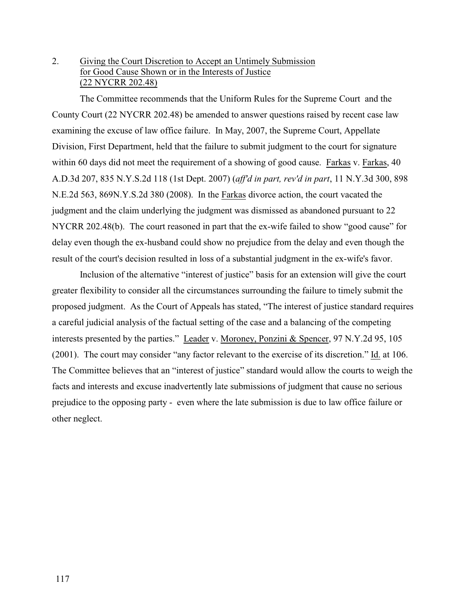## 2. Giving the Court Discretion to Accept an Untimely Submission for Good Cause Shown or in the Interests of Justice (22 NYCRR 202.48)

The Committee recommends that the Uniform Rules for the Supreme Court and the County Court (22 NYCRR 202.48) be amended to answer questions raised by recent case law examining the excuse of law office failure. In May, 2007, the Supreme Court, Appellate Division, First Department, held that the failure to submit judgment to the court for signature within 60 days did not meet the requirement of a showing of good cause. Farkas v. Farkas, 40 A.D.3d 207, 835 N.Y.S.2d 118 (1st Dept. 2007) (*aff'd in part, rev'd in part*, 11 N.Y.3d 300, 898 N.E.2d 563, 869N.Y.S.2d 380 (2008). In the Farkas divorce action, the court vacated the judgment and the claim underlying the judgment was dismissed as abandoned pursuant to 22 NYCRR 202.48(b). The court reasoned in part that the ex-wife failed to show "good cause" for delay even though the ex-husband could show no prejudice from the delay and even though the result of the court's decision resulted in loss of a substantial judgment in the ex-wife's favor.

Inclusion of the alternative "interest of justice" basis for an extension will give the court greater flexibility to consider all the circumstances surrounding the failure to timely submit the proposed judgment. As the Court of Appeals has stated, "The interest of justice standard requires a careful judicial analysis of the factual setting of the case and a balancing of the competing interests presented by the parties." Leader v. Moroney, Ponzini & Spencer, 97 N.Y.2d 95, 105 (2001). The court may consider "any factor relevant to the exercise of its discretion." Id. at 106. The Committee believes that an "interest of justice" standard would allow the courts to weigh the facts and interests and excuse inadvertently late submissions of judgment that cause no serious prejudice to the opposing party - even where the late submission is due to law office failure or other neglect.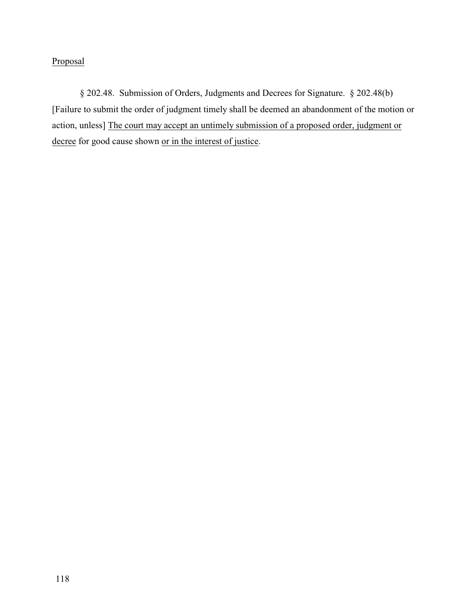§ 202.48. Submission of Orders, Judgments and Decrees for Signature. § 202.48(b) [Failure to submit the order of judgment timely shall be deemed an abandonment of the motion or action, unless] The court may accept an untimely submission of a proposed order, judgment or decree for good cause shown or in the interest of justice.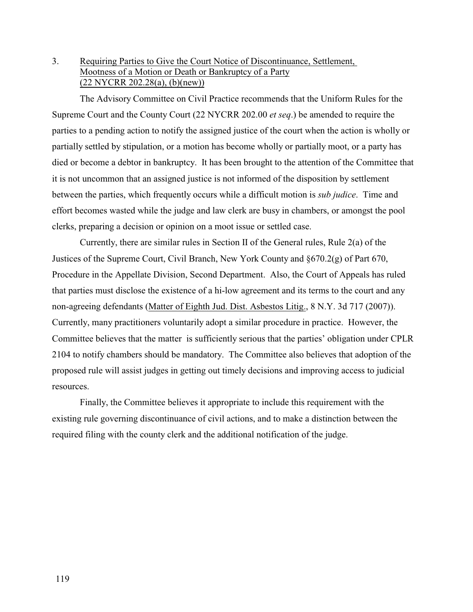## 3. Requiring Parties to Give the Court Notice of Discontinuance, Settlement, Mootness of a Motion or Death or Bankruptcy of a Party (22 NYCRR 202.28(a), (b)(new))

The Advisory Committee on Civil Practice recommends that the Uniform Rules for the Supreme Court and the County Court (22 NYCRR 202.00 *et seq*.) be amended to require the parties to a pending action to notify the assigned justice of the court when the action is wholly or partially settled by stipulation, or a motion has become wholly or partially moot, or a party has died or become a debtor in bankruptcy. It has been brought to the attention of the Committee that it is not uncommon that an assigned justice is not informed of the disposition by settlement between the parties, which frequently occurs while a difficult motion is *sub judice*. Time and effort becomes wasted while the judge and law clerk are busy in chambers, or amongst the pool clerks, preparing a decision or opinion on a moot issue or settled case.

Currently, there are similar rules in Section II of the General rules, Rule 2(a) of the Justices of the Supreme Court, Civil Branch, New York County and §670.2(g) of Part 670, Procedure in the Appellate Division, Second Department. Also, the Court of Appeals has ruled that parties must disclose the existence of a hi-low agreement and its terms to the court and any non-agreeing defendants (Matter of Eighth Jud. Dist. Asbestos Litig., 8 N.Y. 3d 717 (2007)). Currently, many practitioners voluntarily adopt a similar procedure in practice. However, the Committee believes that the matter is sufficiently serious that the parties' obligation under CPLR 2104 to notify chambers should be mandatory. The Committee also believes that adoption of the proposed rule will assist judges in getting out timely decisions and improving access to judicial resources.

Finally, the Committee believes it appropriate to include this requirement with the existing rule governing discontinuance of civil actions, and to make a distinction between the required filing with the county clerk and the additional notification of the judge.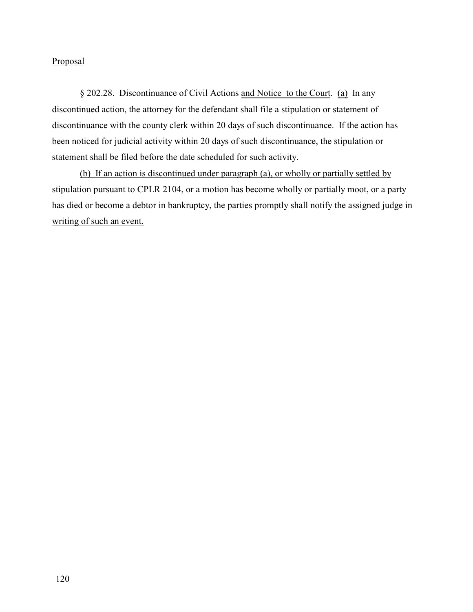§ 202.28. Discontinuance of Civil Actions and Notice to the Court. (a) In any discontinued action, the attorney for the defendant shall file a stipulation or statement of discontinuance with the county clerk within 20 days of such discontinuance. If the action has been noticed for judicial activity within 20 days of such discontinuance, the stipulation or statement shall be filed before the date scheduled for such activity.

(b) If an action is discontinued under paragraph (a), or wholly or partially settled by stipulation pursuant to CPLR 2104, or a motion has become wholly or partially moot, or a party has died or become a debtor in bankruptcy, the parties promptly shall notify the assigned judge in writing of such an event.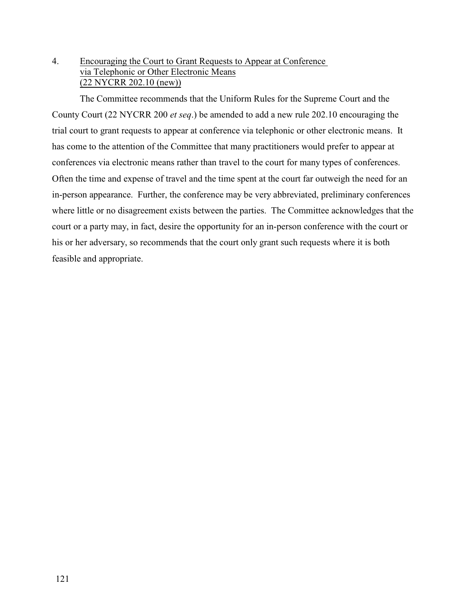## 4. Encouraging the Court to Grant Requests to Appear at Conference via Telephonic or Other Electronic Means (22 NYCRR 202.10 (new))

The Committee recommends that the Uniform Rules for the Supreme Court and the County Court (22 NYCRR 200 *et seq*.) be amended to add a new rule 202.10 encouraging the trial court to grant requests to appear at conference via telephonic or other electronic means. It has come to the attention of the Committee that many practitioners would prefer to appear at conferences via electronic means rather than travel to the court for many types of conferences. Often the time and expense of travel and the time spent at the court far outweigh the need for an in-person appearance. Further, the conference may be very abbreviated, preliminary conferences where little or no disagreement exists between the parties. The Committee acknowledges that the court or a party may, in fact, desire the opportunity for an in-person conference with the court or his or her adversary, so recommends that the court only grant such requests where it is both feasible and appropriate.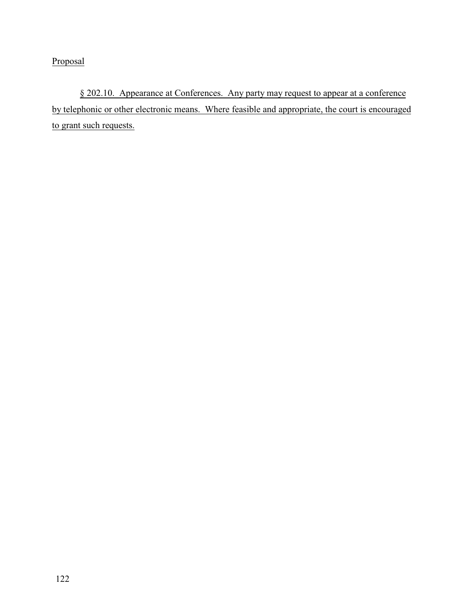§ 202.10. Appearance at Conferences. Any party may request to appear at a conference by telephonic or other electronic means. Where feasible and appropriate, the court is encouraged to grant such requests.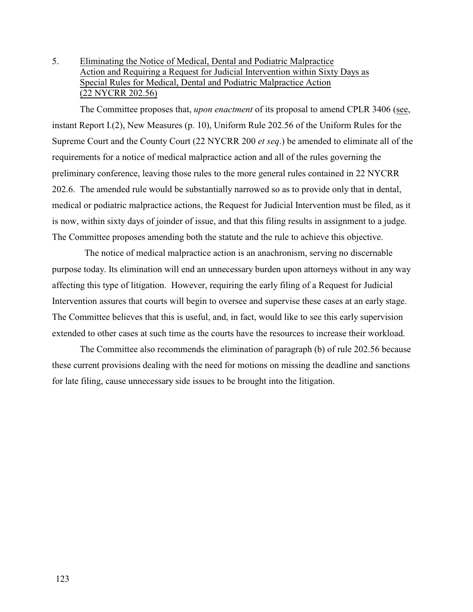## 5. Eliminating the Notice of Medical, Dental and Podiatric Malpractice Action and Requiring a Request for Judicial Intervention within Sixty Days as Special Rules for Medical, Dental and Podiatric Malpractice Action (22 NYCRR 202.56)

The Committee proposes that, *upon enactment* of its proposal to amend CPLR 3406 (see, instant Report I.(2), New Measures (p. 10), Uniform Rule 202.56 of the Uniform Rules for the Supreme Court and the County Court (22 NYCRR 200 *et seq*.) be amended to eliminate all of the requirements for a notice of medical malpractice action and all of the rules governing the preliminary conference, leaving those rules to the more general rules contained in 22 NYCRR 202.6. The amended rule would be substantially narrowed so as to provide only that in dental, medical or podiatric malpractice actions, the Request for Judicial Intervention must be filed, as it is now, within sixty days of joinder of issue, and that this filing results in assignment to a judge. The Committee proposes amending both the statute and the rule to achieve this objective.

 The notice of medical malpractice action is an anachronism, serving no discernable purpose today. Its elimination will end an unnecessary burden upon attorneys without in any way affecting this type of litigation. However, requiring the early filing of a Request for Judicial Intervention assures that courts will begin to oversee and supervise these cases at an early stage. The Committee believes that this is useful, and, in fact, would like to see this early supervision extended to other cases at such time as the courts have the resources to increase their workload.

The Committee also recommends the elimination of paragraph (b) of rule 202.56 because these current provisions dealing with the need for motions on missing the deadline and sanctions for late filing, cause unnecessary side issues to be brought into the litigation.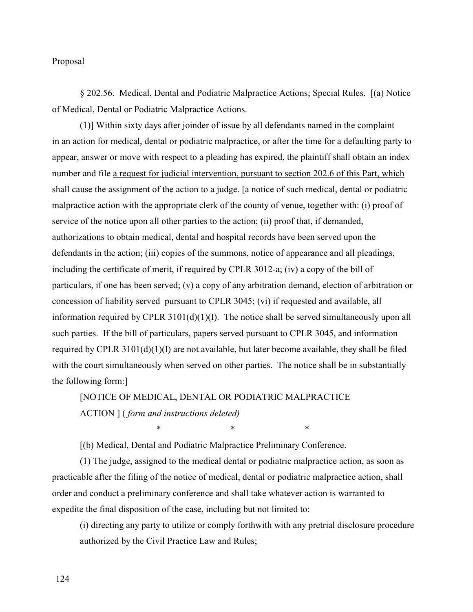§ 202.56. Medical, Dental and Podiatric Malpractice Actions; Special Rules. [(a) Notice of Medical, Dental or Podiatric Malpractice Actions.

 (1)] Within sixty days after joinder of issue by all defendants named in the complaint in an action for medical, dental or podiatric malpractice, or after the time for a defaulting party to appear, answer or move with respect to a pleading has expired, the plaintiff shall obtain an index number and file a request for judicial intervention, pursuant to section 202.6 of this Part, which shall cause the assignment of the action to a judge. [a notice of such medical, dental or podiatric malpractice action with the appropriate clerk of the county of venue, together with: (i) proof of service of the notice upon all other parties to the action; (ii) proof that, if demanded, authorizations to obtain medical, dental and hospital records have been served upon the defendants in the action; (iii) copies of the summons, notice of appearance and all pleadings, including the certificate of merit, if required by CPLR 3012-a; (iv) a copy of the bill of particulars, if one has been served; (v) a copy of any arbitration demand, election of arbitration or concession of liability served pursuant to CPLR 3045; (vi) if requested and available, all information required by CPLR  $3101(d)(1)(I)$ . The notice shall be served simultaneously upon all such parties. If the bill of particulars, papers served pursuant to CPLR 3045, and information required by CPLR  $3101(d)(1)(I)$  are not available, but later become available, they shall be filed with the court simultaneously when served on other parties. The notice shall be in substantially the following form:]

[NOTICE OF MEDICAL, DENTAL OR PODIATRIC MALPRACTICE ACTION ] ( *form and instructions deleted)*

[(b) Medical, Dental and Podiatric Malpractice Preliminary Conference.

(1) The judge, assigned to the medical dental or podiatric malpractice action, as soon as practicable after the filing of the notice of medical, dental or podiatric malpractice action, shall order and conduct a preliminary conference and shall take whatever action is warranted to expedite the final disposition of the case, including but not limited to:

*\* \* \**

(i) directing any party to utilize or comply forthwith with any pretrial disclosure procedure authorized by the Civil Practice Law and Rules;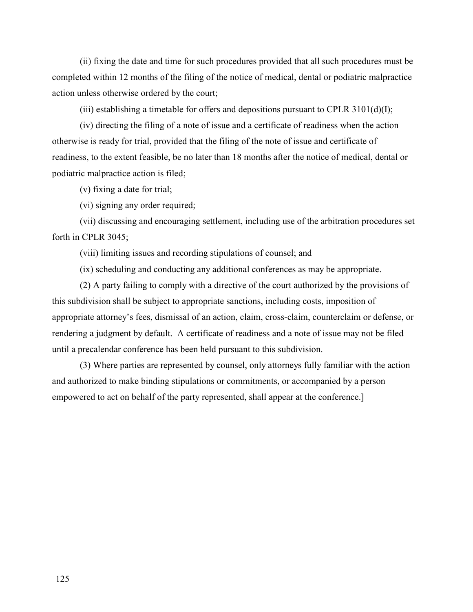(ii) fixing the date and time for such procedures provided that all such procedures must be completed within 12 months of the filing of the notice of medical, dental or podiatric malpractice action unless otherwise ordered by the court;

(iii) establishing a timetable for offers and depositions pursuant to CPLR  $3101(d)(I)$ ;

(iv) directing the filing of a note of issue and a certificate of readiness when the action otherwise is ready for trial, provided that the filing of the note of issue and certificate of readiness, to the extent feasible, be no later than 18 months after the notice of medical, dental or podiatric malpractice action is filed;

(v) fixing a date for trial;

(vi) signing any order required;

 (vii) discussing and encouraging settlement, including use of the arbitration procedures set forth in CPLR 3045;

(viii) limiting issues and recording stipulations of counsel; and

(ix) scheduling and conducting any additional conferences as may be appropriate.

(2) A party failing to comply with a directive of the court authorized by the provisions of this subdivision shall be subject to appropriate sanctions, including costs, imposition of appropriate attorney's fees, dismissal of an action, claim, cross-claim, counterclaim or defense, or rendering a judgment by default. A certificate of readiness and a note of issue may not be filed until a precalendar conference has been held pursuant to this subdivision.

 (3) Where parties are represented by counsel, only attorneys fully familiar with the action and authorized to make binding stipulations or commitments, or accompanied by a person empowered to act on behalf of the party represented, shall appear at the conference.]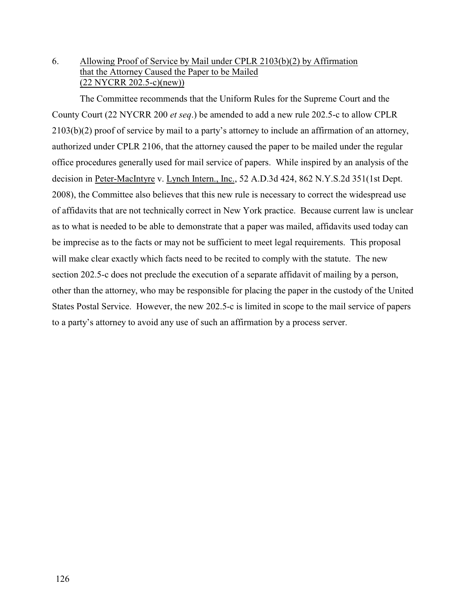## 6. Allowing Proof of Service by Mail under CPLR 2103(b)(2) by Affirmation that the Attorney Caused the Paper to be Mailed (22 NYCRR 202.5-c)(new))

The Committee recommends that the Uniform Rules for the Supreme Court and the County Court (22 NYCRR 200 *et seq*.) be amended to add a new rule 202.5-c to allow CPLR 2103(b)(2) proof of service by mail to a party's attorney to include an affirmation of an attorney, authorized under CPLR 2106, that the attorney caused the paper to be mailed under the regular office procedures generally used for mail service of papers. While inspired by an analysis of the decision in Peter-MacIntyre v. Lynch Intern., Inc., 52 A.D.3d 424, 862 N.Y.S.2d 351(1st Dept. 2008), the Committee also believes that this new rule is necessary to correct the widespread use of affidavits that are not technically correct in New York practice. Because current law is unclear as to what is needed to be able to demonstrate that a paper was mailed, affidavits used today can be imprecise as to the facts or may not be sufficient to meet legal requirements. This proposal will make clear exactly which facts need to be recited to comply with the statute. The new section 202.5-c does not preclude the execution of a separate affidavit of mailing by a person, other than the attorney, who may be responsible for placing the paper in the custody of the United States Postal Service. However, the new 202.5-c is limited in scope to the mail service of papers to a party's attorney to avoid any use of such an affirmation by a process server.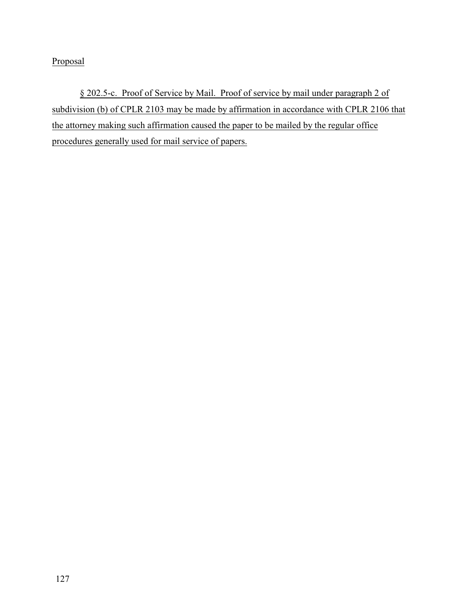§ 202.5-c. Proof of Service by Mail. Proof of service by mail under paragraph 2 of subdivision (b) of CPLR 2103 may be made by affirmation in accordance with CPLR 2106 that the attorney making such affirmation caused the paper to be mailed by the regular office procedures generally used for mail service of papers.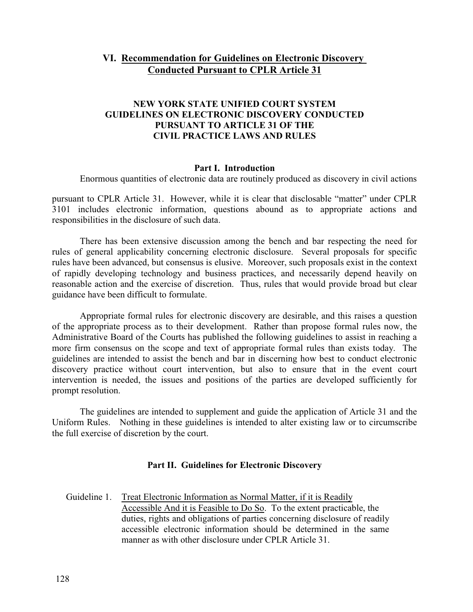## **VI. Recommendation for Guidelines on Electronic Discovery Conducted Pursuant to CPLR Article 31**

#### **NEW YORK STATE UNIFIED COURT SYSTEM GUIDELINES ON ELECTRONIC DISCOVERY CONDUCTED PURSUANT TO ARTICLE 31 OF THE CIVIL PRACTICE LAWS AND RULES**

#### **Part I. Introduction**

Enormous quantities of electronic data are routinely produced as discovery in civil actions

pursuant to CPLR Article 31. However, while it is clear that disclosable "matter" under CPLR 3101 includes electronic information, questions abound as to appropriate actions and responsibilities in the disclosure of such data.

There has been extensive discussion among the bench and bar respecting the need for rules of general applicability concerning electronic disclosure. Several proposals for specific rules have been advanced, but consensus is elusive. Moreover, such proposals exist in the context of rapidly developing technology and business practices, and necessarily depend heavily on reasonable action and the exercise of discretion. Thus, rules that would provide broad but clear guidance have been difficult to formulate.

Appropriate formal rules for electronic discovery are desirable, and this raises a question of the appropriate process as to their development. Rather than propose formal rules now, the Administrative Board of the Courts has published the following guidelines to assist in reaching a more firm consensus on the scope and text of appropriate formal rules than exists today. The guidelines are intended to assist the bench and bar in discerning how best to conduct electronic discovery practice without court intervention, but also to ensure that in the event court intervention is needed, the issues and positions of the parties are developed sufficiently for prompt resolution.

The guidelines are intended to supplement and guide the application of Article 31 and the Uniform Rules. Nothing in these guidelines is intended to alter existing law or to circumscribe the full exercise of discretion by the court.

#### **Part II. Guidelines for Electronic Discovery**

Guideline 1. Treat Electronic Information as Normal Matter, if it is Readily Accessible And it is Feasible to Do So. To the extent practicable, the duties, rights and obligations of parties concerning disclosure of readily accessible electronic information should be determined in the same manner as with other disclosure under CPLR Article 31.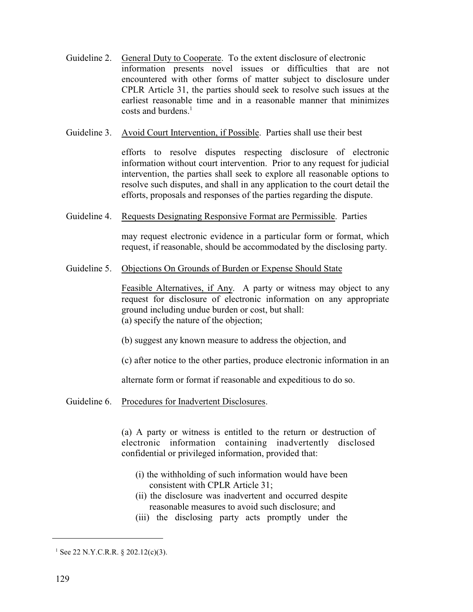- Guideline 2. General Duty to Cooperate. To the extent disclosure of electronic information presents novel issues or difficulties that are not encountered with other forms of matter subject to disclosure under CPLR Article 31, the parties should seek to resolve such issues at the earliest reasonable time and in a reasonable manner that minimizes costs and burdens. $<sup>1</sup>$ </sup>
- Guideline 3. Avoid Court Intervention, if Possible. Parties shall use their best

efforts to resolve disputes respecting disclosure of electronic information without court intervention. Prior to any request for judicial intervention, the parties shall seek to explore all reasonable options to resolve such disputes, and shall in any application to the court detail the efforts, proposals and responses of the parties regarding the dispute.

Guideline 4. Requests Designating Responsive Format are Permissible. Parties

may request electronic evidence in a particular form or format, which request, if reasonable, should be accommodated by the disclosing party.

Guideline 5. Objections On Grounds of Burden or Expense Should State

Feasible Alternatives, if Any. A party or witness may object to any request for disclosure of electronic information on any appropriate ground including undue burden or cost, but shall: (a) specify the nature of the objection;

(b) suggest any known measure to address the objection, and

(c) after notice to the other parties, produce electronic information in an

alternate form or format if reasonable and expeditious to do so.

Guideline 6. Procedures for Inadvertent Disclosures.

(a) A party or witness is entitled to the return or destruction of electronic information containing inadvertently disclosed confidential or privileged information, provided that:

- (i) the withholding of such information would have been consistent with CPLR Article 31;
- (ii) the disclosure was inadvertent and occurred despite reasonable measures to avoid such disclosure; and
- (iii) the disclosing party acts promptly under the

<sup>&</sup>lt;sup>1</sup> See 22 N.Y.C.R.R. § 202.12(c)(3).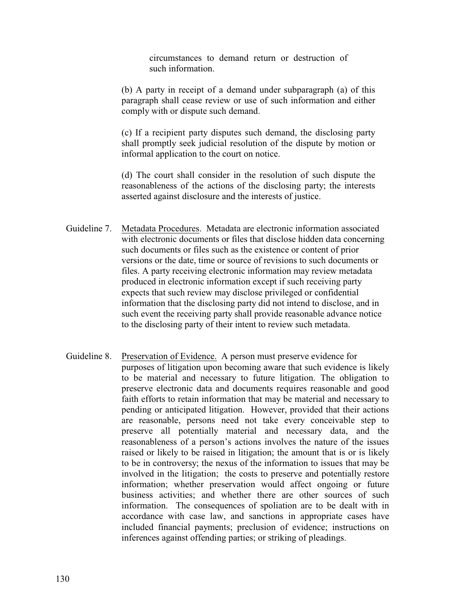circumstances to demand return or destruction of such information.

(b) A party in receipt of a demand under subparagraph (a) of this paragraph shall cease review or use of such information and either comply with or dispute such demand.

(c) If a recipient party disputes such demand, the disclosing party shall promptly seek judicial resolution of the dispute by motion or informal application to the court on notice.

(d) The court shall consider in the resolution of such dispute the reasonableness of the actions of the disclosing party; the interests asserted against disclosure and the interests of justice.

- Guideline 7. Metadata Procedures. Metadata are electronic information associated with electronic documents or files that disclose hidden data concerning such documents or files such as the existence or content of prior versions or the date, time or source of revisions to such documents or files. A party receiving electronic information may review metadata produced in electronic information except if such receiving party expects that such review may disclose privileged or confidential information that the disclosing party did not intend to disclose, and in such event the receiving party shall provide reasonable advance notice to the disclosing party of their intent to review such metadata.
- Guideline 8. Preservation of Evidence. A person must preserve evidence for purposes of litigation upon becoming aware that such evidence is likely to be material and necessary to future litigation. The obligation to preserve electronic data and documents requires reasonable and good faith efforts to retain information that may be material and necessary to pending or anticipated litigation. However, provided that their actions are reasonable, persons need not take every conceivable step to preserve all potentially material and necessary data, and the reasonableness of a person's actions involves the nature of the issues raised or likely to be raised in litigation; the amount that is or is likely to be in controversy; the nexus of the information to issues that may be involved in the litigation; the costs to preserve and potentially restore information; whether preservation would affect ongoing or future business activities; and whether there are other sources of such information. The consequences of spoliation are to be dealt with in accordance with case law, and sanctions in appropriate cases have included financial payments; preclusion of evidence; instructions on inferences against offending parties; or striking of pleadings.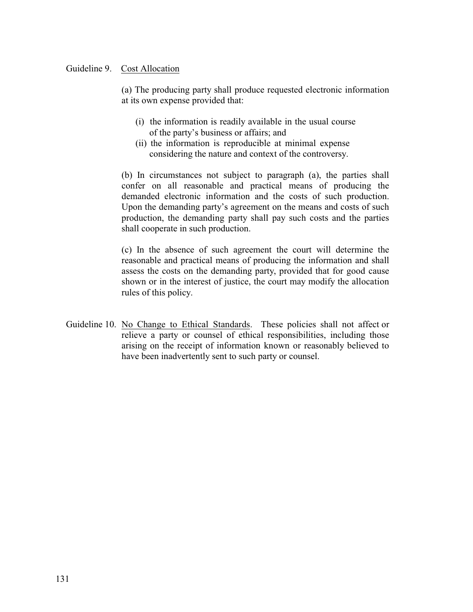#### Guideline 9. Cost Allocation

(a) The producing party shall produce requested electronic information at its own expense provided that:

- (i) the information is readily available in the usual course of the party's business or affairs; and
- (ii) the information is reproducible at minimal expense considering the nature and context of the controversy.

(b) In circumstances not subject to paragraph (a), the parties shall confer on all reasonable and practical means of producing the demanded electronic information and the costs of such production. Upon the demanding party's agreement on the means and costs of such production, the demanding party shall pay such costs and the parties shall cooperate in such production.

(c) In the absence of such agreement the court will determine the reasonable and practical means of producing the information and shall assess the costs on the demanding party, provided that for good cause shown or in the interest of justice, the court may modify the allocation rules of this policy.

Guideline 10. No Change to Ethical Standards. These policies shall not affect or relieve a party or counsel of ethical responsibilities, including those arising on the receipt of information known or reasonably believed to have been inadvertently sent to such party or counsel.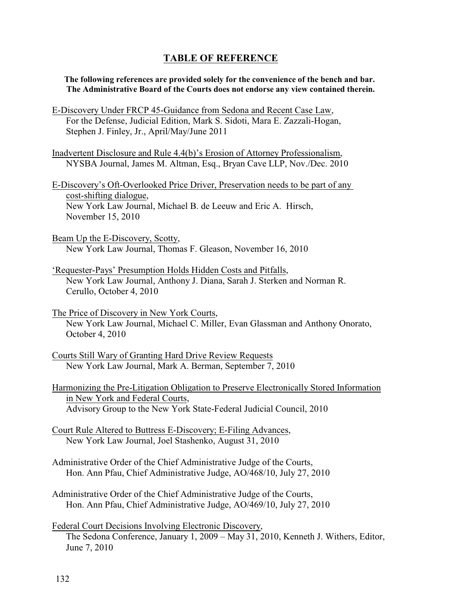## **TABLE OF REFERENCE**

**The following references are provided solely for the convenience of the bench and bar. The Administrative Board of the Courts does not endorse any view contained therein.**

E-Discovery Under FRCP 45-Guidance from Sedona and Recent Case Law, For the Defense, Judicial Edition, Mark S. Sidoti, Mara E. Zazzali-Hogan, Stephen J. Finley, Jr., April/May/June 2011

Inadvertent Disclosure and Rule 4.4(b)'s Erosion of Attorney Professionalism, NYSBA Journal, James M. Altman, Esq., Bryan Cave LLP, Nov./Dec. 2010

E-Discovery's Oft-Overlooked Price Driver, Preservation needs to be part of any cost-shifting dialogue, New York Law Journal, Michael B. de Leeuw and Eric A. Hirsch, November 15, 2010

Beam Up the E-Discovery, Scotty, New York Law Journal, Thomas F. Gleason, November 16, 2010

'Requester-Pays' Presumption Holds Hidden Costs and Pitfalls, New York Law Journal, Anthony J. Diana, Sarah J. Sterken and Norman R. Cerullo, October 4, 2010

The Price of Discovery in New York Courts, New York Law Journal, Michael C. Miller, Evan Glassman and Anthony Onorato, October 4, 2010

Courts Still Wary of Granting Hard Drive Review Requests New York Law Journal, Mark A. Berman, September 7, 2010

Harmonizing the Pre-Litigation Obligation to Preserve Electronically Stored Information in New York and Federal Courts, Advisory Group to the New York State-Federal Judicial Council, 2010

Court Rule Altered to Buttress E-Discovery; E-Filing Advances, New York Law Journal, Joel Stashenko, August 31, 2010

- Administrative Order of the Chief Administrative Judge of the Courts, Hon. Ann Pfau, Chief Administrative Judge, AO/468/10, July 27, 2010
- Administrative Order of the Chief Administrative Judge of the Courts, Hon. Ann Pfau, Chief Administrative Judge, AO/469/10, July 27, 2010

Federal Court Decisions Involving Electronic Discovery, The Sedona Conference, January 1, 2009 – May 31, 2010, Kenneth J. Withers, Editor, June 7, 2010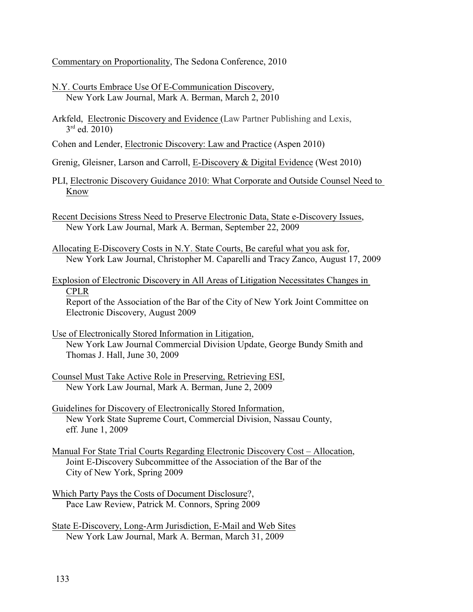Commentary on Proportionality, The Sedona Conference, 2010

- N.Y. Courts Embrace Use Of E-Communication Discovery, New York Law Journal, Mark A. Berman, March 2, 2010
- Arkfeld, Electronic Discovery and Evidence (Law Partner Publishing and Lexis,  $3<sup>rd</sup>$  ed. 2010)

Cohen and Lender, Electronic Discovery: Law and Practice (Aspen 2010)

Grenig, Gleisner, Larson and Carroll, E-Discovery & Digital Evidence (West 2010)

PLI, Electronic Discovery Guidance 2010: What Corporate and Outside Counsel Need to Know

Recent Decisions Stress Need to Preserve Electronic Data, State e-Discovery Issues, New York Law Journal, Mark A. Berman, September 22, 2009

Allocating E-Discovery Costs in N.Y. State Courts, Be careful what you ask for, New York Law Journal, Christopher M. Caparelli and Tracy Zanco, August 17, 2009

Explosion of Electronic Discovery in All Areas of Litigation Necessitates Changes in CPLR

Report of the Association of the Bar of the City of New York Joint Committee on Electronic Discovery, August 2009

- Use of Electronically Stored Information in Litigation, New York Law Journal Commercial Division Update, George Bundy Smith and Thomas J. Hall, June 30, 2009
- Counsel Must Take Active Role in Preserving, Retrieving ESI, New York Law Journal, Mark A. Berman, June 2, 2009
- Guidelines for Discovery of Electronically Stored Information, New York State Supreme Court, Commercial Division, Nassau County, eff. June 1, 2009
- Manual For State Trial Courts Regarding Electronic Discovery Cost Allocation, Joint E-Discovery Subcommittee of the Association of the Bar of the City of New York, Spring 2009
- Which Party Pays the Costs of Document Disclosure?, Pace Law Review, Patrick M. Connors, Spring 2009

State E-Discovery, Long-Arm Jurisdiction, E-Mail and Web Sites New York Law Journal, Mark A. Berman, March 31, 2009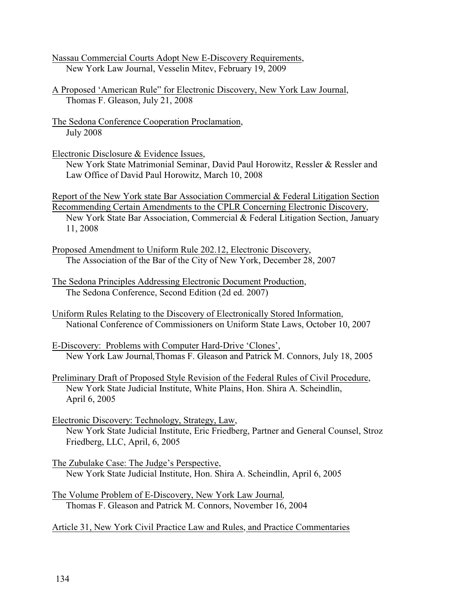- Nassau Commercial Courts Adopt New E-Discovery Requirements, New York Law Journal, Vesselin Mitev, February 19, 2009
- A Proposed 'American Rule" for Electronic Discovery, New York Law Journal, Thomas F. Gleason, July 21, 2008
- The Sedona Conference Cooperation Proclamation, July 2008
- Electronic Disclosure & Evidence Issues,
	- New York State Matrimonial Seminar, David Paul Horowitz, Ressler & Ressler and Law Office of David Paul Horowitz, March 10, 2008
- Report of the New York state Bar Association Commercial & Federal Litigation Section Recommending Certain Amendments to the CPLR Concerning Electronic Discovery, New York State Bar Association, Commercial & Federal Litigation Section, January 11, 2008
- Proposed Amendment to Uniform Rule 202.12, Electronic Discovery, The Association of the Bar of the City of New York, December 28, 2007
- The Sedona Principles Addressing Electronic Document Production, The Sedona Conference, Second Edition (2d ed. 2007)
- Uniform Rules Relating to the Discovery of Electronically Stored Information, National Conference of Commissioners on Uniform State Laws, October 10, 2007
- E-Discovery: Problems with Computer Hard-Drive 'Clones', New York Law Journal*,*Thomas F. Gleason and Patrick M. Connors, July 18, 2005
- Preliminary Draft of Proposed Style Revision of the Federal Rules of Civil Procedure, New York State Judicial Institute, White Plains, Hon. Shira A. Scheindlin, April 6, 2005
- Electronic Discovery: Technology, Strategy, Law, New York State Judicial Institute, Eric Friedberg, Partner and General Counsel, Stroz Friedberg, LLC, April, 6, 2005
- The Zubulake Case: The Judge's Perspective, New York State Judicial Institute, Hon. Shira A. Scheindlin, April 6, 2005
- The Volume Problem of E-Discovery, New York Law Journal*,* Thomas F. Gleason and Patrick M. Connors, November 16, 2004
- Article 31, New York Civil Practice Law and Rules, and Practice Commentaries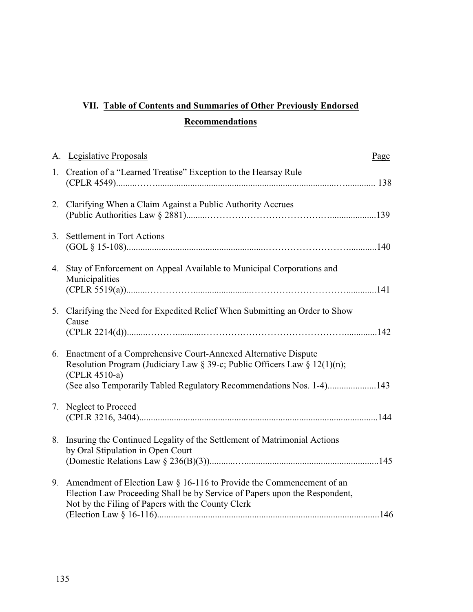# **VII. Table of Contents and Summaries of Other Previously Endorsed Recommendations**

| A. Legislative Proposals<br>Page                                                                                                                                                                                                        |
|-----------------------------------------------------------------------------------------------------------------------------------------------------------------------------------------------------------------------------------------|
| 1. Creation of a "Learned Treatise" Exception to the Hearsay Rule                                                                                                                                                                       |
| 2. Clarifying When a Claim Against a Public Authority Accrues                                                                                                                                                                           |
| 3. Settlement in Tort Actions                                                                                                                                                                                                           |
| 4. Stay of Enforcement on Appeal Available to Municipal Corporations and<br>Municipalities                                                                                                                                              |
| 5. Clarifying the Need for Expedited Relief When Submitting an Order to Show<br>Cause                                                                                                                                                   |
| 6. Enactment of a Comprehensive Court-Annexed Alternative Dispute<br>Resolution Program (Judiciary Law § 39-c; Public Officers Law § 12(1)(n);<br>(CPLR 4510-a)<br>(See also Temporarily Tabled Regulatory Recommendations Nos. 1-4)143 |
| 7. Neglect to Proceed                                                                                                                                                                                                                   |
| 8. Insuring the Continued Legality of the Settlement of Matrimonial Actions<br>by Oral Stipulation in Open Court                                                                                                                        |
| 9. Amendment of Election Law § 16-116 to Provide the Commencement of an<br>Election Law Proceeding Shall be by Service of Papers upon the Respondent,<br>Not by the Filing of Papers with the County Clerk                              |
|                                                                                                                                                                                                                                         |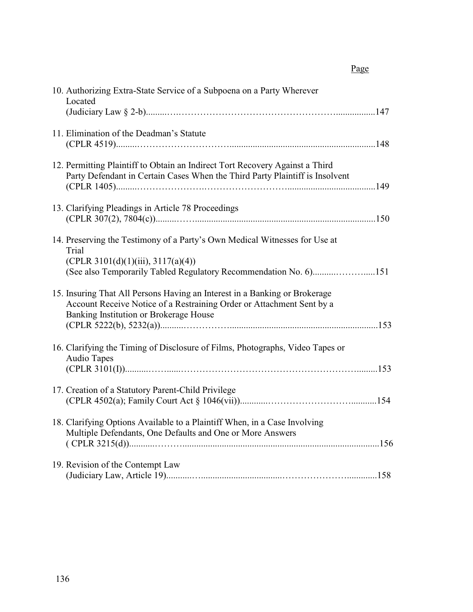| 10. Authorizing Extra-State Service of a Subpoena on a Party Wherever               |  |
|-------------------------------------------------------------------------------------|--|
| Located                                                                             |  |
|                                                                                     |  |
|                                                                                     |  |
| 11. Elimination of the Deadman's Statute                                            |  |
|                                                                                     |  |
|                                                                                     |  |
| 12. Permitting Plaintiff to Obtain an Indirect Tort Recovery Against a Third        |  |
| Party Defendant in Certain Cases When the Third Party Plaintiff is Insolvent        |  |
|                                                                                     |  |
|                                                                                     |  |
| 13. Clarifying Pleadings in Article 78 Proceedings                                  |  |
|                                                                                     |  |
|                                                                                     |  |
| 14. Preserving the Testimony of a Party's Own Medical Witnesses for Use at<br>Trial |  |
|                                                                                     |  |
| (CPLR 3101(d)(1)(iii), 3117(a)(4))                                                  |  |
| (See also Temporarily Tabled Regulatory Recommendation No. 6)151                    |  |
| 15. Insuring That All Persons Having an Interest in a Banking or Brokerage          |  |
| Account Receive Notice of a Restraining Order or Attachment Sent by a               |  |
| Banking Institution or Brokerage House                                              |  |
|                                                                                     |  |
|                                                                                     |  |
| 16. Clarifying the Timing of Disclosure of Films, Photographs, Video Tapes or       |  |
| <b>Audio Tapes</b>                                                                  |  |
|                                                                                     |  |
|                                                                                     |  |
| 17. Creation of a Statutory Parent-Child Privilege                                  |  |
|                                                                                     |  |
|                                                                                     |  |
| 18. Clarifying Options Available to a Plaintiff When, in a Case Involving           |  |
| Multiple Defendants, One Defaults and One or More Answers                           |  |
|                                                                                     |  |
|                                                                                     |  |
| 19. Revision of the Contempt Law                                                    |  |
|                                                                                     |  |
|                                                                                     |  |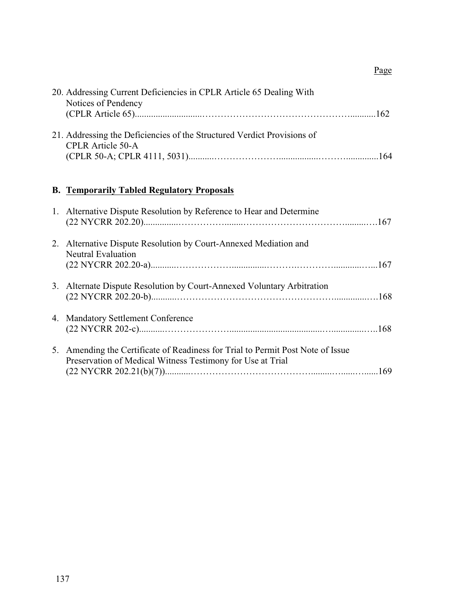| 20. Addressing Current Deficiencies in CPLR Article 65 Dealing With<br>Notices of Pendency                                                    |  |
|-----------------------------------------------------------------------------------------------------------------------------------------------|--|
| 21. Addressing the Deficiencies of the Structured Verdict Provisions of<br><b>CPLR</b> Article 50-A                                           |  |
| <b>B.</b> Temporarily Tabled Regulatory Proposals                                                                                             |  |
| 1. Alternative Dispute Resolution by Reference to Hear and Determine                                                                          |  |
| 2. Alternative Dispute Resolution by Court-Annexed Mediation and<br><b>Neutral Evaluation</b>                                                 |  |
| 3. Alternate Dispute Resolution by Court-Annexed Voluntary Arbitration                                                                        |  |
| 4. Mandatory Settlement Conference                                                                                                            |  |
| 5. Amending the Certificate of Readiness for Trial to Permit Post Note of Issue<br>Preservation of Medical Witness Testimony for Use at Trial |  |

#### Page **Page**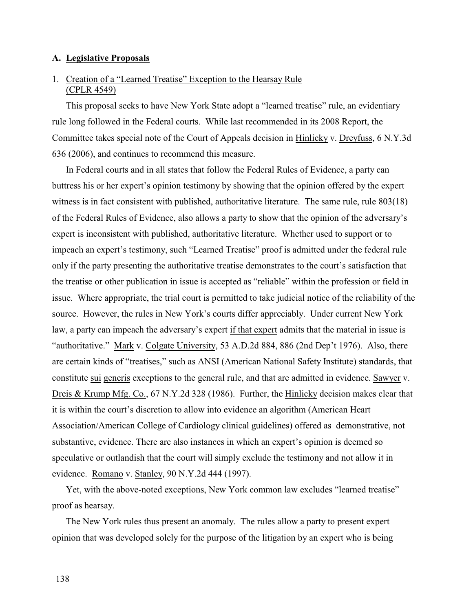#### **A. Legislative Proposals**

#### 1. Creation of a "Learned Treatise" Exception to the Hearsay Rule (CPLR 4549)

This proposal seeks to have New York State adopt a "learned treatise" rule, an evidentiary rule long followed in the Federal courts. While last recommended in its 2008 Report, the Committee takes special note of the Court of Appeals decision in Hinlicky v. Dreyfuss, 6 N.Y.3d 636 (2006), and continues to recommend this measure.

In Federal courts and in all states that follow the Federal Rules of Evidence, a party can buttress his or her expert's opinion testimony by showing that the opinion offered by the expert witness is in fact consistent with published, authoritative literature. The same rule, rule 803(18) of the Federal Rules of Evidence, also allows a party to show that the opinion of the adversary's expert is inconsistent with published, authoritative literature. Whether used to support or to impeach an expert's testimony, such "Learned Treatise" proof is admitted under the federal rule only if the party presenting the authoritative treatise demonstrates to the court's satisfaction that the treatise or other publication in issue is accepted as "reliable" within the profession or field in issue. Where appropriate, the trial court is permitted to take judicial notice of the reliability of the source. However, the rules in New York's courts differ appreciably. Under current New York law, a party can impeach the adversary's expert if that expert admits that the material in issue is "authoritative." Mark v. Colgate University, 53 A.D.2d 884, 886 (2nd Dep't 1976). Also, there are certain kinds of "treatises," such as ANSI (American National Safety Institute) standards, that constitute sui generis exceptions to the general rule, and that are admitted in evidence. Sawyer v. Dreis & Krump Mfg. Co., 67 N.Y.2d 328 (1986). Further, the Hinlicky decision makes clear that it is within the court's discretion to allow into evidence an algorithm (American Heart Association/American College of Cardiology clinical guidelines) offered as demonstrative, not substantive, evidence. There are also instances in which an expert's opinion is deemed so speculative or outlandish that the court will simply exclude the testimony and not allow it in evidence. Romano v. Stanley, 90 N.Y.2d 444 (1997).

Yet, with the above-noted exceptions, New York common law excludes "learned treatise" proof as hearsay.

The New York rules thus present an anomaly. The rules allow a party to present expert opinion that was developed solely for the purpose of the litigation by an expert who is being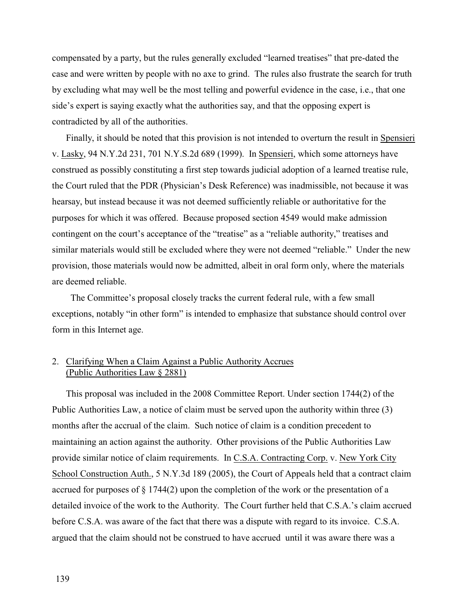compensated by a party, but the rules generally excluded "learned treatises" that pre-dated the case and were written by people with no axe to grind. The rules also frustrate the search for truth by excluding what may well be the most telling and powerful evidence in the case, i.e., that one side's expert is saying exactly what the authorities say, and that the opposing expert is contradicted by all of the authorities.

Finally, it should be noted that this provision is not intended to overturn the result in Spensieri v. Lasky, 94 N.Y.2d 231, 701 N.Y.S.2d 689 (1999). In Spensieri, which some attorneys have construed as possibly constituting a first step towards judicial adoption of a learned treatise rule, the Court ruled that the PDR (Physician's Desk Reference) was inadmissible, not because it was hearsay, but instead because it was not deemed sufficiently reliable or authoritative for the purposes for which it was offered. Because proposed section 4549 would make admission contingent on the court's acceptance of the "treatise" as a "reliable authority," treatises and similar materials would still be excluded where they were not deemed "reliable." Under the new provision, those materials would now be admitted, albeit in oral form only, where the materials are deemed reliable.

 The Committee's proposal closely tracks the current federal rule, with a few small exceptions, notably "in other form" is intended to emphasize that substance should control over form in this Internet age.

## 2. Clarifying When a Claim Against a Public Authority Accrues (Public Authorities Law § 2881)

This proposal was included in the 2008 Committee Report. Under section 1744(2) of the Public Authorities Law, a notice of claim must be served upon the authority within three (3) months after the accrual of the claim. Such notice of claim is a condition precedent to maintaining an action against the authority. Other provisions of the Public Authorities Law provide similar notice of claim requirements. In C.S.A. Contracting Corp. v. New York City School Construction Auth., 5 N.Y.3d 189 (2005), the Court of Appeals held that a contract claim accrued for purposes of § 1744(2) upon the completion of the work or the presentation of a detailed invoice of the work to the Authority. The Court further held that C.S.A.'s claim accrued before C.S.A. was aware of the fact that there was a dispute with regard to its invoice. C.S.A. argued that the claim should not be construed to have accrued until it was aware there was a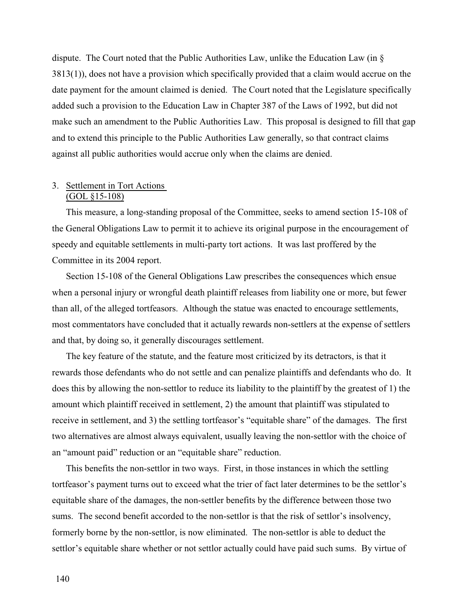dispute. The Court noted that the Public Authorities Law, unlike the Education Law (in § 3813(1)), does not have a provision which specifically provided that a claim would accrue on the date payment for the amount claimed is denied. The Court noted that the Legislature specifically added such a provision to the Education Law in Chapter 387 of the Laws of 1992, but did not make such an amendment to the Public Authorities Law. This proposal is designed to fill that gap and to extend this principle to the Public Authorities Law generally, so that contract claims against all public authorities would accrue only when the claims are denied.

#### 3. Settlement in Tort Actions (GOL §15-108)

This measure, a long-standing proposal of the Committee, seeks to amend section 15-108 of the General Obligations Law to permit it to achieve its original purpose in the encouragement of speedy and equitable settlements in multi-party tort actions. It was last proffered by the Committee in its 2004 report.

Section 15-108 of the General Obligations Law prescribes the consequences which ensue when a personal injury or wrongful death plaintiff releases from liability one or more, but fewer than all, of the alleged tortfeasors. Although the statue was enacted to encourage settlements, most commentators have concluded that it actually rewards non-settlers at the expense of settlers and that, by doing so, it generally discourages settlement.

The key feature of the statute, and the feature most criticized by its detractors, is that it rewards those defendants who do not settle and can penalize plaintiffs and defendants who do. It does this by allowing the non-settlor to reduce its liability to the plaintiff by the greatest of 1) the amount which plaintiff received in settlement, 2) the amount that plaintiff was stipulated to receive in settlement, and 3) the settling tortfeasor's "equitable share" of the damages. The first two alternatives are almost always equivalent, usually leaving the non-settlor with the choice of an "amount paid" reduction or an "equitable share" reduction.

This benefits the non-settlor in two ways. First, in those instances in which the settling tortfeasor's payment turns out to exceed what the trier of fact later determines to be the settlor's equitable share of the damages, the non-settler benefits by the difference between those two sums. The second benefit accorded to the non-settlor is that the risk of settlor's insolvency, formerly borne by the non-settlor, is now eliminated. The non-settlor is able to deduct the settlor's equitable share whether or not settlor actually could have paid such sums. By virtue of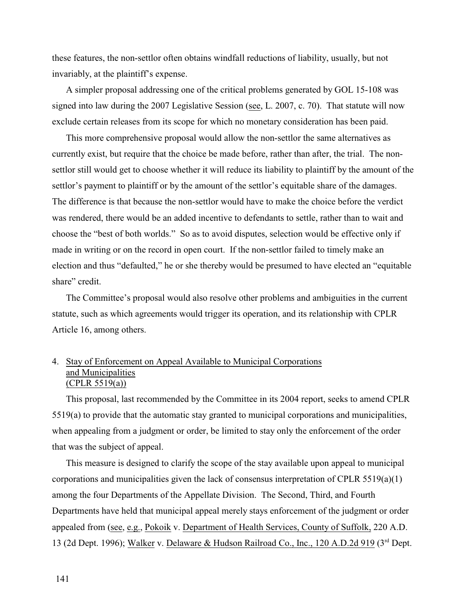these features, the non-settlor often obtains windfall reductions of liability, usually, but not invariably, at the plaintiff's expense.

A simpler proposal addressing one of the critical problems generated by GOL 15-108 was signed into law during the 2007 Legislative Session (see, L. 2007, c. 70). That statute will now exclude certain releases from its scope for which no monetary consideration has been paid.

This more comprehensive proposal would allow the non-settlor the same alternatives as currently exist, but require that the choice be made before, rather than after, the trial. The nonsettlor still would get to choose whether it will reduce its liability to plaintiff by the amount of the settlor's payment to plaintiff or by the amount of the settlor's equitable share of the damages. The difference is that because the non-settlor would have to make the choice before the verdict was rendered, there would be an added incentive to defendants to settle, rather than to wait and choose the "best of both worlds." So as to avoid disputes, selection would be effective only if made in writing or on the record in open court. If the non-settlor failed to timely make an election and thus "defaulted," he or she thereby would be presumed to have elected an "equitable share" credit.

The Committee's proposal would also resolve other problems and ambiguities in the current statute, such as which agreements would trigger its operation, and its relationship with CPLR Article 16, among others.

#### 4. Stay of Enforcement on Appeal Available to Municipal Corporations and Municipalities (CPLR 5519(a))

This proposal, last recommended by the Committee in its 2004 report, seeks to amend CPLR 5519(a) to provide that the automatic stay granted to municipal corporations and municipalities, when appealing from a judgment or order, be limited to stay only the enforcement of the order that was the subject of appeal.

This measure is designed to clarify the scope of the stay available upon appeal to municipal corporations and municipalities given the lack of consensus interpretation of CPLR  $5519(a)(1)$ among the four Departments of the Appellate Division. The Second, Third, and Fourth Departments have held that municipal appeal merely stays enforcement of the judgment or order appealed from (see, e.g., Pokoik v. Department of Health Services, County of Suffolk, 220 A.D. 13 (2d Dept. 1996); Walker v. Delaware & Hudson Railroad Co., Inc., 120 A.D.2d 919 (3rd Dept.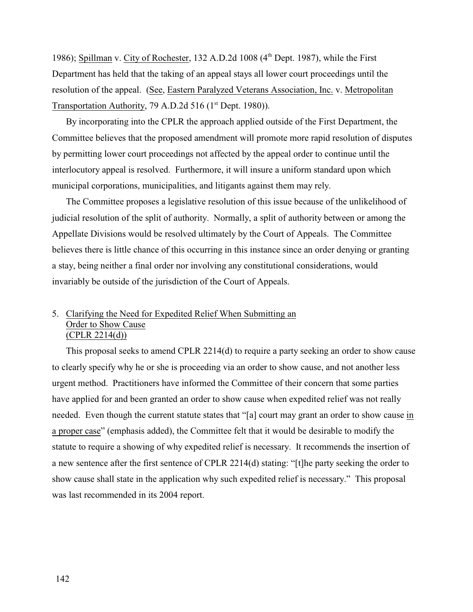1986); Spillman v. City of Rochester, 132 A.D.2d 1008  $(4<sup>th</sup>$  Dept. 1987), while the First Department has held that the taking of an appeal stays all lower court proceedings until the resolution of the appeal. (See, Eastern Paralyzed Veterans Association, Inc. v. Metropolitan Transportation Authority, 79 A.D.2d 516 (1<sup>st</sup> Dept. 1980)).

By incorporating into the CPLR the approach applied outside of the First Department, the Committee believes that the proposed amendment will promote more rapid resolution of disputes by permitting lower court proceedings not affected by the appeal order to continue until the interlocutory appeal is resolved. Furthermore, it will insure a uniform standard upon which municipal corporations, municipalities, and litigants against them may rely.

The Committee proposes a legislative resolution of this issue because of the unlikelihood of judicial resolution of the split of authority. Normally, a split of authority between or among the Appellate Divisions would be resolved ultimately by the Court of Appeals. The Committee believes there is little chance of this occurring in this instance since an order denying or granting a stay, being neither a final order nor involving any constitutional considerations, would invariably be outside of the jurisdiction of the Court of Appeals.

#### 5. Clarifying the Need for Expedited Relief When Submitting an Order to Show Cause (CPLR 2214(d))

This proposal seeks to amend CPLR 2214(d) to require a party seeking an order to show cause to clearly specify why he or she is proceeding via an order to show cause, and not another less urgent method. Practitioners have informed the Committee of their concern that some parties have applied for and been granted an order to show cause when expedited relief was not really needed. Even though the current statute states that "[a] court may grant an order to show cause in a proper case" (emphasis added), the Committee felt that it would be desirable to modify the statute to require a showing of why expedited relief is necessary. It recommends the insertion of a new sentence after the first sentence of CPLR 2214(d) stating: "[t]he party seeking the order to show cause shall state in the application why such expedited relief is necessary." This proposal was last recommended in its 2004 report.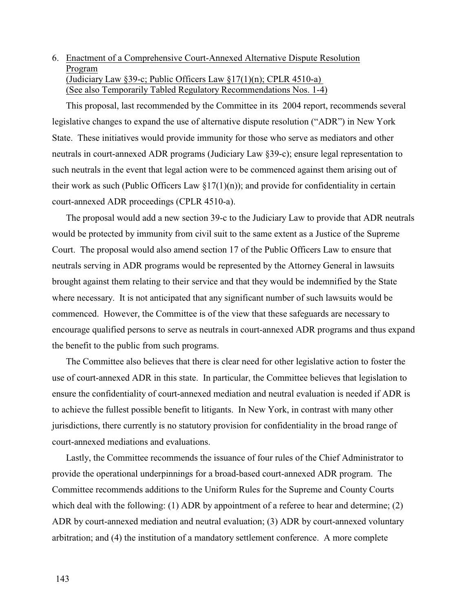6. Enactment of a Comprehensive Court-Annexed Alternative Dispute Resolution Program (Judiciary Law §39-c; Public Officers Law §17(1)(n); CPLR 4510-a) (See also Temporarily Tabled Regulatory Recommendations Nos. 1-4)

This proposal, last recommended by the Committee in its 2004 report, recommends several legislative changes to expand the use of alternative dispute resolution ("ADR") in New York State. These initiatives would provide immunity for those who serve as mediators and other neutrals in court-annexed ADR programs (Judiciary Law §39-c); ensure legal representation to such neutrals in the event that legal action were to be commenced against them arising out of their work as such (Public Officers Law  $\S17(1)(n)$ ); and provide for confidentiality in certain court-annexed ADR proceedings (CPLR 4510-a).

The proposal would add a new section 39-c to the Judiciary Law to provide that ADR neutrals would be protected by immunity from civil suit to the same extent as a Justice of the Supreme Court. The proposal would also amend section 17 of the Public Officers Law to ensure that neutrals serving in ADR programs would be represented by the Attorney General in lawsuits brought against them relating to their service and that they would be indemnified by the State where necessary. It is not anticipated that any significant number of such lawsuits would be commenced. However, the Committee is of the view that these safeguards are necessary to encourage qualified persons to serve as neutrals in court-annexed ADR programs and thus expand the benefit to the public from such programs.

The Committee also believes that there is clear need for other legislative action to foster the use of court-annexed ADR in this state. In particular, the Committee believes that legislation to ensure the confidentiality of court-annexed mediation and neutral evaluation is needed if ADR is to achieve the fullest possible benefit to litigants. In New York, in contrast with many other jurisdictions, there currently is no statutory provision for confidentiality in the broad range of court-annexed mediations and evaluations.

Lastly, the Committee recommends the issuance of four rules of the Chief Administrator to provide the operational underpinnings for a broad-based court-annexed ADR program. The Committee recommends additions to the Uniform Rules for the Supreme and County Courts which deal with the following: (1) ADR by appointment of a referee to hear and determine; (2) ADR by court-annexed mediation and neutral evaluation; (3) ADR by court-annexed voluntary arbitration; and (4) the institution of a mandatory settlement conference. A more complete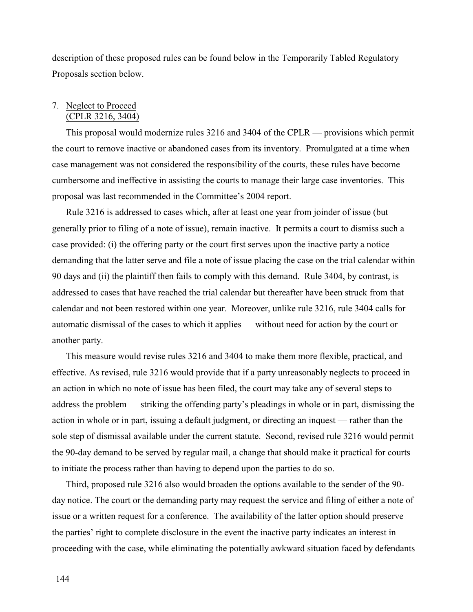description of these proposed rules can be found below in the Temporarily Tabled Regulatory Proposals section below.

#### 7. Neglect to Proceed (CPLR 3216, 3404)

This proposal would modernize rules 3216 and 3404 of the CPLR — provisions which permit the court to remove inactive or abandoned cases from its inventory. Promulgated at a time when case management was not considered the responsibility of the courts, these rules have become cumbersome and ineffective in assisting the courts to manage their large case inventories. This proposal was last recommended in the Committee's 2004 report.

Rule 3216 is addressed to cases which, after at least one year from joinder of issue (but generally prior to filing of a note of issue), remain inactive. It permits a court to dismiss such a case provided: (i) the offering party or the court first serves upon the inactive party a notice demanding that the latter serve and file a note of issue placing the case on the trial calendar within 90 days and (ii) the plaintiff then fails to comply with this demand. Rule 3404, by contrast, is addressed to cases that have reached the trial calendar but thereafter have been struck from that calendar and not been restored within one year. Moreover, unlike rule 3216, rule 3404 calls for automatic dismissal of the cases to which it applies — without need for action by the court or another party.

This measure would revise rules 3216 and 3404 to make them more flexible, practical, and effective. As revised, rule 3216 would provide that if a party unreasonably neglects to proceed in an action in which no note of issue has been filed, the court may take any of several steps to address the problem — striking the offending party's pleadings in whole or in part, dismissing the action in whole or in part, issuing a default judgment, or directing an inquest — rather than the sole step of dismissal available under the current statute. Second, revised rule 3216 would permit the 90-day demand to be served by regular mail, a change that should make it practical for courts to initiate the process rather than having to depend upon the parties to do so.

Third, proposed rule 3216 also would broaden the options available to the sender of the 90 day notice. The court or the demanding party may request the service and filing of either a note of issue or a written request for a conference. The availability of the latter option should preserve the parties' right to complete disclosure in the event the inactive party indicates an interest in proceeding with the case, while eliminating the potentially awkward situation faced by defendants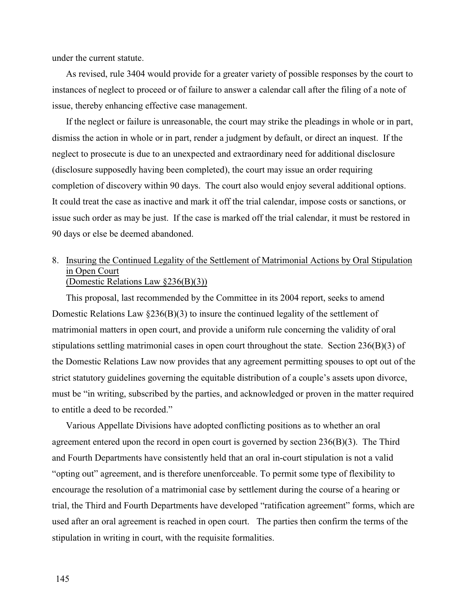under the current statute.

As revised, rule 3404 would provide for a greater variety of possible responses by the court to instances of neglect to proceed or of failure to answer a calendar call after the filing of a note of issue, thereby enhancing effective case management.

If the neglect or failure is unreasonable, the court may strike the pleadings in whole or in part, dismiss the action in whole or in part, render a judgment by default, or direct an inquest. If the neglect to prosecute is due to an unexpected and extraordinary need for additional disclosure (disclosure supposedly having been completed), the court may issue an order requiring completion of discovery within 90 days. The court also would enjoy several additional options. It could treat the case as inactive and mark it off the trial calendar, impose costs or sanctions, or issue such order as may be just. If the case is marked off the trial calendar, it must be restored in 90 days or else be deemed abandoned.

#### 8. Insuring the Continued Legality of the Settlement of Matrimonial Actions by Oral Stipulation in Open Court (Domestic Relations Law §236(B)(3))

This proposal, last recommended by the Committee in its 2004 report, seeks to amend Domestic Relations Law  $\S 236(B)(3)$  to insure the continued legality of the settlement of matrimonial matters in open court, and provide a uniform rule concerning the validity of oral stipulations settling matrimonial cases in open court throughout the state. Section  $236(B)(3)$  of the Domestic Relations Law now provides that any agreement permitting spouses to opt out of the strict statutory guidelines governing the equitable distribution of a couple's assets upon divorce, must be "in writing, subscribed by the parties, and acknowledged or proven in the matter required to entitle a deed to be recorded."

Various Appellate Divisions have adopted conflicting positions as to whether an oral agreement entered upon the record in open court is governed by section 236(B)(3). The Third and Fourth Departments have consistently held that an oral in-court stipulation is not a valid "opting out" agreement, and is therefore unenforceable. To permit some type of flexibility to encourage the resolution of a matrimonial case by settlement during the course of a hearing or trial, the Third and Fourth Departments have developed "ratification agreement" forms, which are used after an oral agreement is reached in open court. The parties then confirm the terms of the stipulation in writing in court, with the requisite formalities.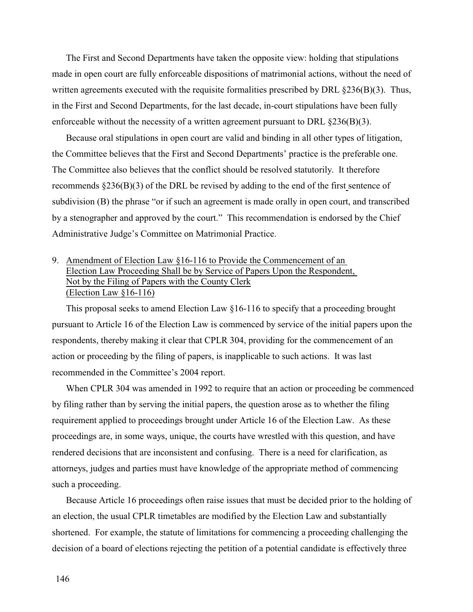The First and Second Departments have taken the opposite view: holding that stipulations made in open court are fully enforceable dispositions of matrimonial actions, without the need of written agreements executed with the requisite formalities prescribed by DRL  $\S 236(B)(3)$ . Thus, in the First and Second Departments, for the last decade, in-court stipulations have been fully enforceable without the necessity of a written agreement pursuant to DRL §236(B)(3).

Because oral stipulations in open court are valid and binding in all other types of litigation, the Committee believes that the First and Second Departments' practice is the preferable one. The Committee also believes that the conflict should be resolved statutorily. It therefore recommends §236(B)(3) of the DRL be revised by adding to the end of the first sentence of subdivision (B) the phrase "or if such an agreement is made orally in open court, and transcribed by a stenographer and approved by the court." This recommendation is endorsed by the Chief Administrative Judge's Committee on Matrimonial Practice.

9. Amendment of Election Law §16-116 to Provide the Commencement of an Election Law Proceeding Shall be by Service of Papers Upon the Respondent, Not by the Filing of Papers with the County Clerk (Election Law §16-116)

This proposal seeks to amend Election Law §16-116 to specify that a proceeding brought pursuant to Article 16 of the Election Law is commenced by service of the initial papers upon the respondents, thereby making it clear that CPLR 304, providing for the commencement of an action or proceeding by the filing of papers, is inapplicable to such actions. It was last recommended in the Committee's 2004 report.

When CPLR 304 was amended in 1992 to require that an action or proceeding be commenced by filing rather than by serving the initial papers, the question arose as to whether the filing requirement applied to proceedings brought under Article 16 of the Election Law. As these proceedings are, in some ways, unique, the courts have wrestled with this question, and have rendered decisions that are inconsistent and confusing. There is a need for clarification, as attorneys, judges and parties must have knowledge of the appropriate method of commencing such a proceeding.

Because Article 16 proceedings often raise issues that must be decided prior to the holding of an election, the usual CPLR timetables are modified by the Election Law and substantially shortened. For example, the statute of limitations for commencing a proceeding challenging the decision of a board of elections rejecting the petition of a potential candidate is effectively three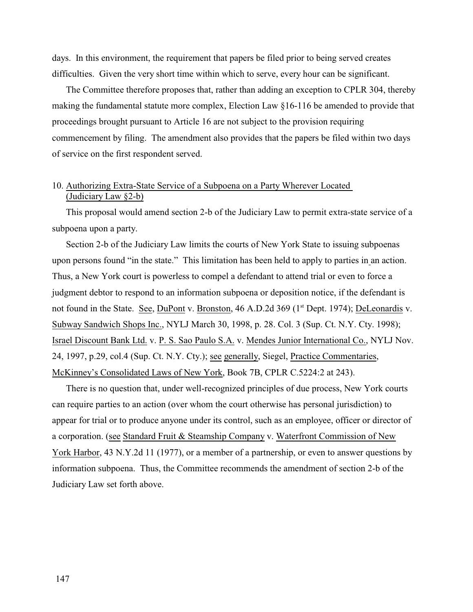days. In this environment, the requirement that papers be filed prior to being served creates difficulties. Given the very short time within which to serve, every hour can be significant.

The Committee therefore proposes that, rather than adding an exception to CPLR 304, thereby making the fundamental statute more complex, Election Law §16-116 be amended to provide that proceedings brought pursuant to Article 16 are not subject to the provision requiring commencement by filing. The amendment also provides that the papers be filed within two days of service on the first respondent served.

## 10. Authorizing Extra-State Service of a Subpoena on a Party Wherever Located (Judiciary Law §2-b)

This proposal would amend section 2-b of the Judiciary Law to permit extra-state service of a subpoena upon a party.

Section 2-b of the Judiciary Law limits the courts of New York State to issuing subpoenas upon persons found "in the state." This limitation has been held to apply to parties in an action. Thus, a New York court is powerless to compel a defendant to attend trial or even to force a judgment debtor to respond to an information subpoena or deposition notice, if the defendant is not found in the State. See, DuPont v. Bronston, 46 A.D.2d 369 (1<sup>st</sup> Dept. 1974); DeLeonardis v. Subway Sandwich Shops Inc., NYLJ March 30, 1998, p. 28. Col. 3 (Sup. Ct. N.Y. Cty. 1998); Israel Discount Bank Ltd. v. P. S. Sao Paulo S.A. v. Mendes Junior International Co., NYLJ Nov. 24, 1997, p.29, col.4 (Sup. Ct. N.Y. Cty.); see generally, Siegel, Practice Commentaries, McKinney's Consolidated Laws of New York, Book 7B, CPLR C.5224:2 at 243).

There is no question that, under well-recognized principles of due process, New York courts can require parties to an action (over whom the court otherwise has personal jurisdiction) to appear for trial or to produce anyone under its control, such as an employee, officer or director of a corporation. (see Standard Fruit & Steamship Company v. Waterfront Commission of New York Harbor, 43 N.Y.2d 11 (1977), or a member of a partnership, or even to answer questions by information subpoena. Thus, the Committee recommends the amendment of section 2-b of the Judiciary Law set forth above.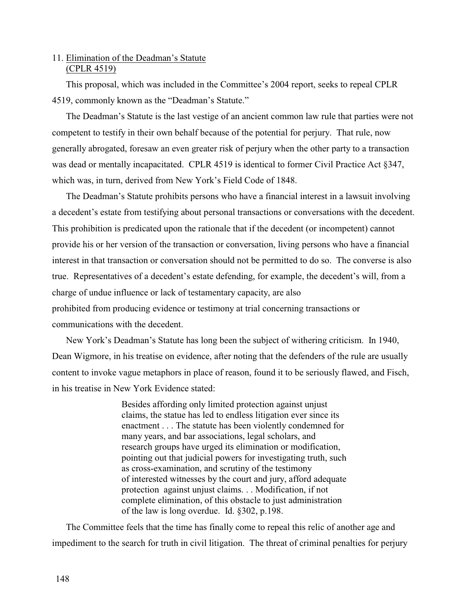## 11. Elimination of the Deadman's Statute (CPLR 4519)

This proposal, which was included in the Committee's 2004 report, seeks to repeal CPLR 4519, commonly known as the "Deadman's Statute."

The Deadman's Statute is the last vestige of an ancient common law rule that parties were not competent to testify in their own behalf because of the potential for perjury. That rule, now generally abrogated, foresaw an even greater risk of perjury when the other party to a transaction was dead or mentally incapacitated. CPLR 4519 is identical to former Civil Practice Act §347, which was, in turn, derived from New York's Field Code of 1848.

The Deadman's Statute prohibits persons who have a financial interest in a lawsuit involving a decedent's estate from testifying about personal transactions or conversations with the decedent. This prohibition is predicated upon the rationale that if the decedent (or incompetent) cannot provide his or her version of the transaction or conversation, living persons who have a financial interest in that transaction or conversation should not be permitted to do so. The converse is also true. Representatives of a decedent's estate defending, for example, the decedent's will, from a charge of undue influence or lack of testamentary capacity, are also prohibited from producing evidence or testimony at trial concerning transactions or communications with the decedent.

New York's Deadman's Statute has long been the subject of withering criticism. In 1940, Dean Wigmore, in his treatise on evidence, after noting that the defenders of the rule are usually content to invoke vague metaphors in place of reason, found it to be seriously flawed, and Fisch, in his treatise in New York Evidence stated:

> Besides affording only limited protection against unjust claims, the statue has led to endless litigation ever since its enactment . . . The statute has been violently condemned for many years, and bar associations, legal scholars, and research groups have urged its elimination or modification, pointing out that judicial powers for investigating truth, such as cross-examination, and scrutiny of the testimony of interested witnesses by the court and jury, afford adequate protection against unjust claims. . . Modification, if not complete elimination, of this obstacle to just administration of the law is long overdue. Id. §302, p.198.

The Committee feels that the time has finally come to repeal this relic of another age and impediment to the search for truth in civil litigation. The threat of criminal penalties for perjury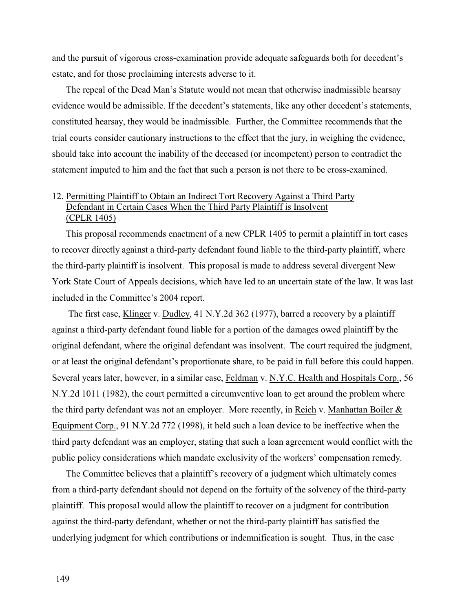and the pursuit of vigorous cross-examination provide adequate safeguards both for decedent's estate, and for those proclaiming interests adverse to it.

The repeal of the Dead Man's Statute would not mean that otherwise inadmissible hearsay evidence would be admissible. If the decedent's statements, like any other decedent's statements, constituted hearsay, they would be inadmissible. Further, the Committee recommends that the trial courts consider cautionary instructions to the effect that the jury, in weighing the evidence, should take into account the inability of the deceased (or incompetent) person to contradict the statement imputed to him and the fact that such a person is not there to be cross-examined.

# 12. Permitting Plaintiff to Obtain an Indirect Tort Recovery Against a Third Party Defendant in Certain Cases When the Third Party Plaintiff is Insolvent (CPLR 1405)

This proposal recommends enactment of a new CPLR 1405 to permit a plaintiff in tort cases to recover directly against a third-party defendant found liable to the third-party plaintiff, where the third-party plaintiff is insolvent. This proposal is made to address several divergent New York State Court of Appeals decisions, which have led to an uncertain state of the law. It was last included in the Committee's 2004 report.

 The first case, Klinger v. Dudley, 41 N.Y.2d 362 (1977), barred a recovery by a plaintiff against a third-party defendant found liable for a portion of the damages owed plaintiff by the original defendant, where the original defendant was insolvent. The court required the judgment, or at least the original defendant's proportionate share, to be paid in full before this could happen. Several years later, however, in a similar case, Feldman v. N.Y.C. Health and Hospitals Corp., 56 N.Y.2d 1011 (1982), the court permitted a circumventive loan to get around the problem where the third party defendant was not an employer. More recently, in Reich v. Manhattan Boiler & Equipment Corp., 91 N.Y.2d 772 (1998), it held such a loan device to be ineffective when the third party defendant was an employer, stating that such a loan agreement would conflict with the public policy considerations which mandate exclusivity of the workers' compensation remedy.

The Committee believes that a plaintiff's recovery of a judgment which ultimately comes from a third-party defendant should not depend on the fortuity of the solvency of the third-party plaintiff. This proposal would allow the plaintiff to recover on a judgment for contribution against the third-party defendant, whether or not the third-party plaintiff has satisfied the underlying judgment for which contributions or indemnification is sought. Thus, in the case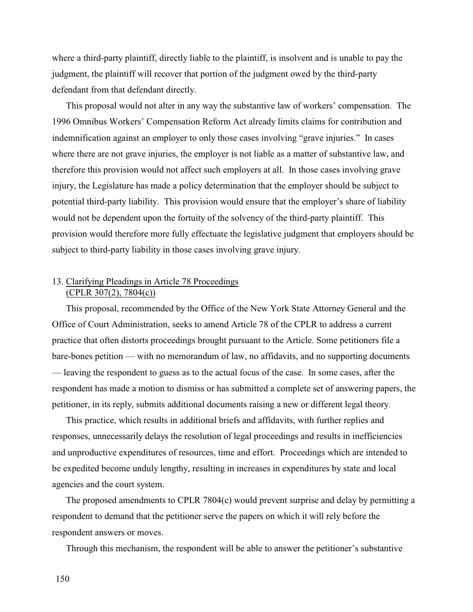where a third-party plaintiff, directly liable to the plaintiff, is insolvent and is unable to pay the judgment, the plaintiff will recover that portion of the judgment owed by the third-party defendant from that defendant directly.

This proposal would not alter in any way the substantive law of workers' compensation. The 1996 Omnibus Workers' Compensation Reform Act already limits claims for contribution and indemnification against an employer to only those cases involving "grave injuries." In cases where there are not grave injuries, the employer is not liable as a matter of substantive law, and therefore this provision would not affect such employers at all. In those cases involving grave injury, the Legislature has made a policy determination that the employer should be subject to potential third-party liability. This provision would ensure that the employer's share of liability would not be dependent upon the fortuity of the solvency of the third-party plaintiff. This provision would therefore more fully effectuate the legislative judgment that employers should be subject to third-party liability in those cases involving grave injury.

# 13. Clarifying Pleadings in Article 78 Proceedings (CPLR 307(2), 7804(c))

This proposal, recommended by the Office of the New York State Attorney General and the Office of Court Administration, seeks to amend Article 78 of the CPLR to address a current practice that often distorts proceedings brought pursuant to the Article. Some petitioners file a bare-bones petition — with no memorandum of law, no affidavits, and no supporting documents — leaving the respondent to guess as to the actual focus of the case. In some cases, after the respondent has made a motion to dismiss or has submitted a complete set of answering papers, the petitioner, in its reply, submits additional documents raising a new or different legal theory.

This practice, which results in additional briefs and affidavits, with further replies and responses, unnecessarily delays the resolution of legal proceedings and results in inefficiencies and unproductive expenditures of resources, time and effort. Proceedings which are intended to be expedited become unduly lengthy, resulting in increases in expenditures by state and local agencies and the court system.

The proposed amendments to CPLR 7804(c) would prevent surprise and delay by permitting a respondent to demand that the petitioner serve the papers on which it will rely before the respondent answers or moves.

Through this mechanism, the respondent will be able to answer the petitioner's substantive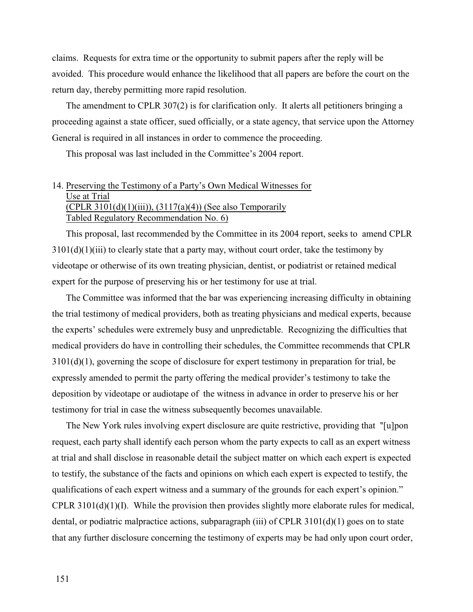claims. Requests for extra time or the opportunity to submit papers after the reply will be avoided. This procedure would enhance the likelihood that all papers are before the court on the return day, thereby permitting more rapid resolution.

The amendment to CPLR 307(2) is for clarification only. It alerts all petitioners bringing a proceeding against a state officer, sued officially, or a state agency, that service upon the Attorney General is required in all instances in order to commence the proceeding.

This proposal was last included in the Committee's 2004 report.

## 14. Preserving the Testimony of a Party's Own Medical Witnesses for Use at Trial  $(CPLR 3101(d)(1)(iii))$ ,  $(3117(a)(4))$  (See also Temporarily Tabled Regulatory Recommendation No. 6)

This proposal, last recommended by the Committee in its 2004 report, seeks to amend CPLR  $3101(d)(1)(iii)$  to clearly state that a party may, without court order, take the testimony by videotape or otherwise of its own treating physician, dentist, or podiatrist or retained medical expert for the purpose of preserving his or her testimony for use at trial.

The Committee was informed that the bar was experiencing increasing difficulty in obtaining the trial testimony of medical providers, both as treating physicians and medical experts, because the experts' schedules were extremely busy and unpredictable. Recognizing the difficulties that medical providers do have in controlling their schedules, the Committee recommends that CPLR  $3101(d)(1)$ , governing the scope of disclosure for expert testimony in preparation for trial, be expressly amended to permit the party offering the medical provider's testimony to take the deposition by videotape or audiotape of the witness in advance in order to preserve his or her testimony for trial in case the witness subsequently becomes unavailable.

The New York rules involving expert disclosure are quite restrictive, providing that "[u]pon request, each party shall identify each person whom the party expects to call as an expert witness at trial and shall disclose in reasonable detail the subject matter on which each expert is expected to testify, the substance of the facts and opinions on which each expert is expected to testify, the qualifications of each expert witness and a summary of the grounds for each expert's opinion." CPLR 3101(d)(1)(I). While the provision then provides slightly more elaborate rules for medical, dental, or podiatric malpractice actions, subparagraph (iii) of CPLR  $3101(d)(1)$  goes on to state that any further disclosure concerning the testimony of experts may be had only upon court order,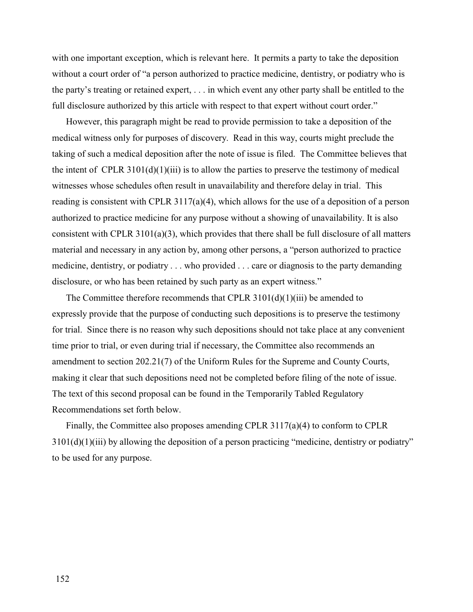with one important exception, which is relevant here. It permits a party to take the deposition without a court order of "a person authorized to practice medicine, dentistry, or podiatry who is the party's treating or retained expert, . . . in which event any other party shall be entitled to the full disclosure authorized by this article with respect to that expert without court order."

However, this paragraph might be read to provide permission to take a deposition of the medical witness only for purposes of discovery. Read in this way, courts might preclude the taking of such a medical deposition after the note of issue is filed. The Committee believes that the intent of CPLR  $3101(d)(1)(iii)$  is to allow the parties to preserve the testimony of medical witnesses whose schedules often result in unavailability and therefore delay in trial. This reading is consistent with CPLR 3117(a)(4), which allows for the use of a deposition of a person authorized to practice medicine for any purpose without a showing of unavailability. It is also consistent with CPLR 3101(a)(3), which provides that there shall be full disclosure of all matters material and necessary in any action by, among other persons, a "person authorized to practice medicine, dentistry, or podiatry . . . who provided . . . care or diagnosis to the party demanding disclosure, or who has been retained by such party as an expert witness."

The Committee therefore recommends that CPLR 3101(d)(1)(iii) be amended to expressly provide that the purpose of conducting such depositions is to preserve the testimony for trial. Since there is no reason why such depositions should not take place at any convenient time prior to trial, or even during trial if necessary, the Committee also recommends an amendment to section 202.21(7) of the Uniform Rules for the Supreme and County Courts, making it clear that such depositions need not be completed before filing of the note of issue. The text of this second proposal can be found in the Temporarily Tabled Regulatory Recommendations set forth below.

Finally, the Committee also proposes amending CPLR 3117(a)(4) to conform to CPLR  $3101(d)(1)(iii)$  by allowing the deposition of a person practicing "medicine, dentistry or podiatry" to be used for any purpose.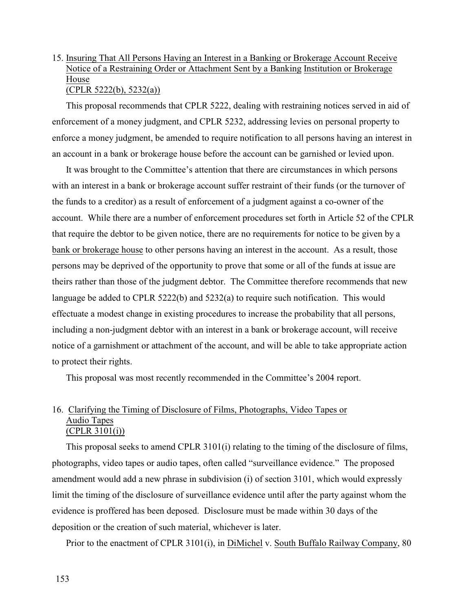#### 15. Insuring That All Persons Having an Interest in a Banking or Brokerage Account Receive Notice of a Restraining Order or Attachment Sent by a Banking Institution or Brokerage House (CPLR 5222(b), 5232(a))

This proposal recommends that CPLR 5222, dealing with restraining notices served in aid of enforcement of a money judgment, and CPLR 5232, addressing levies on personal property to enforce a money judgment, be amended to require notification to all persons having an interest in an account in a bank or brokerage house before the account can be garnished or levied upon.

It was brought to the Committee's attention that there are circumstances in which persons with an interest in a bank or brokerage account suffer restraint of their funds (or the turnover of the funds to a creditor) as a result of enforcement of a judgment against a co-owner of the account. While there are a number of enforcement procedures set forth in Article 52 of the CPLR that require the debtor to be given notice, there are no requirements for notice to be given by a bank or brokerage house to other persons having an interest in the account. As a result, those persons may be deprived of the opportunity to prove that some or all of the funds at issue are theirs rather than those of the judgment debtor. The Committee therefore recommends that new language be added to CPLR  $5222(b)$  and  $5232(a)$  to require such notification. This would effectuate a modest change in existing procedures to increase the probability that all persons, including a non-judgment debtor with an interest in a bank or brokerage account, will receive notice of a garnishment or attachment of the account, and will be able to take appropriate action to protect their rights.

This proposal was most recently recommended in the Committee's 2004 report.

## 16. Clarifying the Timing of Disclosure of Films, Photographs, Video Tapes or Audio Tapes (CPLR 3101(i))

This proposal seeks to amend CPLR 3101(i) relating to the timing of the disclosure of films, photographs, video tapes or audio tapes, often called "surveillance evidence." The proposed amendment would add a new phrase in subdivision (i) of section 3101, which would expressly limit the timing of the disclosure of surveillance evidence until after the party against whom the evidence is proffered has been deposed. Disclosure must be made within 30 days of the deposition or the creation of such material, whichever is later.

Prior to the enactment of CPLR 3101(i), in DiMichel v. South Buffalo Railway Company, 80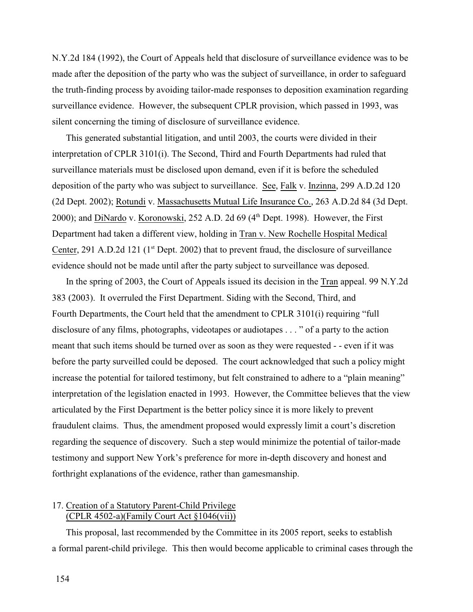N.Y.2d 184 (1992), the Court of Appeals held that disclosure of surveillance evidence was to be made after the deposition of the party who was the subject of surveillance, in order to safeguard the truth-finding process by avoiding tailor-made responses to deposition examination regarding surveillance evidence. However, the subsequent CPLR provision, which passed in 1993, was silent concerning the timing of disclosure of surveillance evidence.

This generated substantial litigation, and until 2003, the courts were divided in their interpretation of CPLR 3101(i). The Second, Third and Fourth Departments had ruled that surveillance materials must be disclosed upon demand, even if it is before the scheduled deposition of the party who was subject to surveillance. See, Falk v. Inzinna, 299 A.D.2d 120 (2d Dept. 2002); Rotundi v. Massachusetts Mutual Life Insurance Co., 263 A.D.2d 84 (3d Dept. 2000); and DiNardo v. Koronowski, 252 A.D. 2d  $69$  ( $4<sup>th</sup>$  Dept. 1998). However, the First Department had taken a different view, holding in Tran v. New Rochelle Hospital Medical Center, 291 A.D.2d 121 ( $1<sup>st</sup>$  Dept. 2002) that to prevent fraud, the disclosure of surveillance evidence should not be made until after the party subject to surveillance was deposed.

In the spring of 2003, the Court of Appeals issued its decision in the Tran appeal. 99 N.Y.2d 383 (2003). It overruled the First Department. Siding with the Second, Third, and Fourth Departments, the Court held that the amendment to CPLR 3101(i) requiring "full disclosure of any films, photographs, videotapes or audiotapes . . . " of a party to the action meant that such items should be turned over as soon as they were requested - - even if it was before the party surveilled could be deposed. The court acknowledged that such a policy might increase the potential for tailored testimony, but felt constrained to adhere to a "plain meaning" interpretation of the legislation enacted in 1993. However, the Committee believes that the view articulated by the First Department is the better policy since it is more likely to prevent fraudulent claims. Thus, the amendment proposed would expressly limit a court's discretion regarding the sequence of discovery. Such a step would minimize the potential of tailor-made testimony and support New York's preference for more in-depth discovery and honest and forthright explanations of the evidence, rather than gamesmanship.

#### 17. Creation of a Statutory Parent-Child Privilege (CPLR 4502-a)(Family Court Act §1046(vii))

This proposal, last recommended by the Committee in its 2005 report, seeks to establish a formal parent-child privilege. This then would become applicable to criminal cases through the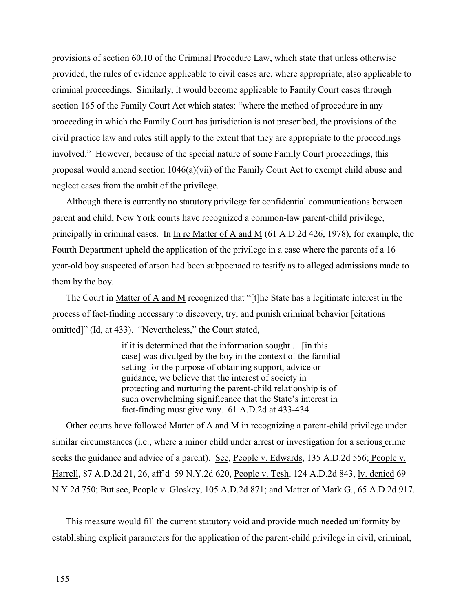provisions of section 60.10 of the Criminal Procedure Law, which state that unless otherwise provided, the rules of evidence applicable to civil cases are, where appropriate, also applicable to criminal proceedings. Similarly, it would become applicable to Family Court cases through section 165 of the Family Court Act which states: "where the method of procedure in any proceeding in which the Family Court has jurisdiction is not prescribed, the provisions of the civil practice law and rules still apply to the extent that they are appropriate to the proceedings involved." However, because of the special nature of some Family Court proceedings, this proposal would amend section 1046(a)(vii) of the Family Court Act to exempt child abuse and neglect cases from the ambit of the privilege.

Although there is currently no statutory privilege for confidential communications between parent and child, New York courts have recognized a common-law parent-child privilege, principally in criminal cases. In In re Matter of A and M (61 A.D.2d 426, 1978), for example, the Fourth Department upheld the application of the privilege in a case where the parents of a 16 year-old boy suspected of arson had been subpoenaed to testify as to alleged admissions made to them by the boy.

The Court in Matter of A and M recognized that "[t]he State has a legitimate interest in the process of fact-finding necessary to discovery, try, and punish criminal behavior [citations omitted]" (Id, at 433). "Nevertheless," the Court stated,

> if it is determined that the information sought ... [in this case] was divulged by the boy in the context of the familial setting for the purpose of obtaining support, advice or guidance, we believe that the interest of society in protecting and nurturing the parent-child relationship is of such overwhelming significance that the State's interest in fact-finding must give way. 61 A.D.2d at 433-434.

Other courts have followed Matter of A and M in recognizing a parent-child privilege under similar circumstances (i.e., where a minor child under arrest or investigation for a serious crime seeks the guidance and advice of a parent). See, People v. Edwards, 135 A.D.2d 556; People v. Harrell, 87 A.D.2d 21, 26, aff'd 59 N.Y.2d 620, People v. Tesh, 124 A.D.2d 843, lv. denied 69 N.Y.2d 750; But see, People v. Gloskey, 105 A.D.2d 871; and Matter of Mark G., 65 A.D.2d 917.

This measure would fill the current statutory void and provide much needed uniformity by establishing explicit parameters for the application of the parent-child privilege in civil, criminal,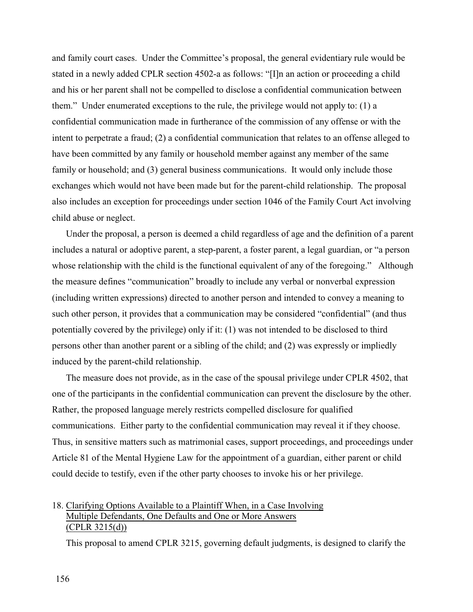and family court cases. Under the Committee's proposal, the general evidentiary rule would be stated in a newly added CPLR section 4502-a as follows: "[I]n an action or proceeding a child and his or her parent shall not be compelled to disclose a confidential communication between them." Under enumerated exceptions to the rule, the privilege would not apply to: (1) a confidential communication made in furtherance of the commission of any offense or with the intent to perpetrate a fraud; (2) a confidential communication that relates to an offense alleged to have been committed by any family or household member against any member of the same family or household; and (3) general business communications. It would only include those exchanges which would not have been made but for the parent-child relationship. The proposal also includes an exception for proceedings under section 1046 of the Family Court Act involving child abuse or neglect.

Under the proposal, a person is deemed a child regardless of age and the definition of a parent includes a natural or adoptive parent, a step-parent, a foster parent, a legal guardian, or "a person whose relationship with the child is the functional equivalent of any of the foregoing." Although the measure defines "communication" broadly to include any verbal or nonverbal expression (including written expressions) directed to another person and intended to convey a meaning to such other person, it provides that a communication may be considered "confidential" (and thus potentially covered by the privilege) only if it: (1) was not intended to be disclosed to third persons other than another parent or a sibling of the child; and (2) was expressly or impliedly induced by the parent-child relationship.

The measure does not provide, as in the case of the spousal privilege under CPLR 4502, that one of the participants in the confidential communication can prevent the disclosure by the other. Rather, the proposed language merely restricts compelled disclosure for qualified communications. Either party to the confidential communication may reveal it if they choose. Thus, in sensitive matters such as matrimonial cases, support proceedings, and proceedings under Article 81 of the Mental Hygiene Law for the appointment of a guardian, either parent or child could decide to testify, even if the other party chooses to invoke his or her privilege.

# 18. Clarifying Options Available to a Plaintiff When, in a Case Involving Multiple Defendants, One Defaults and One or More Answers (CPLR 3215(d))

This proposal to amend CPLR 3215, governing default judgments, is designed to clarify the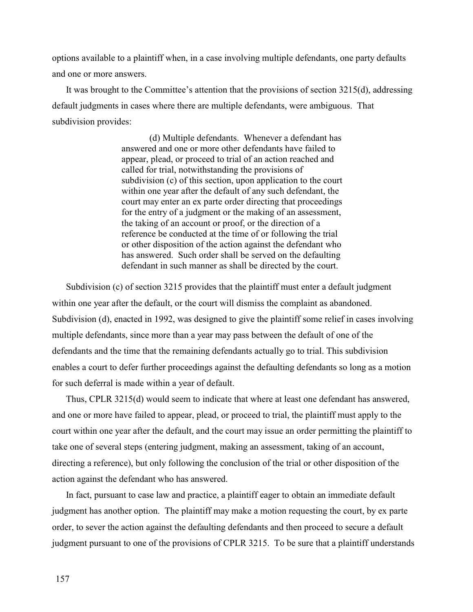options available to a plaintiff when, in a case involving multiple defendants, one party defaults and one or more answers.

It was brought to the Committee's attention that the provisions of section 3215(d), addressing default judgments in cases where there are multiple defendants, were ambiguous. That subdivision provides:

> (d) Multiple defendants. Whenever a defendant has answered and one or more other defendants have failed to appear, plead, or proceed to trial of an action reached and called for trial, notwithstanding the provisions of subdivision (c) of this section, upon application to the court within one year after the default of any such defendant, the court may enter an ex parte order directing that proceedings for the entry of a judgment or the making of an assessment, the taking of an account or proof, or the direction of a reference be conducted at the time of or following the trial or other disposition of the action against the defendant who has answered. Such order shall be served on the defaulting defendant in such manner as shall be directed by the court.

Subdivision (c) of section 3215 provides that the plaintiff must enter a default judgment within one year after the default, or the court will dismiss the complaint as abandoned. Subdivision (d), enacted in 1992, was designed to give the plaintiff some relief in cases involving multiple defendants, since more than a year may pass between the default of one of the defendants and the time that the remaining defendants actually go to trial. This subdivision enables a court to defer further proceedings against the defaulting defendants so long as a motion for such deferral is made within a year of default.

Thus, CPLR 3215(d) would seem to indicate that where at least one defendant has answered, and one or more have failed to appear, plead, or proceed to trial, the plaintiff must apply to the court within one year after the default, and the court may issue an order permitting the plaintiff to take one of several steps (entering judgment, making an assessment, taking of an account, directing a reference), but only following the conclusion of the trial or other disposition of the action against the defendant who has answered.

In fact, pursuant to case law and practice, a plaintiff eager to obtain an immediate default judgment has another option. The plaintiff may make a motion requesting the court, by ex parte order, to sever the action against the defaulting defendants and then proceed to secure a default judgment pursuant to one of the provisions of CPLR 3215. To be sure that a plaintiff understands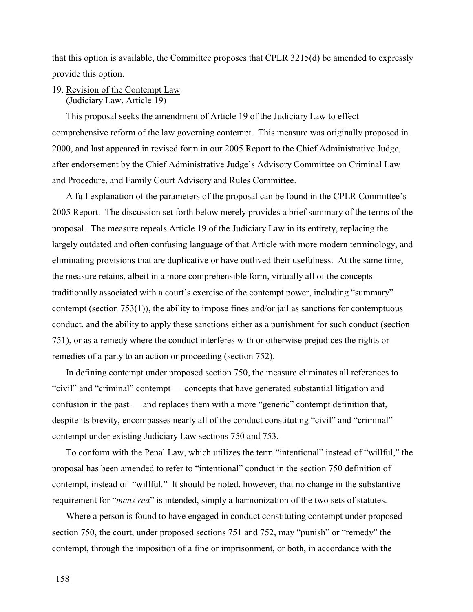that this option is available, the Committee proposes that CPLR 3215(d) be amended to expressly provide this option.

#### 19. Revision of the Contempt Law (Judiciary Law, Article 19)

This proposal seeks the amendment of Article 19 of the Judiciary Law to effect comprehensive reform of the law governing contempt. This measure was originally proposed in 2000, and last appeared in revised form in our 2005 Report to the Chief Administrative Judge, after endorsement by the Chief Administrative Judge's Advisory Committee on Criminal Law and Procedure, and Family Court Advisory and Rules Committee.

A full explanation of the parameters of the proposal can be found in the CPLR Committee's 2005 Report. The discussion set forth below merely provides a brief summary of the terms of the proposal. The measure repeals Article 19 of the Judiciary Law in its entirety, replacing the largely outdated and often confusing language of that Article with more modern terminology, and eliminating provisions that are duplicative or have outlived their usefulness. At the same time, the measure retains, albeit in a more comprehensible form, virtually all of the concepts traditionally associated with a court's exercise of the contempt power, including "summary" contempt (section 753(1)), the ability to impose fines and/or jail as sanctions for contemptuous conduct, and the ability to apply these sanctions either as a punishment for such conduct (section 751), or as a remedy where the conduct interferes with or otherwise prejudices the rights or remedies of a party to an action or proceeding (section 752).

In defining contempt under proposed section 750, the measure eliminates all references to "civil" and "criminal" contempt — concepts that have generated substantial litigation and confusion in the past — and replaces them with a more "generic" contempt definition that, despite its brevity, encompasses nearly all of the conduct constituting "civil" and "criminal" contempt under existing Judiciary Law sections 750 and 753.

To conform with the Penal Law, which utilizes the term "intentional" instead of "willful," the proposal has been amended to refer to "intentional" conduct in the section 750 definition of contempt, instead of "willful." It should be noted, however, that no change in the substantive requirement for "*mens rea*" is intended, simply a harmonization of the two sets of statutes.

Where a person is found to have engaged in conduct constituting contempt under proposed section 750, the court, under proposed sections 751 and 752, may "punish" or "remedy" the contempt, through the imposition of a fine or imprisonment, or both, in accordance with the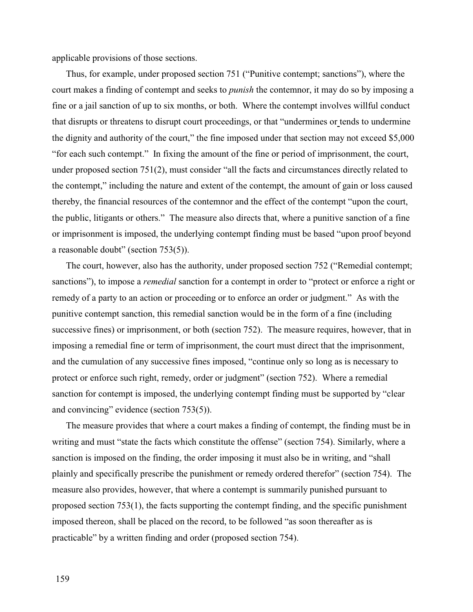applicable provisions of those sections.

Thus, for example, under proposed section 751 ("Punitive contempt; sanctions"), where the court makes a finding of contempt and seeks to *punish* the contemnor, it may do so by imposing a fine or a jail sanction of up to six months, or both. Where the contempt involves willful conduct that disrupts or threatens to disrupt court proceedings, or that "undermines or tends to undermine the dignity and authority of the court," the fine imposed under that section may not exceed \$5,000 "for each such contempt." In fixing the amount of the fine or period of imprisonment, the court, under proposed section 751(2), must consider "all the facts and circumstances directly related to the contempt," including the nature and extent of the contempt, the amount of gain or loss caused thereby, the financial resources of the contemnor and the effect of the contempt "upon the court, the public, litigants or others." The measure also directs that, where a punitive sanction of a fine or imprisonment is imposed, the underlying contempt finding must be based "upon proof beyond a reasonable doubt" (section 753(5)).

The court, however, also has the authority, under proposed section 752 ("Remedial contempt; sanctions"), to impose a *remedial* sanction for a contempt in order to "protect or enforce a right or remedy of a party to an action or proceeding or to enforce an order or judgment." As with the punitive contempt sanction, this remedial sanction would be in the form of a fine (including successive fines) or imprisonment, or both (section 752). The measure requires, however, that in imposing a remedial fine or term of imprisonment, the court must direct that the imprisonment, and the cumulation of any successive fines imposed, "continue only so long as is necessary to protect or enforce such right, remedy, order or judgment" (section 752). Where a remedial sanction for contempt is imposed, the underlying contempt finding must be supported by "clear and convincing" evidence (section 753(5)).

The measure provides that where a court makes a finding of contempt, the finding must be in writing and must "state the facts which constitute the offense" (section 754). Similarly, where a sanction is imposed on the finding, the order imposing it must also be in writing, and "shall plainly and specifically prescribe the punishment or remedy ordered therefor" (section 754). The measure also provides, however, that where a contempt is summarily punished pursuant to proposed section 753(1), the facts supporting the contempt finding, and the specific punishment imposed thereon, shall be placed on the record, to be followed "as soon thereafter as is practicable" by a written finding and order (proposed section 754).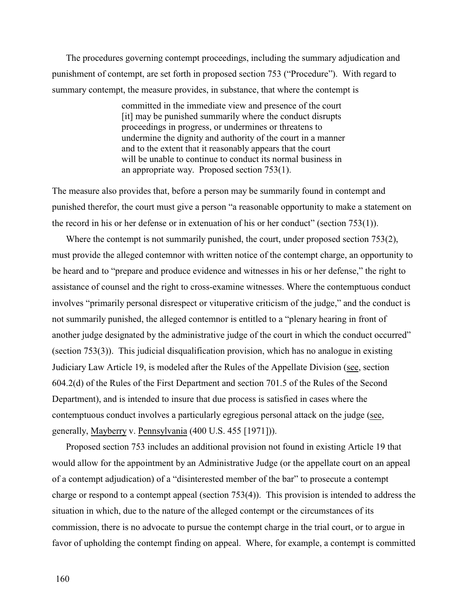The procedures governing contempt proceedings, including the summary adjudication and punishment of contempt, are set forth in proposed section 753 ("Procedure"). With regard to summary contempt, the measure provides, in substance, that where the contempt is

> committed in the immediate view and presence of the court [it] may be punished summarily where the conduct disrupts proceedings in progress, or undermines or threatens to undermine the dignity and authority of the court in a manner and to the extent that it reasonably appears that the court will be unable to continue to conduct its normal business in an appropriate way. Proposed section 753(1).

The measure also provides that, before a person may be summarily found in contempt and punished therefor, the court must give a person "a reasonable opportunity to make a statement on the record in his or her defense or in extenuation of his or her conduct" (section 753(1)).

Where the contempt is not summarily punished, the court, under proposed section 753(2), must provide the alleged contemnor with written notice of the contempt charge, an opportunity to be heard and to "prepare and produce evidence and witnesses in his or her defense," the right to assistance of counsel and the right to cross-examine witnesses. Where the contemptuous conduct involves "primarily personal disrespect or vituperative criticism of the judge," and the conduct is not summarily punished, the alleged contemnor is entitled to a "plenary hearing in front of another judge designated by the administrative judge of the court in which the conduct occurred" (section 753(3)). This judicial disqualification provision, which has no analogue in existing Judiciary Law Article 19, is modeled after the Rules of the Appellate Division (see, section 604.2(d) of the Rules of the First Department and section 701.5 of the Rules of the Second Department), and is intended to insure that due process is satisfied in cases where the contemptuous conduct involves a particularly egregious personal attack on the judge (see, generally, Mayberry v. Pennsylvania (400 U.S. 455 [1971])).

Proposed section 753 includes an additional provision not found in existing Article 19 that would allow for the appointment by an Administrative Judge (or the appellate court on an appeal of a contempt adjudication) of a "disinterested member of the bar" to prosecute a contempt charge or respond to a contempt appeal (section 753(4)). This provision is intended to address the situation in which, due to the nature of the alleged contempt or the circumstances of its commission, there is no advocate to pursue the contempt charge in the trial court, or to argue in favor of upholding the contempt finding on appeal. Where, for example, a contempt is committed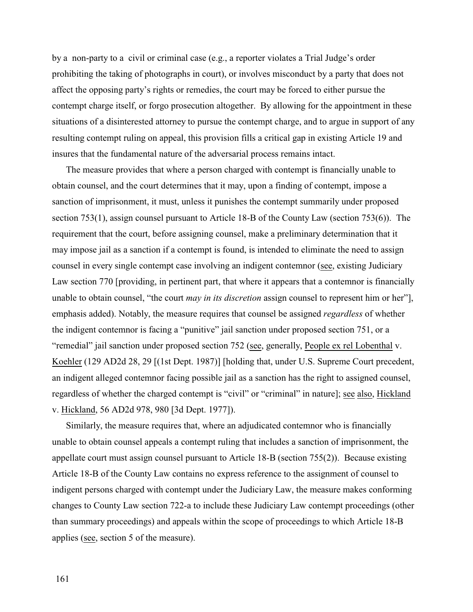by a non-party to a civil or criminal case (e.g., a reporter violates a Trial Judge's order prohibiting the taking of photographs in court), or involves misconduct by a party that does not affect the opposing party's rights or remedies, the court may be forced to either pursue the contempt charge itself, or forgo prosecution altogether. By allowing for the appointment in these situations of a disinterested attorney to pursue the contempt charge, and to argue in support of any resulting contempt ruling on appeal, this provision fills a critical gap in existing Article 19 and insures that the fundamental nature of the adversarial process remains intact.

The measure provides that where a person charged with contempt is financially unable to obtain counsel, and the court determines that it may, upon a finding of contempt, impose a sanction of imprisonment, it must, unless it punishes the contempt summarily under proposed section 753(1), assign counsel pursuant to Article 18-B of the County Law (section 753(6)). The requirement that the court, before assigning counsel, make a preliminary determination that it may impose jail as a sanction if a contempt is found, is intended to eliminate the need to assign counsel in every single contempt case involving an indigent contemnor (see, existing Judiciary Law section 770 [providing, in pertinent part, that where it appears that a contemnor is financially unable to obtain counsel, "the court *may in its discretion* assign counsel to represent him or her"], emphasis added). Notably, the measure requires that counsel be assigned *regardless* of whether the indigent contemnor is facing a "punitive" jail sanction under proposed section 751, or a "remedial" jail sanction under proposed section 752 (see, generally, People ex rel Lobenthal v. Koehler (129 AD2d 28, 29 [(1st Dept. 1987)] [holding that, under U.S. Supreme Court precedent, an indigent alleged contemnor facing possible jail as a sanction has the right to assigned counsel, regardless of whether the charged contempt is "civil" or "criminal" in nature]; see also, Hickland v. Hickland, 56 AD2d 978, 980 [3d Dept. 1977]).

Similarly, the measure requires that, where an adjudicated contemnor who is financially unable to obtain counsel appeals a contempt ruling that includes a sanction of imprisonment, the appellate court must assign counsel pursuant to Article 18-B (section 755(2)). Because existing Article 18-B of the County Law contains no express reference to the assignment of counsel to indigent persons charged with contempt under the Judiciary Law, the measure makes conforming changes to County Law section 722-a to include these Judiciary Law contempt proceedings (other than summary proceedings) and appeals within the scope of proceedings to which Article 18-B applies (see, section 5 of the measure).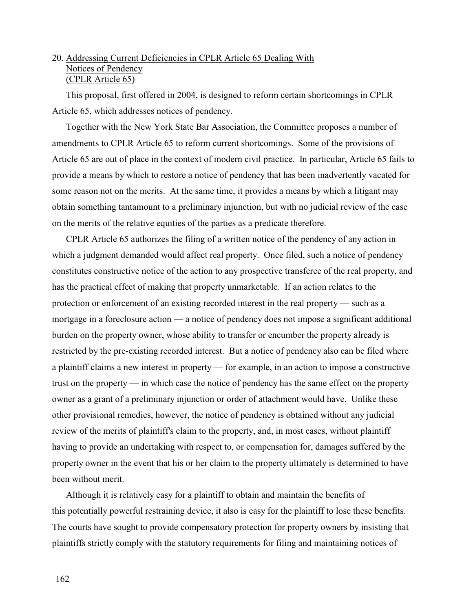# 20. Addressing Current Deficiencies in CPLR Article 65 Dealing With Notices of Pendency (CPLR Article 65)

This proposal, first offered in 2004, is designed to reform certain shortcomings in CPLR Article 65, which addresses notices of pendency.

Together with the New York State Bar Association, the Committee proposes a number of amendments to CPLR Article 65 to reform current shortcomings. Some of the provisions of Article 65 are out of place in the context of modern civil practice. In particular, Article 65 fails to provide a means by which to restore a notice of pendency that has been inadvertently vacated for some reason not on the merits. At the same time, it provides a means by which a litigant may obtain something tantamount to a preliminary injunction, but with no judicial review of the case on the merits of the relative equities of the parties as a predicate therefore.

CPLR Article 65 authorizes the filing of a written notice of the pendency of any action in which a judgment demanded would affect real property. Once filed, such a notice of pendency constitutes constructive notice of the action to any prospective transferee of the real property, and has the practical effect of making that property unmarketable. If an action relates to the protection or enforcement of an existing recorded interest in the real property — such as a mortgage in a foreclosure action — a notice of pendency does not impose a significant additional burden on the property owner, whose ability to transfer or encumber the property already is restricted by the pre-existing recorded interest. But a notice of pendency also can be filed where a plaintiff claims a new interest in property — for example, in an action to impose a constructive trust on the property — in which case the notice of pendency has the same effect on the property owner as a grant of a preliminary injunction or order of attachment would have. Unlike these other provisional remedies, however, the notice of pendency is obtained without any judicial review of the merits of plaintiff's claim to the property, and, in most cases, without plaintiff having to provide an undertaking with respect to, or compensation for, damages suffered by the property owner in the event that his or her claim to the property ultimately is determined to have been without merit.

Although it is relatively easy for a plaintiff to obtain and maintain the benefits of this potentially powerful restraining device, it also is easy for the plaintiff to lose these benefits. The courts have sought to provide compensatory protection for property owners by insisting that plaintiffs strictly comply with the statutory requirements for filing and maintaining notices of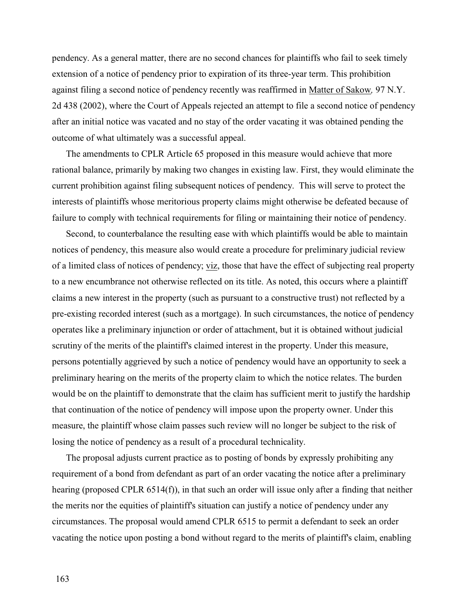pendency. As a general matter, there are no second chances for plaintiffs who fail to seek timely extension of a notice of pendency prior to expiration of its three-year term. This prohibition against filing a second notice of pendency recently was reaffirmed in Matter of Sakow*,* 97 N.Y. 2d 438 (2002), where the Court of Appeals rejected an attempt to file a second notice of pendency after an initial notice was vacated and no stay of the order vacating it was obtained pending the outcome of what ultimately was a successful appeal.

The amendments to CPLR Article 65 proposed in this measure would achieve that more rational balance, primarily by making two changes in existing law. First, they would eliminate the current prohibition against filing subsequent notices of pendency. This will serve to protect the interests of plaintiffs whose meritorious property claims might otherwise be defeated because of failure to comply with technical requirements for filing or maintaining their notice of pendency.

Second, to counterbalance the resulting ease with which plaintiffs would be able to maintain notices of pendency, this measure also would create a procedure for preliminary judicial review of a limited class of notices of pendency; viz, those that have the effect of subjecting real property to a new encumbrance not otherwise reflected on its title. As noted, this occurs where a plaintiff claims a new interest in the property (such as pursuant to a constructive trust) not reflected by a pre-existing recorded interest (such as a mortgage). In such circumstances, the notice of pendency operates like a preliminary injunction or order of attachment, but it is obtained without judicial scrutiny of the merits of the plaintiff's claimed interest in the property. Under this measure, persons potentially aggrieved by such a notice of pendency would have an opportunity to seek a preliminary hearing on the merits of the property claim to which the notice relates. The burden would be on the plaintiff to demonstrate that the claim has sufficient merit to justify the hardship that continuation of the notice of pendency will impose upon the property owner. Under this measure, the plaintiff whose claim passes such review will no longer be subject to the risk of losing the notice of pendency as a result of a procedural technicality.

The proposal adjusts current practice as to posting of bonds by expressly prohibiting any requirement of a bond from defendant as part of an order vacating the notice after a preliminary hearing (proposed CPLR 6514(f)), in that such an order will issue only after a finding that neither the merits nor the equities of plaintiff's situation can justify a notice of pendency under any circumstances. The proposal would amend CPLR 6515 to permit a defendant to seek an order vacating the notice upon posting a bond without regard to the merits of plaintiff's claim, enabling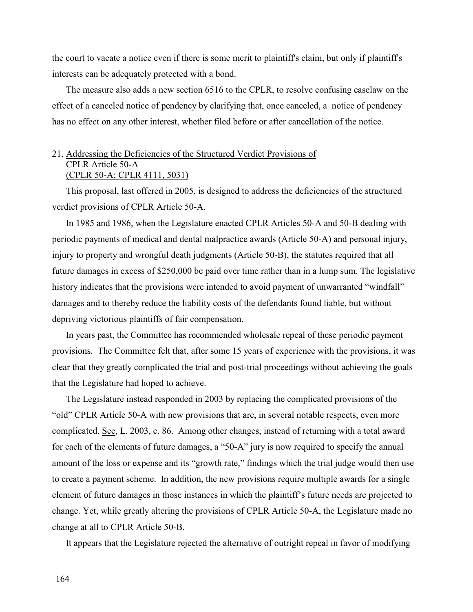the court to vacate a notice even if there is some merit to plaintiff's claim, but only if plaintiff's interests can be adequately protected with a bond.

The measure also adds a new section 6516 to the CPLR, to resolve confusing caselaw on the effect of a canceled notice of pendency by clarifying that, once canceled, a notice of pendency has no effect on any other interest, whether filed before or after cancellation of the notice.

#### 21. Addressing the Deficiencies of the Structured Verdict Provisions of CPLR Article 50-A (CPLR 50-A; CPLR 4111, 5031)

This proposal, last offered in 2005, is designed to address the deficiencies of the structured verdict provisions of CPLR Article 50-A.

In 1985 and 1986, when the Legislature enacted CPLR Articles 50-A and 50-B dealing with periodic payments of medical and dental malpractice awards (Article 50-A) and personal injury, injury to property and wrongful death judgments (Article 50-B), the statutes required that all future damages in excess of \$250,000 be paid over time rather than in a lump sum. The legislative history indicates that the provisions were intended to avoid payment of unwarranted "windfall" damages and to thereby reduce the liability costs of the defendants found liable, but without depriving victorious plaintiffs of fair compensation.

In years past, the Committee has recommended wholesale repeal of these periodic payment provisions. The Committee felt that, after some 15 years of experience with the provisions, it was clear that they greatly complicated the trial and post-trial proceedings without achieving the goals that the Legislature had hoped to achieve.

The Legislature instead responded in 2003 by replacing the complicated provisions of the "old" CPLR Article 50-A with new provisions that are, in several notable respects, even more complicated. See, L. 2003, c. 86. Among other changes, instead of returning with a total award for each of the elements of future damages, a "50-A" jury is now required to specify the annual amount of the loss or expense and its "growth rate," findings which the trial judge would then use to create a payment scheme. In addition, the new provisions require multiple awards for a single element of future damages in those instances in which the plaintiff's future needs are projected to change. Yet, while greatly altering the provisions of CPLR Article 50-A, the Legislature made no change at all to CPLR Article 50-B.

It appears that the Legislature rejected the alternative of outright repeal in favor of modifying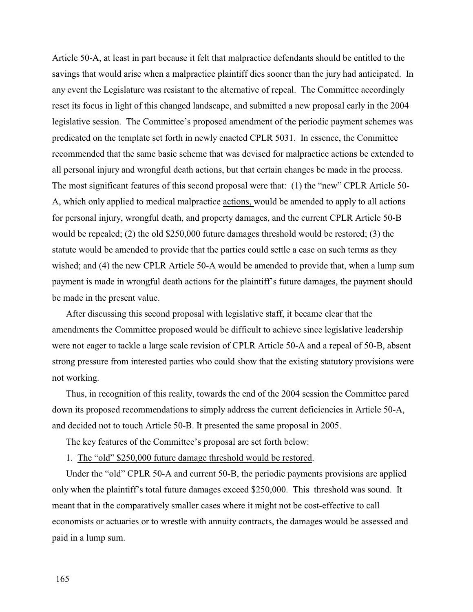Article 50-A, at least in part because it felt that malpractice defendants should be entitled to the savings that would arise when a malpractice plaintiff dies sooner than the jury had anticipated. In any event the Legislature was resistant to the alternative of repeal. The Committee accordingly reset its focus in light of this changed landscape, and submitted a new proposal early in the 2004 legislative session. The Committee's proposed amendment of the periodic payment schemes was predicated on the template set forth in newly enacted CPLR 5031. In essence, the Committee recommended that the same basic scheme that was devised for malpractice actions be extended to all personal injury and wrongful death actions, but that certain changes be made in the process. The most significant features of this second proposal were that: (1) the "new" CPLR Article 50- A, which only applied to medical malpractice actions, would be amended to apply to all actions for personal injury, wrongful death, and property damages, and the current CPLR Article 50-B would be repealed; (2) the old \$250,000 future damages threshold would be restored; (3) the statute would be amended to provide that the parties could settle a case on such terms as they wished; and (4) the new CPLR Article 50-A would be amended to provide that, when a lump sum payment is made in wrongful death actions for the plaintiff's future damages, the payment should be made in the present value.

After discussing this second proposal with legislative staff, it became clear that the amendments the Committee proposed would be difficult to achieve since legislative leadership were not eager to tackle a large scale revision of CPLR Article 50-A and a repeal of 50-B, absent strong pressure from interested parties who could show that the existing statutory provisions were not working.

Thus, in recognition of this reality, towards the end of the 2004 session the Committee pared down its proposed recommendations to simply address the current deficiencies in Article 50-A, and decided not to touch Article 50-B. It presented the same proposal in 2005.

The key features of the Committee's proposal are set forth below:

1. The "old" \$250,000 future damage threshold would be restored.

Under the "old" CPLR 50-A and current 50-B, the periodic payments provisions are applied only when the plaintiff's total future damages exceed \$250,000. This threshold was sound. It meant that in the comparatively smaller cases where it might not be cost-effective to call economists or actuaries or to wrestle with annuity contracts, the damages would be assessed and paid in a lump sum.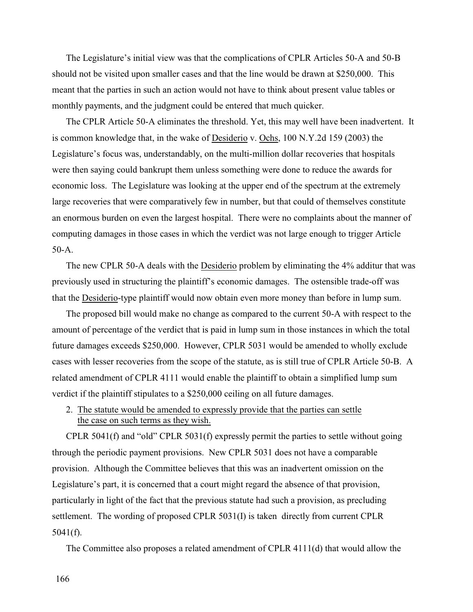The Legislature's initial view was that the complications of CPLR Articles 50-A and 50-B should not be visited upon smaller cases and that the line would be drawn at \$250,000. This meant that the parties in such an action would not have to think about present value tables or monthly payments, and the judgment could be entered that much quicker.

The CPLR Article 50-A eliminates the threshold. Yet, this may well have been inadvertent. It is common knowledge that, in the wake of Desiderio v. Ochs, 100 N.Y.2d 159 (2003) the Legislature's focus was, understandably, on the multi-million dollar recoveries that hospitals were then saying could bankrupt them unless something were done to reduce the awards for economic loss. The Legislature was looking at the upper end of the spectrum at the extremely large recoveries that were comparatively few in number, but that could of themselves constitute an enormous burden on even the largest hospital. There were no complaints about the manner of computing damages in those cases in which the verdict was not large enough to trigger Article 50-A.

The new CPLR 50-A deals with the Desiderio problem by eliminating the 4% additur that was previously used in structuring the plaintiff's economic damages. The ostensible trade-off was that the Desiderio-type plaintiff would now obtain even more money than before in lump sum.

The proposed bill would make no change as compared to the current 50-A with respect to the amount of percentage of the verdict that is paid in lump sum in those instances in which the total future damages exceeds \$250,000. However, CPLR 5031 would be amended to wholly exclude cases with lesser recoveries from the scope of the statute, as is still true of CPLR Article 50-B. A related amendment of CPLR 4111 would enable the plaintiff to obtain a simplified lump sum verdict if the plaintiff stipulates to a \$250,000 ceiling on all future damages.

2. The statute would be amended to expressly provide that the parties can settle the case on such terms as they wish.

CPLR 5041(f) and "old" CPLR 5031(f) expressly permit the parties to settle without going through the periodic payment provisions. New CPLR 5031 does not have a comparable provision. Although the Committee believes that this was an inadvertent omission on the Legislature's part, it is concerned that a court might regard the absence of that provision, particularly in light of the fact that the previous statute had such a provision, as precluding settlement. The wording of proposed CPLR 5031(I) is taken directly from current CPLR 5041(f).

The Committee also proposes a related amendment of CPLR 4111(d) that would allow the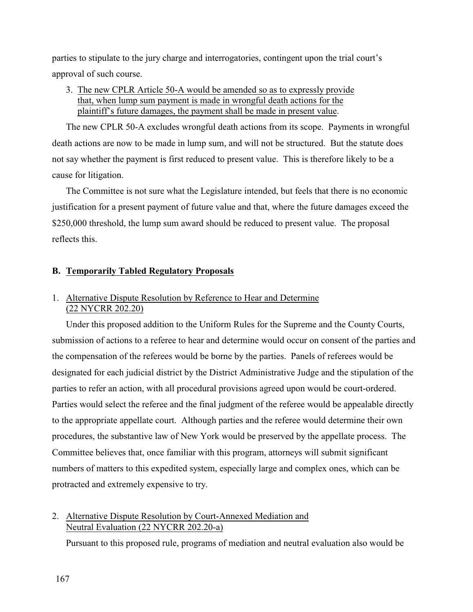parties to stipulate to the jury charge and interrogatories, contingent upon the trial court's approval of such course.

3. The new CPLR Article 50-A would be amended so as to expressly provide that, when lump sum payment is made in wrongful death actions for the plaintiff's future damages, the payment shall be made in present value.

The new CPLR 50-A excludes wrongful death actions from its scope. Payments in wrongful death actions are now to be made in lump sum, and will not be structured. But the statute does not say whether the payment is first reduced to present value. This is therefore likely to be a cause for litigation.

The Committee is not sure what the Legislature intended, but feels that there is no economic justification for a present payment of future value and that, where the future damages exceed the \$250,000 threshold, the lump sum award should be reduced to present value. The proposal reflects this.

#### **B. Temporarily Tabled Regulatory Proposals**

## 1. Alternative Dispute Resolution by Reference to Hear and Determine (22 NYCRR 202.20)

Under this proposed addition to the Uniform Rules for the Supreme and the County Courts, submission of actions to a referee to hear and determine would occur on consent of the parties and the compensation of the referees would be borne by the parties. Panels of referees would be designated for each judicial district by the District Administrative Judge and the stipulation of the parties to refer an action, with all procedural provisions agreed upon would be court-ordered. Parties would select the referee and the final judgment of the referee would be appealable directly to the appropriate appellate court. Although parties and the referee would determine their own procedures, the substantive law of New York would be preserved by the appellate process. The Committee believes that, once familiar with this program, attorneys will submit significant numbers of matters to this expedited system, especially large and complex ones, which can be protracted and extremely expensive to try.

## 2. Alternative Dispute Resolution by Court-Annexed Mediation and Neutral Evaluation (22 NYCRR 202.20-a)

Pursuant to this proposed rule, programs of mediation and neutral evaluation also would be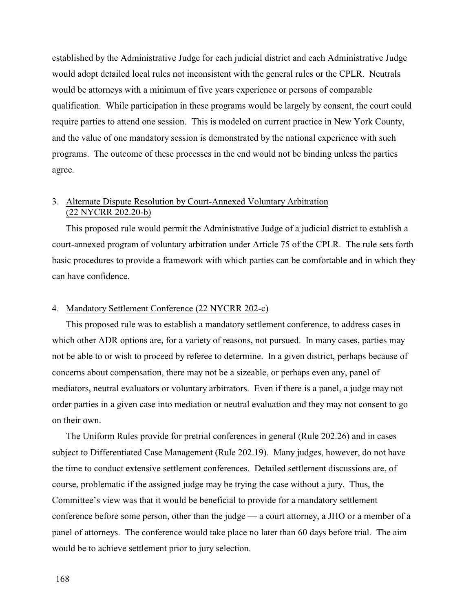established by the Administrative Judge for each judicial district and each Administrative Judge would adopt detailed local rules not inconsistent with the general rules or the CPLR. Neutrals would be attorneys with a minimum of five years experience or persons of comparable qualification. While participation in these programs would be largely by consent, the court could require parties to attend one session. This is modeled on current practice in New York County, and the value of one mandatory session is demonstrated by the national experience with such programs. The outcome of these processes in the end would not be binding unless the parties agree.

# 3. Alternate Dispute Resolution by Court-Annexed Voluntary Arbitration (22 NYCRR 202.20-b)

This proposed rule would permit the Administrative Judge of a judicial district to establish a court-annexed program of voluntary arbitration under Article 75 of the CPLR. The rule sets forth basic procedures to provide a framework with which parties can be comfortable and in which they can have confidence.

#### 4. Mandatory Settlement Conference (22 NYCRR 202-c)

This proposed rule was to establish a mandatory settlement conference, to address cases in which other ADR options are, for a variety of reasons, not pursued. In many cases, parties may not be able to or wish to proceed by referee to determine. In a given district, perhaps because of concerns about compensation, there may not be a sizeable, or perhaps even any, panel of mediators, neutral evaluators or voluntary arbitrators. Even if there is a panel, a judge may not order parties in a given case into mediation or neutral evaluation and they may not consent to go on their own.

The Uniform Rules provide for pretrial conferences in general (Rule 202.26) and in cases subject to Differentiated Case Management (Rule 202.19). Many judges, however, do not have the time to conduct extensive settlement conferences. Detailed settlement discussions are, of course, problematic if the assigned judge may be trying the case without a jury. Thus, the Committee's view was that it would be beneficial to provide for a mandatory settlement conference before some person, other than the judge — a court attorney, a JHO or a member of a panel of attorneys. The conference would take place no later than 60 days before trial. The aim would be to achieve settlement prior to jury selection.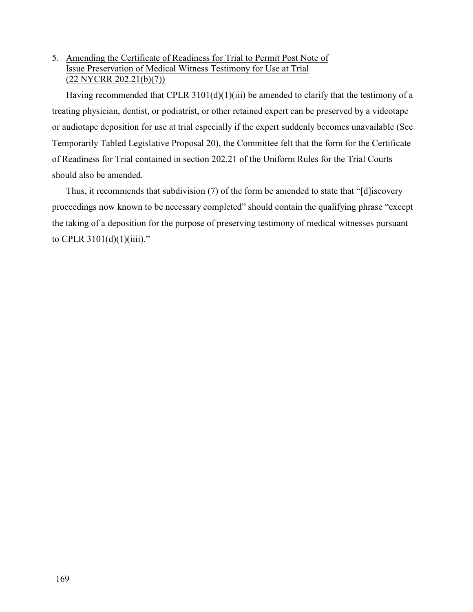# 5. Amending the Certificate of Readiness for Trial to Permit Post Note of Issue Preservation of Medical Witness Testimony for Use at Trial (22 NYCRR 202.21(b)(7))

Having recommended that CPLR  $3101(d)(1)(iii)$  be amended to clarify that the testimony of a treating physician, dentist, or podiatrist, or other retained expert can be preserved by a videotape or audiotape deposition for use at trial especially if the expert suddenly becomes unavailable (See Temporarily Tabled Legislative Proposal 20), the Committee felt that the form for the Certificate of Readiness for Trial contained in section 202.21 of the Uniform Rules for the Trial Courts should also be amended.

Thus, it recommends that subdivision (7) of the form be amended to state that "[d]iscovery proceedings now known to be necessary completed" should contain the qualifying phrase "except the taking of a deposition for the purpose of preserving testimony of medical witnesses pursuant to CPLR  $3101(d)(1)(iii)$ ."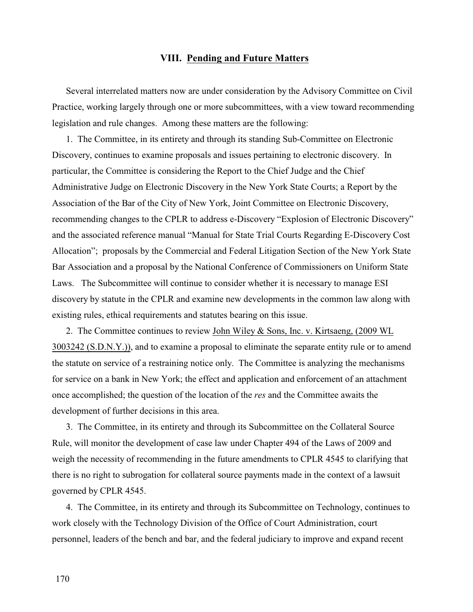#### **VIII. Pending and Future Matters**

Several interrelated matters now are under consideration by the Advisory Committee on Civil Practice, working largely through one or more subcommittees, with a view toward recommending legislation and rule changes. Among these matters are the following:

1. The Committee, in its entirety and through its standing Sub-Committee on Electronic Discovery, continues to examine proposals and issues pertaining to electronic discovery. In particular, the Committee is considering the Report to the Chief Judge and the Chief Administrative Judge on Electronic Discovery in the New York State Courts; a Report by the Association of the Bar of the City of New York, Joint Committee on Electronic Discovery, recommending changes to the CPLR to address e-Discovery "Explosion of Electronic Discovery" and the associated reference manual "Manual for State Trial Courts Regarding E-Discovery Cost Allocation"; proposals by the Commercial and Federal Litigation Section of the New York State Bar Association and a proposal by the National Conference of Commissioners on Uniform State Laws. The Subcommittee will continue to consider whether it is necessary to manage ESI discovery by statute in the CPLR and examine new developments in the common law along with existing rules, ethical requirements and statutes bearing on this issue.

2. The Committee continues to review John Wiley & Sons, Inc. v. Kirtsaeng, (2009 WL 3003242 (S.D.N.Y.)), and to examine a proposal to eliminate the separate entity rule or to amend the statute on service of a restraining notice only. The Committee is analyzing the mechanisms for service on a bank in New York; the effect and application and enforcement of an attachment once accomplished; the question of the location of the *res* and the Committee awaits the development of further decisions in this area.

3. The Committee, in its entirety and through its Subcommittee on the Collateral Source Rule, will monitor the development of case law under Chapter 494 of the Laws of 2009 and weigh the necessity of recommending in the future amendments to CPLR 4545 to clarifying that there is no right to subrogation for collateral source payments made in the context of a lawsuit governed by CPLR 4545.

4. The Committee, in its entirety and through its Subcommittee on Technology, continues to work closely with the Technology Division of the Office of Court Administration, court personnel, leaders of the bench and bar, and the federal judiciary to improve and expand recent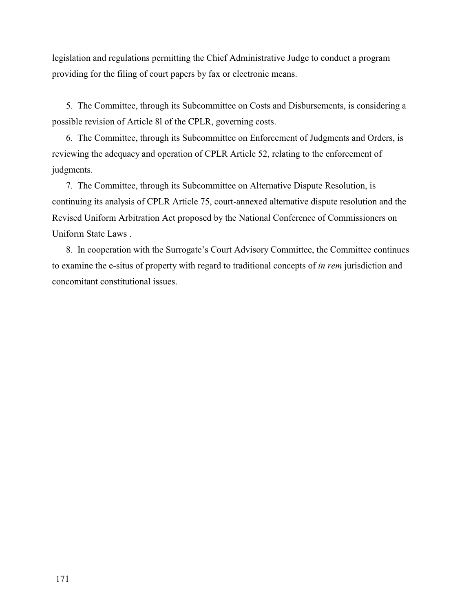legislation and regulations permitting the Chief Administrative Judge to conduct a program providing for the filing of court papers by fax or electronic means.

5. The Committee, through its Subcommittee on Costs and Disbursements, is considering a possible revision of Article 8l of the CPLR, governing costs.

6. The Committee, through its Subcommittee on Enforcement of Judgments and Orders, is reviewing the adequacy and operation of CPLR Article 52, relating to the enforcement of judgments.

7. The Committee, through its Subcommittee on Alternative Dispute Resolution, is continuing its analysis of CPLR Article 75, court-annexed alternative dispute resolution and the Revised Uniform Arbitration Act proposed by the National Conference of Commissioners on Uniform State Laws .

8. In cooperation with the Surrogate's Court Advisory Committee, the Committee continues to examine the e-situs of property with regard to traditional concepts of *in rem* jurisdiction and concomitant constitutional issues.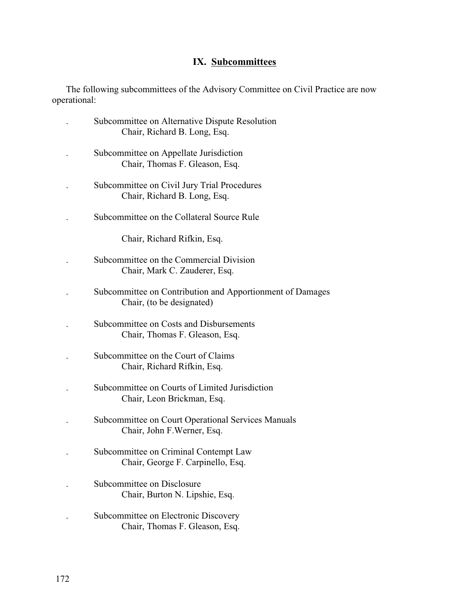# **IX. Subcommittees**

The following subcommittees of the Advisory Committee on Civil Practice are now operational:

- . Subcommittee on Alternative Dispute Resolution Chair, Richard B. Long, Esq.
- . Subcommittee on Appellate Jurisdiction Chair, Thomas F. Gleason, Esq.
- . Subcommittee on Civil Jury Trial Procedures Chair, Richard B. Long, Esq.
- . Subcommittee on the Collateral Source Rule

Chair, Richard Rifkin, Esq.

- . Subcommittee on the Commercial Division Chair, Mark C. Zauderer, Esq.
- . Subcommittee on Contribution and Apportionment of Damages Chair, (to be designated)
- . Subcommittee on Costs and Disbursements Chair, Thomas F. Gleason, Esq.
- . Subcommittee on the Court of Claims Chair, Richard Rifkin, Esq.
- . Subcommittee on Courts of Limited Jurisdiction Chair, Leon Brickman, Esq.
- . Subcommittee on Court Operational Services Manuals Chair, John F.Werner, Esq.
- . Subcommittee on Criminal Contempt Law Chair, George F. Carpinello, Esq.
- . Subcommittee on Disclosure Chair, Burton N. Lipshie, Esq.
- . Subcommittee on Electronic Discovery Chair, Thomas F. Gleason, Esq.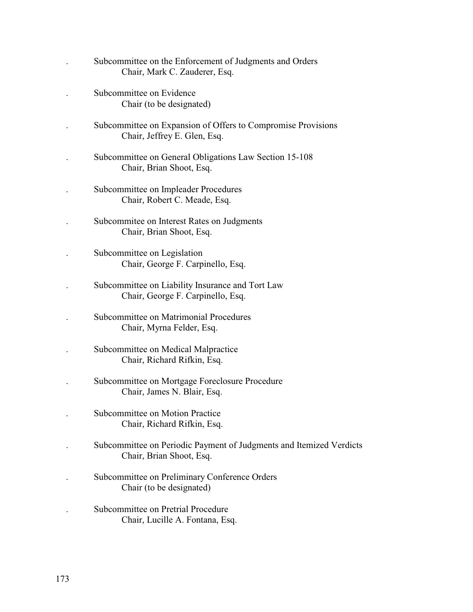- . Subcommittee on the Enforcement of Judgments and Orders Chair, Mark C. Zauderer, Esq.
- . Subcommittee on Evidence Chair (to be designated)
- . Subcommittee on Expansion of Offers to Compromise Provisions Chair, Jeffrey E. Glen, Esq.
- . Subcommittee on General Obligations Law Section 15-108 Chair, Brian Shoot, Esq.
- . Subcommittee on Impleader Procedures Chair, Robert C. Meade, Esq.
	- . Subcommitee on Interest Rates on Judgments Chair, Brian Shoot, Esq.
- . Subcommittee on Legislation Chair, George F. Carpinello, Esq.
- . Subcommittee on Liability Insurance and Tort Law Chair, George F. Carpinello, Esq.
	- . Subcommittee on Matrimonial Procedures Chair, Myrna Felder, Esq.
- . Subcommittee on Medical Malpractice Chair, Richard Rifkin, Esq.
- . Subcommittee on Mortgage Foreclosure Procedure Chair, James N. Blair, Esq.
- . Subcommittee on Motion Practice Chair, Richard Rifkin, Esq.
- . Subcommittee on Periodic Payment of Judgments and Itemized Verdicts Chair, Brian Shoot, Esq.
- . Subcommittee on Preliminary Conference Orders Chair (to be designated)
- . Subcommittee on Pretrial Procedure Chair, Lucille A. Fontana, Esq.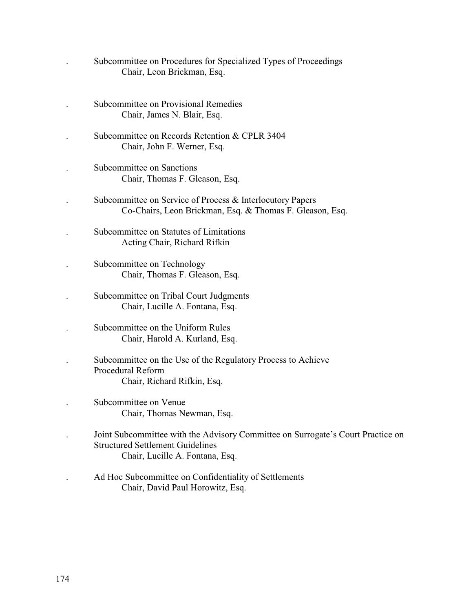- . Subcommittee on Procedures for Specialized Types of Proceedings Chair, Leon Brickman, Esq.
- . Subcommittee on Provisional Remedies Chair, James N. Blair, Esq.
- . Subcommittee on Records Retention & CPLR 3404 Chair, John F. Werner, Esq.
- . Subcommittee on Sanctions Chair, Thomas F. Gleason, Esq.
- . Subcommittee on Service of Process & Interlocutory Papers Co-Chairs, Leon Brickman, Esq. & Thomas F. Gleason, Esq.
- . Subcommittee on Statutes of Limitations Acting Chair, Richard Rifkin
- . Subcommittee on Technology Chair, Thomas F. Gleason, Esq.
- . Subcommittee on Tribal Court Judgments Chair, Lucille A. Fontana, Esq.
- . Subcommittee on the Uniform Rules Chair, Harold A. Kurland, Esq.
- . Subcommittee on the Use of the Regulatory Process to Achieve Procedural Reform Chair, Richard Rifkin, Esq.
- . Subcommittee on Venue Chair, Thomas Newman, Esq.
- . Joint Subcommittee with the Advisory Committee on Surrogate's Court Practice on Structured Settlement Guidelines Chair, Lucille A. Fontana, Esq.
- . Ad Hoc Subcommittee on Confidentiality of Settlements Chair, David Paul Horowitz, Esq.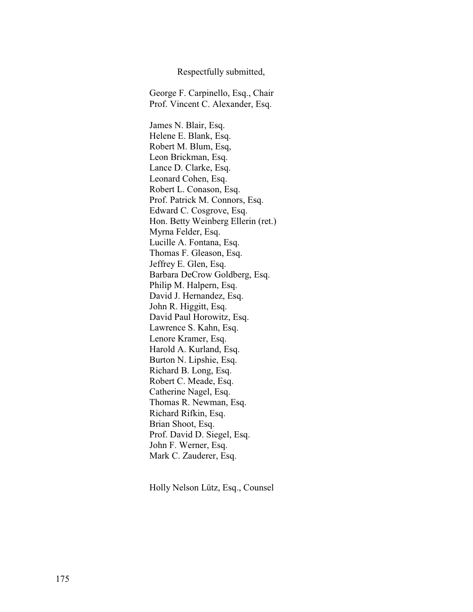#### Respectfully submitted,

George F. Carpinello, Esq., Chair Prof. Vincent C. Alexander, Esq.

James N. Blair, Esq. Helene E. Blank, Esq. Robert M. Blum, Esq, Leon Brickman, Esq. Lance D. Clarke, Esq. Leonard Cohen, Esq. Robert L. Conason, Esq. Prof. Patrick M. Connors, Esq. Edward C. Cosgrove, Esq. Hon. Betty Weinberg Ellerin (ret.) Myrna Felder, Esq. Lucille A. Fontana, Esq. Thomas F. Gleason, Esq. Jeffrey E. Glen, Esq. Barbara DeCrow Goldberg, Esq. Philip M. Halpern, Esq. David J. Hernandez, Esq. John R. Higgitt, Esq. David Paul Horowitz, Esq. Lawrence S. Kahn, Esq. Lenore Kramer, Esq. Harold A. Kurland, Esq. Burton N. Lipshie, Esq. Richard B. Long, Esq. Robert C. Meade, Esq. Catherine Nagel, Esq. Thomas R. Newman, Esq. Richard Rifkin, Esq. Brian Shoot, Esq. Prof. David D. Siegel, Esq. John F. Werner, Esq. Mark C. Zauderer, Esq.

Holly Nelson Lütz, Esq., Counsel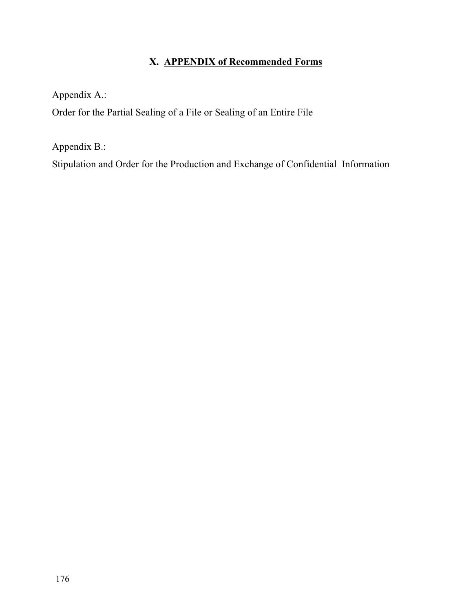# **X. APPENDIX of Recommended Forms**

Appendix A.: Order for the Partial Sealing of a File or Sealing of an Entire File

Appendix B.:

Stipulation and Order for the Production and Exchange of Confidential Information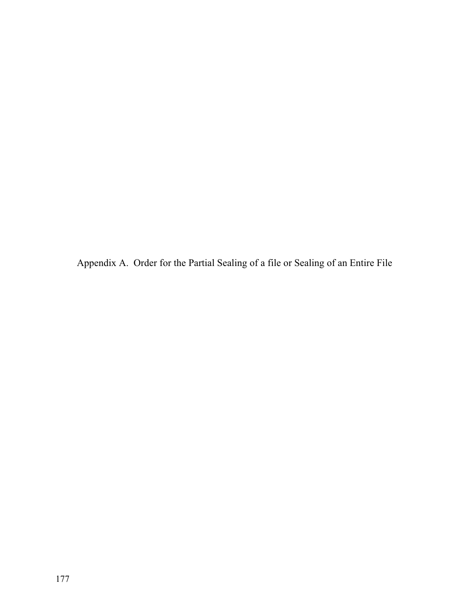Appendix A. Order for the Partial Sealing of a file or Sealing of an Entire File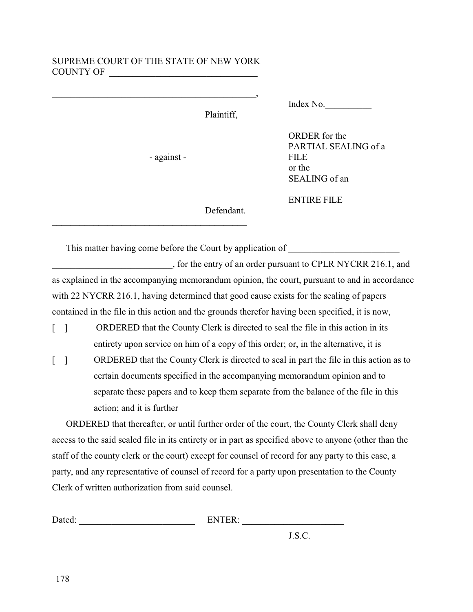# SUPREME COURT OF THE STATE OF NEW YORK COUNTY OF

\_\_\_\_\_\_\_\_\_\_\_\_\_\_\_\_\_\_\_\_\_\_\_\_\_\_\_\_\_\_\_\_\_\_\_\_\_\_\_\_\_\_\_\_,

Plaintiff,

- against - FILE

**\_\_\_\_\_\_\_\_\_\_\_\_\_\_\_\_\_\_\_\_\_\_\_\_\_\_\_\_\_\_\_\_\_\_\_\_\_\_\_\_\_\_**

Index No.

ORDER for the PARTIAL SEALING of a or the SEALING of an

ENTIRE FILE

Defendant.

This matter having come before the Court by application of

\_\_\_\_\_\_\_\_\_\_\_\_\_\_\_\_\_\_\_\_\_\_\_\_\_\_, for the entry of an order pursuant to CPLR NYCRR 216.1, and as explained in the accompanying memorandum opinion, the court, pursuant to and in accordance with 22 NYCRR 216.1, having determined that good cause exists for the sealing of papers contained in the file in this action and the grounds therefor having been specified, it is now,

[ ] ORDERED that the County Clerk is directed to seal the file in this action in its entirety upon service on him of a copy of this order; or, in the alternative, it is

[ ] ORDERED that the County Clerk is directed to seal in part the file in this action as to certain documents specified in the accompanying memorandum opinion and to separate these papers and to keep them separate from the balance of the file in this action; and it is further

ORDERED that thereafter, or until further order of the court, the County Clerk shall deny access to the said sealed file in its entirety or in part as specified above to anyone (other than the staff of the county clerk or the court) except for counsel of record for any party to this case, a party, and any representative of counsel of record for a party upon presentation to the County Clerk of written authorization from said counsel.

Dated: \_\_\_\_\_\_\_\_\_\_\_\_\_\_\_\_\_\_\_\_\_\_\_\_\_ ENTER: \_\_\_\_\_\_\_\_\_\_\_\_\_\_\_\_\_\_\_\_\_\_

J.S.C.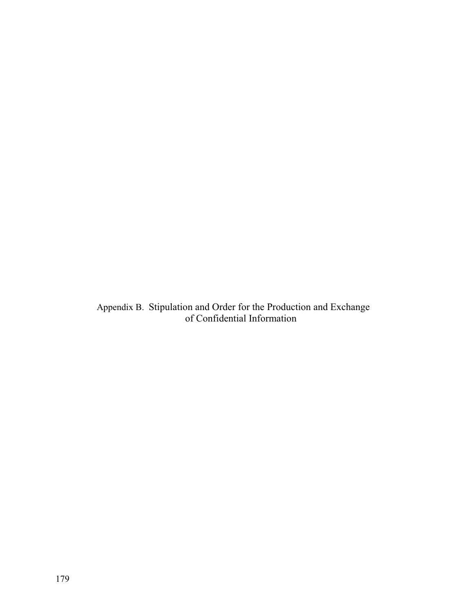Appendix B. Stipulation and Order for the Production and Exchange of Confidential Information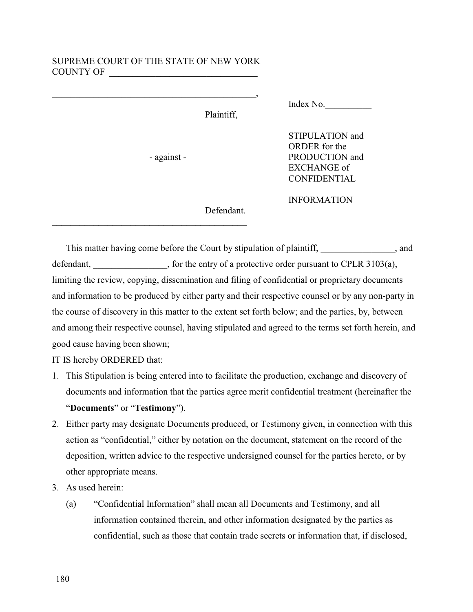## SUPREME COURT OF THE STATE OF NEW YORK COUNTY OF **\_\_\_\_\_\_\_\_\_\_\_\_\_\_\_\_\_\_\_\_\_\_\_\_\_\_\_\_\_\_\_\_**

\_\_\_\_\_\_\_\_\_\_\_\_\_\_\_\_\_\_\_\_\_\_\_\_\_\_\_\_\_\_\_\_\_\_\_\_\_\_\_\_\_\_\_\_,

Plaintiff,

**\_\_\_\_\_\_\_\_\_\_\_\_\_\_\_\_\_\_\_\_\_\_\_\_\_\_\_\_\_\_\_\_\_\_\_\_\_\_\_\_\_\_**

Index No.\_\_\_\_\_\_\_\_\_\_

STIPULATION and ORDER for the - against - PRODUCTION and EXCHANGE of CONFIDENTIAL

INFORMATION

Defendant.

This matter having come before the Court by stipulation of plaintiff,  $\qquad \qquad$ , and defendant, for the entry of a protective order pursuant to CPLR 3103(a), limiting the review, copying, dissemination and filing of confidential or proprietary documents and information to be produced by either party and their respective counsel or by any non-party in the course of discovery in this matter to the extent set forth below; and the parties, by, between and among their respective counsel, having stipulated and agreed to the terms set forth herein, and good cause having been shown;

IT IS hereby ORDERED that:

- 1. This Stipulation is being entered into to facilitate the production, exchange and discovery of documents and information that the parties agree merit confidential treatment (hereinafter the "**Documents**" or "**Testimony**").
- 2. Either party may designate Documents produced, or Testimony given, in connection with this action as "confidential," either by notation on the document, statement on the record of the deposition, written advice to the respective undersigned counsel for the parties hereto, or by other appropriate means.
- 3. As used herein:
	- (a) "Confidential Information" shall mean all Documents and Testimony, and all information contained therein, and other information designated by the parties as confidential, such as those that contain trade secrets or information that, if disclosed,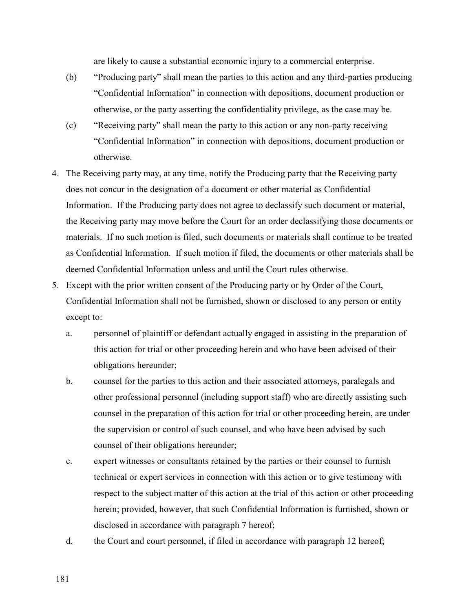are likely to cause a substantial economic injury to a commercial enterprise.

- (b) "Producing party" shall mean the parties to this action and any third-parties producing "Confidential Information" in connection with depositions, document production or otherwise, or the party asserting the confidentiality privilege, as the case may be.
- (c) "Receiving party" shall mean the party to this action or any non-party receiving "Confidential Information" in connection with depositions, document production or otherwise.
- 4. The Receiving party may, at any time, notify the Producing party that the Receiving party does not concur in the designation of a document or other material as Confidential Information. If the Producing party does not agree to declassify such document or material, the Receiving party may move before the Court for an order declassifying those documents or materials. If no such motion is filed, such documents or materials shall continue to be treated as Confidential Information. If such motion if filed, the documents or other materials shall be deemed Confidential Information unless and until the Court rules otherwise.
- 5. Except with the prior written consent of the Producing party or by Order of the Court, Confidential Information shall not be furnished, shown or disclosed to any person or entity except to:
	- a. personnel of plaintiff or defendant actually engaged in assisting in the preparation of this action for trial or other proceeding herein and who have been advised of their obligations hereunder;
	- b. counsel for the parties to this action and their associated attorneys, paralegals and other professional personnel (including support staff) who are directly assisting such counsel in the preparation of this action for trial or other proceeding herein, are under the supervision or control of such counsel, and who have been advised by such counsel of their obligations hereunder;
	- c. expert witnesses or consultants retained by the parties or their counsel to furnish technical or expert services in connection with this action or to give testimony with respect to the subject matter of this action at the trial of this action or other proceeding herein; provided, however, that such Confidential Information is furnished, shown or disclosed in accordance with paragraph 7 hereof;
	- d. the Court and court personnel, if filed in accordance with paragraph 12 hereof;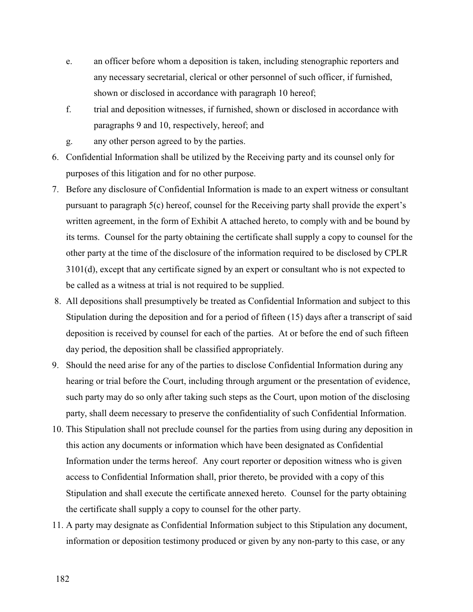- e. an officer before whom a deposition is taken, including stenographic reporters and any necessary secretarial, clerical or other personnel of such officer, if furnished, shown or disclosed in accordance with paragraph 10 hereof;
- f. trial and deposition witnesses, if furnished, shown or disclosed in accordance with paragraphs 9 and 10, respectively, hereof; and
- g. any other person agreed to by the parties.
- 6. Confidential Information shall be utilized by the Receiving party and its counsel only for purposes of this litigation and for no other purpose.
- 7. Before any disclosure of Confidential Information is made to an expert witness or consultant pursuant to paragraph 5(c) hereof, counsel for the Receiving party shall provide the expert's written agreement, in the form of Exhibit A attached hereto, to comply with and be bound by its terms. Counsel for the party obtaining the certificate shall supply a copy to counsel for the other party at the time of the disclosure of the information required to be disclosed by CPLR 3101(d), except that any certificate signed by an expert or consultant who is not expected to be called as a witness at trial is not required to be supplied.
- 8. All depositions shall presumptively be treated as Confidential Information and subject to this Stipulation during the deposition and for a period of fifteen (15) days after a transcript of said deposition is received by counsel for each of the parties. At or before the end of such fifteen day period, the deposition shall be classified appropriately.
- 9. Should the need arise for any of the parties to disclose Confidential Information during any hearing or trial before the Court, including through argument or the presentation of evidence, such party may do so only after taking such steps as the Court, upon motion of the disclosing party, shall deem necessary to preserve the confidentiality of such Confidential Information.
- 10. This Stipulation shall not preclude counsel for the parties from using during any deposition in this action any documents or information which have been designated as Confidential Information under the terms hereof. Any court reporter or deposition witness who is given access to Confidential Information shall, prior thereto, be provided with a copy of this Stipulation and shall execute the certificate annexed hereto. Counsel for the party obtaining the certificate shall supply a copy to counsel for the other party.
- 11. A party may designate as Confidential Information subject to this Stipulation any document, information or deposition testimony produced or given by any non-party to this case, or any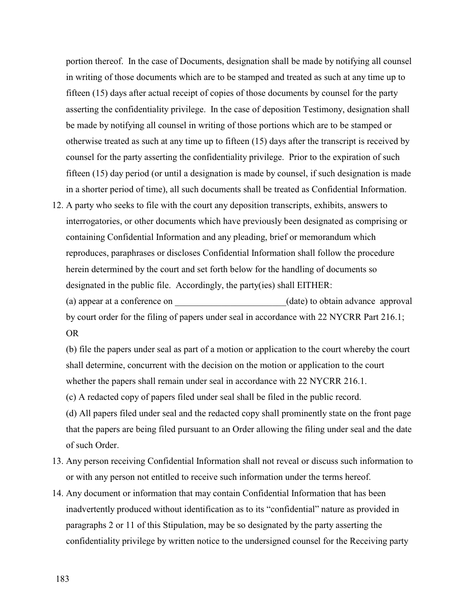portion thereof. In the case of Documents, designation shall be made by notifying all counsel in writing of those documents which are to be stamped and treated as such at any time up to fifteen (15) days after actual receipt of copies of those documents by counsel for the party asserting the confidentiality privilege. In the case of deposition Testimony, designation shall be made by notifying all counsel in writing of those portions which are to be stamped or otherwise treated as such at any time up to fifteen (15) days after the transcript is received by counsel for the party asserting the confidentiality privilege. Prior to the expiration of such fifteen (15) day period (or until a designation is made by counsel, if such designation is made in a shorter period of time), all such documents shall be treated as Confidential Information.

12. A party who seeks to file with the court any deposition transcripts, exhibits, answers to interrogatories, or other documents which have previously been designated as comprising or containing Confidential Information and any pleading, brief or memorandum which reproduces, paraphrases or discloses Confidential Information shall follow the procedure herein determined by the court and set forth below for the handling of documents so designated in the public file. Accordingly, the party(ies) shall EITHER:

(a) appear at a conference on  $(date)$  to obtain advance approval by court order for the filing of papers under seal in accordance with 22 NYCRR Part 216.1; OR

(b) file the papers under seal as part of a motion or application to the court whereby the court shall determine, concurrent with the decision on the motion or application to the court whether the papers shall remain under seal in accordance with 22 NYCRR 216.1.

(c) A redacted copy of papers filed under seal shall be filed in the public record.

(d) All papers filed under seal and the redacted copy shall prominently state on the front page that the papers are being filed pursuant to an Order allowing the filing under seal and the date of such Order.

- 13. Any person receiving Confidential Information shall not reveal or discuss such information to or with any person not entitled to receive such information under the terms hereof.
- 14. Any document or information that may contain Confidential Information that has been inadvertently produced without identification as to its "confidential" nature as provided in paragraphs 2 or 11 of this Stipulation, may be so designated by the party asserting the confidentiality privilege by written notice to the undersigned counsel for the Receiving party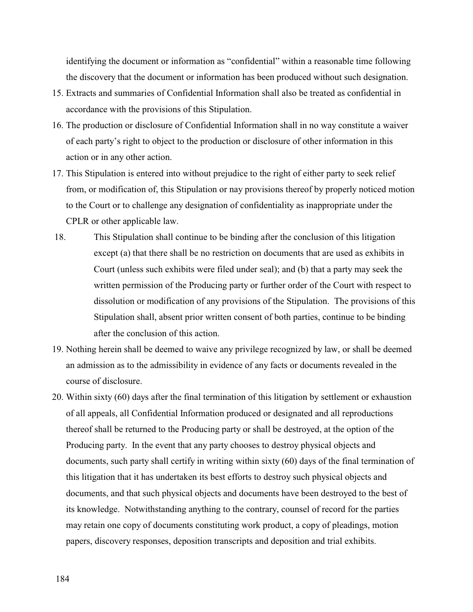identifying the document or information as "confidential" within a reasonable time following the discovery that the document or information has been produced without such designation.

- 15. Extracts and summaries of Confidential Information shall also be treated as confidential in accordance with the provisions of this Stipulation.
- 16. The production or disclosure of Confidential Information shall in no way constitute a waiver of each party's right to object to the production or disclosure of other information in this action or in any other action.
- 17. This Stipulation is entered into without prejudice to the right of either party to seek relief from, or modification of, this Stipulation or nay provisions thereof by properly noticed motion to the Court or to challenge any designation of confidentiality as inappropriate under the CPLR or other applicable law.
- 18. This Stipulation shall continue to be binding after the conclusion of this litigation except (a) that there shall be no restriction on documents that are used as exhibits in Court (unless such exhibits were filed under seal); and (b) that a party may seek the written permission of the Producing party or further order of the Court with respect to dissolution or modification of any provisions of the Stipulation. The provisions of this Stipulation shall, absent prior written consent of both parties, continue to be binding after the conclusion of this action.
- 19. Nothing herein shall be deemed to waive any privilege recognized by law, or shall be deemed an admission as to the admissibility in evidence of any facts or documents revealed in the course of disclosure.
- 20. Within sixty (60) days after the final termination of this litigation by settlement or exhaustion of all appeals, all Confidential Information produced or designated and all reproductions thereof shall be returned to the Producing party or shall be destroyed, at the option of the Producing party. In the event that any party chooses to destroy physical objects and documents, such party shall certify in writing within sixty (60) days of the final termination of this litigation that it has undertaken its best efforts to destroy such physical objects and documents, and that such physical objects and documents have been destroyed to the best of its knowledge. Notwithstanding anything to the contrary, counsel of record for the parties may retain one copy of documents constituting work product, a copy of pleadings, motion papers, discovery responses, deposition transcripts and deposition and trial exhibits.